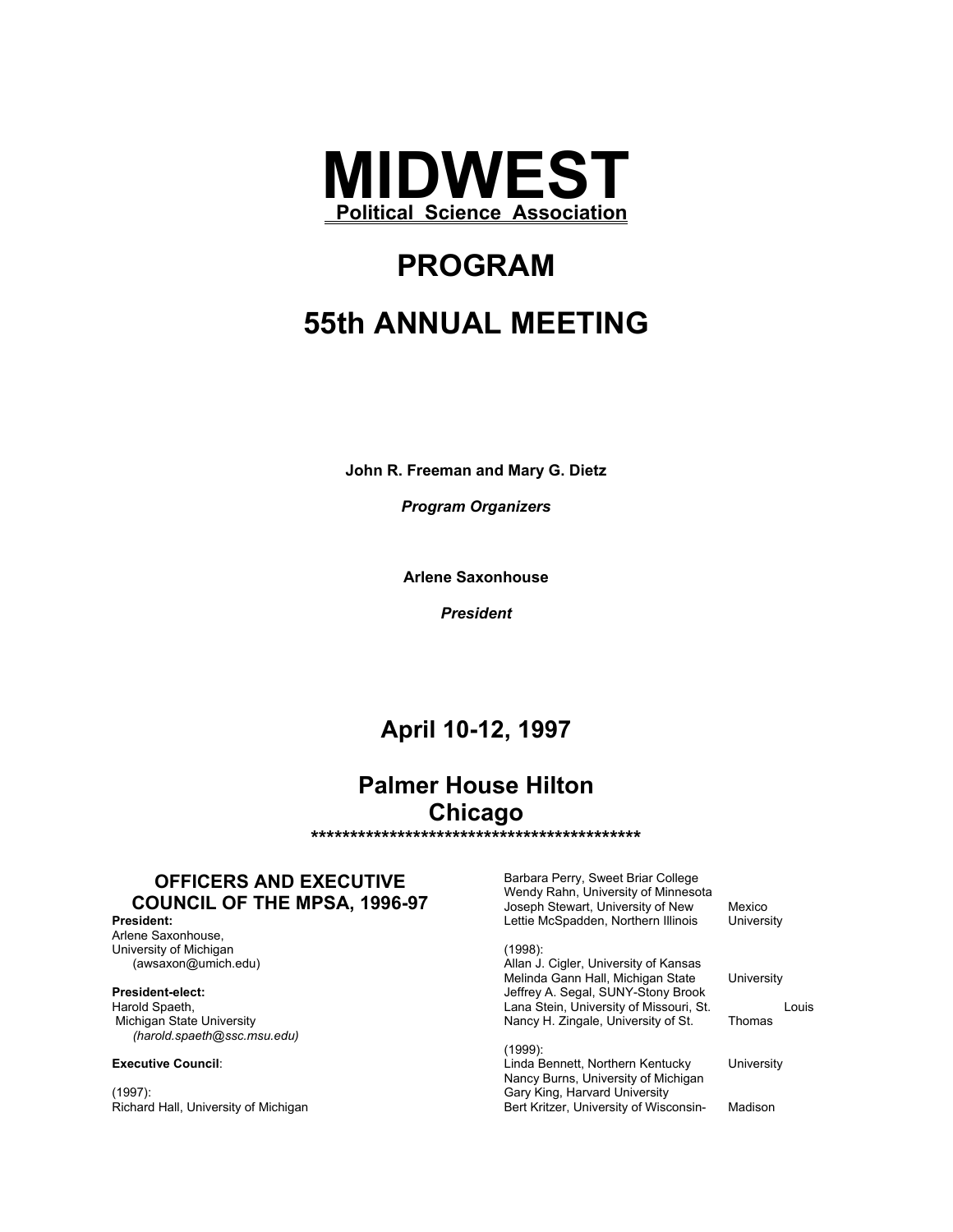

# **PROGRAM**

# **55th ANNUAL MEETING**

**John R. Freeman and Mary G. Dietz** 

*Program Organizers* 

**Arlene Saxonhouse** 

*President*

# **April 10-12, 1997**

# **Palmer House Hilton Chicago \*\*\*\*\*\*\*\*\*\*\*\*\*\*\*\*\*\*\*\*\*\*\*\*\*\*\*\*\*\*\*\*\*\*\*\*\*\*\*\*\*\***

# **OFFICERS AND EXECUTIVE COUNCIL OF THE MPSA, 1996-97**

#### **President:**

Arlene Saxonhouse, University of Michigan (awsaxon@umich.edu)

#### **President-elect:**

Harold Spaeth, Michigan State University *(harold.spaeth@ssc.msu.edu)*

#### **Executive Council**:

(1997): Richard Hall, University of Michigan

Barbara Perry, Sweet Briar College Wendy Rahn, University of Minnesota Joseph Stewart, University of New Mexico Lettie McSpadden, Northern Illinois University

#### (1998):

Allan J. Cigler, University of Kansas Melinda Gann Hall, Michigan State University Jeffrey A. Segal, SUNY-Stony Brook Lana Stein, University of Missouri, St. Louis Nancy H. Zingale, University of St. Thomas

#### (1999):

Linda Bennett, Northern Kentucky University Nancy Burns, University of Michigan Gary King, Harvard University Bert Kritzer, University of Wisconsin- Madison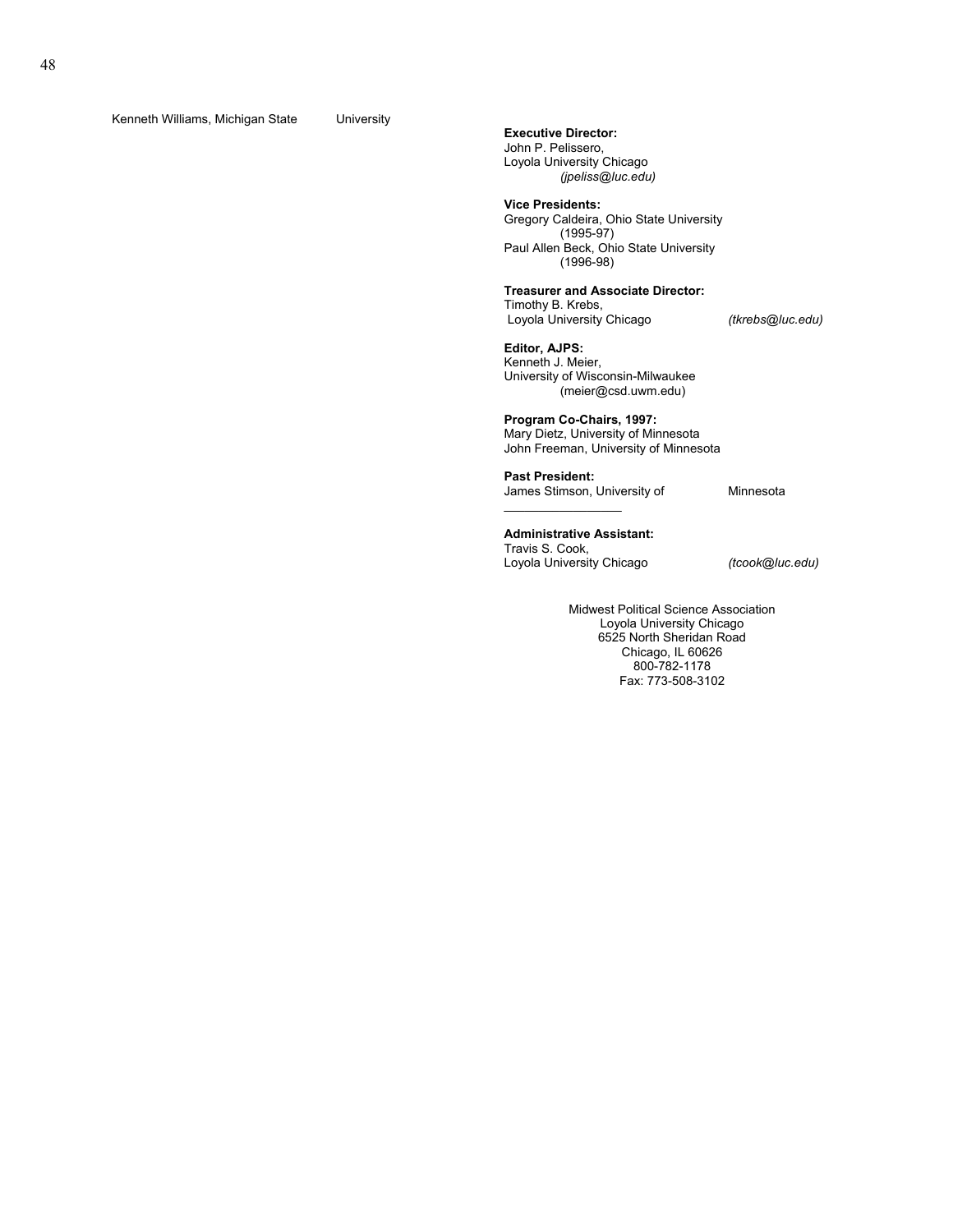### **Executive Director:**

John P. Pelissero, Loyola University Chicago *(jpeliss@luc.edu)*

#### **Vice Presidents:**

Gregory Caldeira, Ohio State University (1995-97) Paul Allen Beck, Ohio State University (1996-98)

#### **Treasurer and Associate Director:**

Timothy B. Krebs, Loyola University Chicago *(tkrebs@luc.edu)*

**Editor, AJPS:** Kenneth J. Meier, University of Wisconsin-Milwaukee (meier@csd.uwm.edu)

### **Program Co-Chairs, 1997:**

Mary Dietz, University of Minnesota John Freeman, University of Minnesota

### **Past President:**

James Stimson, University of Minnesota  $\overline{\phantom{a}}$  , and the set of the set of the set of the set of the set of the set of the set of the set of the set of the set of the set of the set of the set of the set of the set of the set of the set of the set of the s

#### **Administrative Assistant:**

Travis S. Cook, Loyola University Chicago *(tcook@luc.edu)*

Midwest Political Science Association Loyola University Chicago 6525 North Sheridan Road Chicago, IL 60626 800-782-1178 Fax: 773-508-3102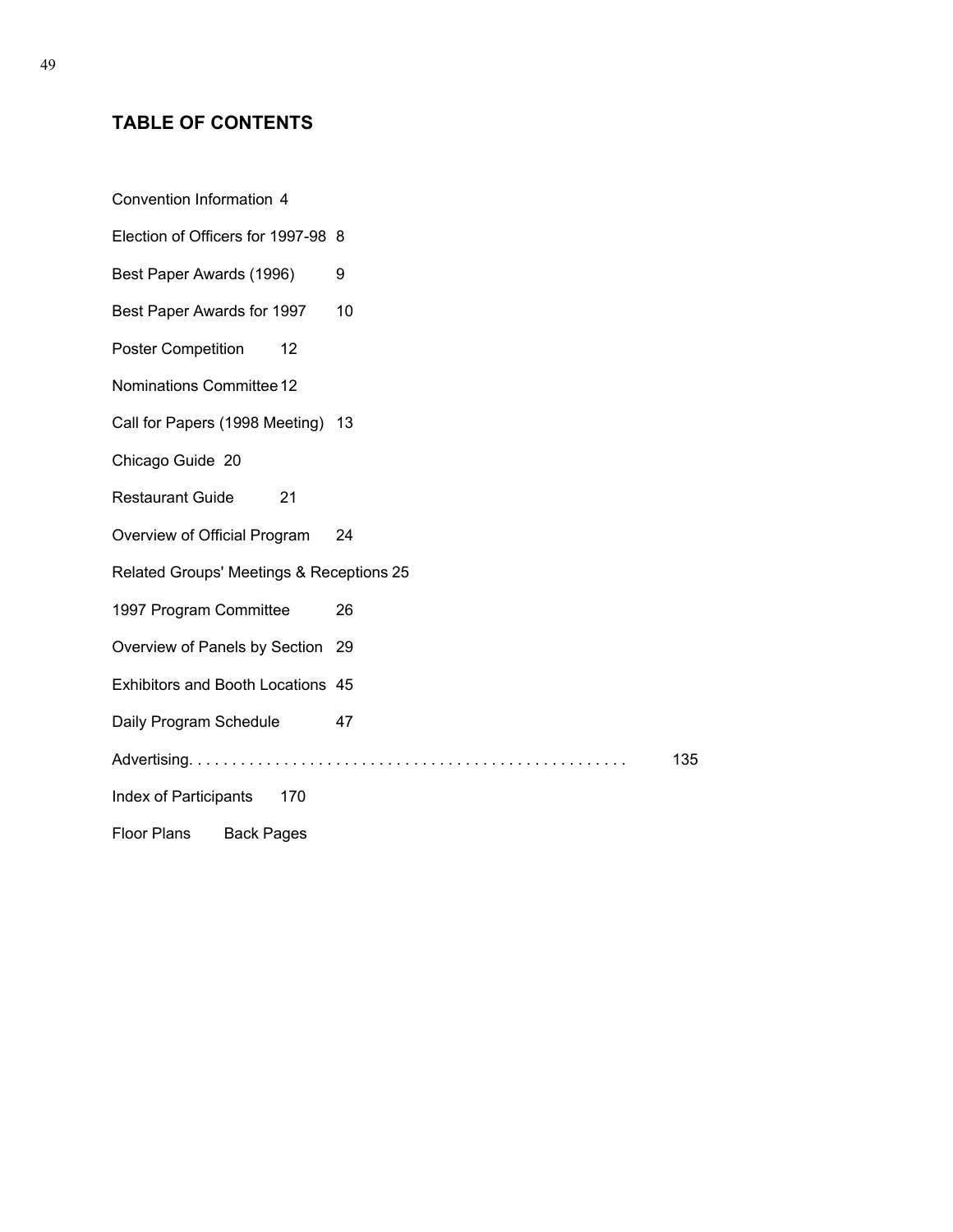# **TABLE OF CONTENTS**

Convention Information 4

- Election of Officers for 1997-98 8
- Best Paper Awards (1996) 9
- Best Paper Awards for 1997 10
- Poster Competition 12
- Nominations Committee 12
- Call for Papers (1998 Meeting) 13
- Chicago Guide 20
- Restaurant Guide 21
- Overview of Official Program 24
- Related Groups' Meetings & Receptions 25
- 1997 Program Committee 26
- Overview of Panels by Section 29
- Exhibitors and Booth Locations 45
- Daily Program Schedule 47
- Advertising. . . . . . . . . . . . . . . . . . . . . . . . . . . . . . . . . . . . . . . . . . . . . . . . . . . 135
- Index of Participants 170
- Floor Plans Back Pages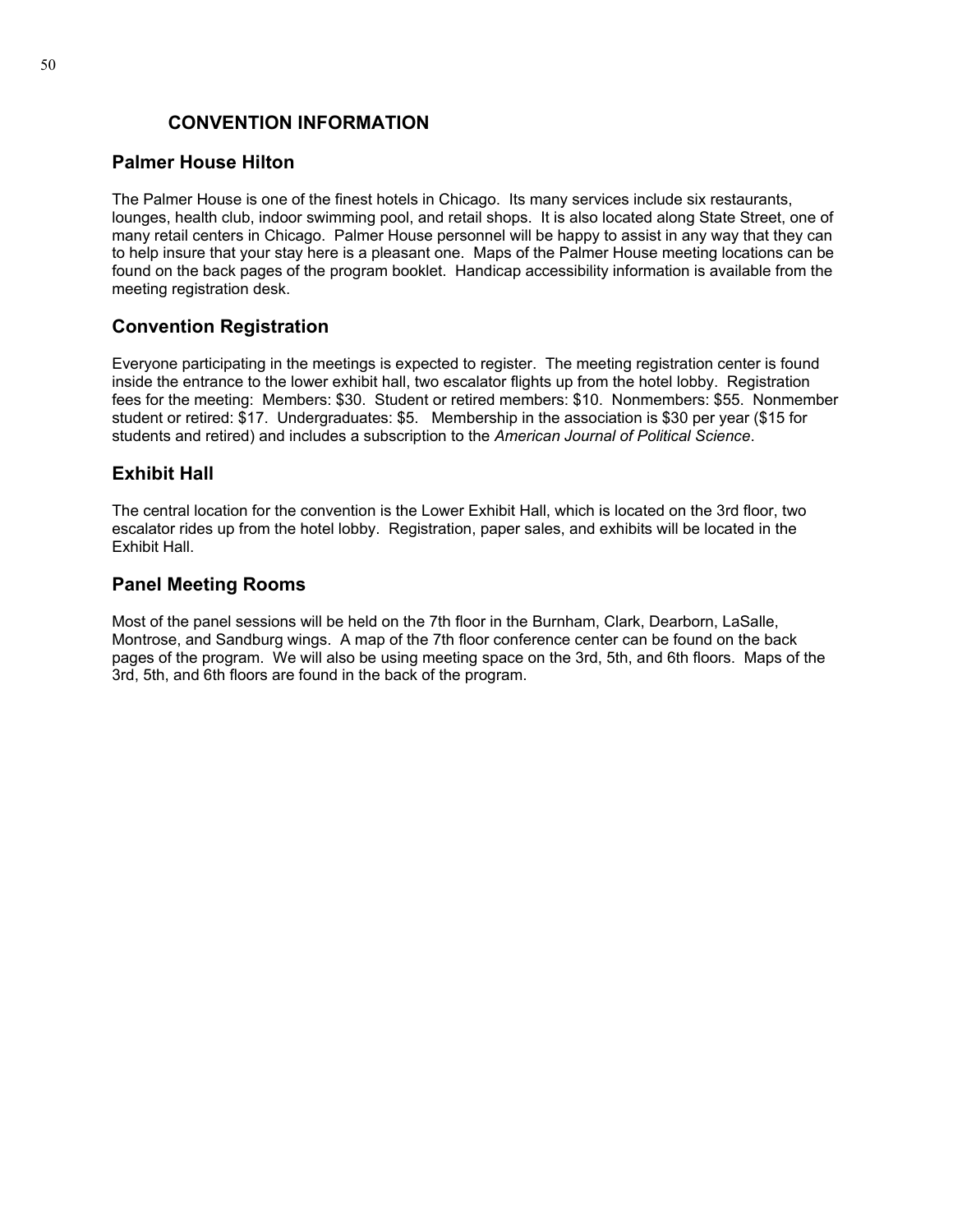# **CONVENTION INFORMATION**

## **Palmer House Hilton**

The Palmer House is one of the finest hotels in Chicago. Its many services include six restaurants, lounges, health club, indoor swimming pool, and retail shops. It is also located along State Street, one of many retail centers in Chicago. Palmer House personnel will be happy to assist in any way that they can to help insure that your stay here is a pleasant one. Maps of the Palmer House meeting locations can be found on the back pages of the program booklet. Handicap accessibility information is available from the meeting registration desk.

# **Convention Registration**

Everyone participating in the meetings is expected to register. The meeting registration center is found inside the entrance to the lower exhibit hall, two escalator flights up from the hotel lobby. Registration fees for the meeting: Members: \$30. Student or retired members: \$10. Nonmembers: \$55. Nonmember student or retired: \$17. Undergraduates: \$5. Membership in the association is \$30 per year (\$15 for students and retired) and includes a subscription to the *American Journal of Political Science*.

# **Exhibit Hall**

The central location for the convention is the Lower Exhibit Hall, which is located on the 3rd floor, two escalator rides up from the hotel lobby. Registration, paper sales, and exhibits will be located in the Exhibit Hall.

# **Panel Meeting Rooms**

Most of the panel sessions will be held on the 7th floor in the Burnham, Clark, Dearborn, LaSalle, Montrose, and Sandburg wings. A map of the 7th floor conference center can be found on the back pages of the program. We will also be using meeting space on the 3rd, 5th, and 6th floors. Maps of the 3rd, 5th, and 6th floors are found in the back of the program.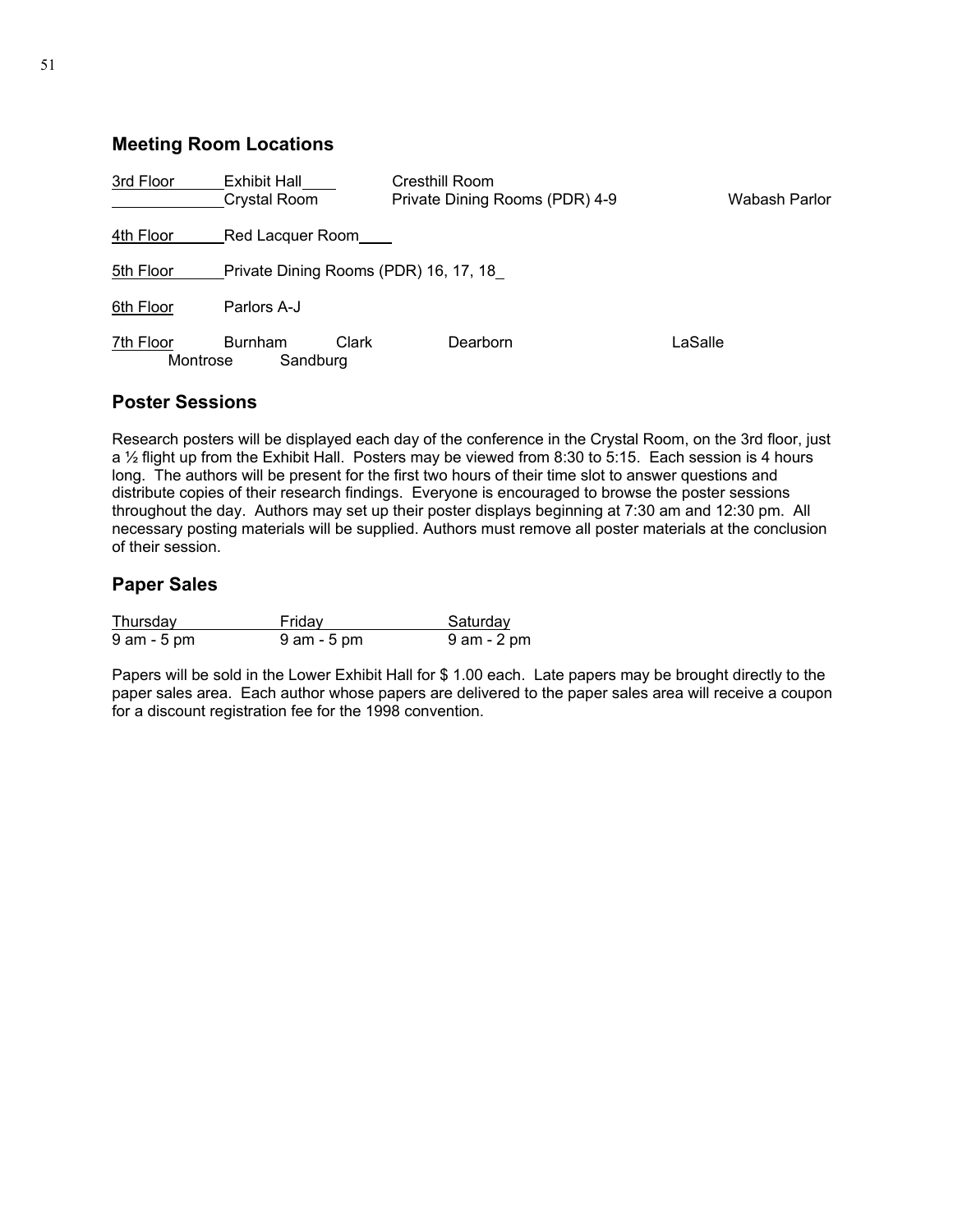# **Meeting Room Locations**

| 3rd Floor             | Exhibit Hall<br>Crystal Room          | Cresthill Room<br>Private Dining Rooms (PDR) 4-9 | Wabash Parlor |
|-----------------------|---------------------------------------|--------------------------------------------------|---------------|
| 4th Floor             | Red Lacquer Room                      |                                                  |               |
| 5th Floor             | Private Dining Rooms (PDR) 16, 17, 18 |                                                  |               |
| 6th Floor             | Parlors A-J                           |                                                  |               |
| 7th Floor<br>Montrose | Clark<br><b>Burnham</b><br>Sandburg   | Dearborn                                         | LaSalle       |

# **Poster Sessions**

Research posters will be displayed each day of the conference in the Crystal Room, on the 3rd floor, just a ½ flight up from the Exhibit Hall. Posters may be viewed from 8:30 to 5:15. Each session is 4 hours long. The authors will be present for the first two hours of their time slot to answer questions and distribute copies of their research findings. Everyone is encouraged to browse the poster sessions throughout the day. Authors may set up their poster displays beginning at 7:30 am and 12:30 pm. All necessary posting materials will be supplied. Authors must remove all poster materials at the conclusion of their session.

# **Paper Sales**

| Thursday       | Friday      | Saturday    |
|----------------|-------------|-------------|
| $9$ am $-5$ pm | 9 am - 5 pm | 9 am - 2 pm |

Papers will be sold in the Lower Exhibit Hall for \$ 1.00 each. Late papers may be brought directly to the paper sales area. Each author whose papers are delivered to the paper sales area will receive a coupon for a discount registration fee for the 1998 convention.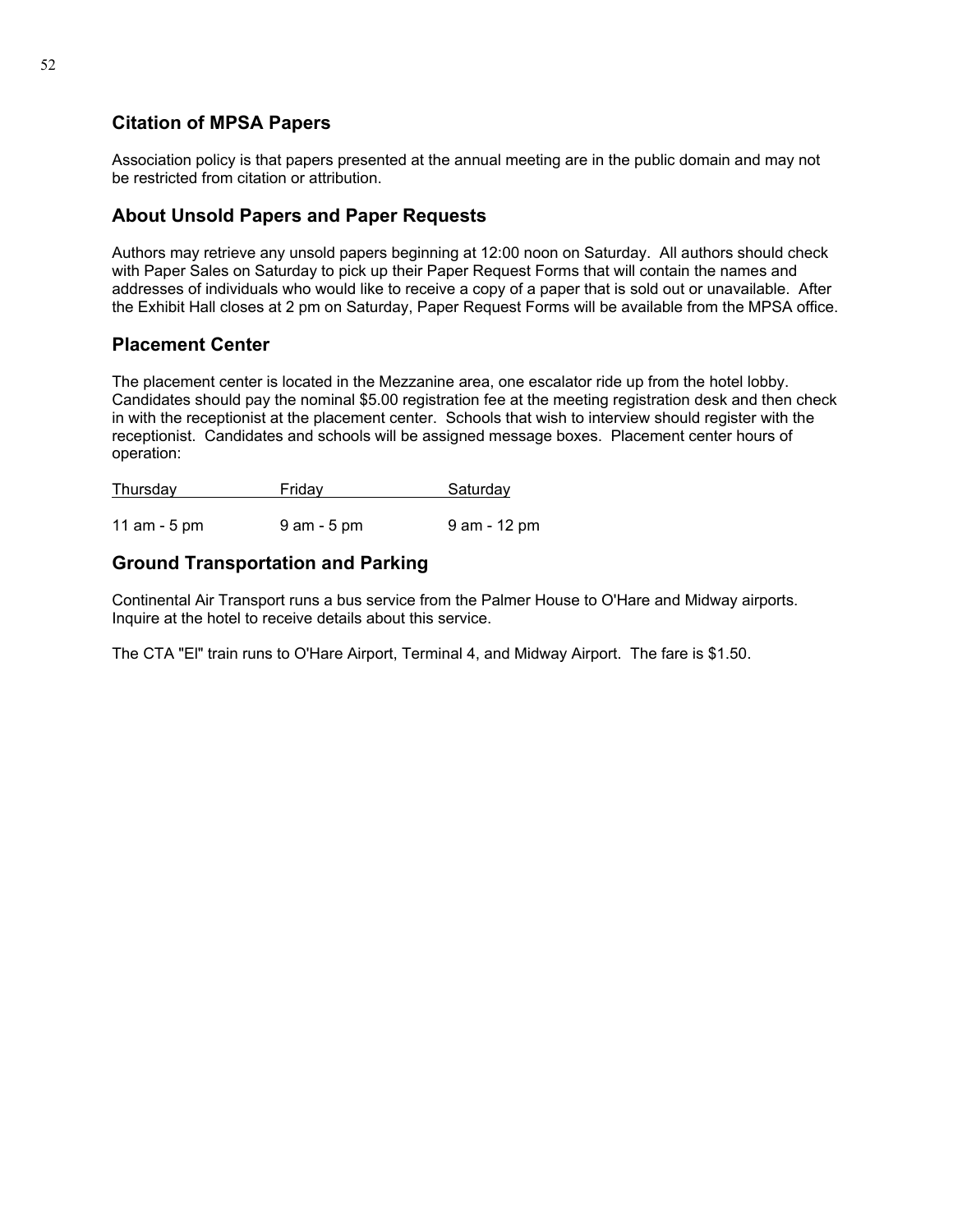# **Citation of MPSA Papers**

Association policy is that papers presented at the annual meeting are in the public domain and may not be restricted from citation or attribution.

# **About Unsold Papers and Paper Requests**

Authors may retrieve any unsold papers beginning at 12:00 noon on Saturday. All authors should check with Paper Sales on Saturday to pick up their Paper Request Forms that will contain the names and addresses of individuals who would like to receive a copy of a paper that is sold out or unavailable. After the Exhibit Hall closes at 2 pm on Saturday, Paper Request Forms will be available from the MPSA office.

# **Placement Center**

The placement center is located in the Mezzanine area, one escalator ride up from the hotel lobby. Candidates should pay the nominal \$5.00 registration fee at the meeting registration desk and then check in with the receptionist at the placement center. Schools that wish to interview should register with the receptionist. Candidates and schools will be assigned message boxes. Placement center hours of operation:

| Thursday | Fridav | Saturday |
|----------|--------|----------|
|          |        |          |

11 am - 5 pm 9 am - 5 pm 9 am - 12 pm

# **Ground Transportation and Parking**

Continental Air Transport runs a bus service from the Palmer House to O'Hare and Midway airports. Inquire at the hotel to receive details about this service.

The CTA "El" train runs to O'Hare Airport, Terminal 4, and Midway Airport. The fare is \$1.50.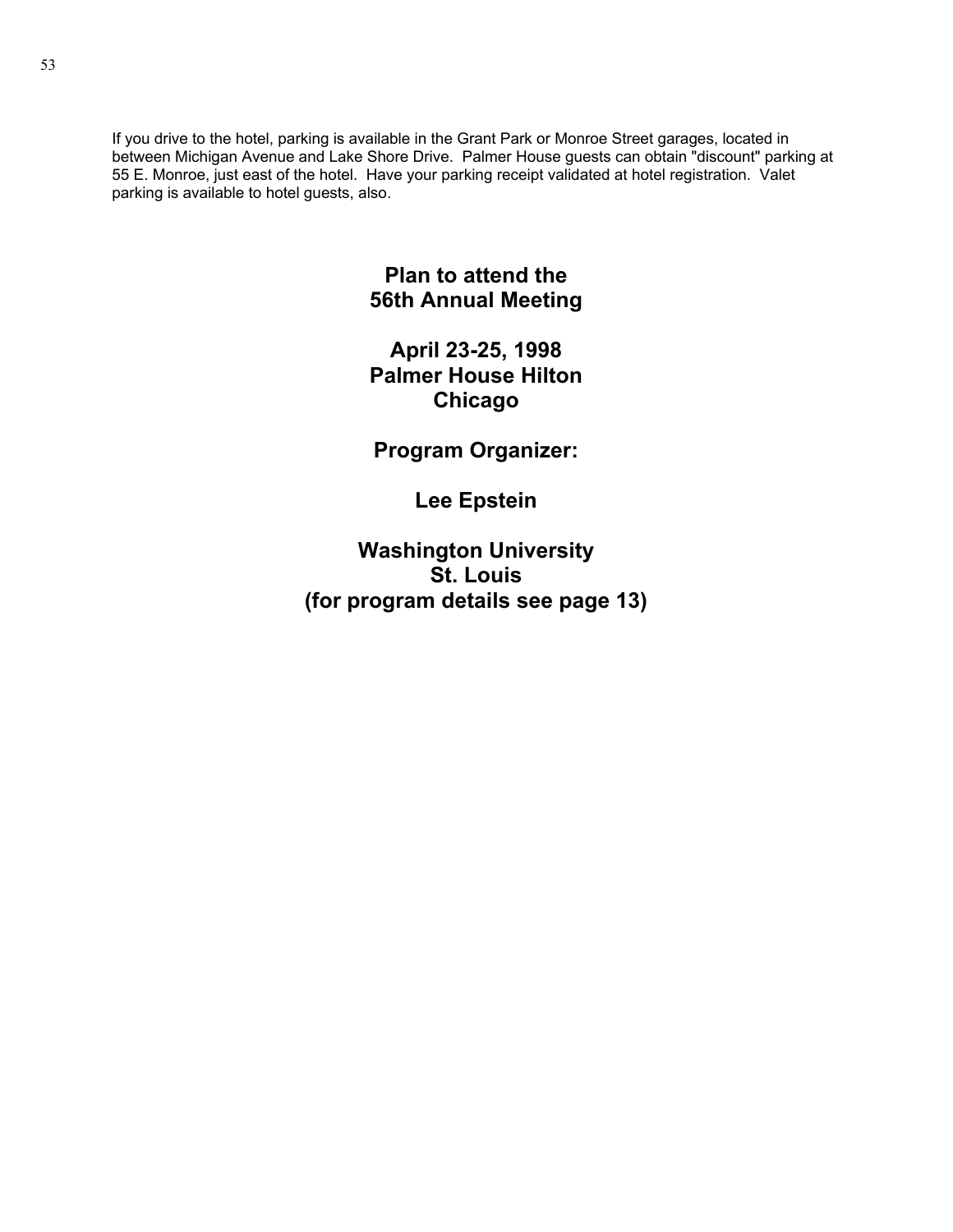If you drive to the hotel, parking is available in the Grant Park or Monroe Street garages, located in between Michigan Avenue and Lake Shore Drive. Palmer House guests can obtain "discount" parking at 55 E. Monroe, just east of the hotel. Have your parking receipt validated at hotel registration. Valet parking is available to hotel guests, also.

# **Plan to attend the 56th Annual Meeting**

# **April 23-25, 1998 Palmer House Hilton Chicago**

**Program Organizer:** 

**Lee Epstein** 

**Washington University St. Louis (for program details see page 13)**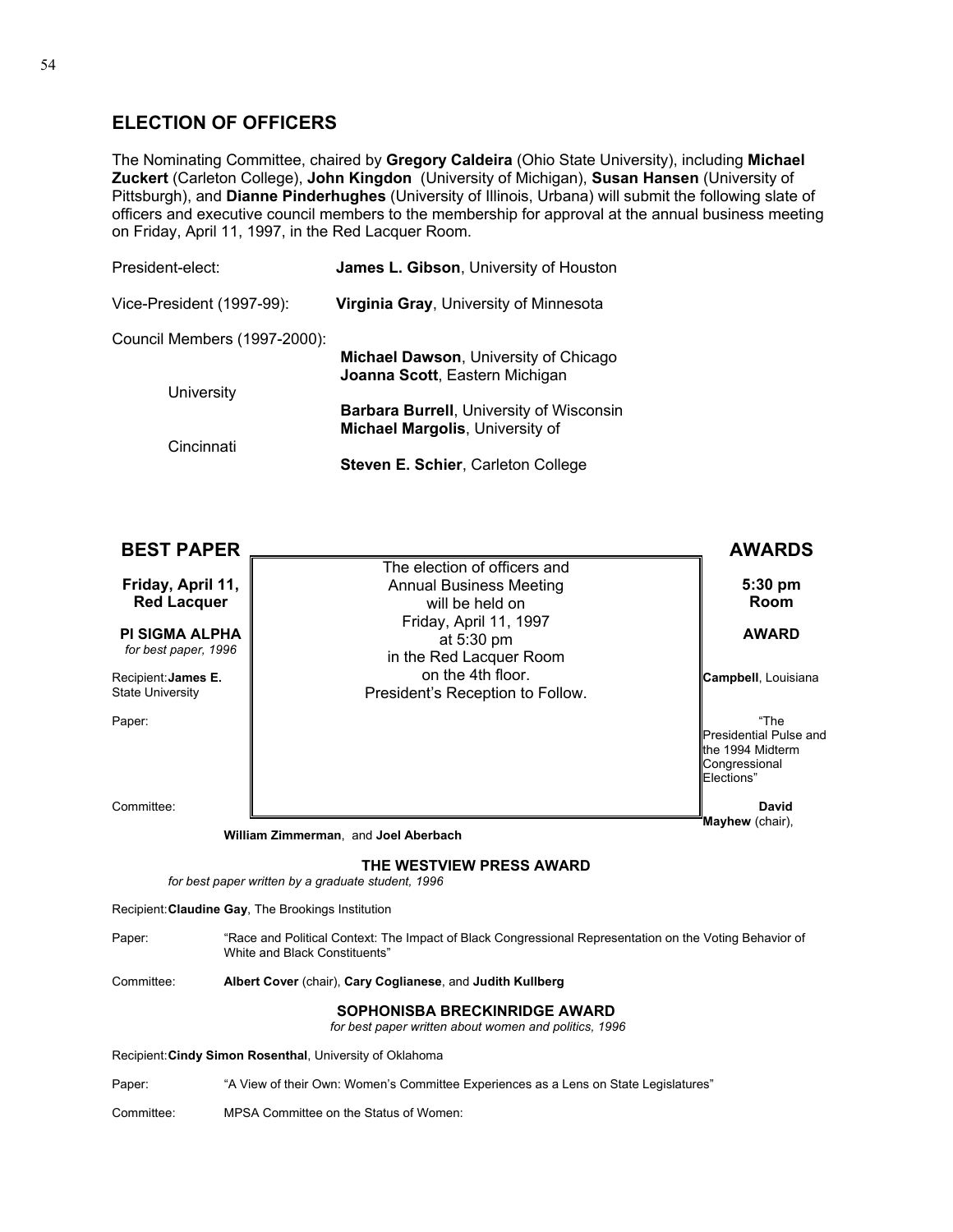# **ELECTION OF OFFICERS**

The Nominating Committee, chaired by **Gregory Caldeira** (Ohio State University), including **Michael Zuckert** (Carleton College), **John Kingdon** (University of Michigan), **Susan Hansen** (University of Pittsburgh), and **Dianne Pinderhughes** (University of Illinois, Urbana) will submit the following slate of officers and executive council members to the membership for approval at the annual business meeting on Friday, April 11, 1997, in the Red Lacquer Room.

| President-elect:                           | James L. Gibson, University of Houston                                                                                          |
|--------------------------------------------|---------------------------------------------------------------------------------------------------------------------------------|
| Vice-President (1997-99):                  | <b>Virginia Gray, University of Minnesota</b>                                                                                   |
| Council Members (1997-2000):<br>University | <b>Michael Dawson, University of Chicago</b><br>Joanna Scott, Eastern Michigan                                                  |
| Cincinnati                                 | <b>Barbara Burrell, University of Wisconsin</b><br><b>Michael Margolis, University of</b><br>Steven E. Schier, Carleton College |

| <b>BEST PAPER</b>                              |                                                                 | <b>AWARDS</b>                                                                            |
|------------------------------------------------|-----------------------------------------------------------------|------------------------------------------------------------------------------------------|
| Friday, April 11,                              | The election of officers and<br><b>Annual Business Meeting</b>  | $5:30$ pm                                                                                |
| <b>Red Lacquer</b>                             | will be held on                                                 | Room                                                                                     |
| <b>PI SIGMA ALPHA</b><br>for best paper, 1996  | Friday, April 11, 1997<br>at 5:30 pm<br>in the Red Lacquer Room | <b>AWARD</b>                                                                             |
| Recipient: James E.<br><b>State University</b> | on the 4th floor.<br>President's Reception to Follow.           | Campbell, Louisiana                                                                      |
| Paper:                                         |                                                                 | "The<br><b>Presidential Pulse and</b><br>the 1994 Midterm<br>Congressional<br>Elections" |

Committee: **David** 

**William Zimmerman**, and **Joel Aberbach**

#### **THE WESTVIEW PRESS AWARD**

**Mayhew** (chair),

 *for best paper written by a graduate student, 1996*

Recipient: **Claudine Gay**, The Brookings Institution

Paper: "Race and Political Context: The Impact of Black Congressional Representation on the Voting Behavior of White and Black Constituents"

Committee: **Albert Cover** (chair), **Cary Coglianese**, and **Judith Kullberg**

#### **SOPHONISBA BRECKINRIDGE AWARD**

 *for best paper written about women and politics, 1996*

Recipient: **Cindy Simon Rosenthal**, University of Oklahoma

Paper: "A View of their Own: Women's Committee Experiences as a Lens on State Legislatures"

Committee: MPSA Committee on the Status of Women: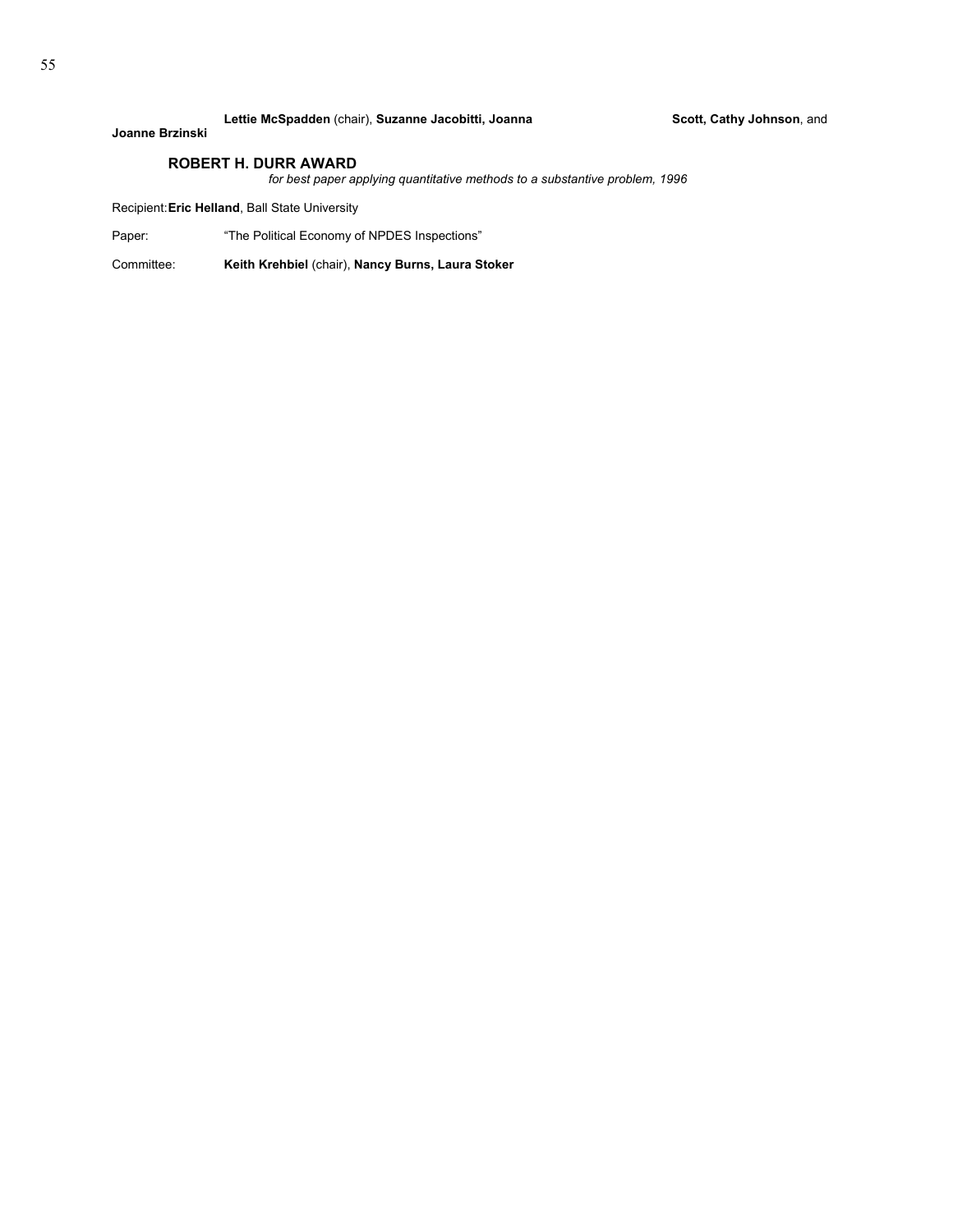### **Joanne Brzinski**

### **ROBERT H. DURR AWARD**

 *for best paper applying quantitative methods to a substantive problem, 1996*

Recipient: **Eric Helland**, Ball State University

Paper: "The Political Economy of NPDES Inspections"

Committee: **Keith Krehbiel** (chair), **Nancy Burns, Laura Stoker**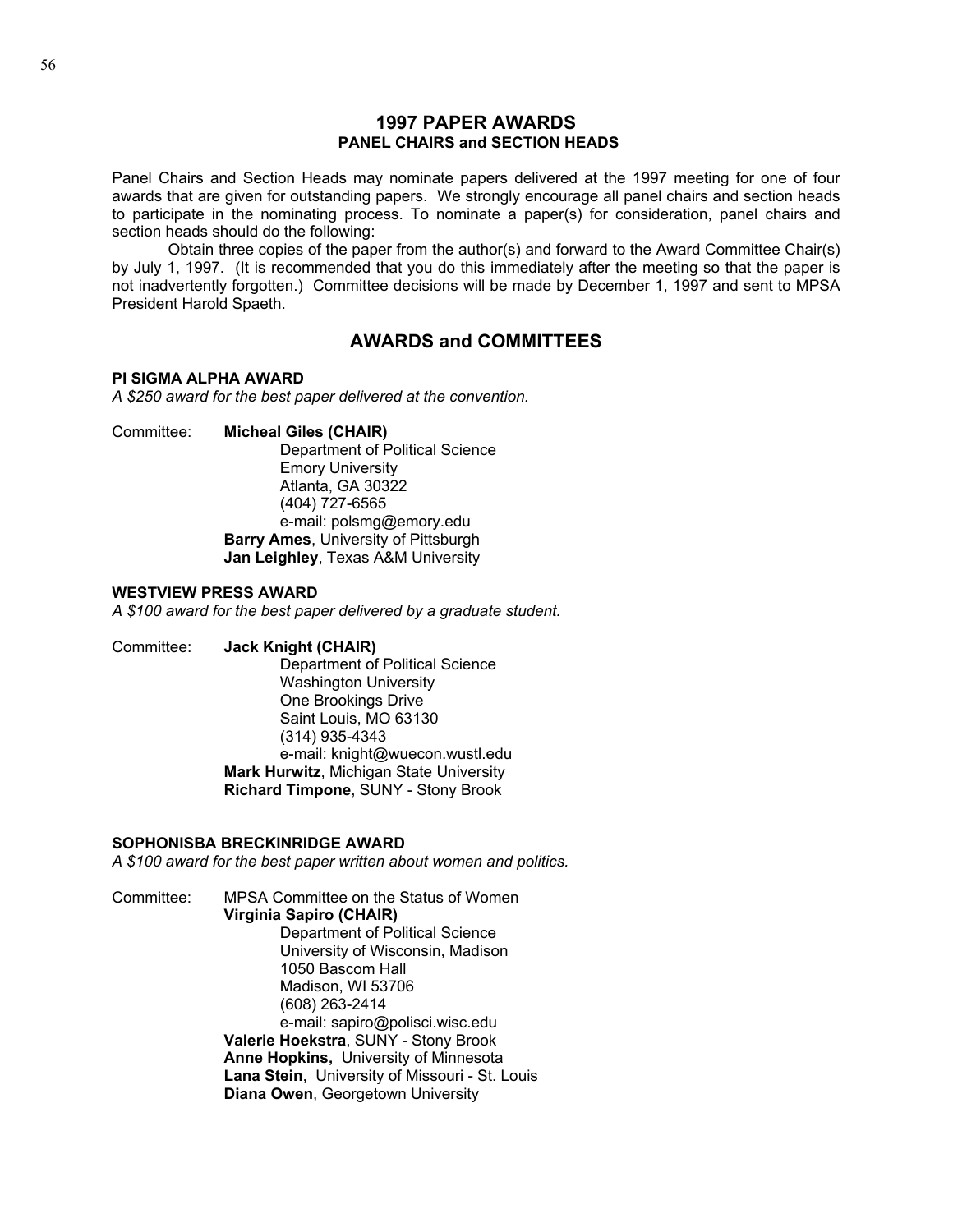### **1997 PAPER AWARDS PANEL CHAIRS and SECTION HEADS**

Panel Chairs and Section Heads may nominate papers delivered at the 1997 meeting for one of four awards that are given for outstanding papers. We strongly encourage all panel chairs and section heads to participate in the nominating process. To nominate a paper(s) for consideration, panel chairs and section heads should do the following:

 Obtain three copies of the paper from the author(s) and forward to the Award Committee Chair(s) by July 1, 1997. (It is recommended that you do this immediately after the meeting so that the paper is not inadvertently forgotten.) Committee decisions will be made by December 1, 1997 and sent to MPSA President Harold Spaeth.

### **AWARDS and COMMITTEES**

### **PI SIGMA ALPHA AWARD**

*A \$250 award for the best paper delivered at the convention.*

Committee: **Micheal Giles (CHAIR)** Department of Political Science Emory University Atlanta, GA 30322 (404) 727-6565 e-mail: polsmg@emory.edu **Barry Ames**, University of Pittsburgh **Jan Leighley**, Texas A&M University

### **WESTVIEW PRESS AWARD**

*A \$100 award for the best paper delivered by a graduate student.* 

Committee: **Jack Knight (CHAIR)**  Department of Political Science Washington University One Brookings Drive Saint Louis, MO 63130 (314) 935-4343 e-mail: knight@wuecon.wustl.edu  **Mark Hurwitz**, Michigan State University **Richard Timpone**, SUNY - Stony Brook

### **SOPHONISBA BRECKINRIDGE AWARD**

*A \$100 award for the best paper written about women and politics.* 

Committee: MPSA Committee on the Status of Women **Virginia Sapiro (CHAIR)** Department of Political Science University of Wisconsin, Madison 1050 Bascom Hall Madison, WI 53706 (608) 263-2414 e-mail: sapiro@polisci.wisc.edu **Valerie Hoekstra**, SUNY - Stony Brook **Anne Hopkins,** University of Minnesota **Lana Stein**, University of Missouri - St. Louis **Diana Owen**, Georgetown University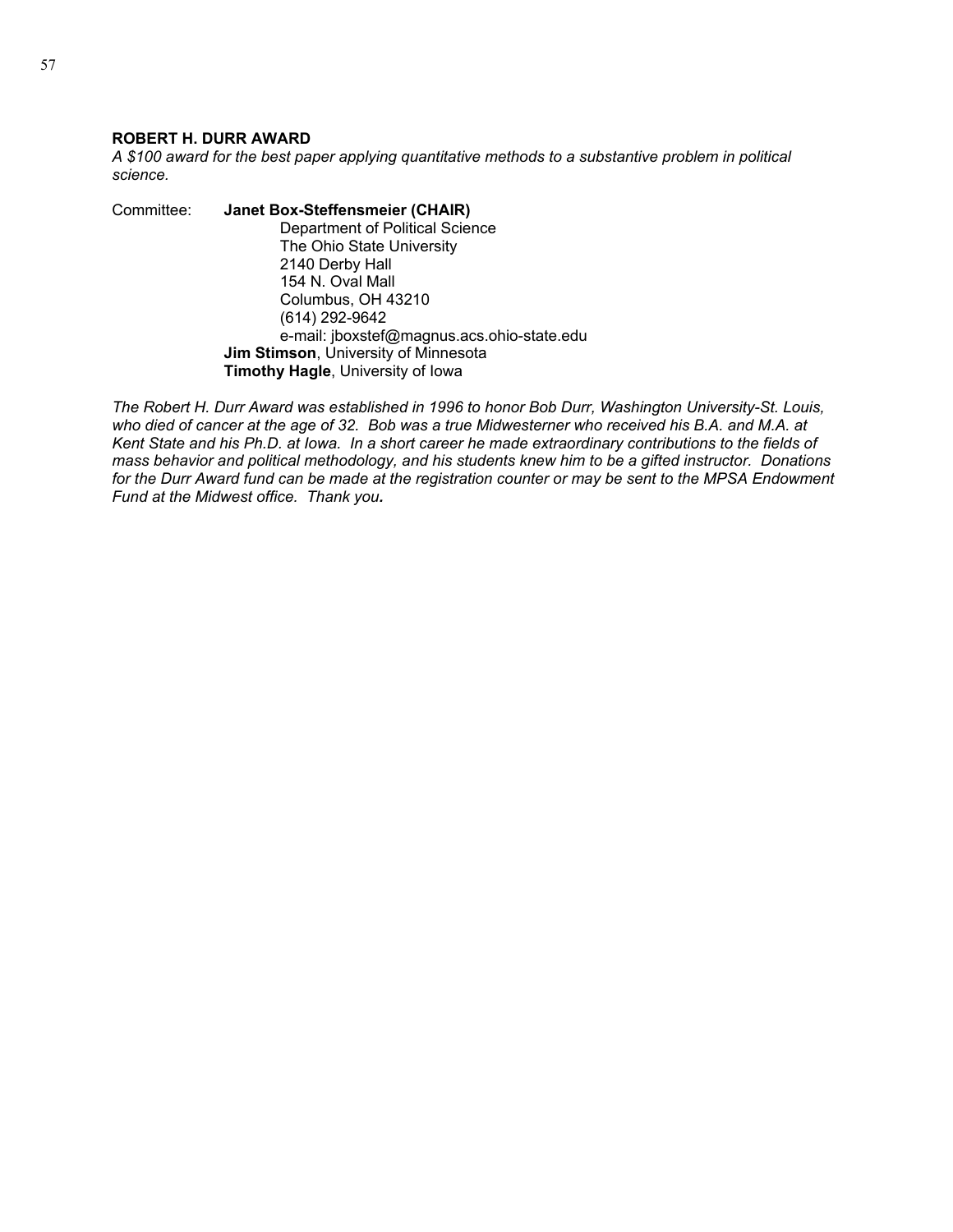### **ROBERT H. DURR AWARD**

*A \$100 award for the best paper applying quantitative methods to a substantive problem in political science.* 

Committee: **Janet Box-Steffensmeier (CHAIR)** Department of Political Science The Ohio State University 2140 Derby Hall 154 N. Oval Mall Columbus, OH 43210 (614) 292-9642 e-mail: jboxstef@magnus.acs.ohio-state.edu **Jim Stimson**, University of Minnesota **Timothy Hagle**, University of Iowa

*The Robert H. Durr Award was established in 1996 to honor Bob Durr, Washington University-St. Louis, who died of cancer at the age of 32. Bob was a true Midwesterner who received his B.A. and M.A. at Kent State and his Ph.D. at Iowa. In a short career he made extraordinary contributions to the fields of mass behavior and political methodology, and his students knew him to be a gifted instructor. Donations*  for the Durr Award fund can be made at the registration counter or may be sent to the MPSA Endowment *Fund at the Midwest office. Thank you.*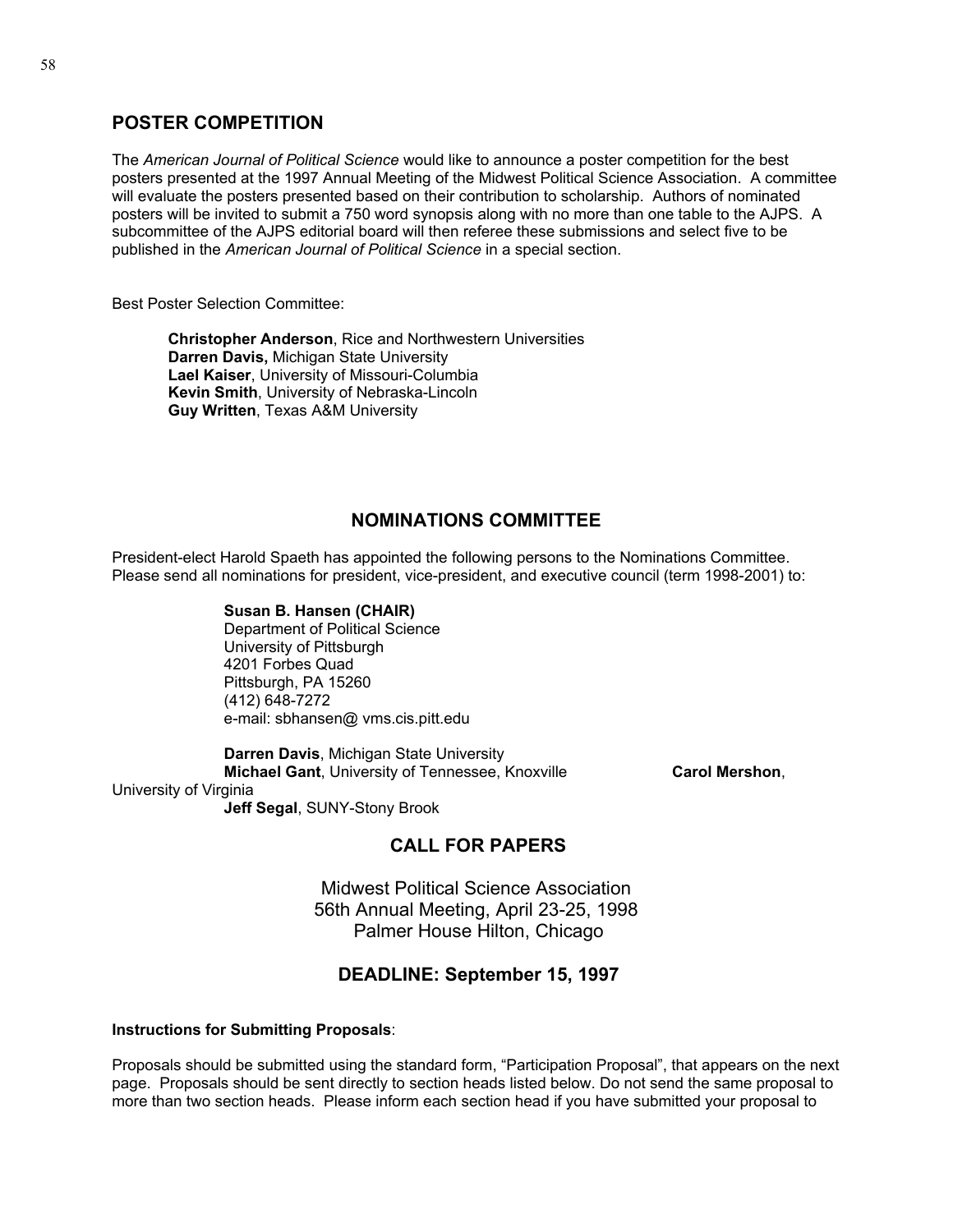# **POSTER COMPETITION**

The *American Journal of Political Science* would like to announce a poster competition for the best posters presented at the 1997 Annual Meeting of the Midwest Political Science Association. A committee will evaluate the posters presented based on their contribution to scholarship. Authors of nominated posters will be invited to submit a 750 word synopsis along with no more than one table to the AJPS. A subcommittee of the AJPS editorial board will then referee these submissions and select five to be published in the *American Journal of Political Science* in a special section.

Best Poster Selection Committee:

**Christopher Anderson**, Rice and Northwestern Universities **Darren Davis,** Michigan State University **Lael Kaiser**, University of Missouri-Columbia **Kevin Smith**, University of Nebraska-Lincoln **Guy Written**, Texas A&M University

# **NOMINATIONS COMMITTEE**

President-elect Harold Spaeth has appointed the following persons to the Nominations Committee. Please send all nominations for president, vice-president, and executive council (term 1998-2001) to:

### **Susan B. Hansen (CHAIR)**

 Department of Political Science University of Pittsburgh 4201 Forbes Quad Pittsburgh, PA 15260 (412) 648-7272 e-mail: sbhansen@ vms.cis.pitt.edu

 **Darren Davis**, Michigan State University **Michael Gant**, University of Tennessee, Knoxville **Carol Mershon**,

### University of Virginia

**Jeff Segal**, SUNY-Stony Brook

### **CALL FOR PAPERS**

Midwest Political Science Association 56th Annual Meeting, April 23-25, 1998 Palmer House Hilton, Chicago

### **DEADLINE: September 15, 1997**

### **Instructions for Submitting Proposals**:

Proposals should be submitted using the standard form, "Participation Proposal", that appears on the next page. Proposals should be sent directly to section heads listed below. Do not send the same proposal to more than two section heads. Please inform each section head if you have submitted your proposal to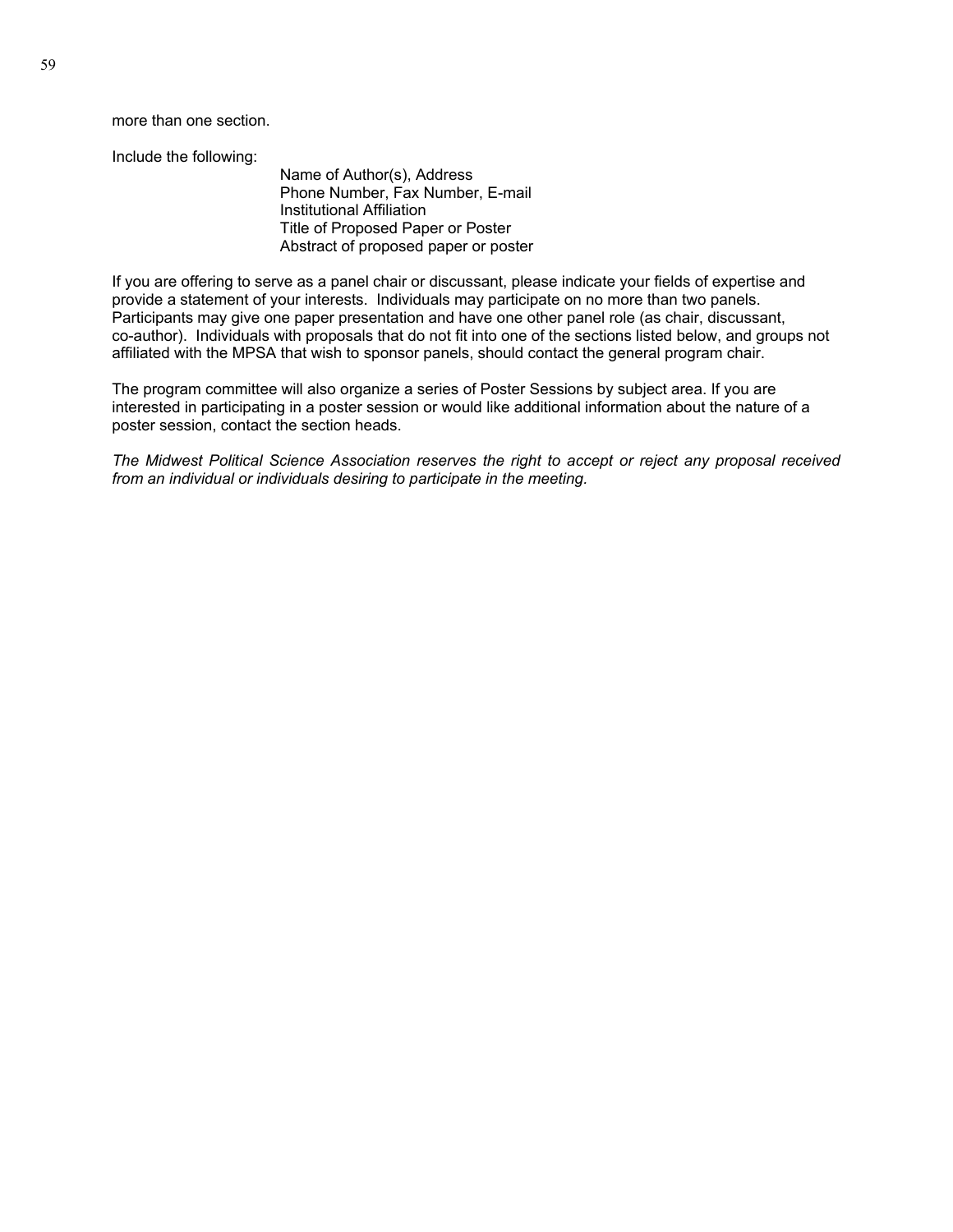more than one section.

Include the following:

 Name of Author(s), Address Phone Number, Fax Number, E-mail Institutional Affiliation Title of Proposed Paper or Poster Abstract of proposed paper or poster

If you are offering to serve as a panel chair or discussant, please indicate your fields of expertise and provide a statement of your interests. Individuals may participate on no more than two panels. Participants may give one paper presentation and have one other panel role (as chair, discussant, co-author). Individuals with proposals that do not fit into one of the sections listed below, and groups not affiliated with the MPSA that wish to sponsor panels, should contact the general program chair.

The program committee will also organize a series of Poster Sessions by subject area. If you are interested in participating in a poster session or would like additional information about the nature of a poster session, contact the section heads.

*The Midwest Political Science Association reserves the right to accept or reject any proposal received from an individual or individuals desiring to participate in the meeting.*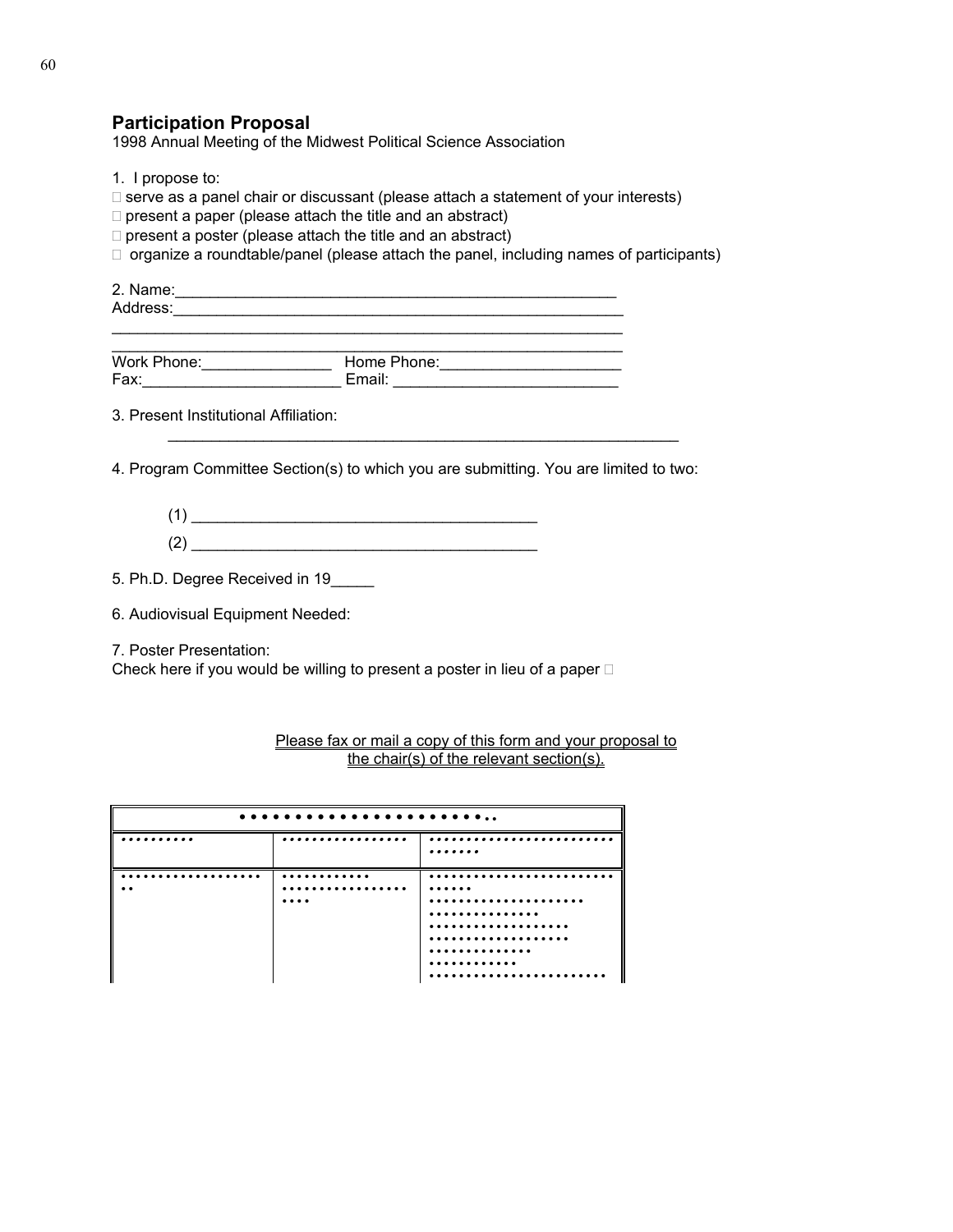# **Participation Proposal**

1998 Annual Meeting of the Midwest Political Science Association

1. I propose to:

- $\Box$  serve as a panel chair or discussant (please attach a statement of your interests)
- $\Box$  present a paper (please attach the title and an abstract)
- $\Box$  present a poster (please attach the title and an abstract)
- $\Box$  organize a roundtable/panel (please attach the panel, including names of participants)

2. Name:\_\_\_\_\_\_\_\_\_\_\_\_\_\_\_\_\_\_\_\_\_\_\_\_\_\_\_\_\_\_\_\_\_\_\_\_\_\_\_\_\_\_\_\_\_\_\_\_\_\_\_ Address:

| Work Phone: | Home Phone: |  |
|-------------|-------------|--|
| Fax:        | Email:      |  |

\_\_\_\_\_\_\_\_\_\_\_\_\_\_\_\_\_\_\_\_\_\_\_\_\_\_\_\_\_\_\_\_\_\_\_\_\_\_\_\_\_\_\_\_\_\_\_\_\_\_\_\_\_\_\_\_\_\_\_

3. Present Institutional Affiliation: \_\_\_\_\_\_\_\_\_\_\_\_\_\_\_\_\_\_\_\_\_\_\_\_\_\_\_\_\_\_\_\_\_\_\_\_\_\_\_\_\_\_\_\_\_\_\_\_\_\_\_\_\_\_\_\_\_\_\_

4. Program Committee Section(s) to which you are submitting. You are limited to two:

 (1) \_\_\_\_\_\_\_\_\_\_\_\_\_\_\_\_\_\_\_\_\_\_\_\_\_\_\_\_\_\_\_\_\_\_\_\_\_\_\_\_  $(2)$ 

- 5. Ph.D. Degree Received in 19\_\_\_\_\_
- 6. Audiovisual Equipment Needed:
- 7. Poster Presentation:

Check here if you would be willing to present a poster in lieu of a paper  $\Box$ 

Please fax or mail a copy of this form and your proposal to the chair(s) of the relevant section(s).

| . | .<br>.      | .<br>.                     |  |
|---|-------------|----------------------------|--|
|   | .<br>.<br>. | .<br>.<br>.<br>.<br>.<br>. |  |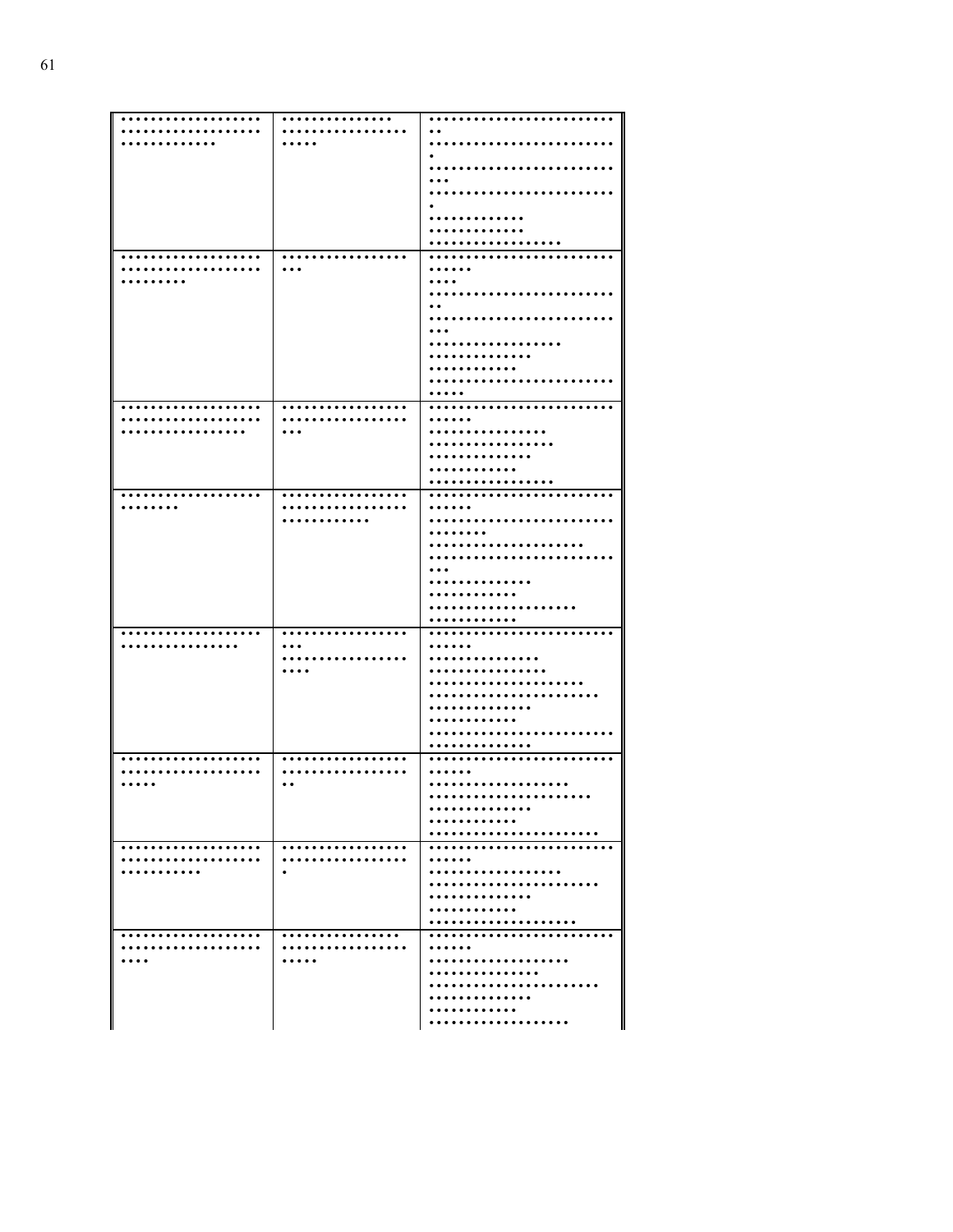| . | .                                  |                |
|---|------------------------------------|----------------|
| . | $\bullet$ $\bullet$ $\bullet$<br>. |                |
|   |                                    |                |
|   |                                    |                |
|   |                                    |                |
|   |                                    |                |
|   |                                    |                |
|   |                                    |                |
|   |                                    |                |
|   |                                    |                |
|   |                                    |                |
|   |                                    | .              |
|   |                                    | .              |
| . | .                                  |                |
|   |                                    |                |
| . |                                    | $\cdots$       |
|   |                                    |                |
|   |                                    |                |
|   |                                    |                |
|   |                                    |                |
|   |                                    |                |
|   |                                    | .              |
|   |                                    | .              |
|   |                                    | .              |
|   |                                    | . <b>.</b>     |
|   |                                    | $\cdots\cdots$ |
|   |                                    |                |
|   |                                    |                |
|   |                                    |                |
| . |                                    | .              |
|   |                                    |                |
|   |                                    | .              |
|   |                                    | .              |
|   |                                    | .              |
| . | .                                  |                |
|   |                                    |                |
|   | .                                  |                |
|   | .                                  |                |
|   |                                    |                |
|   |                                    | .              |
|   |                                    |                |
|   |                                    |                |
|   |                                    | .              |
|   |                                    | .              |
|   |                                    |                |
|   |                                    | .              |
|   |                                    | .              |
|   |                                    |                |
| . | $\cdots$                           | .              |
|   | .                                  | .              |
|   |                                    |                |
|   |                                    | .              |
|   |                                    | .              |
|   |                                    |                |
|   |                                    | .              |
|   |                                    | .              |
|   |                                    |                |
|   |                                    | .              |
|   |                                    |                |
| . | .<br>$\cdots$                      |                |
|   |                                    | .              |
| . | $\ddot{\phantom{a}}$               |                |
|   |                                    |                |
|   |                                    |                |
|   |                                    | .              |
|   |                                    |                |
| . | .                                  |                |
| . | .                                  |                |
|   |                                    | .              |
|   |                                    |                |
|   |                                    |                |
|   |                                    | .              |
|   |                                    | .              |
|   |                                    |                |
| . | .                                  |                |
|   |                                    |                |
|   |                                    |                |
|   |                                    | .              |
|   |                                    |                |
|   |                                    | .              |
|   |                                    | .              |
|   |                                    | .              |
|   |                                    | .              |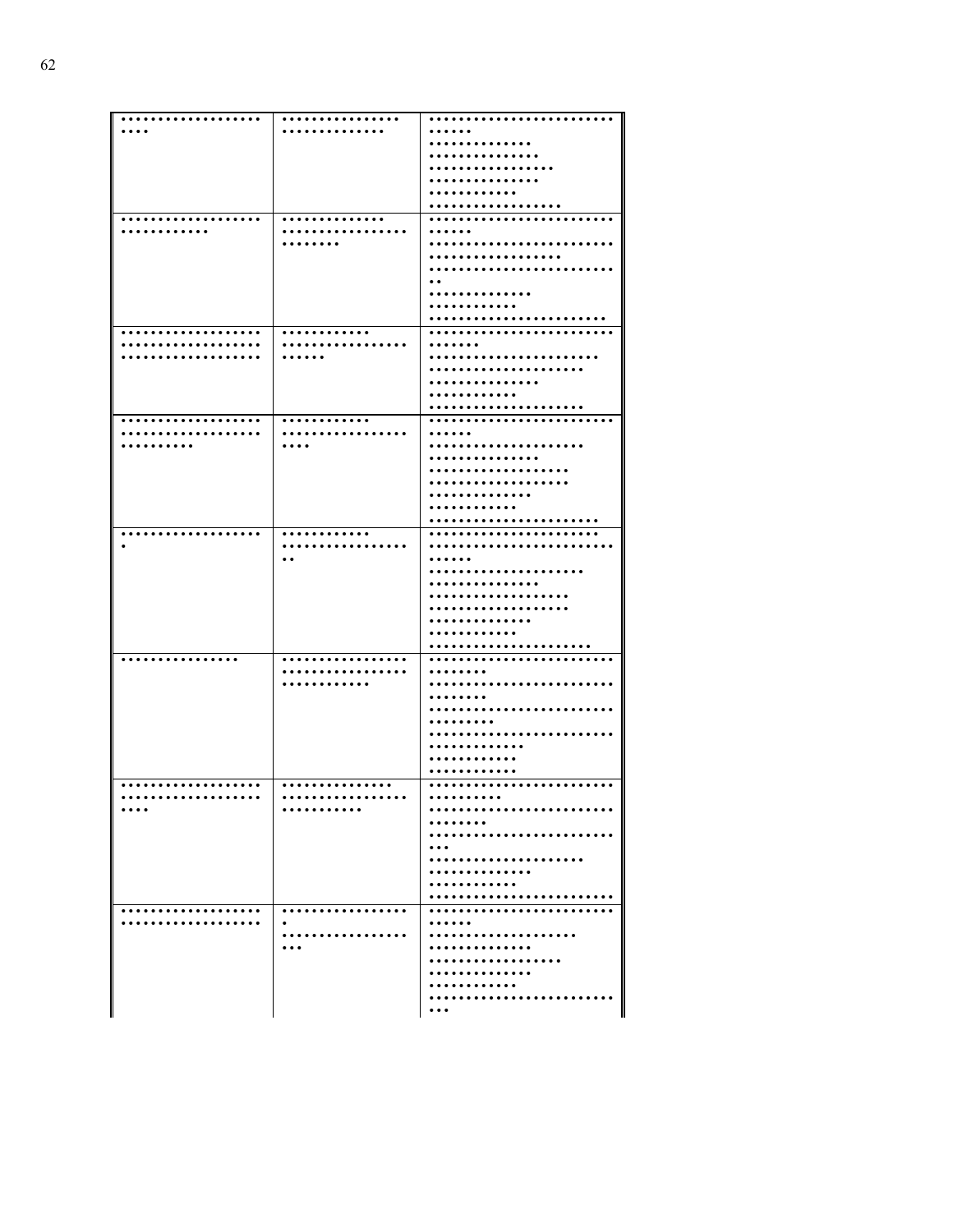|                |                  | .                                 |
|----------------|------------------|-----------------------------------|
|                |                  | .                                 |
|                |                  | .                                 |
|                |                  | .                                 |
|                |                  | .                                 |
|                |                  | .                                 |
|                |                  |                                   |
|                | $\cdots$         |                                   |
|                |                  |                                   |
|                |                  | .                                 |
|                |                  | .                                 |
|                |                  |                                   |
|                |                  | .                                 |
|                |                  | .                                 |
|                |                  |                                   |
| .              | .                |                                   |
|                |                  |                                   |
|                |                  |                                   |
|                |                  | .                                 |
|                |                  |                                   |
|                |                  | .                                 |
|                |                  |                                   |
| .              | .                |                                   |
|                |                  |                                   |
|                |                  | .                                 |
|                |                  | .                                 |
|                |                  | .                                 |
|                |                  | .                                 |
|                |                  | .                                 |
|                |                  | .                                 |
|                |                  |                                   |
| $\bullet$<br>. | .                | .                                 |
|                |                  |                                   |
|                | $\cdot$ $\cdot$  |                                   |
|                |                  | .<br>.                            |
|                |                  |                                   |
|                |                  | .                                 |
|                |                  | .                                 |
|                |                  | .                                 |
|                |                  | .<br>.                            |
|                |                  |                                   |
|                |                  | .                                 |
|                |                  |                                   |
|                | .                | .                                 |
|                |                  |                                   |
|                |                  | .                                 |
|                |                  |                                   |
|                |                  | .                                 |
|                |                  |                                   |
|                |                  | .                                 |
|                |                  | $\cdots$                          |
|                | $\bullet\bullet$ | .                                 |
|                |                  | $\ddotsc$<br>$\ddot{\phantom{a}}$ |
|                |                  |                                   |
|                |                  | .                                 |
|                |                  |                                   |
|                |                  |                                   |
|                |                  |                                   |
|                |                  | .                                 |
|                |                  |                                   |
|                |                  |                                   |
| .              | .                | .                                 |
|                |                  |                                   |
|                |                  | .                                 |
|                |                  |                                   |
|                |                  | $\cdots$                          |
|                |                  | .                                 |
|                |                  | .                                 |
|                |                  | $\bullet\bullet$                  |
|                |                  |                                   |
|                |                  |                                   |
|                |                  |                                   |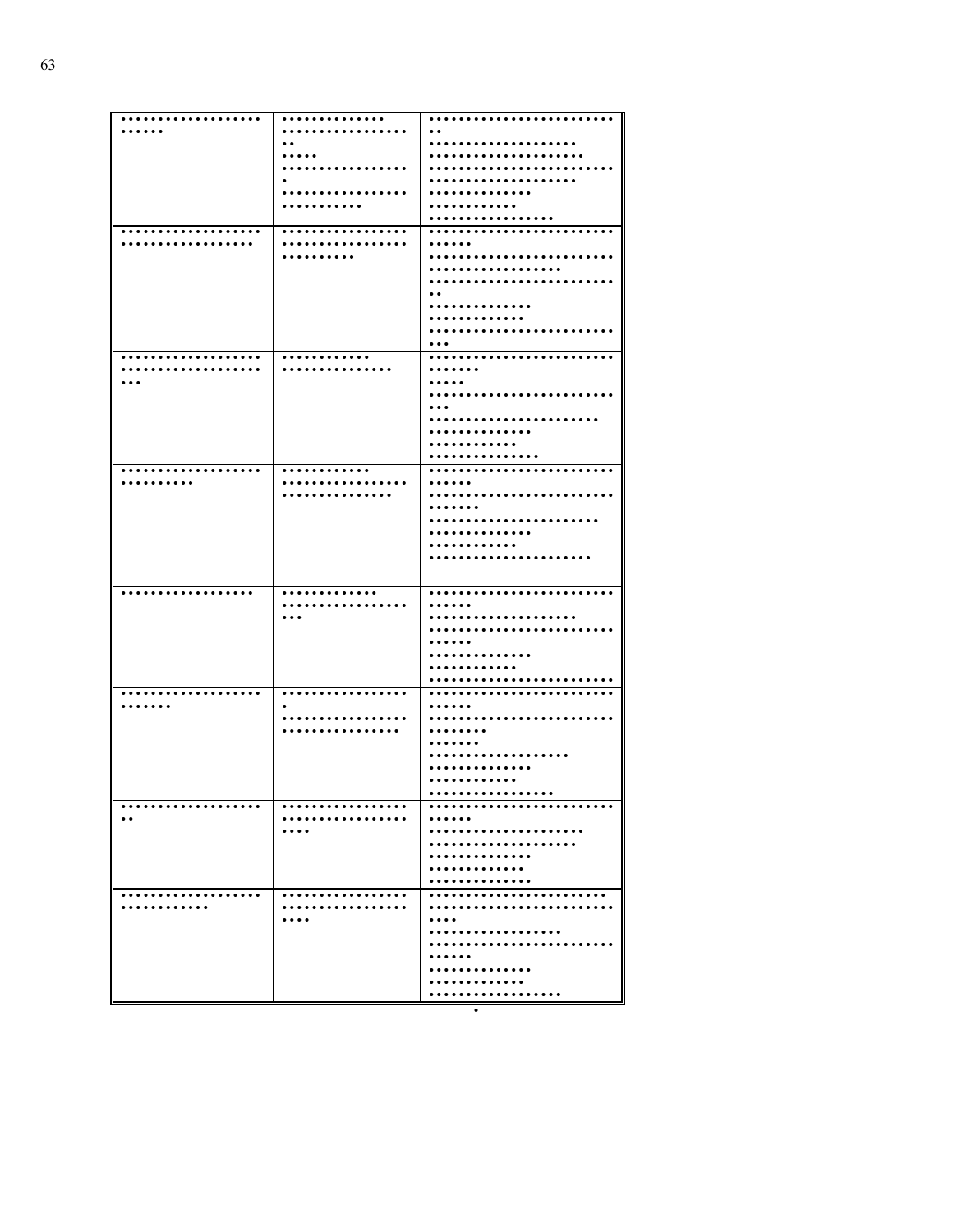|                  | .                                  |                                    |
|------------------|------------------------------------|------------------------------------|
|                  |                                    |                                    |
|                  |                                    |                                    |
|                  |                                    |                                    |
|                  | .                                  | $\bullet\bullet$                   |
|                  |                                    |                                    |
|                  |                                    |                                    |
|                  |                                    |                                    |
|                  | $\bullet$<br>$\cdots$              |                                    |
|                  |                                    | ٠                                  |
|                  |                                    | $\ddotsc$                          |
|                  |                                    | $\bullet\bullet$<br>.              |
|                  | $\cdots\cdots$<br>.                |                                    |
|                  |                                    |                                    |
|                  |                                    |                                    |
|                  |                                    |                                    |
|                  |                                    |                                    |
|                  |                                    |                                    |
|                  |                                    |                                    |
|                  |                                    |                                    |
|                  |                                    |                                    |
|                  |                                    |                                    |
|                  |                                    | .                                  |
|                  |                                    | $\bullet$ $\bullet$ $\bullet$<br>٠ |
|                  |                                    |                                    |
|                  |                                    |                                    |
| $\bullet\bullet$ | $\cdots\cdots$                     | .                                  |
|                  |                                    |                                    |
|                  |                                    | $\cdots$                           |
|                  |                                    | $\ddotsc$                          |
|                  |                                    |                                    |
|                  |                                    |                                    |
|                  |                                    |                                    |
|                  |                                    | $\bullet\bullet$<br>٠              |
|                  |                                    |                                    |
|                  |                                    |                                    |
|                  |                                    | ٠<br>$\cdots$<br>٠                 |
|                  |                                    | $\bullet\bullet$<br>.              |
|                  |                                    |                                    |
|                  | $\ddotsc$<br>$\bullet\bullet$<br>٠ | .                                  |
|                  |                                    |                                    |
|                  |                                    |                                    |
|                  |                                    |                                    |
|                  |                                    |                                    |
|                  |                                    |                                    |
|                  |                                    |                                    |
|                  |                                    | $\cdots$                           |
|                  |                                    | $\bullet\bullet$                   |
|                  |                                    |                                    |
|                  |                                    |                                    |
|                  |                                    |                                    |
|                  |                                    |                                    |
|                  |                                    | $\cdots\cdots$                     |
|                  |                                    |                                    |
|                  |                                    |                                    |
|                  |                                    | .                                  |
|                  |                                    |                                    |
|                  |                                    |                                    |
|                  |                                    |                                    |
|                  |                                    |                                    |
|                  |                                    | $\bullet\bullet$<br>.              |
|                  |                                    |                                    |
|                  |                                    |                                    |
|                  |                                    | .                                  |
|                  |                                    |                                    |
|                  |                                    |                                    |
|                  |                                    |                                    |
|                  |                                    |                                    |
|                  |                                    |                                    |
|                  |                                    |                                    |
|                  |                                    |                                    |
|                  |                                    |                                    |
|                  |                                    |                                    |
|                  |                                    |                                    |
|                  |                                    | ٠                                  |
|                  |                                    | .                                  |
|                  |                                    |                                    |
|                  |                                    |                                    |
|                  | .                                  | $\cdots$                           |
|                  |                                    |                                    |
|                  |                                    | .                                  |
|                  |                                    | .                                  |
|                  |                                    | .                                  |
|                  |                                    |                                    |
|                  |                                    | .<br>$\bullet$ $\bullet$           |
|                  |                                    | .                                  |
|                  |                                    |                                    |
| .                | .                                  |                                    |
|                  | .<br>٠                             |                                    |
|                  |                                    |                                    |
|                  |                                    |                                    |
|                  |                                    | .                                  |
|                  |                                    |                                    |
|                  |                                    |                                    |
|                  |                                    |                                    |
|                  |                                    | .                                  |
|                  |                                    |                                    |
|                  |                                    | .<br>.                             |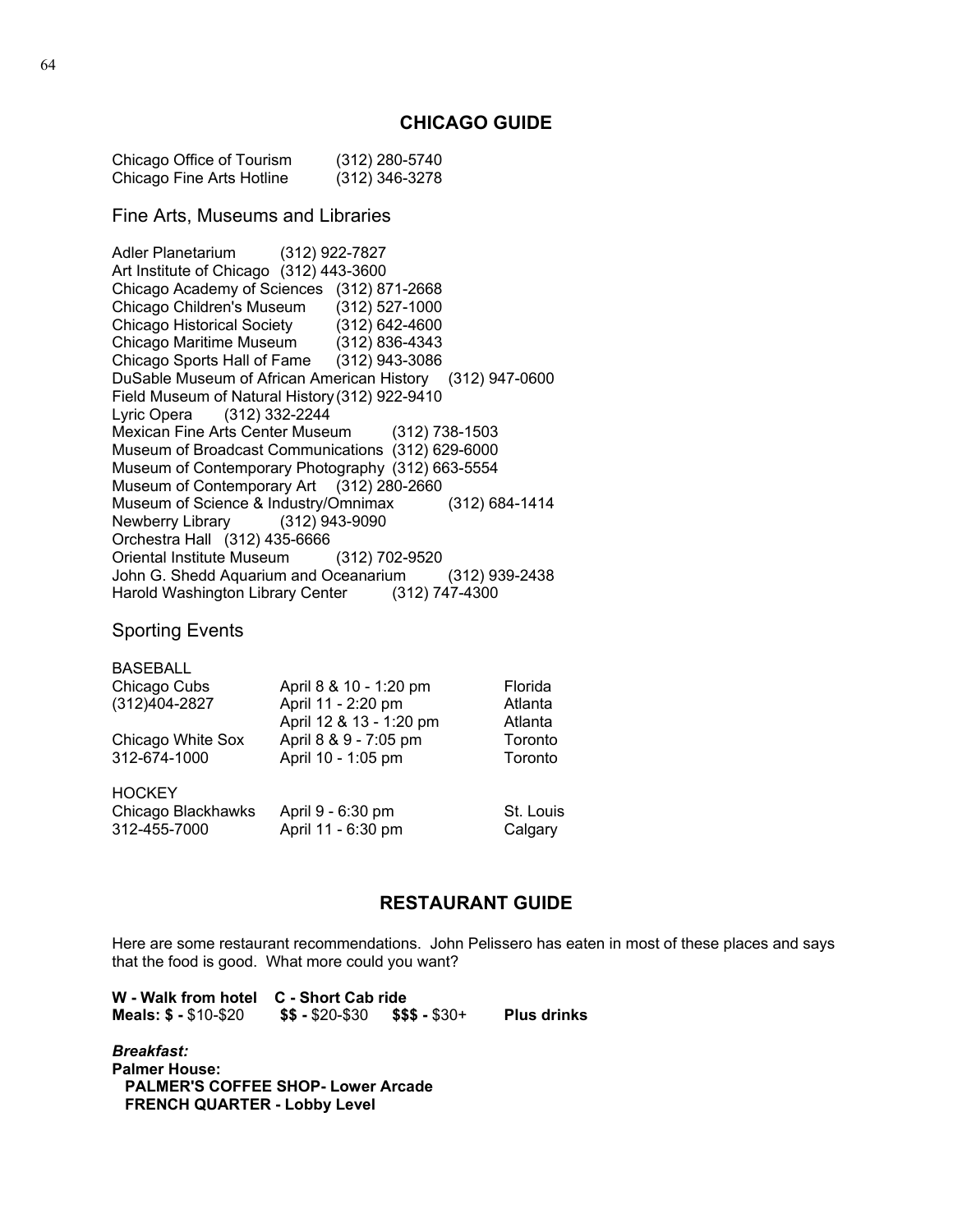Chicago Office of Tourism (312) 280-5740 Chicago Fine Arts Hotline (312) 346-3278

Fine Arts, Museums and Libraries

Adler Planetarium (312) 922-7827 Art Institute of Chicago (312) 443-3600 Chicago Academy of Sciences (312) 871-2668 Chicago Children's Museum (312) 527-1000 Chicago Historical Society (312) 642-4600 Chicago Maritime Museum (312) 836-4343 Chicago Sports Hall of Fame (312) 943-3086 DuSable Museum of African American History (312) 947-0600 Field Museum of Natural History (312) 922-9410 Lyric Opera (312) 332-2244 Mexican Fine Arts Center Museum (312) 738-1503 Museum of Broadcast Communications (312) 629-6000 Museum of Contemporary Photography (312) 663-5554 Museum of Contemporary Art (312) 280-2660 Museum of Science & Industry/Omnimax (312) 684-1414 Newberry Library (312) 943-9090 Orchestra Hall (312) 435-6666 Oriental Institute Museum (312) 702-9520 John G. Shedd Aquarium and Oceanarium (312) 939-2438 Harold Washington Library Center (312) 747-4300

Sporting Events

| <b>BASEBALL</b>    |                         |           |
|--------------------|-------------------------|-----------|
| Chicago Cubs       | April 8 & 10 - 1:20 pm  | Florida   |
| (312)404-2827      | April 11 - 2:20 pm      | Atlanta   |
|                    | April 12 & 13 - 1:20 pm | Atlanta   |
| Chicago White Sox  | April 8 & 9 - 7:05 pm   | Toronto   |
| 312-674-1000       | April 10 - 1:05 pm      | Toronto   |
| <b>HOCKEY</b>      |                         |           |
| Chicago Blackhawks | April 9 - 6:30 pm       | St. Louis |
| 312-455-7000       | April 11 - 6:30 pm      | Calgary   |

### **RESTAURANT GUIDE**

Here are some restaurant recommendations. John Pelissero has eaten in most of these places and says that the food is good. What more could you want?

| W - Walk from hotel C - Short Cab ride |                  |                    |                    |
|----------------------------------------|------------------|--------------------|--------------------|
| Meals: $$ - $10 - $20$                 | \$\$ - \$20-\$30 | $$$ \$\$\$ - \$30+ | <b>Plus drinks</b> |
| Rrookfoet:                             |                  |                    |                    |

*Breakfast:*  **Palmer House: PALMER'S COFFEE SHOP- Lower Arcade FRENCH QUARTER - Lobby Level**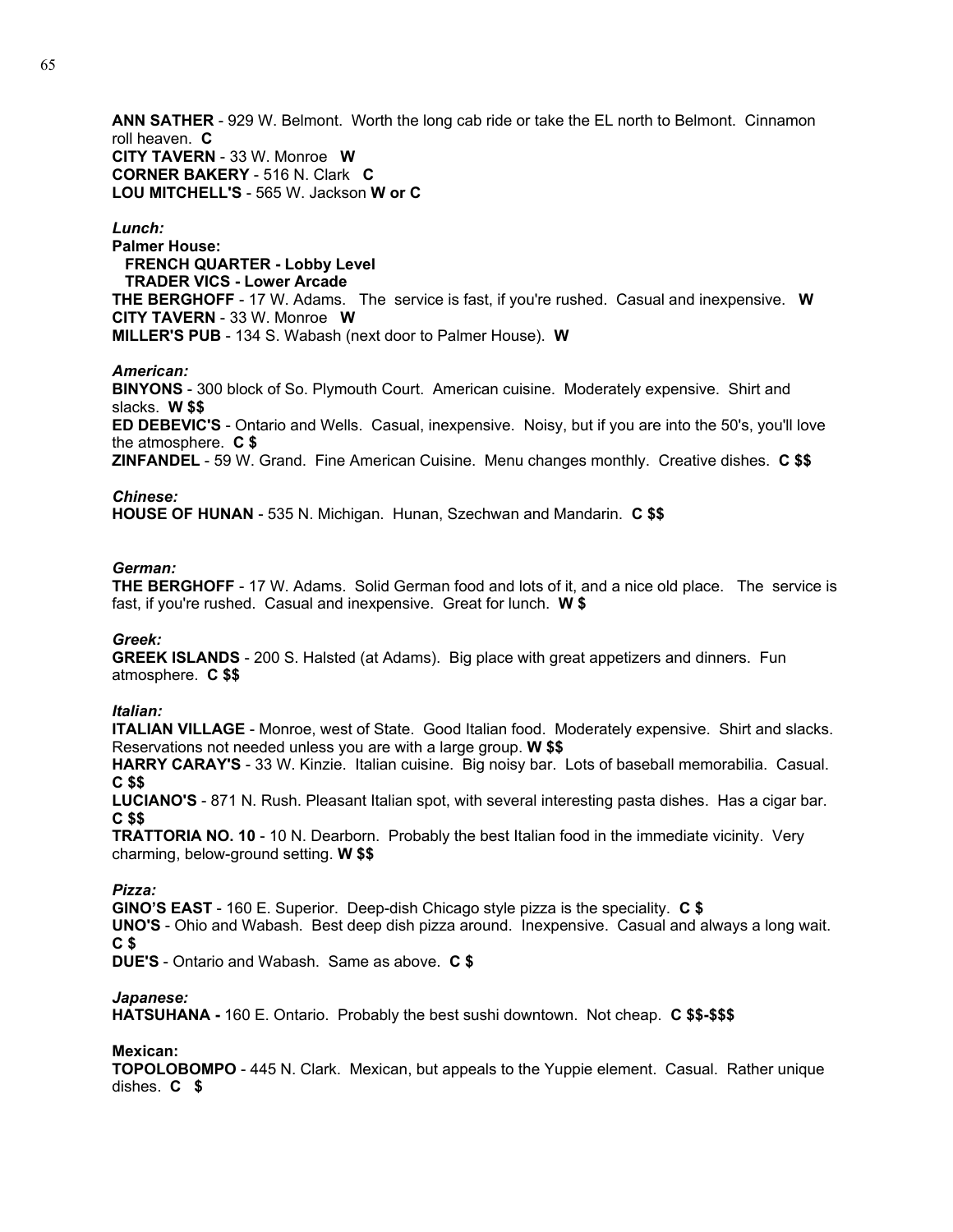**ANN SATHER** - 929 W. Belmont. Worth the long cab ride or take the EL north to Belmont. Cinnamon roll heaven. **C CITY TAVERN** - 33 W. Monroe **W CORNER BAKERY** - 516 N. Clark **C LOU MITCHELL'S** - 565 W. Jackson **W or C** 

### *Lunch:*

**Palmer House: FRENCH QUARTER - Lobby Level TRADER VICS - Lower Arcade THE BERGHOFF** - 17 W. Adams. The service is fast, if you're rushed. Casual and inexpensive. **W CITY TAVERN** - 33 W. Monroe **W MILLER'S PUB** - 134 S. Wabash (next door to Palmer House). **W** 

### *American:*

**BINYONS** - 300 block of So. Plymouth Court. American cuisine. Moderately expensive. Shirt and slacks. **W \$\$ ED DEBEVIC'S** - Ontario and Wells. Casual, inexpensive. Noisy, but if you are into the 50's, you'll love the atmosphere. **C \$**

**ZINFANDEL** - 59 W. Grand. Fine American Cuisine. Menu changes monthly. Creative dishes. **C \$\$** 

### *Chinese:*

**HOUSE OF HUNAN** - 535 N. Michigan. Hunan, Szechwan and Mandarin. **C \$\$**

### *German:*

**THE BERGHOFF** - 17 W. Adams. Solid German food and lots of it, and a nice old place. The service is fast, if you're rushed. Casual and inexpensive. Great for lunch. **W \$**

### *Greek:*

**GREEK ISLANDS** - 200 S. Halsted (at Adams). Big place with great appetizers and dinners. Fun atmosphere. **C \$\$**

### *Italian:*

**ITALIAN VILLAGE** - Monroe, west of State. Good Italian food. Moderately expensive. Shirt and slacks. Reservations not needed unless you are with a large group. **W \$\$** 

**HARRY CARAY'S** - 33 W. Kinzie. Italian cuisine. Big noisy bar. Lots of baseball memorabilia. Casual. **C \$\$**

**LUCIANO'S** - 871 N. Rush. Pleasant Italian spot, with several interesting pasta dishes. Has a cigar bar. **C \$\$**

**TRATTORIA NO. 10** - 10 N. Dearborn. Probably the best Italian food in the immediate vicinity. Very charming, below-ground setting. **W \$\$**

### *Pizza:*

**GINO'S EAST** - 160 E. Superior. Deep-dish Chicago style pizza is the speciality. **C \$ UNO'S** - Ohio and Wabash. Best deep dish pizza around. Inexpensive. Casual and always a long wait. **C \$**

**DUE'S** - Ontario and Wabash. Same as above. **C \$**

### *Japanese:*

**HATSUHANA -** 160 E. Ontario. Probably the best sushi downtown. Not cheap. **C \$\$-\$\$\$**

### **Mexican:**

**TOPOLOBOMPO** - 445 N. Clark. Mexican, but appeals to the Yuppie element. Casual. Rather unique dishes. **C \$**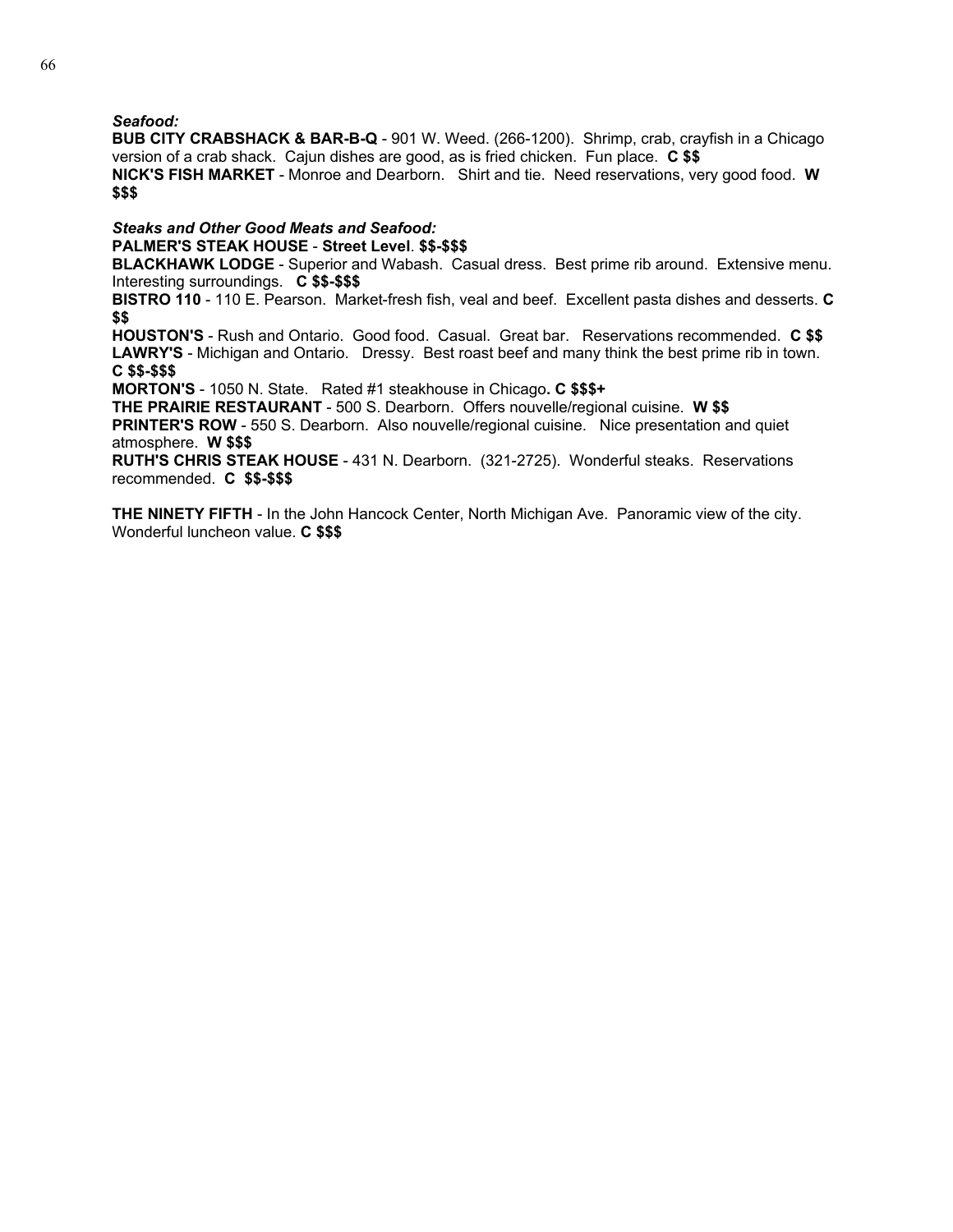*Seafood:*

**BUB CITY CRABSHACK & BAR-B-Q** - 901 W. Weed. (266-1200). Shrimp, crab, crayfish in a Chicago version of a crab shack. Cajun dishes are good, as is fried chicken. Fun place. **C \$\$ NICK'S FISH MARKET** - Monroe and Dearborn. Shirt and tie. Need reservations, very good food. **W \$\$\$** 

*Steaks and Other Good Meats and Seafood:*

**PALMER'S STEAK HOUSE** - **Street Level**. **\$\$-\$\$\$**

**BLACKHAWK LODGE** - Superior and Wabash. Casual dress. Best prime rib around. Extensive menu. Interesting surroundings. **C \$\$-\$\$\$**

**BISTRO 110** - 110 E. Pearson. Market-fresh fish, veal and beef. Excellent pasta dishes and desserts. **C \$\$**

**HOUSTON'S** - Rush and Ontario. Good food. Casual. Great bar. Reservations recommended. **C \$\$ LAWRY'S** - Michigan and Ontario. Dressy. Best roast beef and many think the best prime rib in town. **C \$\$-\$\$\$**

**MORTON'S** - 1050 N. State. Rated #1 steakhouse in Chicago**. C \$\$\$+**

**THE PRAIRIE RESTAURANT** - 500 S. Dearborn. Offers nouvelle/regional cuisine. **W \$\$ PRINTER'S ROW** - 550 S. Dearborn. Also nouvelle/regional cuisine. Nice presentation and quiet atmosphere. **W \$\$\$**

**RUTH'S CHRIS STEAK HOUSE** - 431 N. Dearborn. (321-2725). Wonderful steaks. Reservations recommended. **C \$\$-\$\$\$**

**THE NINETY FIFTH** - In the John Hancock Center, North Michigan Ave. Panoramic view of the city. Wonderful luncheon value. **C \$\$\$**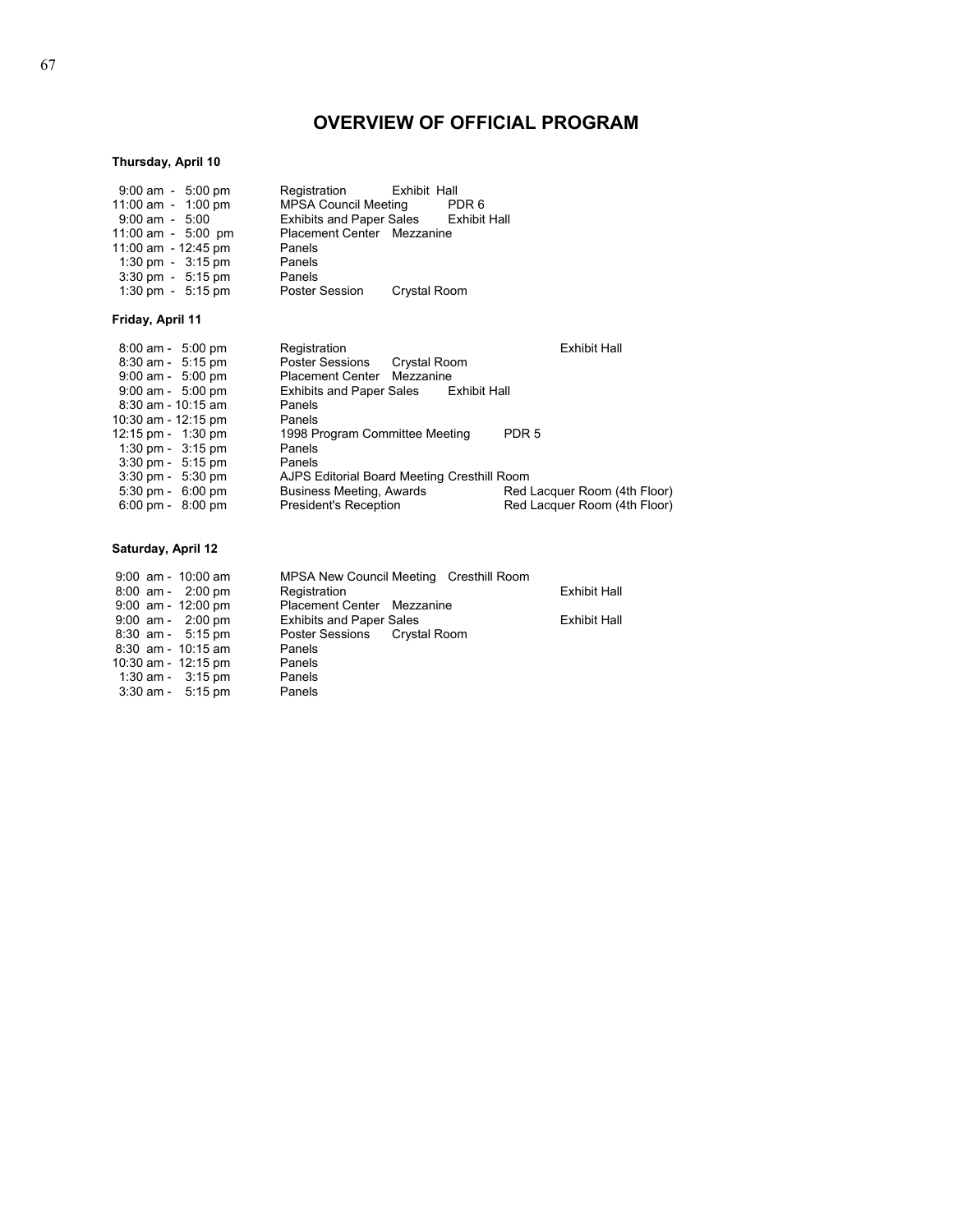# **OVERVIEW OF OFFICIAL PROGRAM**

### **Thursday, April 10**

| $9:00$ am $-5:00$ pm                |  | Registration Exhibit Hall             |              |       |
|-------------------------------------|--|---------------------------------------|--------------|-------|
| $11:00$ am - $1:00$ pm              |  | <b>MPSA Council Meeting</b>           |              | PDR 6 |
| $9:00$ am - $5:00$                  |  | Exhibits and Paper Sales Exhibit Hall |              |       |
| 11:00 am - 5:00 pm                  |  | Placement Center Mezzanine            |              |       |
| 11:00 am - 12:45 pm                 |  | Panels                                |              |       |
| $1:30 \text{ pm} - 3:15 \text{ pm}$ |  | Panels                                |              |       |
| $3:30 \text{ pm} - 5:15 \text{ pm}$ |  | Panels                                |              |       |
| 1:30 pm $-5:15$ pm                  |  | <b>Poster Session</b>                 | Crystal Room |       |

# **Friday, April 11**

| $8:00$ am - $5:00$ pm               | Registration                                | <b>Exhibit Hall</b>          |
|-------------------------------------|---------------------------------------------|------------------------------|
| $8:30$ am - $5:15$ pm               | Poster Sessions<br>Crystal Room             |                              |
| $9:00$ am - $5:00$ pm               | Placement Center Mezzanine                  |                              |
| $9:00$ am - $5:00$ pm               | Exhibits and Paper Sales Exhibit Hall       |                              |
| 8:30 am - 10:15 am                  | Panels                                      |                              |
| 10:30 am - 12:15 pm                 | Panels                                      |                              |
| 12:15 pm - 1:30 pm                  | 1998 Program Committee Meeting              | PDR <sub>5</sub>             |
| $1:30 \text{ pm} - 3:15 \text{ pm}$ | Panels                                      |                              |
| $3:30 \text{ pm} - 5:15 \text{ pm}$ | Panels                                      |                              |
| $3:30 \text{ pm} - 5:30 \text{ pm}$ | AJPS Editorial Board Meeting Cresthill Room |                              |
| $5:30 \text{ pm} - 6:00 \text{ pm}$ | Business Meeting, Awards                    | Red Lacquer Room (4th Floor) |
| $6:00 \text{ pm} - 8:00 \text{ pm}$ | President's Reception                       | Red Lacquer Room (4th Floor) |

### **Saturday, April 12**

| $9:00$ am - $10:00$ am | MPSA New Council Meeting Cresthill Room |                     |
|------------------------|-----------------------------------------|---------------------|
| $8:00$ am - $2:00$ pm  | Registration                            | <b>Exhibit Hall</b> |
| $9:00$ am - 12:00 pm   | Placement Center Mezzanine              |                     |
| $9:00$ am - $2:00$ pm  | <b>Exhibits and Paper Sales</b>         | Exhibit Hall        |
| $8:30$ am - $5:15$ pm  | Poster Sessions Crystal Room            |                     |
| $8:30$ am - $10:15$ am | Panels                                  |                     |
| 10:30 am - 12:15 pm    | Panels                                  |                     |
| 1:30 am - $3:15$ pm    | Panels                                  |                     |
| $3:30$ am - $5:15$ pm  | Panels                                  |                     |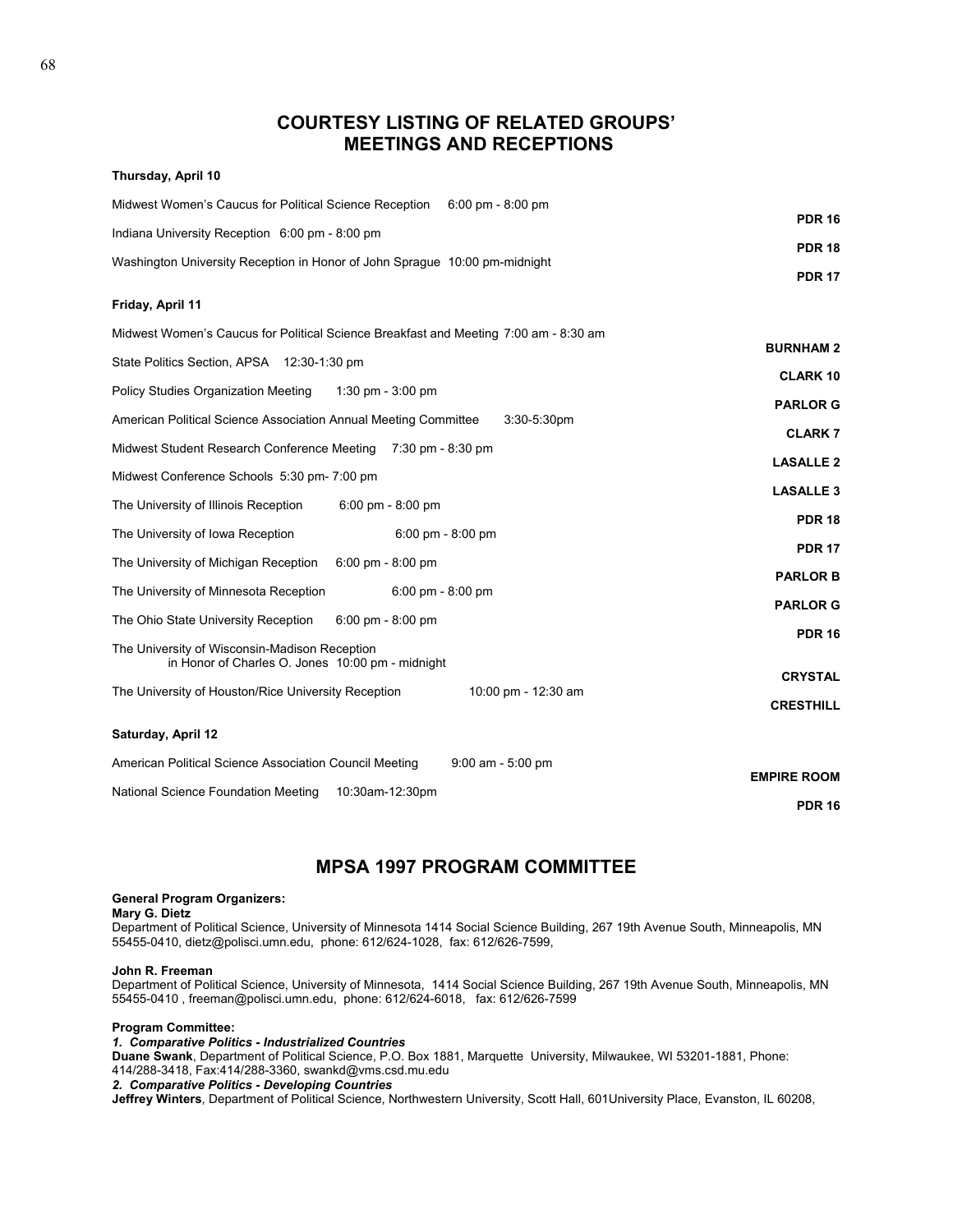# **COURTESY LISTING OF RELATED GROUPS' MEETINGS AND RECEPTIONS**

#### **Thursday, April 10**

| Midwest Women's Caucus for Political Science Reception<br>$6:00 \text{ pm} - 8:00 \text{ pm}$ |                    |
|-----------------------------------------------------------------------------------------------|--------------------|
| Indiana University Reception 6:00 pm - 8:00 pm                                                | <b>PDR 16</b>      |
| Washington University Reception in Honor of John Sprague 10:00 pm-midnight                    | <b>PDR 18</b>      |
|                                                                                               | <b>PDR 17</b>      |
| Friday, April 11                                                                              |                    |
| Midwest Women's Caucus for Political Science Breakfast and Meeting 7:00 am - 8:30 am          | <b>BURNHAM2</b>    |
| State Politics Section, APSA 12:30-1:30 pm                                                    | <b>CLARK 10</b>    |
| <b>Policy Studies Organization Meeting</b><br>1:30 pm $-3:00$ pm                              | <b>PARLOR G</b>    |
| American Political Science Association Annual Meeting Committee<br>$3:30-5:30$ pm             |                    |
| Midwest Student Research Conference Meeting 7:30 pm - 8:30 pm                                 | <b>CLARK7</b>      |
| Midwest Conference Schools 5:30 pm- 7:00 pm                                                   | <b>LASALLE 2</b>   |
| The University of Illinois Reception<br>$6:00 \text{ pm} - 8:00 \text{ pm}$                   | <b>LASALLE 3</b>   |
| The University of Iowa Reception<br>$6:00 \text{ pm} - 8:00 \text{ pm}$                       | <b>PDR 18</b>      |
| The University of Michigan Reception<br>6:00 pm - 8:00 pm                                     | <b>PDR 17</b>      |
| $6:00 \text{ pm} - 8:00 \text{ pm}$<br>The University of Minnesota Reception                  | <b>PARLOR B</b>    |
| The Ohio State University Reception<br>6:00 pm - 8:00 pm                                      | <b>PARLOR G</b>    |
| The University of Wisconsin-Madison Reception                                                 | <b>PDR 16</b>      |
| in Honor of Charles O. Jones 10:00 pm - midnight                                              |                    |
| The University of Houston/Rice University Reception<br>10:00 pm - 12:30 am                    | <b>CRYSTAL</b>     |
|                                                                                               | <b>CRESTHILL</b>   |
| Saturday, April 12                                                                            |                    |
| American Political Science Association Council Meeting<br>$9:00$ am - $5:00$ pm               | <b>EMPIRE ROOM</b> |
| National Science Foundation Meeting<br>10:30am-12:30pm                                        | <b>PDR 16</b>      |
|                                                                                               |                    |

# **MPSA 1997 PROGRAM COMMITTEE**

#### **General Program Organizers: Mary G. Dietz** Department of Political Science, University of Minnesota 1414 Social Science Building, 267 19th Avenue South, Minneapolis, MN 55455-0410, dietz@polisci.umn.edu, phone: 612/624-1028, fax: 612/626-7599,

#### **John R. Freeman**

Department of Political Science, University of Minnesota, 1414 Social Science Building, 267 19th Avenue South, Minneapolis, MN 55455-0410 , freeman@polisci.umn.edu, phone: 612/624-6018, fax: 612/626-7599

#### **Program Committee:**

*1. Comparative Politics - Industrialized Countries* **Duane Swank**, Department of Political Science, P.O. Box 1881, Marquette University, Milwaukee, WI 53201-1881, Phone: 414/288-3418, Fax:414/288-3360, swankd@vms.csd.mu.edu

*2. Comparative Politics - Developing Countries*

**Jeffrey Winters**, Department of Political Science, Northwestern University, Scott Hall, 601University Place, Evanston, IL 60208,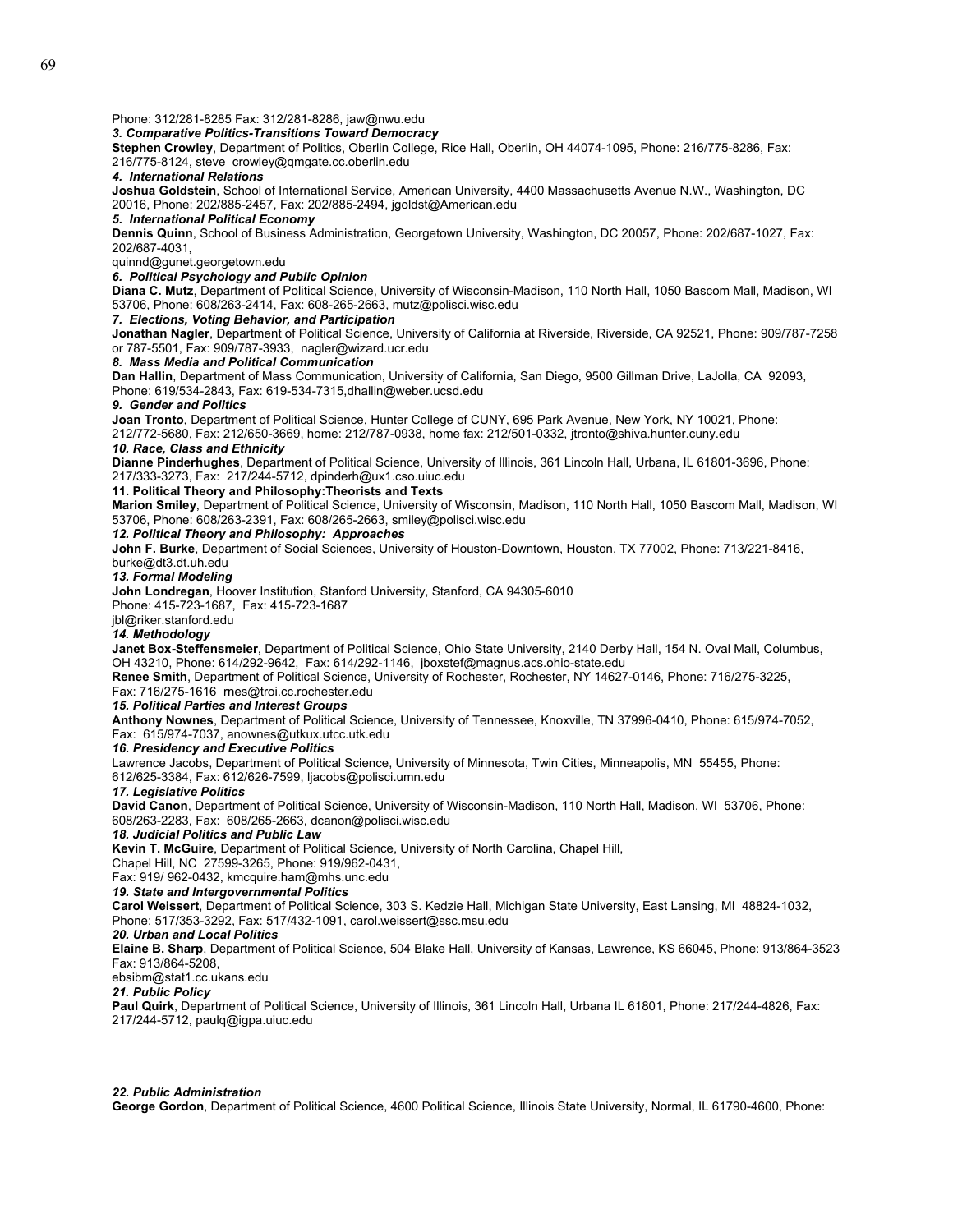Phone: 312/281-8285 Fax: 312/281-8286, jaw@nwu.edu

*3. Comparative Politics-Transitions Toward Democracy*

**Stephen Crowley**, Department of Politics, Oberlin College, Rice Hall, Oberlin, OH 44074-1095, Phone: 216/775-8286, Fax: 216/775-8124, steve\_crowley@qmgate.cc.oberlin.edu

#### *4. International Relations*

**Joshua Goldstein**, School of International Service, American University, 4400 Massachusetts Avenue N.W., Washington, DC 20016, Phone: 202/885-2457, Fax: 202/885-2494, jgoldst@American.edu

#### *5. International Political Economy*

**Dennis Quinn**, School of Business Administration, Georgetown University, Washington, DC 20057, Phone: 202/687-1027, Fax: 202/687-4031,

quinnd@gunet.georgetown.edu

#### *6. Political Psychology and Public Opinion*

**Diana C. Mutz**, Department of Political Science, University of Wisconsin-Madison, 110 North Hall, 1050 Bascom Mall, Madison, WI 53706, Phone: 608/263-2414, Fax: 608-265-2663, mutz@polisci.wisc.edu

#### *7. Elections, Voting Behavior, and Participation*

**Jonathan Nagler**, Department of Political Science, University of California at Riverside, Riverside, CA 92521, Phone: 909/787-7258 or 787-5501, Fax: 909/787-3933, nagler@wizard.ucr.edu

#### *8. Mass Media and Political Communication*

**Dan Hallin**, Department of Mass Communication, University of California, San Diego, 9500 Gillman Drive, LaJolla, CA 92093, Phone: 619/534-2843, Fax: 619-534-7315,dhallin@weber.ucsd.edu

#### *9. Gender and Politics*

**Joan Tronto**, Department of Political Science, Hunter College of CUNY, 695 Park Avenue, New York, NY 10021, Phone: 212/772-5680, Fax: 212/650-3669, home: 212/787-0938, home fax: 212/501-0332, jtronto@shiva.hunter.cuny.edu

### *10. Race, Class and Ethnicity*

**Dianne Pinderhughes**, Department of Political Science, University of Illinois, 361 Lincoln Hall, Urbana, IL 61801-3696, Phone: 217/333-3273, Fax: 217/244-5712, dpinderh@ux1.cso.uiuc.edu

#### **11. Political Theory and Philosophy:Theorists and Texts**

**Marion Smiley**, Department of Political Science, University of Wisconsin, Madison, 110 North Hall, 1050 Bascom Mall, Madison, WI 53706, Phone: 608/263-2391, Fax: 608/265-2663, smiley@polisci.wisc.edu

#### *12. Political Theory and Philosophy: Approaches*

**John F. Burke**, Department of Social Sciences, University of Houston-Downtown, Houston, TX 77002, Phone: 713/221-8416, burke@dt3.dt.uh.edu

#### *13. Formal Modeling*

**John Londregan**, Hoover Institution, Stanford University, Stanford, CA 94305-6010

Phone: 415-723-1687, Fax: 415-723-1687 jbl@riker.stanford.edu

### *14. Methodology*

**Janet Box-Steffensmeier**, Department of Political Science, Ohio State University, 2140 Derby Hall, 154 N. Oval Mall, Columbus, OH 43210, Phone: 614/292-9642, Fax: 614/292-1146, jboxstef@magnus.acs.ohio-state.edu

**Renee Smith**, Department of Political Science, University of Rochester, Rochester, NY 14627-0146, Phone: 716/275-3225, Fax: 716/275-1616 rnes@troi.cc.rochester.edu

#### *15. Political Parties and Interest Groups*

**Anthony Nownes**, Department of Political Science, University of Tennessee, Knoxville, TN 37996-0410, Phone: 615/974-7052, Fax: 615/974-7037, anownes@utkux.utcc.utk.edu

### *16. Presidency and Executive Politics*

Lawrence Jacobs, Department of Political Science, University of Minnesota, Twin Cities, Minneapolis, MN 55455, Phone: 612/625-3384, Fax: 612/626-7599, ljacobs@polisci.umn.edu

#### *17. Legislative Politics*

**David Canon**, Department of Political Science, University of Wisconsin-Madison, 110 North Hall, Madison, WI 53706, Phone: 608/263-2283, Fax: 608/265-2663, dcanon@polisci.wisc.edu

#### *18. Judicial Politics and Public Law*

**Kevin T. McGuire**, Department of Political Science, University of North Carolina, Chapel Hill,

Chapel Hill, NC 27599-3265, Phone: 919/962-0431,

Fax: 919/ 962-0432, kmcquire.ham@mhs.unc.edu

#### *19. State and Intergovernmental Politics*

**Carol Weissert**, Department of Political Science, 303 S. Kedzie Hall, Michigan State University, East Lansing, MI 48824-1032, Phone: 517/353-3292, Fax: 517/432-1091, carol.weissert@ssc.msu.edu

#### *20. Urban and Local Politics*

**Elaine B. Sharp**, Department of Political Science, 504 Blake Hall, University of Kansas, Lawrence, KS 66045, Phone: 913/864-3523 Fax: 913/864-5208,

#### ebsibm@stat1.cc.ukans.edu

*21. Public Policy*

Paul Quirk, Department of Political Science, University of Illinois, 361 Lincoln Hall, Urbana IL 61801, Phone: 217/244-4826, Fax: 217/244-5712, paulq@igpa.uiuc.edu

#### *22. Public Administration*

**George Gordon**, Department of Political Science, 4600 Political Science, Illinois State University, Normal, IL 61790-4600, Phone: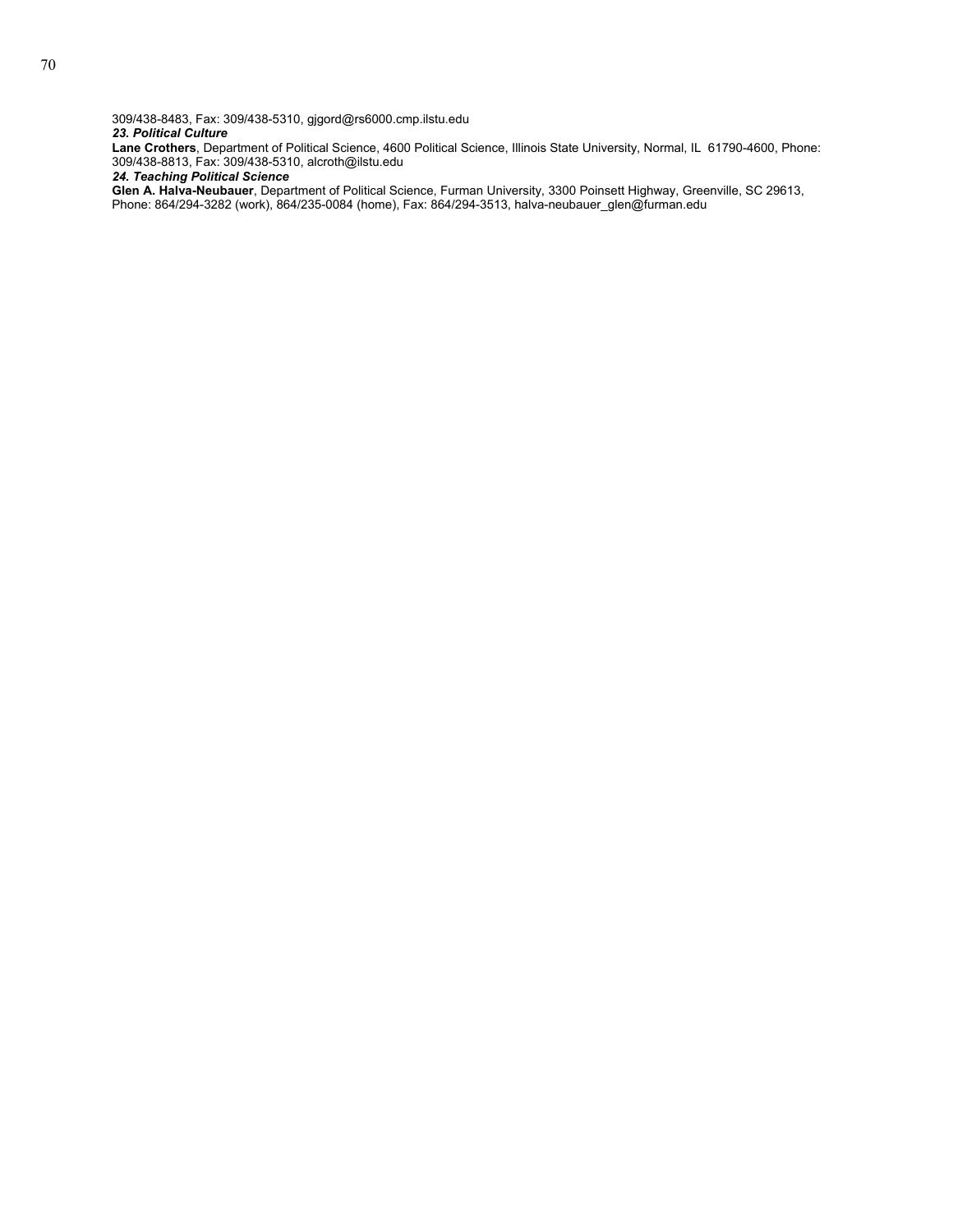309/438-8483, Fax: 309/438-5310, gjgord@rs6000.cmp.ilstu.edu *23. Political Culture* **Lane Crothers**, Department of Political Science, 4600 Political Science, Illinois State University, Normal, IL 61790-4600, Phone:

309/438-8813, Fax: 309/438-5310, alcroth@ilstu.edu

*24. Teaching Political Science*

**Glen A. Halva-Neubauer**, Department of Political Science, Furman University, 3300 Poinsett Highway, Greenville, SC 29613, Phone: 864/294-3282 (work), 864/235-0084 (home), Fax: 864/294-3513, halva-neubauer\_glen@furman.edu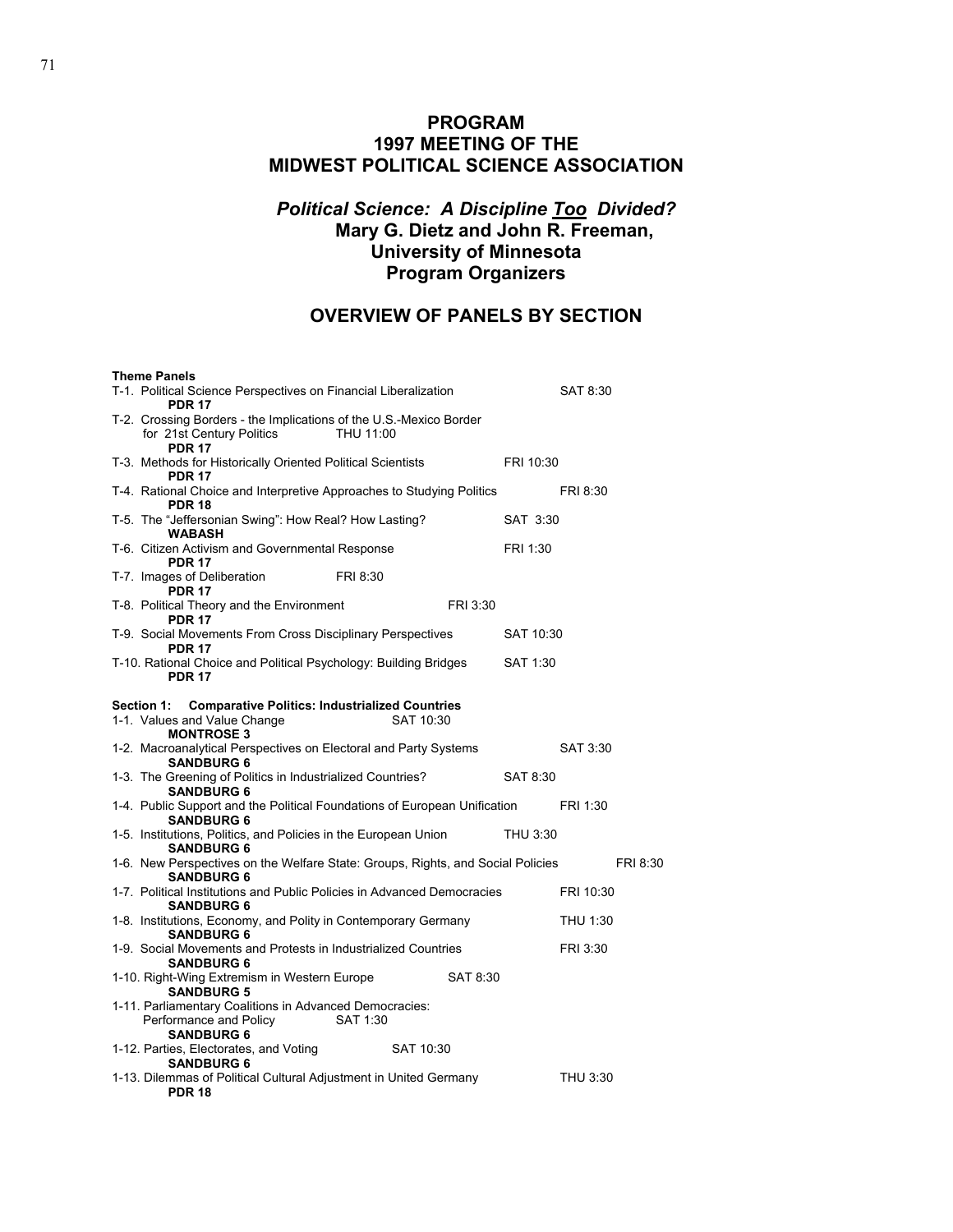# **PROGRAM 1997 MEETING OF THE MIDWEST POLITICAL SCIENCE ASSOCIATION**

# *Political Science: A Discipline Too Divided?*  **Mary G. Dietz and John R. Freeman, University of Minnesota Program Organizers**

# **OVERVIEW OF PANELS BY SECTION**

| <b>Theme Panels</b>                                                                                                        |           |          |          |          |  |
|----------------------------------------------------------------------------------------------------------------------------|-----------|----------|----------|----------|--|
| T-1. Political Science Perspectives on Financial Liberalization<br><b>PDR 17</b>                                           |           |          |          | SAT 8:30 |  |
| T-2. Crossing Borders - the Implications of the U.S.-Mexico Border<br>for 21st Century Politics THU 11:00<br><b>PDR 17</b> |           |          |          |          |  |
| T-3. Methods for Historically Oriented Political Scientists FRI 10:30<br><b>PDR 17</b>                                     |           |          |          |          |  |
| T-4. Rational Choice and Interpretive Approaches to Studying Politics FRI 8:30<br><b>PDR 18</b>                            |           |          |          |          |  |
| T-5. The "Jeffersonian Swing": How Real? How Lasting?<br><b>WABASH</b>                                                     |           |          | SAT 3:30 |          |  |
| T-6. Citizen Activism and Governmental Response<br><b>PDR 17</b>                                                           |           |          | FRI 1:30 |          |  |
| T-7. Images of Deliberation FRI 8:30<br><b>PDR 17</b>                                                                      |           |          |          |          |  |
| T-8. Political Theory and the Environment FRI 3:30<br><b>PDR 17</b>                                                        |           |          |          |          |  |
| T-9. Social Movements From Cross Disciplinary Perspectives SAT 10:30<br><b>PDR 17</b>                                      |           |          |          |          |  |
| T-10. Rational Choice and Political Psychology: Building Bridges SAT 1:30<br><b>PDR 17</b>                                 |           |          |          |          |  |
| Section 1: Comparative Politics: Industrialized Countries                                                                  |           |          |          |          |  |
| 1-1. Values and Value Change<br><b>MONTROSE 3</b>                                                                          | SAT 10:30 |          |          |          |  |
| 1-2. Macroanalytical Perspectives on Electoral and Party Systems<br><b>SANDBURG 6</b>                                      |           |          |          | SAT 3:30 |  |
| 1-3. The Greening of Politics in Industrialized Countries? SAT 8:30<br><b>SANDBURG 6</b>                                   |           |          |          |          |  |
| 1-4. Public Support and the Political Foundations of European Unification FRI 1:30<br><b>SANDBURG 6</b>                    |           |          |          |          |  |
| 1-5. Institutions, Politics, and Policies in the European Union THU 3:30<br><b>SANDBURG 6</b>                              |           |          |          |          |  |
| 1-6. New Perspectives on the Welfare State: Groups, Rights, and Social Policies FRI 8:30<br><b>SANDBURG 6</b>              |           |          |          |          |  |
| 1-7. Political Institutions and Public Policies in Advanced Democracies FRI 10:30<br><b>SANDBURG 6</b>                     |           |          |          |          |  |
| 1-8. Institutions, Economy, and Polity in Contemporary Germany<br><b>SANDBURG 6</b>                                        |           |          |          | THU 1:30 |  |
| 1-9. Social Movements and Protests in Industrialized Countries<br><b>SANDBURG 6</b>                                        |           |          |          | FRI 3:30 |  |
| 1-10. Right-Wing Extremism in Western Europe<br><b>SANDBURG 5</b>                                                          |           | SAT 8:30 |          |          |  |
| 1-11. Parliamentary Coalitions in Advanced Democracies:<br>Performance and Policy SAT 1:30<br><b>SANDBURG 6</b>            |           |          |          |          |  |
| 1-12. Parties, Electorates, and Voting SAT 10:30<br><b>SANDBURG 6</b>                                                      |           |          |          |          |  |
| 1-13. Dilemmas of Political Cultural Adjustment in United Germany<br><b>PDR 18</b>                                         |           |          |          | THU 3:30 |  |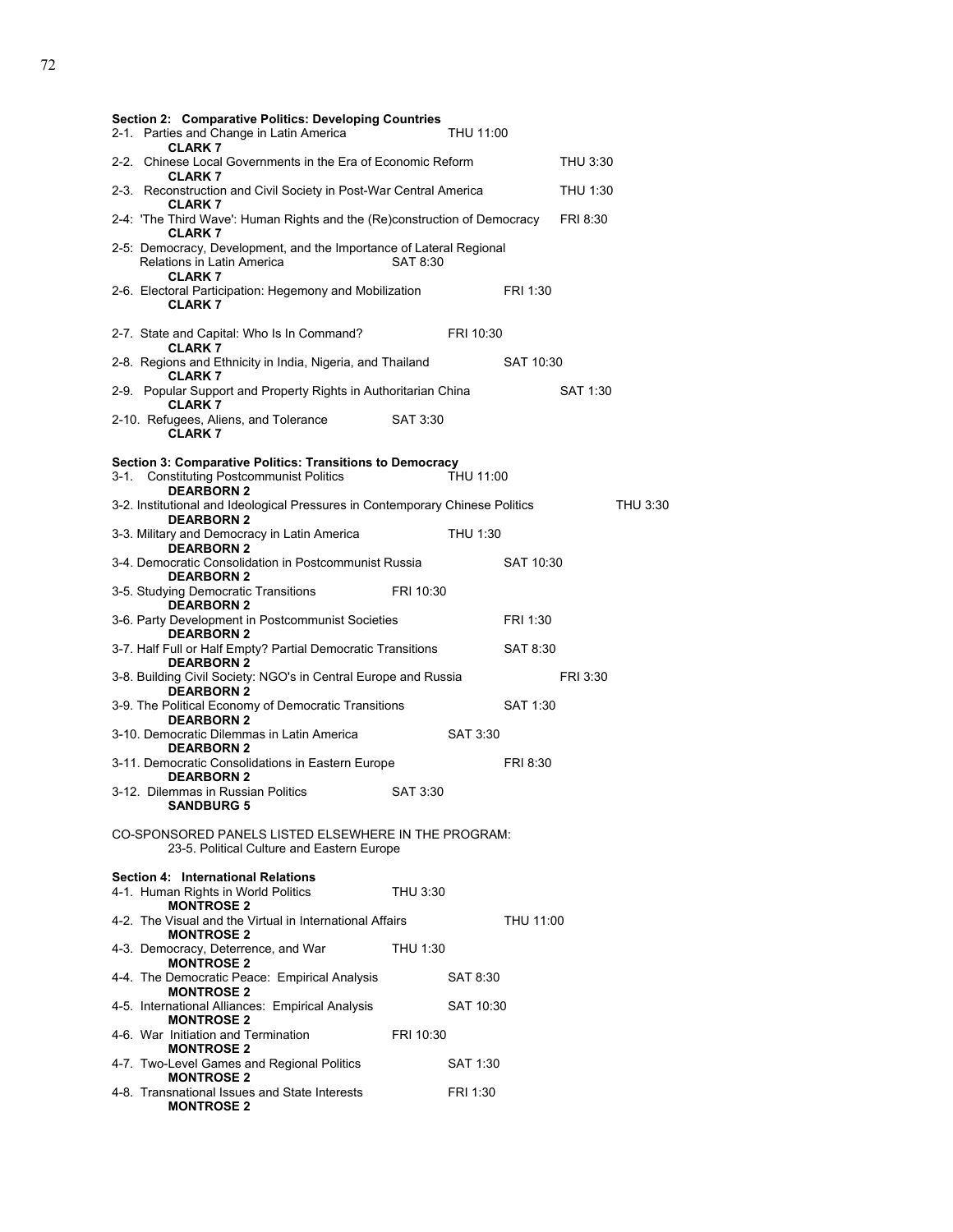| Section 2: Comparative Politics: Developing Countries<br>2-1. Parties and Change in Latin America                  |                 | THU 11:00       |           |          |          |
|--------------------------------------------------------------------------------------------------------------------|-----------------|-----------------|-----------|----------|----------|
| <b>CLARK 7</b><br>2-2. Chinese Local Governments in the Era of Economic Reform                                     |                 |                 |           | THU 3:30 |          |
| <b>CLARK 7</b>                                                                                                     |                 |                 |           |          |          |
| 2-3. Reconstruction and Civil Society in Post-War Central America<br><b>CLARK 7</b>                                |                 |                 |           | THU 1:30 |          |
| 2-4: 'The Third Wave': Human Rights and the (Re)construction of Democracy FRI 8:30<br><b>CLARK7</b>                |                 |                 |           |          |          |
| 2-5: Democracy, Development, and the Importance of Lateral Regional<br>Relations in Latin America<br><b>CLARK7</b> | SAT 8:30        |                 |           |          |          |
| 2-6. Electoral Participation: Hegemony and Mobilization<br><b>CLARK7</b>                                           |                 | <b>ERI 1:30</b> |           |          |          |
| 2-7. State and Capital: Who Is In Command? FRI 10:30                                                               |                 |                 |           |          |          |
| <b>CLARK7</b><br>2-8. Regions and Ethnicity in India, Nigeria, and Thailand<br><b>CLARK7</b>                       |                 |                 | SAT 10:30 |          |          |
| 2-9. Popular Support and Property Rights in Authoritarian China<br><b>CLARK7</b>                                   |                 |                 |           | SAT 1:30 |          |
| 2-10. Refugees, Aliens, and Tolerance SAT 3:30<br><b>CLARK7</b>                                                    |                 |                 |           |          |          |
| Section 3: Comparative Politics: Transitions to Democracy<br>3-1. Constituting Postcommunist Politics              |                 | THU 11:00       |           |          |          |
| <b>DEARBORN 2</b><br>3-2. Institutional and Ideological Pressures in Contemporary Chinese Politics                 |                 |                 |           |          | THU 3:30 |
| <b>DEARBORN 2</b><br>3-3. Military and Democracy in Latin America<br><b>DEARBORN 2</b>                             | <b>THU 1:30</b> |                 |           |          |          |
| 3-4. Democratic Consolidation in Postcommunist Russia<br><b>DEARBORN 2</b>                                         |                 |                 | SAT 10:30 |          |          |
| <b>FRI 10:30</b><br>3-5. Studying Democratic Transitions<br><b>DEARBORN 2</b>                                      |                 |                 |           |          |          |
| 3-6. Party Development in Postcommunist Societies<br><b>DEARBORN 2</b>                                             |                 |                 | FRI 1:30  |          |          |
| 3-7. Half Full or Half Empty? Partial Democratic Transitions<br><b>DEARBORN 2</b>                                  |                 |                 | SAT 8:30  |          |          |
| 3-8. Building Civil Society: NGO's in Central Europe and Russia<br><b>DEARBORN 2</b>                               |                 |                 |           | FRI 3:30 |          |
| 3-9. The Political Economy of Democratic Transitions<br><b>DEARBORN 2</b>                                          |                 |                 | SAT 1:30  |          |          |
| 3-10. Democratic Dilemmas in Latin America<br><b>DEARBORN 2</b>                                                    | <b>SAT 3:30</b> |                 |           |          |          |
| 3-11. Democratic Consolidations in Eastern Europe<br><b>DEARBORN 2</b>                                             |                 |                 | FRI 8:30  |          |          |
| 3-12. Dilemmas in Russian Politics<br><b>SANDBURG 5</b>                                                            | SAT 3:30        |                 |           |          |          |
| CO-SPONSORED PANELS LISTED ELSEWHERE IN THE PROGRAM:<br>23-5. Political Culture and Eastern Europe                 |                 |                 |           |          |          |
| Section 4: International Relations<br>4-1. Human Rights in World Politics                                          | THU 3:30        |                 |           |          |          |
| <b>MONTROSE 2</b><br>4-2. The Visual and the Virtual in International Affairs                                      |                 |                 | THU 11:00 |          |          |
| <b>MONTROSE 2</b><br>4-3. Democracy, Deterrence, and War                                                           | THU 1:30        |                 |           |          |          |
| <b>MONTROSE 2</b><br>4-4. The Democratic Peace: Empirical Analysis<br><b>MONTROSE 2</b>                            |                 | SAT 8:30        |           |          |          |
| 4-5. International Alliances: Empirical Analysis<br><b>MONTROSE 2</b>                                              |                 | SAT 10:30       |           |          |          |
| 4-6. War Initiation and Termination<br><b>MONTROSE 2</b>                                                           | FRI 10:30       |                 |           |          |          |
| 4-7. Two-Level Games and Regional Politics<br><b>MONTROSE 2</b>                                                    |                 | SAT 1:30        |           |          |          |
| 4-8. Transnational Issues and State Interests<br><b>MONTROSE 2</b>                                                 |                 | FRI 1:30        |           |          |          |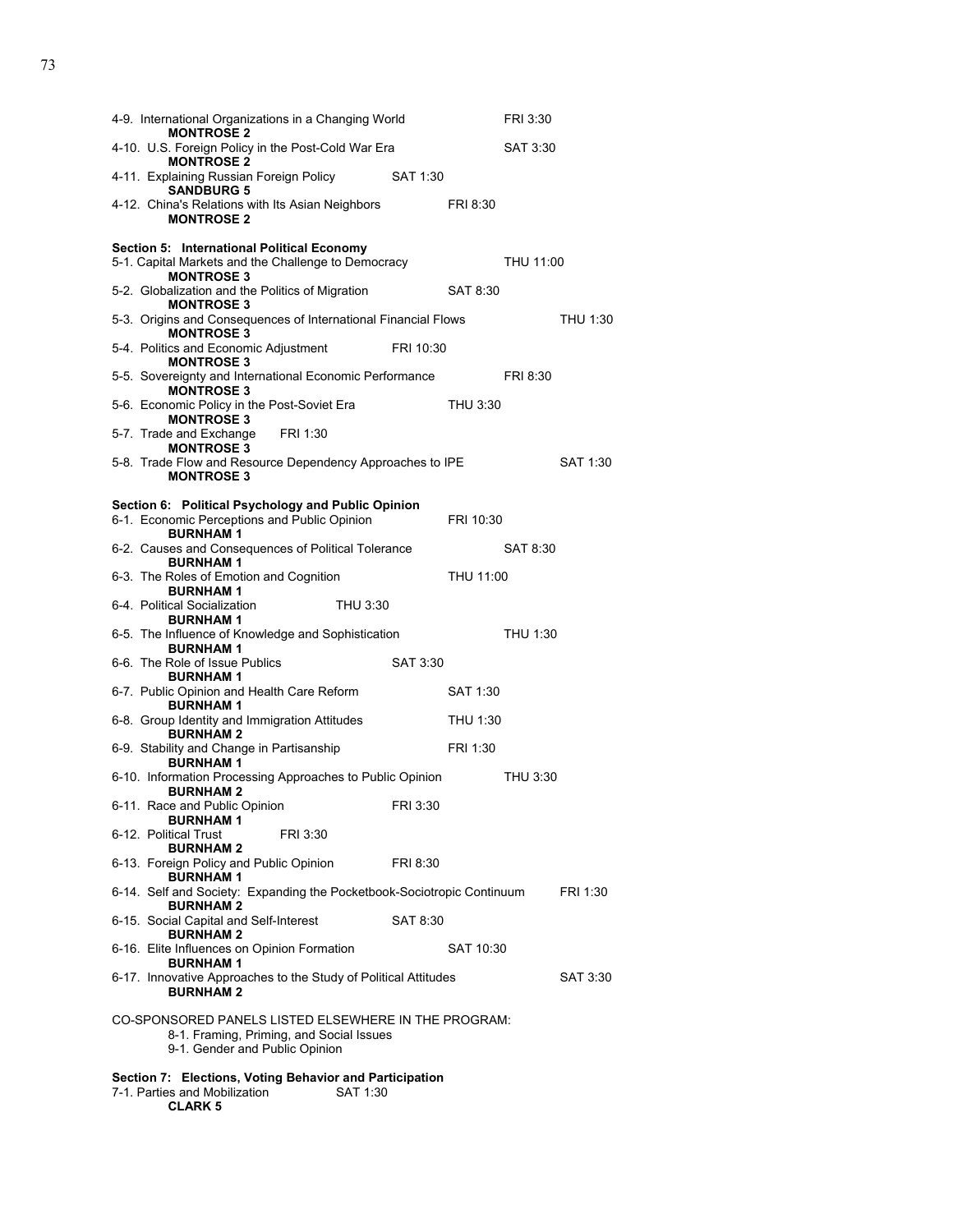| 4-9. International Organizations in a Changing World<br><b>MONTROSE 2</b>                                                          |                 | FRI 3:30  |           |
|------------------------------------------------------------------------------------------------------------------------------------|-----------------|-----------|-----------|
| 4-10. U.S. Foreign Policy in the Post-Cold War Era<br><b>MONTROSE 2</b>                                                            |                 | SAT 3:30  |           |
| 4-11. Explaining Russian Foreign Policy SAT 1:30<br><b>SANDBURG 5</b>                                                              |                 |           |           |
| 4-12. China's Relations with Its Asian Neighbors FRI 8:30<br><b>MONTROSE 2</b>                                                     |                 |           |           |
| Section 5: International Political Economy<br>5-1. Capital Markets and the Challenge to Democracy                                  |                 |           | THU 11:00 |
| <b>MONTROSE 3</b>                                                                                                                  |                 |           |           |
| 5-2. Globalization and the Politics of Migration<br><b>MONTROSE 3</b>                                                              | <b>SAT 8:30</b> |           |           |
| 5-3. Origins and Consequences of International Financial Flows<br><b>MONTROSE 3</b>                                                |                 |           | THU 1:30  |
| 5-4. Politics and Economic Adjustment FRI 10:30<br><b>MONTROSE 3</b>                                                               |                 |           |           |
| 5-5. Sovereignty and International Economic Performance FRI 8:30<br><b>MONTROSE 3</b>                                              |                 |           |           |
| 5-6. Economic Policy in the Post-Soviet Era<br><b>MONTROSE 3</b>                                                                   |                 | THU 3:30  |           |
| 5-7. Trade and Exchange FRI 1:30<br><b>MONTROSE 3</b>                                                                              |                 |           |           |
| 5-8. Trade Flow and Resource Dependency Approaches to IPE<br><b>MONTROSE 3</b>                                                     |                 |           | SAT 1:30  |
| Section 6: Political Psychology and Public Opinion                                                                                 |                 |           |           |
| 6-1. Economic Perceptions and Public Opinion<br><b>BURNHAM1</b>                                                                    |                 | FRI 10:30 |           |
| 6-2. Causes and Consequences of Political Tolerance<br><b>BURNHAM1</b>                                                             |                 | SAT 8:30  |           |
| 6-3. The Roles of Emotion and Cognition<br><b>BURNHAM1</b>                                                                         |                 | THU 11:00 |           |
|                                                                                                                                    |                 |           |           |
| THU 3:30<br>6-4. Political Socialization                                                                                           |                 |           |           |
| <b>BURNHAM1</b><br>6-5. The Influence of Knowledge and Sophistication                                                              |                 |           | THU 1:30  |
| <b>BURNHAM1</b><br>6-6. The Role of Issue Publics                                                                                  | <b>SAT 3:30</b> |           |           |
| <b>BURNHAM1</b><br>6-7. Public Opinion and Health Care Reform<br><b>BURNHAM1</b>                                                   |                 | SAT 1:30  |           |
| 6-8. Group Identity and Immigration Attitudes                                                                                      |                 | THU 1:30  |           |
| <b>BURNHAM2</b><br>6-9. Stability and Change in Partisanship                                                                       | <b>ERI 1:30</b> |           |           |
| <b>BURNHAM1</b><br>6-10. Information Processing Approaches to Public Opinion                                                       |                 |           | THU 3:30  |
| <b>BURNHAM2</b><br>6-11. Race and Public Opinion                                                                                   | FRI 3:30        |           |           |
| <b>BURNHAM 1</b><br>6-12. Political Trust<br>FRI 3:30                                                                              |                 |           |           |
| <b>BURNHAM2</b><br>6-13. Foreign Policy and Public Opinion                                                                         | <b>ERI 8:30</b> |           |           |
| <b>BURNHAM1</b><br>6-14. Self and Society: Expanding the Pocketbook-Sociotropic Continuum                                          |                 |           | FRI 1:30  |
| <b>BURNHAM2</b><br>6-15. Social Capital and Self-Interest                                                                          | SAT 8:30        |           |           |
| <b>BURNHAM2</b><br>6-16. Elite Influences on Opinion Formation                                                                     |                 | SAT 10:30 |           |
| <b>BURNHAM1</b><br>6-17. Innovative Approaches to the Study of Political Attitudes<br><b>BURNHAM2</b>                              |                 |           | SAT 3:30  |
|                                                                                                                                    |                 |           |           |
| CO-SPONSORED PANELS LISTED ELSEWHERE IN THE PROGRAM:<br>8-1. Framing, Priming, and Social Issues<br>9-1. Gender and Public Opinion |                 |           |           |

7-1. Parties and Mobilization SAT 1:30

 **CLARK 5**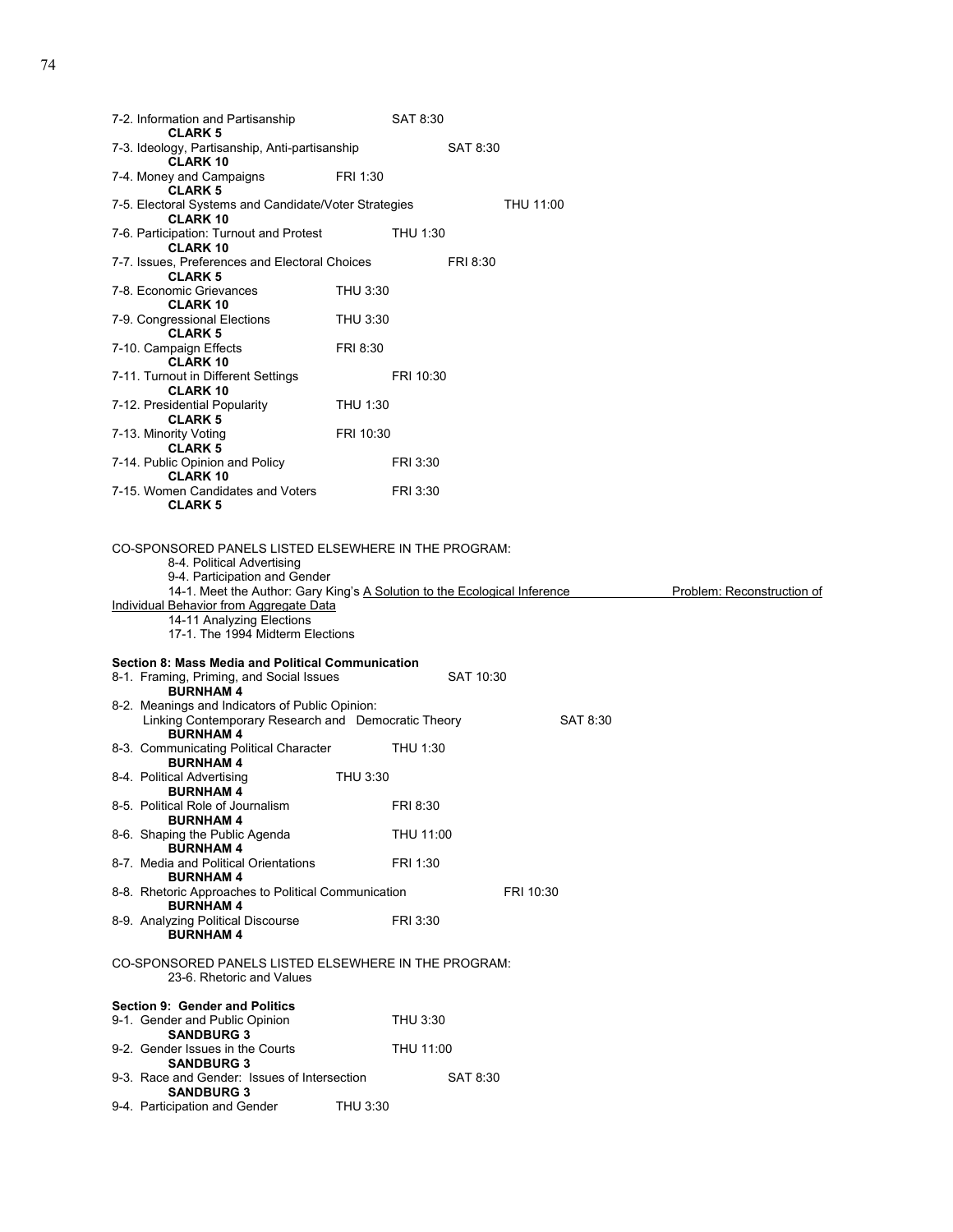7-2. Information and Partisanship SAT 8:30  **CLARK 5** 7-3. Ideology, Partisanship, Anti-partisanship SAT 8:30  **CLARK 10** 7-4. Money and Campaigns FRI 1:30  **CLARK 5** 7-5. Electoral Systems and Candidate/Voter Strategies THU 11:00  **CLARK 10**  7-6. Participation: Turnout and Protest THU 1:30  **CLARK 10** 7-7. Issues, Preferences and Electoral Choices FRI 8:30  **CLARK 5** 7-8. Economic Grievances THU 3:30  **CLARK 10** 7-9. Congressional Elections THU 3:30  **CLARK 5** 7-10. Campaign Effects FRI 8:30  **CLARK 10** 7-11. Turnout in Different Settings FRI 10:30  **CLARK 10** 7-12. Presidential Popularity THU 1:30  **CLARK 5** 7-13. Minority Voting FRI 10:30  **CLARK 5** 7-14. Public Opinion and Policy FRI 3:30  **CLARK 10** 7-15. Women Candidates and Voters FRI 3:30  **CLARK 5** CO-SPONSORED PANELS LISTED ELSEWHERE IN THE PROGRAM: 8-4. Political Advertising 9-4. Participation and Gender 14-1. Meet the Author: Gary King's A Solution to the Ecological Inference Problem: Reconstruction of Individual Behavior from Aggregate Data 14-11 Analyzing Elections 17-1. The 1994 Midterm Elections **Section 8: Mass Media and Political Communication** 8-1. Framing, Priming, and Social Issues SAT 10:30  **BURNHAM 4** 8-2. Meanings and Indicators of Public Opinion: Linking Contemporary Research and Democratic Theory SAT 8:30  **BURNHAM 4** 8-3. Communicating Political Character THU 1:30  **BURNHAM 4** 8-4. Political Advertising THU 3:30  **BURNHAM 4** 8-5. Political Role of Journalism FRI 8:30  **BURNHAM 4** 8-6. Shaping the Public Agenda THU 11:00  **BURNHAM 4** 8-7. Media and Political Orientations FRI 1:30  **BURNHAM 4** 8-8. Rhetoric Approaches to Political Communication FRI 10:30  **BURNHAM 4** 8-9. Analyzing Political Discourse FRI 3:30  **BURNHAM 4** CO-SPONSORED PANELS LISTED ELSEWHERE IN THE PROGRAM: 23-6. Rhetoric and Values **Section 9: Gender and Politics** 9-1. Gender and Public Opinion THU 3:30  **SANDBURG 3** 9-2. Gender Issues in the Courts THU 11:00  **SANDBURG 3** 9-3. Race and Gender: Issues of Intersection SAT 8:30  **SANDBURG 3** 9-4. Participation and Gender THU 3:30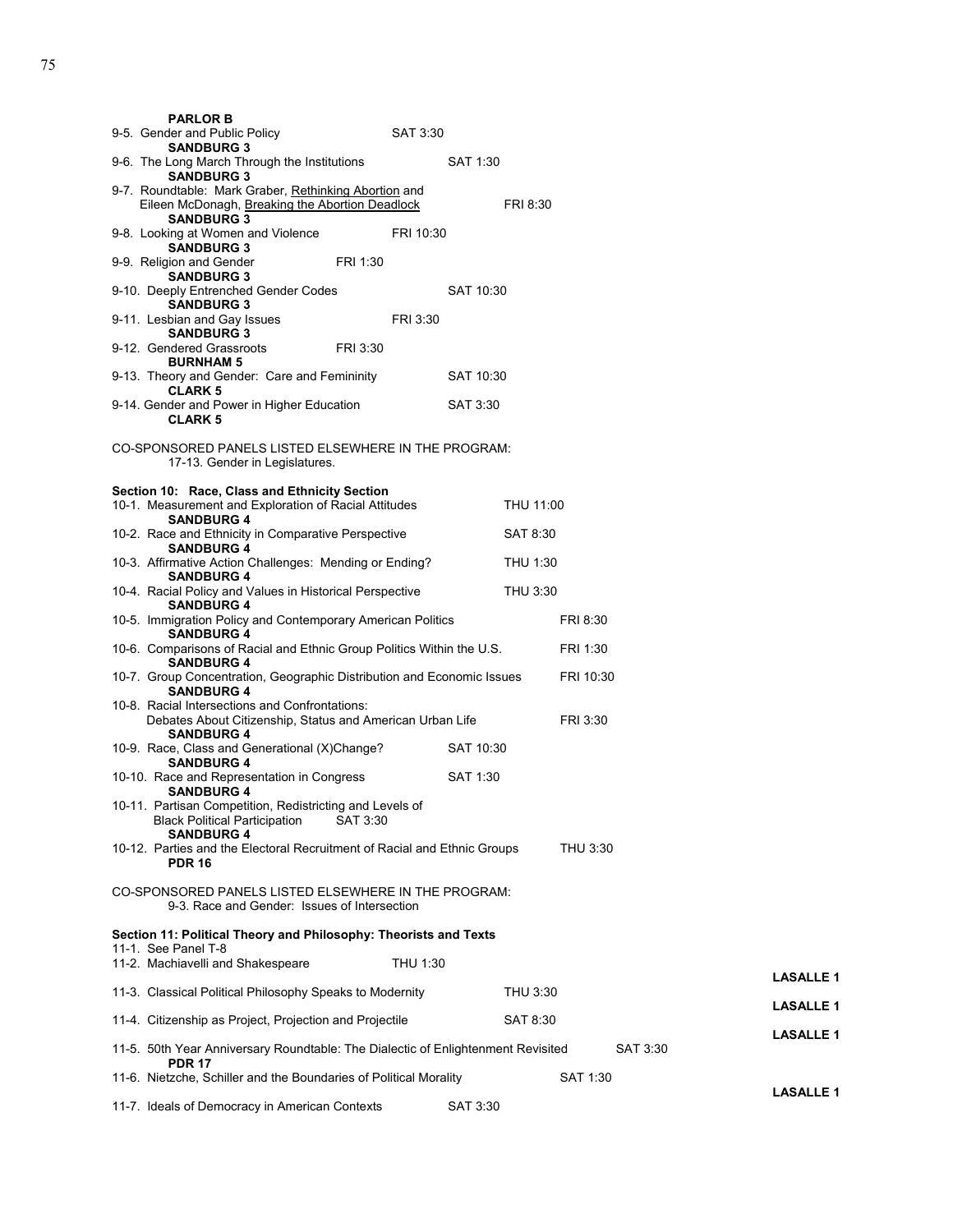| <b>PARLOR B</b><br>9-5. Gender and Public Policy<br><b>SANDBURG 3</b>                                                            | SAT 3:30  |           |           |                  |
|----------------------------------------------------------------------------------------------------------------------------------|-----------|-----------|-----------|------------------|
| 9-6. The Long March Through the Institutions<br><b>SANDBURG 3</b>                                                                |           | SAT 1:30  |           |                  |
| 9-7. Roundtable: Mark Graber, Rethinking Abortion and<br>Eileen McDonagh, Breaking the Abortion Deadlock<br><b>SANDBURG 3</b>    |           | FRI 8:30  |           |                  |
| 9-8. Looking at Women and Violence<br><b>SANDBURG 3</b>                                                                          | FRI 10:30 |           |           |                  |
| 9-9. Religion and Gender<br><b>SANDBURG 3</b>                                                                                    | FRI 1:30  |           |           |                  |
| 9-10. Deeply Entrenched Gender Codes<br><b>SANDBURG 3</b>                                                                        |           | SAT 10:30 |           |                  |
| 9-11. Lesbian and Gay Issues<br><b>SANDBURG 3</b>                                                                                | FRI 3:30  |           |           |                  |
| 9-12. Gendered Grassroots<br><b>BURNHAM 5</b>                                                                                    | FRI 3:30  |           |           |                  |
| 9-13. Theory and Gender: Care and Femininity<br><b>CLARK 5</b>                                                                   |           | SAT 10:30 |           |                  |
| 9-14. Gender and Power in Higher Education<br><b>CLARK 5</b>                                                                     |           | SAT 3:30  |           |                  |
| CO-SPONSORED PANELS LISTED ELSEWHERE IN THE PROGRAM:<br>17-13. Gender in Legislatures.                                           |           |           |           |                  |
| Section 10: Race, Class and Ethnicity Section<br>10-1. Measurement and Exploration of Racial Attitudes<br><b>SANDBURG 4</b>      |           | THU 11:00 |           |                  |
| 10-2. Race and Ethnicity in Comparative Perspective<br><b>SANDBURG 4</b>                                                         |           | SAT 8:30  |           |                  |
| 10-3. Affirmative Action Challenges: Mending or Ending?<br><b>SANDBURG 4</b>                                                     |           | THU 1:30  |           |                  |
| 10-4. Racial Policy and Values in Historical Perspective<br><b>SANDBURG 4</b>                                                    |           | THU 3:30  |           |                  |
| 10-5. Immigration Policy and Contemporary American Politics<br><b>SANDBURG 4</b>                                                 |           |           | FRI 8:30  |                  |
| 10-6. Comparisons of Racial and Ethnic Group Politics Within the U.S.<br><b>SANDBURG 4</b>                                       |           |           | FRI 1:30  |                  |
| 10-7. Group Concentration, Geographic Distribution and Economic Issues<br><b>SANDBURG 4</b>                                      |           |           | FRI 10:30 |                  |
| 10-8. Racial Intersections and Confrontations:<br>Debates About Citizenship, Status and American Urban Life<br><b>SANDBURG 4</b> |           |           | FRI 3:30  |                  |
| 10-9. Race, Class and Generational (X)Change?<br><b>SANDBURG 4</b>                                                               |           | SAT 10:30 |           |                  |
| 10-10. Race and Representation in Congress<br><b>SANDBURG 4</b>                                                                  |           | SAT 1:30  |           |                  |
| 10-11. Partisan Competition, Redistricting and Levels of<br><b>Black Political Participation</b><br><b>SANDBURG 4</b>            | SAT 3:30  |           |           |                  |
| 10-12. Parties and the Electoral Recruitment of Racial and Ethnic Groups<br><b>PDR 16</b>                                        |           |           | THU 3:30  |                  |
| CO-SPONSORED PANELS LISTED ELSEWHERE IN THE PROGRAM:<br>9-3. Race and Gender: Issues of Intersection                             |           |           |           |                  |
| Section 11: Political Theory and Philosophy: Theorists and Texts<br>11-1. See Panel T-8                                          |           |           |           |                  |
| 11-2. Machiavelli and Shakespeare                                                                                                | THU 1:30  |           |           | <b>LASALLE 1</b> |
| 11-3. Classical Political Philosophy Speaks to Modernity                                                                         |           | THU 3:30  |           | <b>LASALLE 1</b> |
| 11-4. Citizenship as Project, Projection and Projectile                                                                          |           | SAT 8:30  |           | <b>LASALLE 1</b> |
| 11-5. 50th Year Anniversary Roundtable: The Dialectic of Enlightenment Revisited<br><b>PDR 17</b>                                |           |           | SAT 3:30  |                  |
| 11-6. Nietzche, Schiller and the Boundaries of Political Morality                                                                |           |           | SAT 1:30  | <b>LASALLE 1</b> |
| 11-7. Ideals of Democracy in American Contexts                                                                                   |           | SAT 3:30  |           |                  |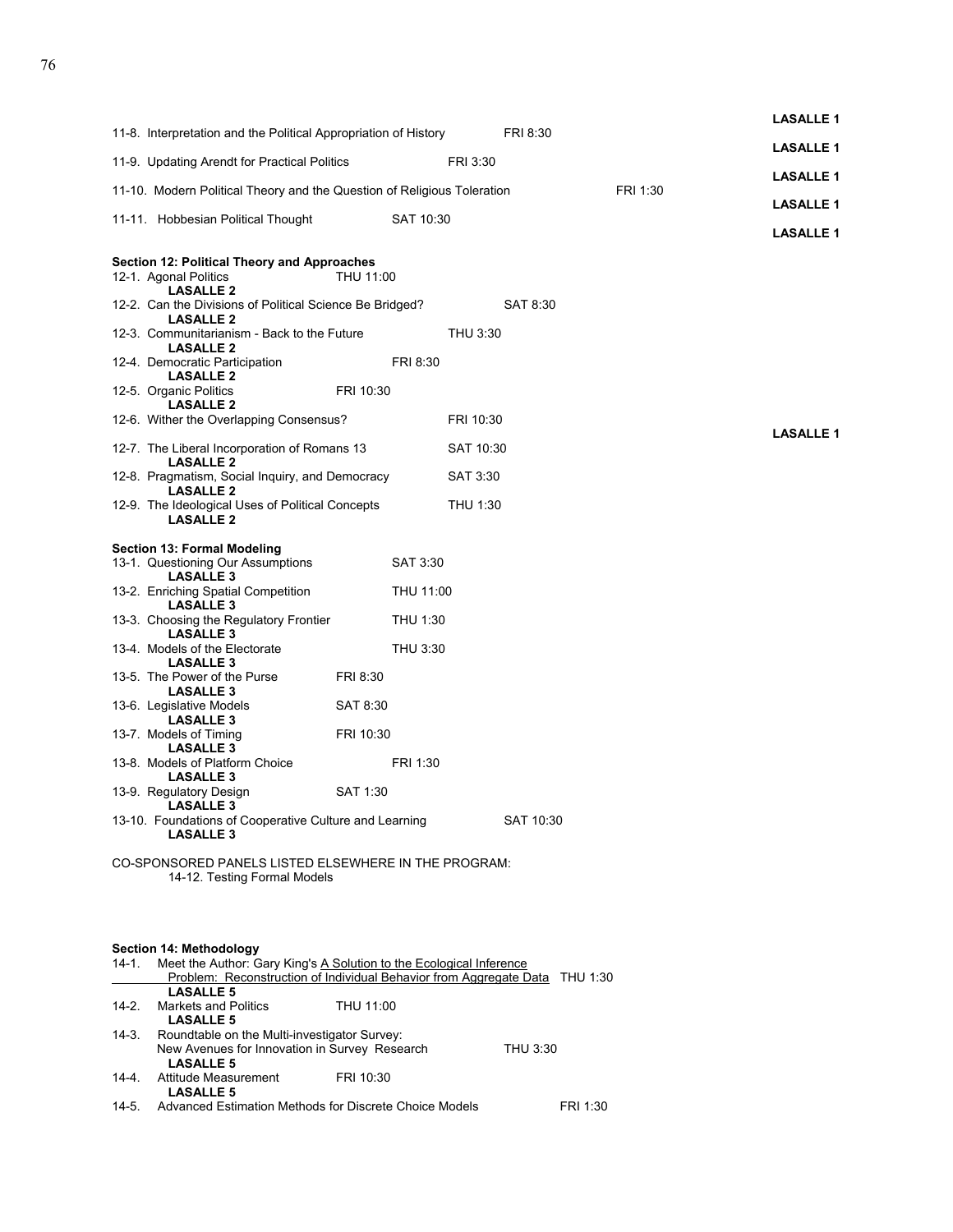|                                                                                                                                                                                        |           |           |          | <b>LASALLE 1</b> |
|----------------------------------------------------------------------------------------------------------------------------------------------------------------------------------------|-----------|-----------|----------|------------------|
| 11-8. Interpretation and the Political Appropriation of History                                                                                                                        |           | FRI 8:30  |          | <b>LASALLE 1</b> |
| 11-9. Updating Arendt for Practical Politics                                                                                                                                           |           | FRI 3:30  |          | <b>LASALLE 1</b> |
| 11-10. Modern Political Theory and the Question of Religious Toleration                                                                                                                |           |           | FRI 1:30 | <b>LASALLE 1</b> |
| 11-11. Hobbesian Political Thought                                                                                                                                                     | SAT 10:30 |           |          | <b>LASALLE 1</b> |
| <b>Section 12: Political Theory and Approaches</b><br>12-1. Agonal Politics<br><b>LASALLE 2</b><br>12-2. Can the Divisions of Political Science Be Bridged?                            | THU 11:00 | SAT 8:30  |          |                  |
| <b>LASALLE 2</b><br>12-3. Communitarianism - Back to the Future                                                                                                                        |           | THU 3:30  |          |                  |
| <b>LASALLE 2</b><br>12-4. Democratic Participation<br><b>LASALLE 2</b>                                                                                                                 | FRI 8:30  |           |          |                  |
| 12-5. Organic Politics<br><b>LASALLE 2</b>                                                                                                                                             | FRI 10:30 |           |          |                  |
| 12-6. Wither the Overlapping Consensus?                                                                                                                                                |           | FRI 10:30 |          |                  |
| 12-7. The Liberal Incorporation of Romans 13                                                                                                                                           |           | SAT 10:30 |          | <b>LASALLE 1</b> |
| <b>LASALLE 2</b><br>12-8. Pragmatism, Social Inquiry, and Democracy                                                                                                                    |           | SAT 3:30  |          |                  |
| <b>LASALLE 2</b><br>12-9. The Ideological Uses of Political Concepts<br><b>LASALLE 2</b>                                                                                               |           | THU 1:30  |          |                  |
| Section 13: Formal Modeling<br>13-1. Questioning Our Assumptions                                                                                                                       | SAT 3:30  |           |          |                  |
| <b>LASALLE 3</b><br>13-2. Enriching Spatial Competition                                                                                                                                | THU 11:00 |           |          |                  |
| <b>LASALLE 3</b><br>13-3. Choosing the Regulatory Frontier                                                                                                                             | THU 1:30  |           |          |                  |
| <b>LASALLE 3</b><br>13-4. Models of the Electorate                                                                                                                                     | THU 3:30  |           |          |                  |
| <b>LASALLE 3</b><br>13-5. The Power of the Purse                                                                                                                                       | FRI 8:30  |           |          |                  |
| <b>LASALLE 3</b><br>13-6. Legislative Models                                                                                                                                           | SAT 8:30  |           |          |                  |
| <b>LASALLE 3</b><br>13-7. Models of Timing                                                                                                                                             | FRI 10:30 |           |          |                  |
| <b>LASALLE 3</b><br>13-8. Models of Platform Choice<br><b>LASALLE 3</b>                                                                                                                | FRI 1:30  |           |          |                  |
| 13-9. Regulatory Design<br><b>LASALLE 3</b>                                                                                                                                            | SAT 1:30  |           |          |                  |
| 13-10. Foundations of Cooperative Culture and Learning<br><b>LASALLE 3</b>                                                                                                             |           | SAT 10:30 |          |                  |
| CO-SPONSORED PANELS LISTED ELSEWHERE IN THE PROGRAM:<br>14-12. Testing Formal Models                                                                                                   |           |           |          |                  |
|                                                                                                                                                                                        |           |           |          |                  |
| Section 14: Methodology<br>Meet the Author: Gary King's A Solution to the Ecological Inference<br>14-1.<br>Problem: Reconstruction of Individual Behavior from Aggregate Data THU 1:30 |           |           |          |                  |
| <b>LASALLE 5</b><br>$14 - 2.$<br><b>Markets and Politics</b>                                                                                                                           | THU 11:00 |           |          |                  |
| <b>LASALLE 5</b><br>14-3.<br>Roundtable on the Multi-investigator Survey:<br>New Avenues for Innovation in Survey Research                                                             |           | THU 3:30  |          |                  |
| <b>LASALLE 5</b><br>Attitude Measurement<br>14-4.                                                                                                                                      | FRI 10:30 |           |          |                  |
| <b>LASALLE 5</b><br>Advanced Estimation Methods for Discrete Choice Models<br>14-5.                                                                                                    |           |           | FRI 1:30 |                  |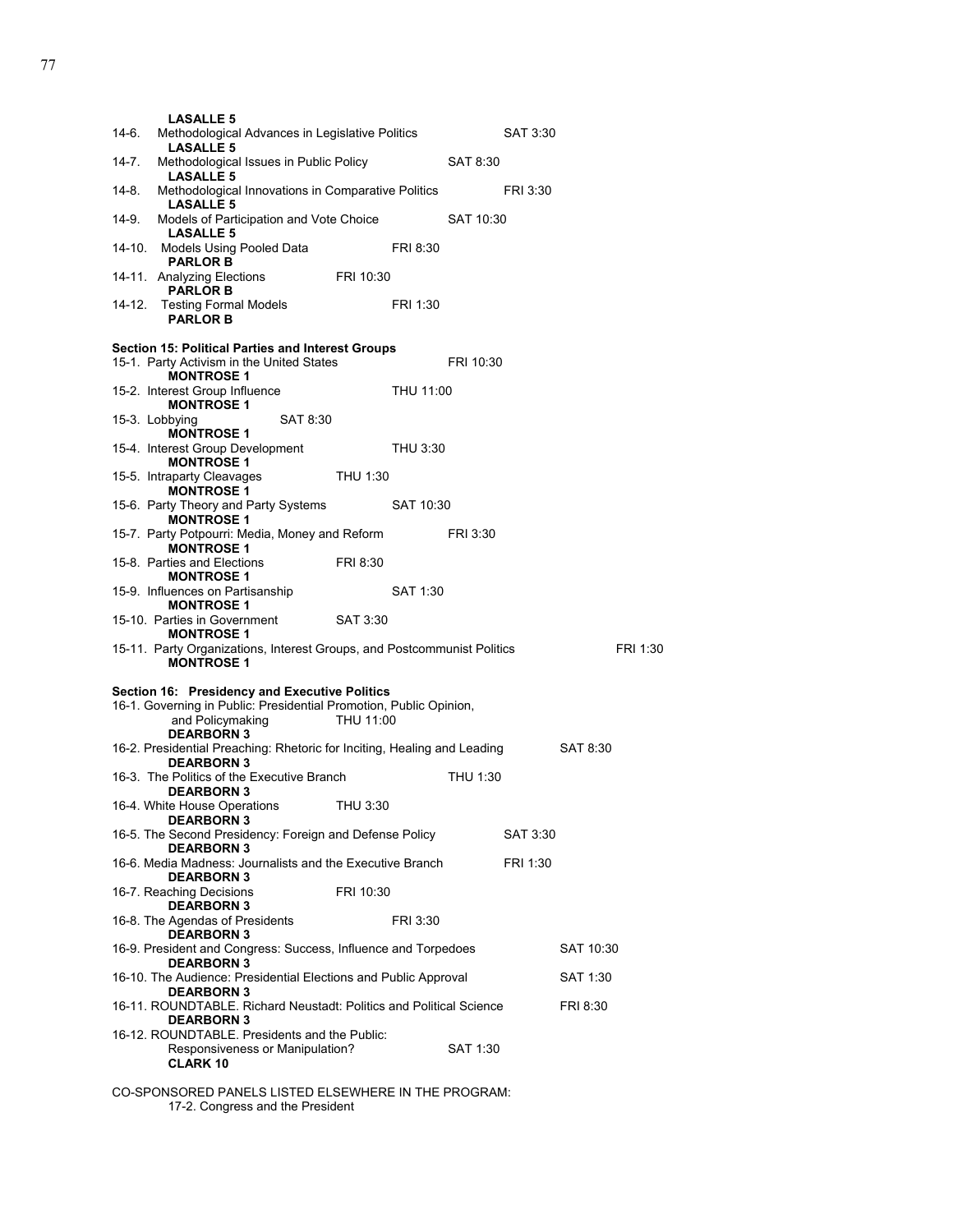**LASALLE 5** 14-6. Methodological Advances in Legislative Politics SAT 3:30  **LASALLE 5** 14-7. Methodological Issues in Public Policy SAT 8:30  **LASALLE 5** 14-8. Methodological Innovations in Comparative Politics FRI 3:30  **LASALLE 5** 14-9. Models of Participation and Vote Choice SAT 10:30  **LASALLE 5** 14-10. Models Using Pooled Data FRI 8:30  **PARLOR B** 14-11. Analyzing Elections FRI 10:30  **PARLOR B** 14-12. Testing Formal Models FRI 1:30  **PARLOR B Section 15: Political Parties and Interest Groups** 15-1. Party Activism in the United States FRI 10:30  **MONTROSE 1** 15-2. Interest Group Influence THU 11:00  **MONTROSE 1** 15-3. Lobbying SAT 8:30  **MONTROSE 1** 15-4. Interest Group Development THU 3:30  **MONTROSE 1** 15-5. Intraparty Cleavages THU 1:30  **MONTROSE 1** 15-6. Party Theory and Party Systems SAT 10:30  **MONTROSE 1** 15-7. Party Potpourri: Media, Money and Reform FRI 3:30  **MONTROSE 1** 15-8. Parties and Elections FRI 8:30  **MONTROSE 1** 15-9. Influences on Partisanship SAT 1:30  **MONTROSE 1** 15-10. Parties in Government SAT 3:30  **MONTROSE 1** 15-11. Party Organizations, Interest Groups, and Postcommunist Politics FRI 1:30  **MONTROSE 1 Section 16: Presidency and Executive Politics** 16-1. Governing in Public: Presidential Promotion, Public Opinion, and Policymaking  **DEARBORN 3** 16-2. Presidential Preaching: Rhetoric for Inciting, Healing and Leading SAT 8:30  **DEARBORN 3** 16-3. The Politics of the Executive Branch THU 1:30  **DEARBORN 3** 16-4. White House Operations THU 3:30  **DEARBORN 3** 16-5. The Second Presidency: Foreign and Defense Policy SAT 3:30  **DEARBORN 3** 16-6. Media Madness: Journalists and the Executive Branch FRI 1:30  **DEARBORN 3** 16-7. Reaching Decisions FRI 10:30  **DEARBORN 3**

- 16-8. The Agendas of Presidents FRI 3:30  **DEARBORN 3** 16-9. President and Congress: Success, Influence and Torpedoes SAT 10:30  **DEARBORN 3** 16-10. The Audience: Presidential Elections and Public Approval SAT 1:30  **DEARBORN 3** 16-11. ROUNDTABLE. Richard Neustadt: Politics and Political Science FRI 8:30  **DEARBORN 3** 16-12. ROUNDTABLE. Presidents and the Public: Responsiveness or Manipulation? SAT 1:30  **CLARK 10**
- CO-SPONSORED PANELS LISTED ELSEWHERE IN THE PROGRAM: 17-2. Congress and the President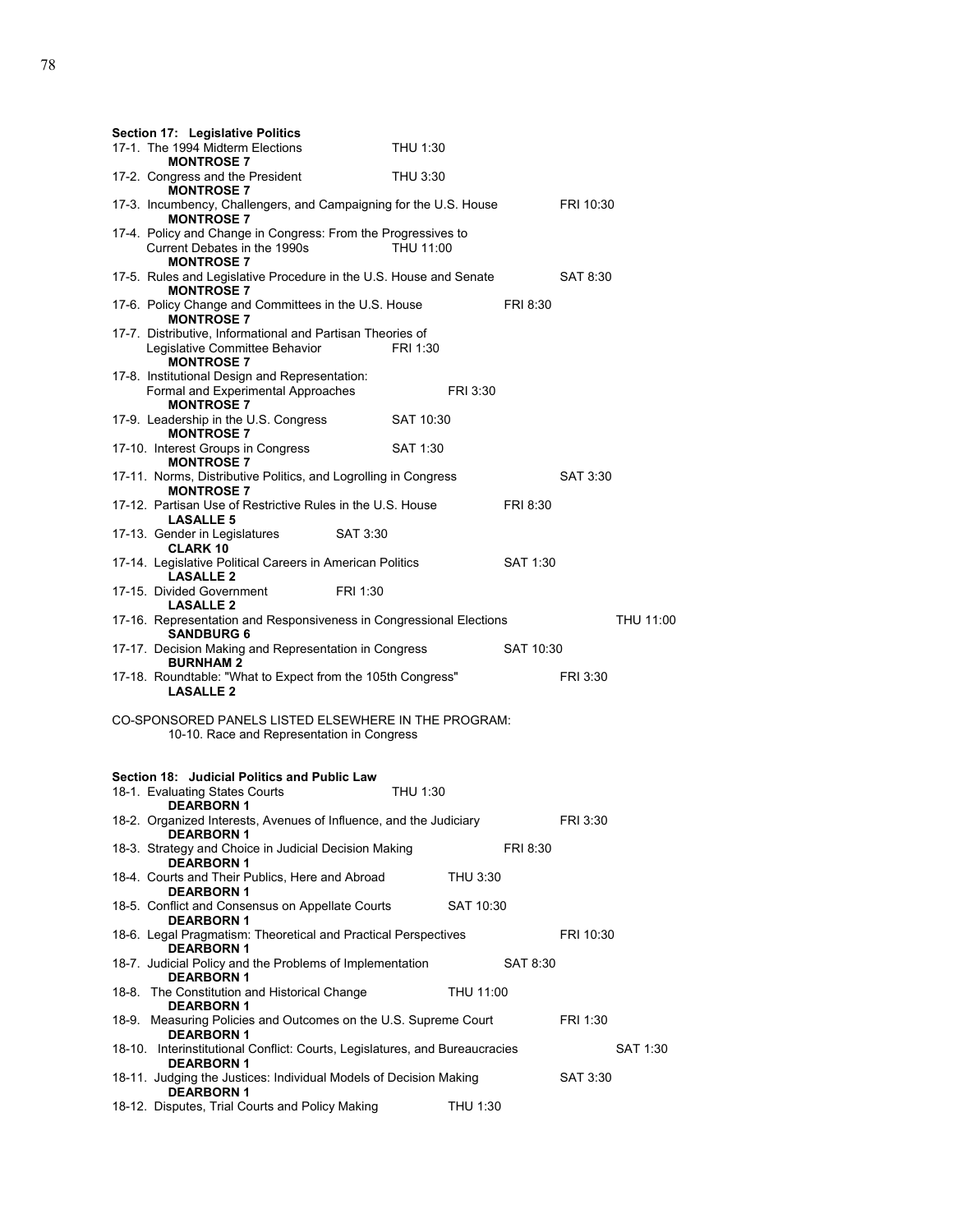| Section 17: Legislative Politics                                                                                   |                  |           |           |           |
|--------------------------------------------------------------------------------------------------------------------|------------------|-----------|-----------|-----------|
| 17-1. The 1994 Midterm Elections<br><b>MONTROSE 7</b>                                                              | THU 1:30         |           |           |           |
| 17-2. Congress and the President<br><b>MONTROSE 7</b>                                                              | THU 3:30         |           |           |           |
| 17-3. Incumbency, Challengers, and Campaigning for the U.S. House<br><b>MONTROSE 7</b>                             |                  |           |           | FRI 10:30 |
| 17-4. Policy and Change in Congress: From the Progressives to<br>Current Debates in the 1990s<br><b>MONTROSE 7</b> | THU 11:00        |           |           |           |
| 17-5. Rules and Legislative Procedure in the U.S. House and Senate SAT 8:30<br><b>MONTROSE 7</b>                   |                  |           |           |           |
| 17-6. Policy Change and Committees in the U.S. House<br><b>MONTROSE 7</b>                                          |                  |           | FRI 8:30  |           |
| 17-7. Distributive, Informational and Partisan Theories of<br>Legislative Committee Behavior<br><b>MONTROSE 7</b>  | FRI 1:30         |           |           |           |
| 17-8. Institutional Design and Representation:<br>Formal and Experimental Approaches                               |                  | FRI 3:30  |           |           |
| <b>MONTROSE 7</b><br>17-9. Leadership in the U.S. Congress                                                         | <b>SAT 10:30</b> |           |           |           |
| <b>MONTROSE 7</b><br>17-10. Interest Groups in Congress                                                            | <b>SAT 1:30</b>  |           |           |           |
| <b>MONTROSE 7</b><br>17-11. Norms, Distributive Politics, and Logrolling in Congress                               |                  |           |           | SAT 3:30  |
| <b>MONTROSE 7</b><br>17-12. Partisan Use of Restrictive Rules in the U.S. House                                    |                  |           | FRI 8:30  |           |
| <b>LASALLE 5</b><br>17-13. Gender in Legislatures SAT 3:30<br><b>CLARK 10</b>                                      |                  |           |           |           |
| 17-14. Legislative Political Careers in American Politics<br><b>LASALLE 2</b>                                      |                  |           | SAT 1:30  |           |
| 17-15. Divided Government<br><b>LASALLE 2</b>                                                                      | FRI 1:30         |           |           |           |
|                                                                                                                    |                  |           |           |           |
| 17-16. Representation and Responsiveness in Congressional Elections                                                |                  |           |           | THU 11:00 |
| <b>SANDBURG 6</b><br>17-17. Decision Making and Representation in Congress                                         |                  |           | SAT 10:30 |           |
| <b>BURNHAM2</b><br>17-18. Roundtable: "What to Expect from the 105th Congress"<br><b>LASALLE 2</b>                 |                  |           |           | FRI 3:30  |
| CO-SPONSORED PANELS LISTED ELSEWHERE IN THE PROGRAM:<br>10-10. Race and Representation in Congress                 |                  |           |           |           |
| Section 18: Judicial Politics and Public Law                                                                       |                  |           |           |           |
| 18-1. Evaluating States Courts<br><b>DEARBORN1</b>                                                                 | THU 1:30         |           |           |           |
| 18-2. Organized Interests, Avenues of Influence, and the Judiciary<br><b>DEARBORN 1</b>                            |                  |           |           | FRI 3:30  |
| 18-3. Strategy and Choice in Judicial Decision Making<br><b>DEARBORN1</b>                                          |                  |           | FRI 8:30  |           |
| 18-4. Courts and Their Publics, Here and Abroad<br><b>DEARBORN1</b>                                                |                  | THU 3:30  |           |           |
| 18-5. Conflict and Consensus on Appellate Courts<br><b>DEARBORN1</b>                                               |                  | SAT 10:30 |           |           |
| 18-6. Legal Pragmatism: Theoretical and Practical Perspectives<br><b>DEARBORN 1</b>                                |                  |           |           | FRI 10:30 |
| 18-7. Judicial Policy and the Problems of Implementation<br><b>DEARBORN1</b>                                       |                  |           | SAT 8:30  |           |
| 18-8. The Constitution and Historical Change<br><b>DEARBORN 1</b>                                                  |                  | THU 11:00 |           |           |
| 18-9. Measuring Policies and Outcomes on the U.S. Supreme Court<br><b>DEARBORN 1</b>                               |                  |           |           | FRI 1:30  |
| 18-10. Interinstitutional Conflict: Courts, Legislatures, and Bureaucracies<br><b>DEARBORN 1</b>                   |                  |           |           | SAT 1:30  |
| 18-11. Judging the Justices: Individual Models of Decision Making<br><b>DEARBORN 1</b>                             |                  |           |           | SAT 3:30  |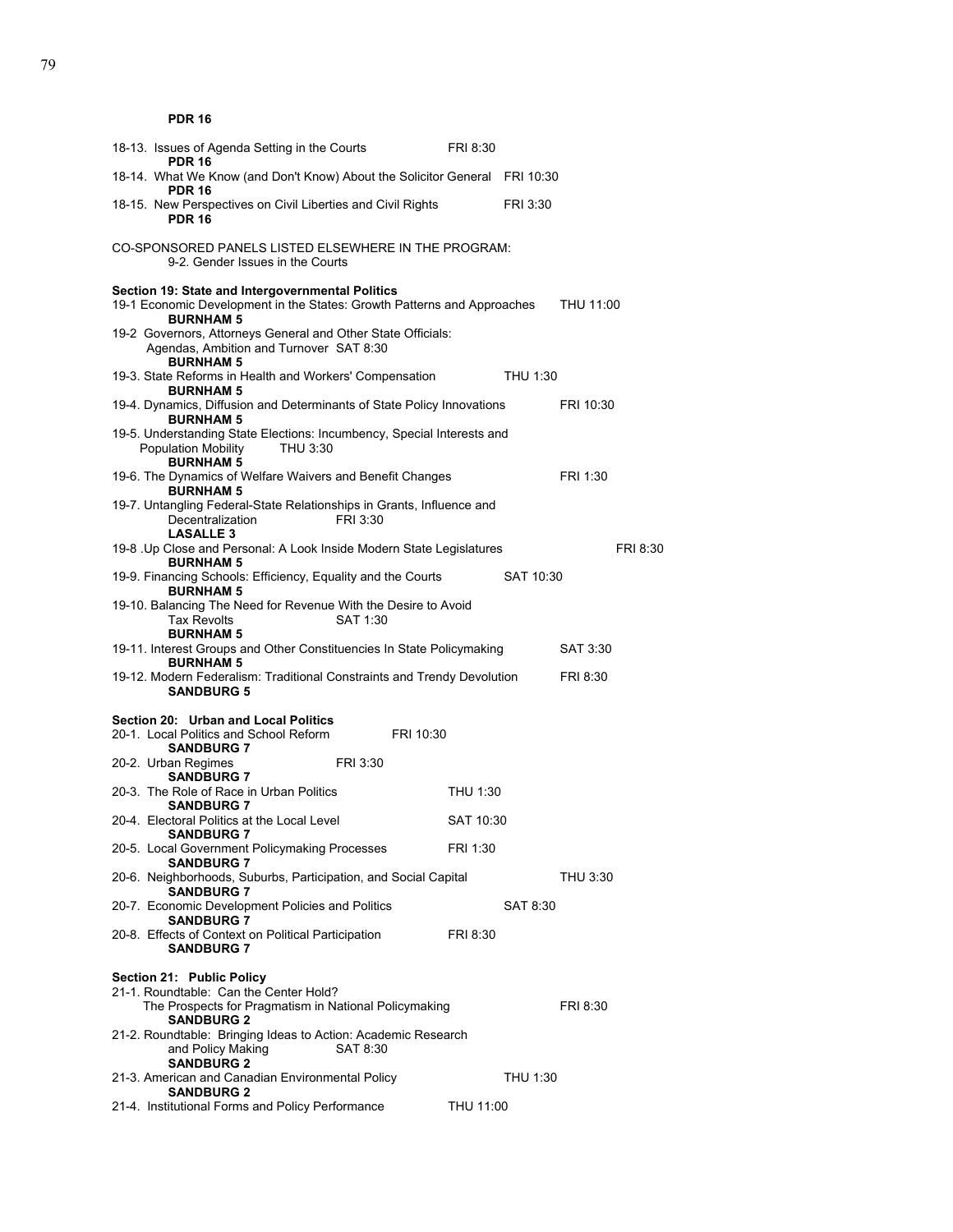### **PDR 16**

| 18-13. Issues of Agenda Setting in the Courts<br><b>PDR 16</b>                                                                                           | FRI 8:30  |           |           |
|----------------------------------------------------------------------------------------------------------------------------------------------------------|-----------|-----------|-----------|
| 18-14. What We Know (and Don't Know) About the Solicitor General FRI 10:30<br><b>PDR 16</b>                                                              |           |           |           |
| 18-15. New Perspectives on Civil Liberties and Civil Rights<br><b>PDR 16</b>                                                                             |           | FRI 3:30  |           |
| CO-SPONSORED PANELS LISTED ELSEWHERE IN THE PROGRAM:<br>9-2. Gender Issues in the Courts                                                                 |           |           |           |
| Section 19: State and Intergovernmental Politics                                                                                                         |           |           |           |
| 19-1 Economic Development in the States: Growth Patterns and Approaches<br><b>BURNHAM 5</b>                                                              |           |           | THU 11:00 |
| 19-2 Governors, Attorneys General and Other State Officials:<br>Agendas, Ambition and Turnover SAT 8:30                                                  |           |           |           |
| <b>BURNHAM 5</b><br>19-3. State Reforms in Health and Workers' Compensation                                                                              |           | THU 1:30  |           |
| <b>BURNHAM 5</b><br>19-4. Dynamics, Diffusion and Determinants of State Policy Innovations                                                               |           |           | FRI 10:30 |
| <b>BURNHAM 5</b><br>19-5. Understanding State Elections: Incumbency, Special Interests and<br><b>Population Mobility</b><br>THU 3:30<br><b>BURNHAM 5</b> |           |           |           |
| 19-6. The Dynamics of Welfare Waivers and Benefit Changes<br><b>BURNHAM 5</b>                                                                            |           |           | FRI 1:30  |
| 19-7. Untangling Federal-State Relationships in Grants, Influence and<br>FRI 3:30<br>Decentralization                                                    |           |           |           |
| <b>LASALLE 3</b><br>19-8 Up Close and Personal: A Look Inside Modern State Legislatures                                                                  |           |           | FRI 8:30  |
| <b>BURNHAM 5</b><br>19-9. Financing Schools: Efficiency, Equality and the Courts<br><b>BURNHAM 5</b>                                                     |           | SAT 10:30 |           |
| 19-10. Balancing The Need for Revenue With the Desire to Avoid<br><b>Tax Revolts</b><br>SAT 1:30                                                         |           |           |           |
|                                                                                                                                                          |           |           |           |
| <b>BURNHAM 5</b><br>19-11. Interest Groups and Other Constituencies In State Policymaking                                                                |           |           | SAT 3:30  |
| <b>BURNHAM 5</b><br>19-12. Modern Federalism: Traditional Constraints and Trendy Devolution                                                              |           |           | FRI 8:30  |
| <b>SANDBURG 5</b>                                                                                                                                        |           |           |           |
| Section 20: Urban and Local Politics<br>20-1. Local Politics and School Reform FRI 10:30                                                                 |           |           |           |
| <b>SANDBURG 7</b><br>FRI 3:30<br>20-2. Urban Regimes                                                                                                     |           |           |           |
| <b>SANDBURG 7</b><br>20-3. The Role of Race in Urban Politics                                                                                            | THU 1:30  |           |           |
| <b>SANDBURG 7</b><br>20-4. Electoral Politics at the Local Level                                                                                         | SAT 10:30 |           |           |
| <b>SANDBURG</b> 7<br>20-5. Local Government Policymaking Processes                                                                                       | FRI 1:30  |           |           |
| <b>SANDBURG 7</b><br>20-6. Neighborhoods, Suburbs, Participation, and Social Capital                                                                     |           |           | THU 3:30  |
| <b>SANDBURG 7</b><br>20-7. Economic Development Policies and Politics                                                                                    |           | SAT 8:30  |           |
| <b>SANDBURG 7</b><br>20-8. Effects of Context on Political Participation<br><b>SANDBURG 7</b>                                                            | FRI 8:30  |           |           |
| Section 21: Public Policy                                                                                                                                |           |           |           |
| 21-1. Roundtable: Can the Center Hold?<br>The Prospects for Pragmatism in National Policymaking                                                          |           |           | FRI 8:30  |
| <b>SANDBURG 2</b><br>21-2. Roundtable: Bringing Ideas to Action: Academic Research<br>and Policy Making<br>SAT 8:30                                      |           |           |           |
| <b>SANDBURG 2</b><br>21-3. American and Canadian Environmental Policy<br><b>SANDBURG 2</b>                                                               |           | THU 1:30  |           |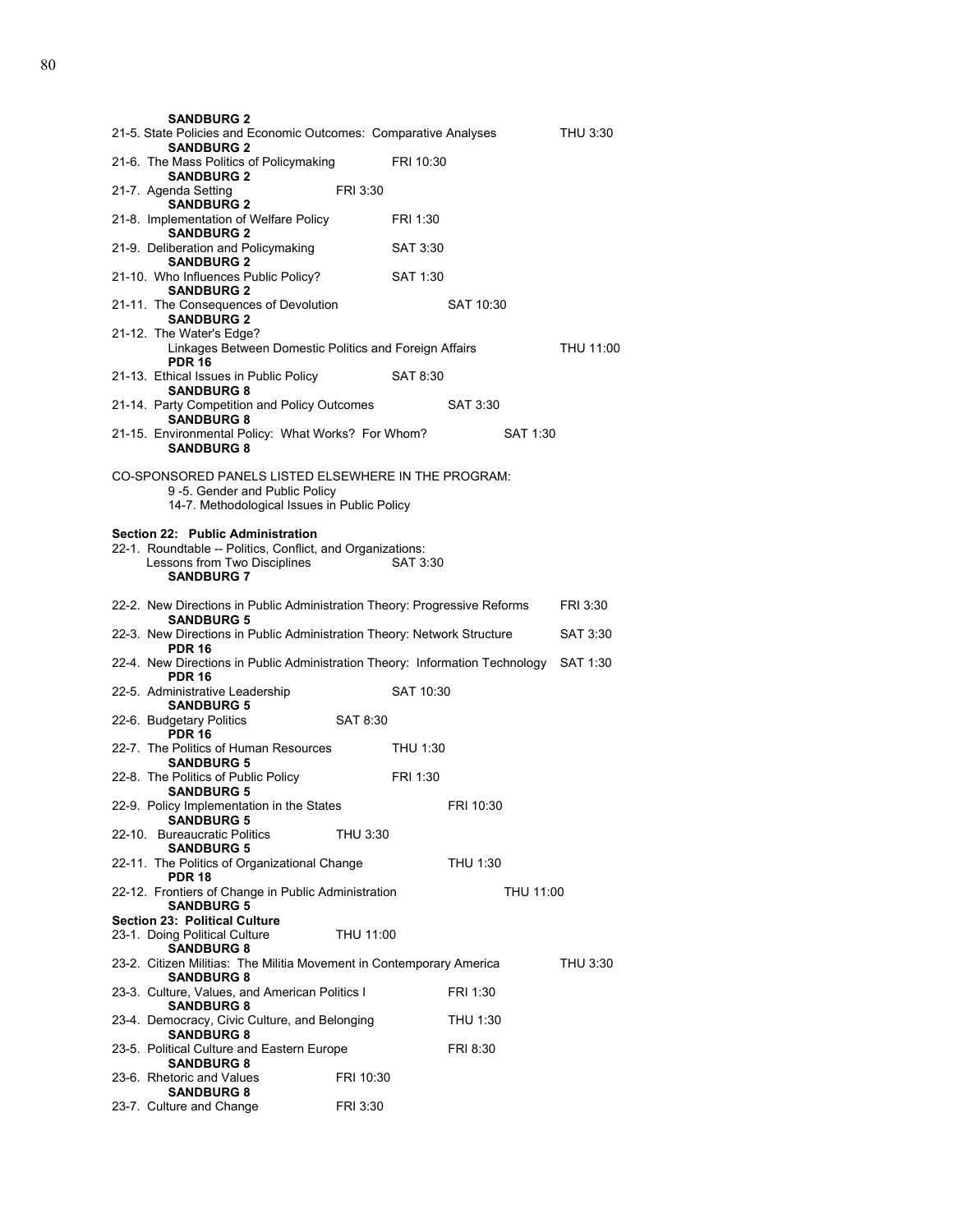**SANDBURG 2** 21-5. State Policies and Economic Outcomes: Comparative Analyses THU 3:30  **SANDBURG 2** 21-6. The Mass Politics of Policymaking FRI 10:30  **SANDBURG 2** 21-7. Agenda Setting FRI 3:30  **SANDBURG 2** 21-8. Implementation of Welfare Policy FRI 1:30  **SANDBURG 2** 21-9. Deliberation and Policymaking SAT 3:30  **SANDBURG 2** 21-10. Who Influences Public Policy? SAT 1:30  **SANDBURG 2** 21-11. The Consequences of Devolution SAT 10:30  **SANDBURG 2** 21-12. The Water's Edge? Linkages Between Domestic Politics and Foreign Affairs THU 11:00  **PDR 16** 21-13. Ethical Issues in Public Policy SAT 8:30  **SANDBURG 8** 21-14. Party Competition and Policy Outcomes SAT 3:30  **SANDBURG 8** 21-15. Environmental Policy: What Works? For Whom? SAT 1:30  **SANDBURG 8** CO-SPONSORED PANELS LISTED ELSEWHERE IN THE PROGRAM: 9 -5. Gender and Public Policy 14-7. Methodological Issues in Public Policy **Section 22: Public Administration** 22-1. Roundtable -- Politics, Conflict, and Organizations:<br>Lessons from Two Disciplines SAT 3:30 Lessons from Two Disciplines  **SANDBURG 7** 22-2. New Directions in Public Administration Theory: Progressive Reforms FRI 3:30  **SANDBURG 5** 22-3. New Directions in Public Administration Theory: Network Structure SAT 3:30  **PDR 16** 22-4. New Directions in Public Administration Theory: Information Technology SAT 1:30  **PDR 16** 22-5. Administrative Leadership SAT 10:30  **SANDBURG 5** 22-6. Budgetary Politics SAT 8:30  **PDR 16** 22-7. The Politics of Human Resources THU 1:30  **SANDBURG 5** 22-8. The Politics of Public Policy FRI 1:30  **SANDBURG 5** 22-9. Policy Implementation in the States FRI 10:30  **SANDBURG 5** 22-10. Bureaucratic Politics THU 3:30  **SANDBURG 5** 22-11. The Politics of Organizational Change THU 1:30  **PDR 18** 22-12. Frontiers of Change in Public Administration THU 11:00  **SANDBURG 5 Section 23: Political Culture** 23-1. Doing Political Culture THU 11:00  **SANDBURG 8** 23-2. Citizen Militias: The Militia Movement in Contemporary America THU 3:30  **SANDBURG 8** 23-3. Culture, Values, and American Politics I FRI 1:30  **SANDBURG 8** 23-4. Democracy, Civic Culture, and Belonging THU 1:30  **SANDBURG 8** 23-5. Political Culture and Eastern Europe FRI 8:30  **SANDBURG 8** 23-6. Rhetoric and Values FRI 10:30  **SANDBURG 8** 23-7. Culture and Change FRI 3:30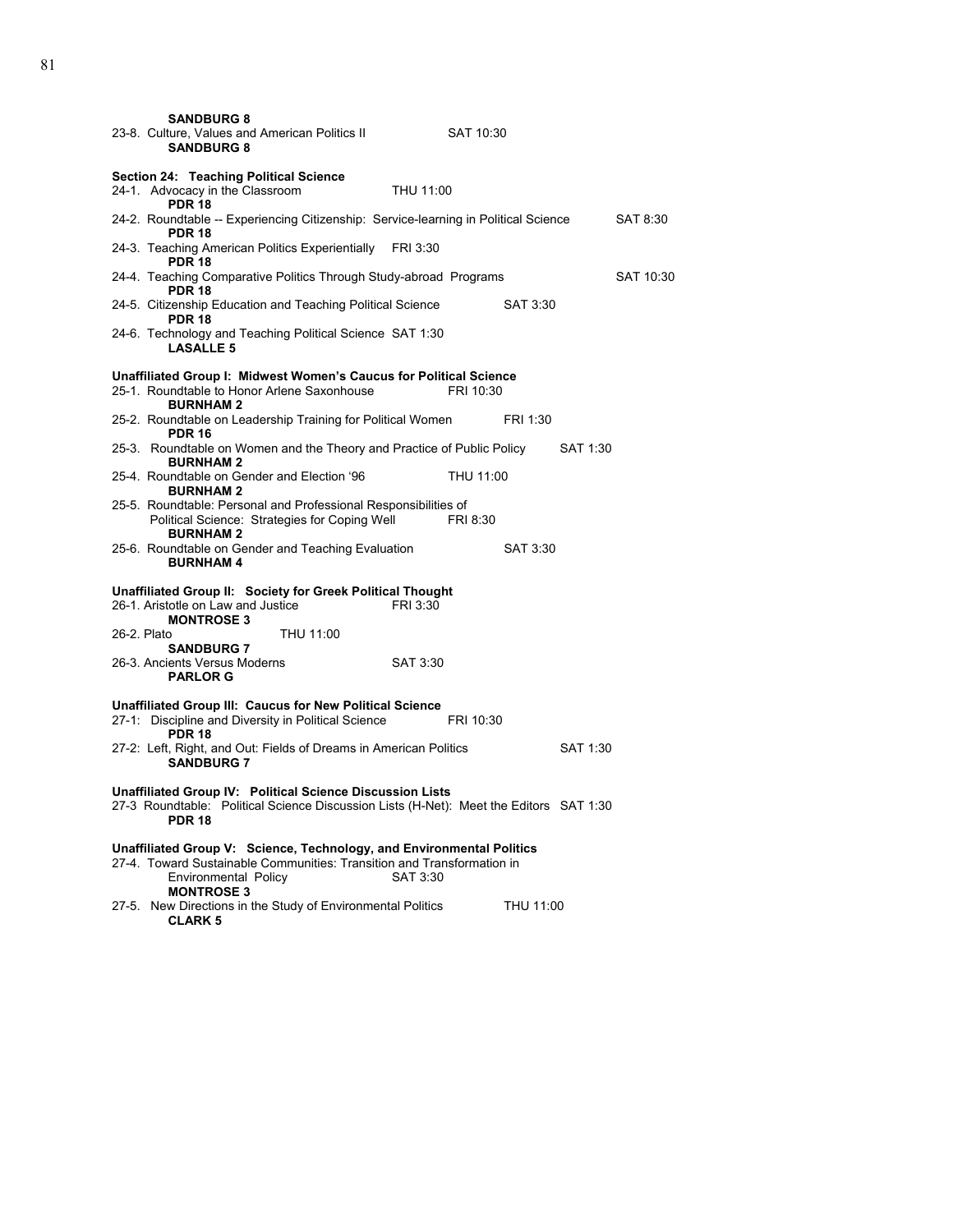|             | <b>SANDBURG 8</b><br>23-8. Culture, Values and American Politics II<br><b>SANDBURG 8</b>                                                                                                     |           | SAT 10:30 |           |          |           |
|-------------|----------------------------------------------------------------------------------------------------------------------------------------------------------------------------------------------|-----------|-----------|-----------|----------|-----------|
|             | Section 24: Teaching Political Science                                                                                                                                                       |           |           |           |          |           |
|             | 24-1. Advocacy in the Classroom<br><b>PDR 18</b>                                                                                                                                             | THU 11:00 |           |           |          |           |
|             | 24-2. Roundtable -- Experiencing Citizenship: Service-learning in Political Science<br><b>PDR 18</b>                                                                                         |           |           |           |          | SAT 8:30  |
|             | 24-3. Teaching American Politics Experientially FRI 3:30<br><b>PDR 18</b>                                                                                                                    |           |           |           |          |           |
|             | 24-4. Teaching Comparative Politics Through Study-abroad Programs<br><b>PDR 18</b>                                                                                                           |           |           |           |          | SAT 10:30 |
|             | 24-5. Citizenship Education and Teaching Political Science<br><b>PDR 18</b>                                                                                                                  |           |           | SAT 3:30  |          |           |
|             | 24-6. Technology and Teaching Political Science SAT 1:30<br><b>LASALLE 5</b>                                                                                                                 |           |           |           |          |           |
|             | Unaffiliated Group I: Midwest Women's Caucus for Political Science                                                                                                                           |           |           |           |          |           |
|             | 25-1. Roundtable to Honor Arlene Saxonhouse<br><b>BURNHAM2</b>                                                                                                                               |           | FRI 10:30 |           |          |           |
|             | 25-2. Roundtable on Leadership Training for Political Women<br><b>PDR 16</b>                                                                                                                 |           |           | FRI 1:30  |          |           |
|             | 25-3. Roundtable on Women and the Theory and Practice of Public Policy<br><b>BURNHAM2</b>                                                                                                    |           |           |           | SAT 1:30 |           |
|             | 25-4. Roundtable on Gender and Election '96<br><b>BURNHAM2</b>                                                                                                                               |           | THU 11:00 |           |          |           |
|             | 25-5. Roundtable: Personal and Professional Responsibilities of<br>Political Science: Strategies for Coping Well<br><b>BURNHAM2</b>                                                          |           | FRI 8:30  |           |          |           |
|             | 25-6. Roundtable on Gender and Teaching Evaluation<br><b>BURNHAM4</b>                                                                                                                        |           |           | SAT 3:30  |          |           |
|             | Unaffiliated Group II: Society for Greek Political Thought                                                                                                                                   |           |           |           |          |           |
|             | 26-1. Aristotle on Law and Justice<br><b>MONTROSE 3</b>                                                                                                                                      | FRI 3:30  |           |           |          |           |
| 26-2. Plato | THU 11:00<br><b>SANDBURG 7</b>                                                                                                                                                               |           |           |           |          |           |
|             | 26-3. Ancients Versus Moderns<br><b>PARLOR G</b>                                                                                                                                             | SAT 3:30  |           |           |          |           |
|             |                                                                                                                                                                                              |           |           |           |          |           |
|             | Unaffiliated Group III: Caucus for New Political Science<br>27-1: Discipline and Diversity in Political Science<br><b>PDR 18</b>                                                             |           | FRI 10:30 |           |          |           |
|             | 27-2: Left, Right, and Out: Fields of Dreams in American Politics<br><b>SANDBURG 7</b>                                                                                                       |           |           |           | SAT 1:30 |           |
|             | Unaffiliated Group IV: Political Science Discussion Lists<br>27-3 Roundtable: Political Science Discussion Lists (H-Net): Meet the Editors SAT 1:30<br><b>PDR 18</b>                         |           |           |           |          |           |
|             | Unaffiliated Group V: Science, Technology, and Environmental Politics<br>27-4. Toward Sustainable Communities: Transition and Transformation in<br>Environmental Policy<br><b>MONTROSE 3</b> | SAT 3:30  |           |           |          |           |
|             | 27-5. New Directions in the Study of Environmental Politics<br><b>CLARK 5</b>                                                                                                                |           |           | THU 11:00 |          |           |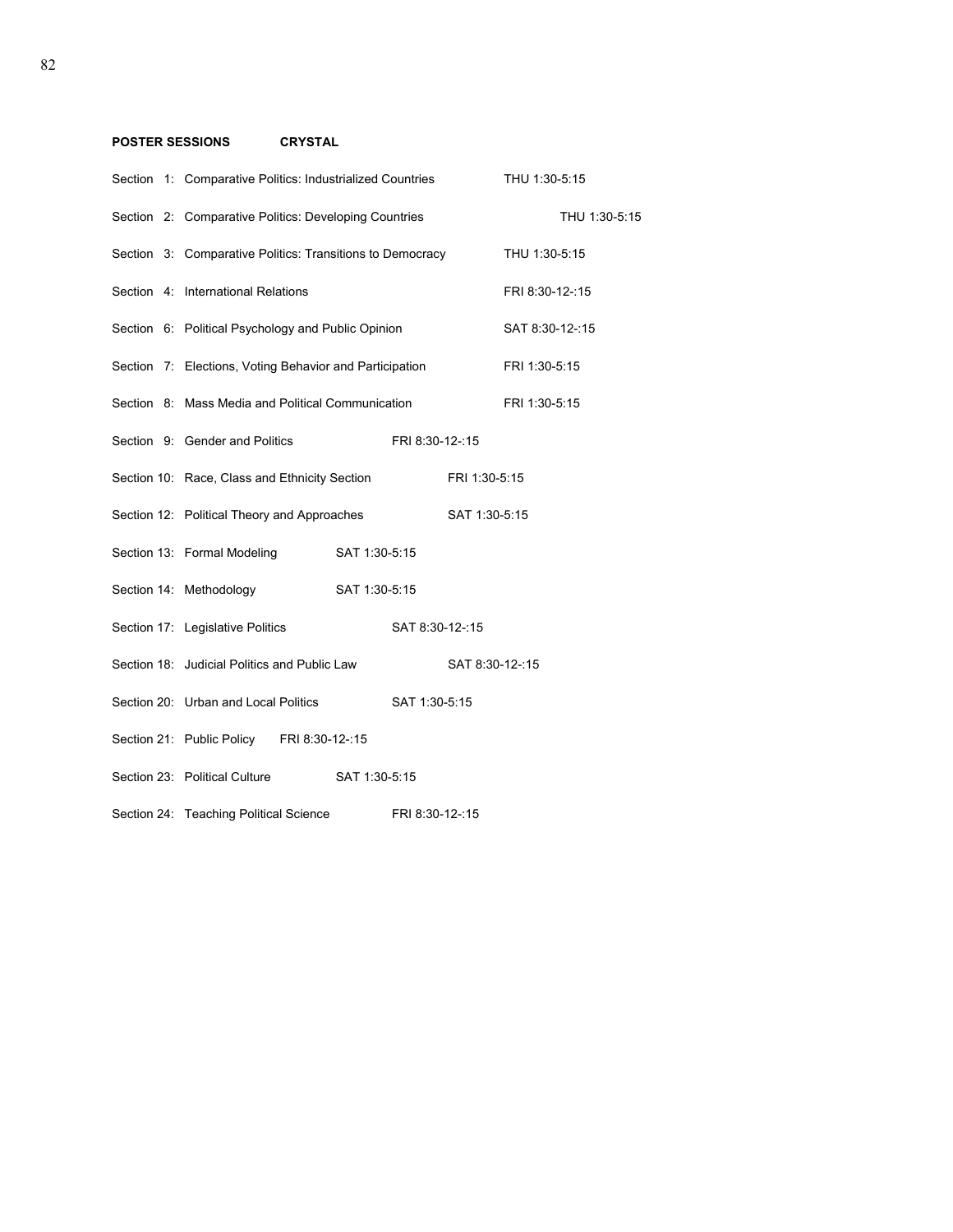| <b>CRYSTAL</b> |
|----------------|
|                |

| Section 1: Comparative Politics: Industrialized Countries   | THU 1:30-5:15   |                 |
|-------------------------------------------------------------|-----------------|-----------------|
| Section 2: Comparative Politics: Developing Countries       | THU 1:30-5:15   |                 |
| Section 3: Comparative Politics: Transitions to Democracy   |                 | THU 1:30-5:15   |
| Section 4: International Relations                          |                 | FRI 8:30-12-:15 |
| Section 6: Political Psychology and Public Opinion          |                 | SAT 8:30-12-:15 |
| Section 7: Elections, Voting Behavior and Participation     |                 | FRI 1:30-5:15   |
| Section 8: Mass Media and Political Communication           |                 | FRI 1:30-5:15   |
| Section 9: Gender and Politics                              | FRI 8:30-12-:15 |                 |
| Section 10: Race, Class and Ethnicity Section FRI 1:30-5:15 |                 |                 |
| Section 12: Political Theory and Approaches                 |                 | SAT 1:30-5:15   |
| Section 13: Formal Modeling SAT 1:30-5:15                   |                 |                 |
| Section 14: Methodology SAT 1:30-5:15                       |                 |                 |
| Section 17: Legislative Politics                            | SAT 8:30-12-:15 |                 |
| Section 18: Judicial Politics and Public Law                |                 | SAT 8:30-12-:15 |
| Section 20: Urban and Local Politics                        | SAT 1:30-5:15   |                 |
| Section 21: Public Policy FRI 8:30-12-:15                   |                 |                 |
| Section 23: Political Culture SAT 1:30-5:15                 |                 |                 |
| Section 24: Teaching Political Science                      | FRI 8:30-12-:15 |                 |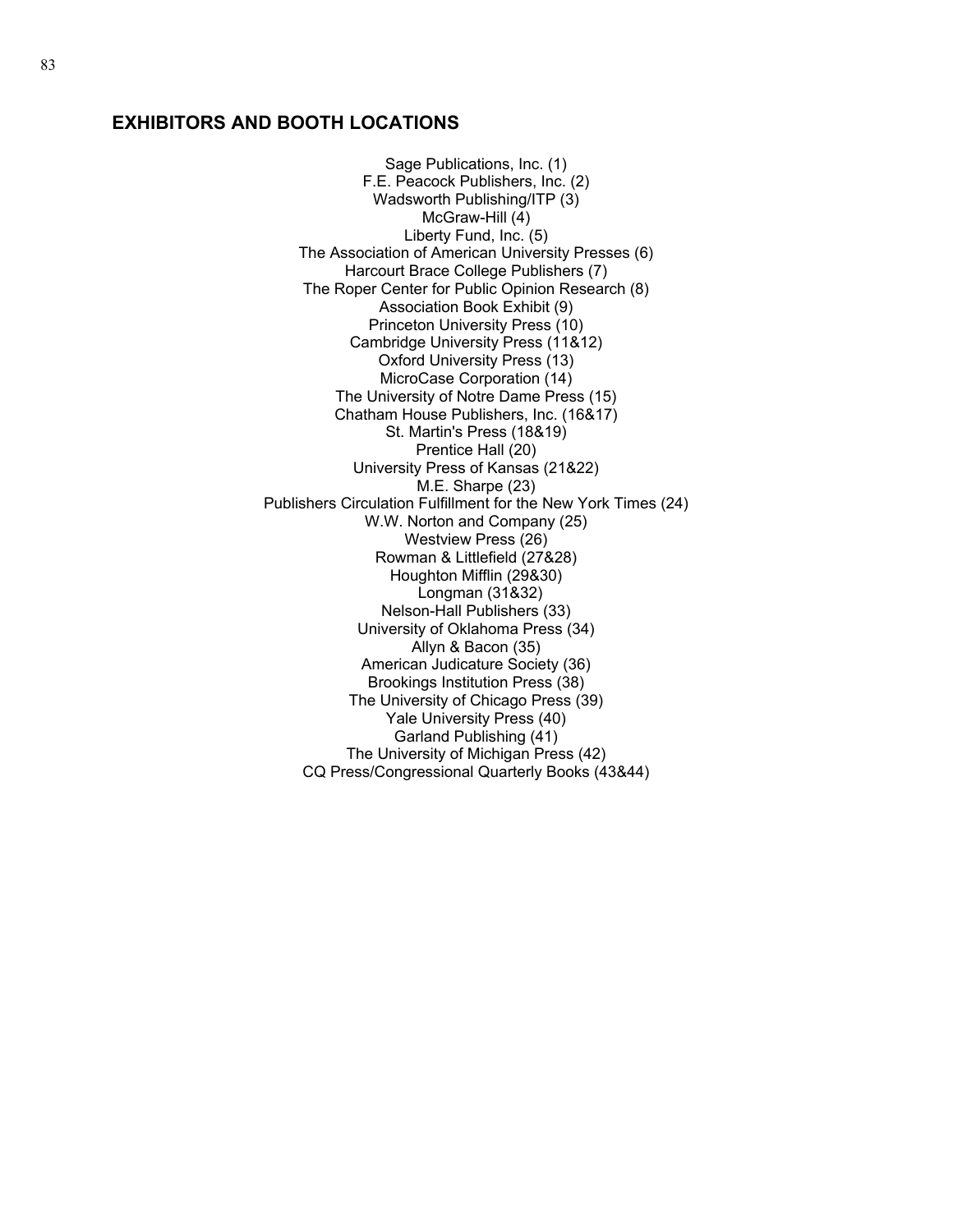# **EXHIBITORS AND BOOTH LOCATIONS**

Sage Publications, Inc. (1) F.E. Peacock Publishers, Inc. (2) Wadsworth Publishing/ITP (3) McGraw-Hill (4) Liberty Fund, Inc. (5) The Association of American University Presses (6) Harcourt Brace College Publishers (7) The Roper Center for Public Opinion Research (8) Association Book Exhibit (9) Princeton University Press (10) Cambridge University Press (11&12) Oxford University Press (13) MicroCase Corporation (14) The University of Notre Dame Press (15) Chatham House Publishers, Inc. (16&17) St. Martin's Press (18&19) Prentice Hall (20) University Press of Kansas (21&22) M.E. Sharpe (23) Publishers Circulation Fulfillment for the New York Times (24) W.W. Norton and Company (25) Westview Press (26) Rowman & Littlefield (27&28) Houghton Mifflin (29&30) Longman (31&32) Nelson-Hall Publishers (33) University of Oklahoma Press (34) Allyn & Bacon (35) American Judicature Society (36) Brookings Institution Press (38) The University of Chicago Press (39) Yale University Press (40) Garland Publishing (41) The University of Michigan Press (42) CQ Press/Congressional Quarterly Books (43&44)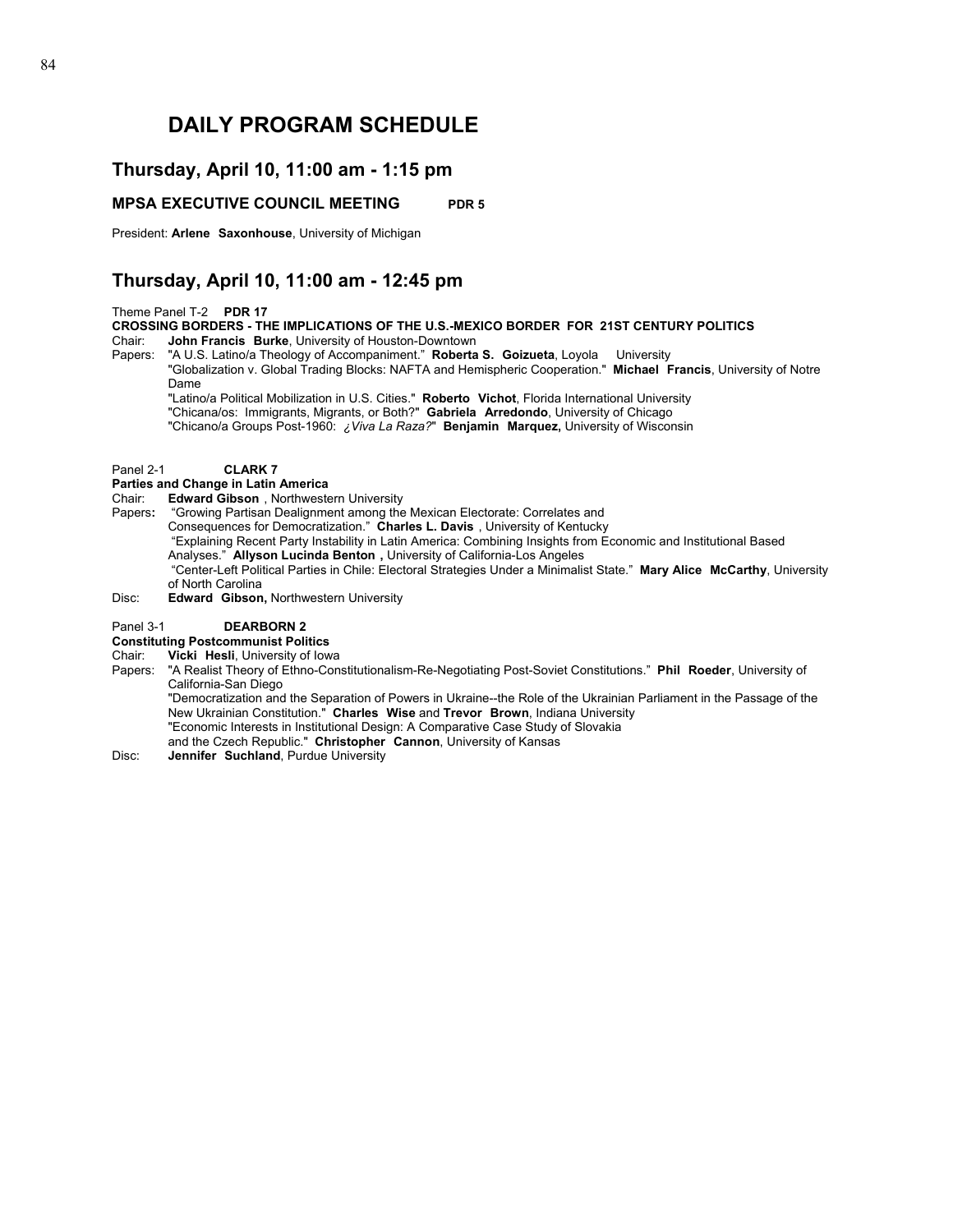# **DAILY PROGRAM SCHEDULE**

# **Thursday, April 10, 11:00 am - 1:15 pm**

## **MPSA EXECUTIVE COUNCIL MEETING PDR 5**

President: **Arlene Saxonhouse**, University of Michigan

# **Thursday, April 10, 11:00 am - 12:45 pm**

Theme Panel T-2 **PDR 17** 

**CROSSING BORDERS - THE IMPLICATIONS OF THE U.S.-MEXICO BORDER FOR 21ST CENTURY POLITICS** 

Chair: **John Francis Burke**, University of Houston-Downtown

Papers: "A U.S. Latino/a Theology of Accompaniment." **Roberta S. Goizueta**, Loyola University

"Globalization v. Global Trading Blocks: NAFTA and Hemispheric Cooperation." **Michael Francis**, University of Notre Dame

"Latino/a Political Mobilization in U.S. Cities." **Roberto Vichot**, Florida International University

"Chicana/os: Immigrants, Migrants, or Both?" **Gabriela Arredondo**, University of Chicago

"Chicano/a Groups Post-1960: *¿Viva La Raza?*" **Benjamin Marquez,** University of Wisconsin

#### Panel 2-1 **CLARK 7**

#### **Parties and Change in Latin America**

Chair: **Edward Gibson** , Northwestern University

Papers**:** "Growing Partisan Dealignment among the Mexican Electorate: Correlates and Consequences for Democratization." **Charles L. Davis** , University of Kentucky "Explaining Recent Party Instability in Latin America: Combining Insights from Economic and Institutional Based Analyses." **Allyson Lucinda Benton ,** University of California-Los Angeles

 "Center-Left Political Parties in Chile: Electoral Strategies Under a Minimalist State." **Mary Alice McCarthy**, University of North Carolina

Disc: **Edward Gibson,** Northwestern University

#### Panel 3-1 **DEARBORN 2**

### **Constituting Postcommunist Politics**

Chair: **Vicki Hesli**, University of Iowa

Papers: "A Realist Theory of Ethno-Constitutionalism-Re-Negotiating Post-Soviet Constitutions." **Phil Roeder**, University of California-San Diego

"Democratization and the Separation of Powers in Ukraine--the Role of the Ukrainian Parliament in the Passage of the New Ukrainian Constitution." **Charles Wise** and **Trevor Brown**, Indiana University "Economic Interests in Institutional Design: A Comparative Case Study of Slovakia and the Czech Republic." **Christopher Cannon**, University of Kansas

Disc: **Jennifer Suchland**, Purdue University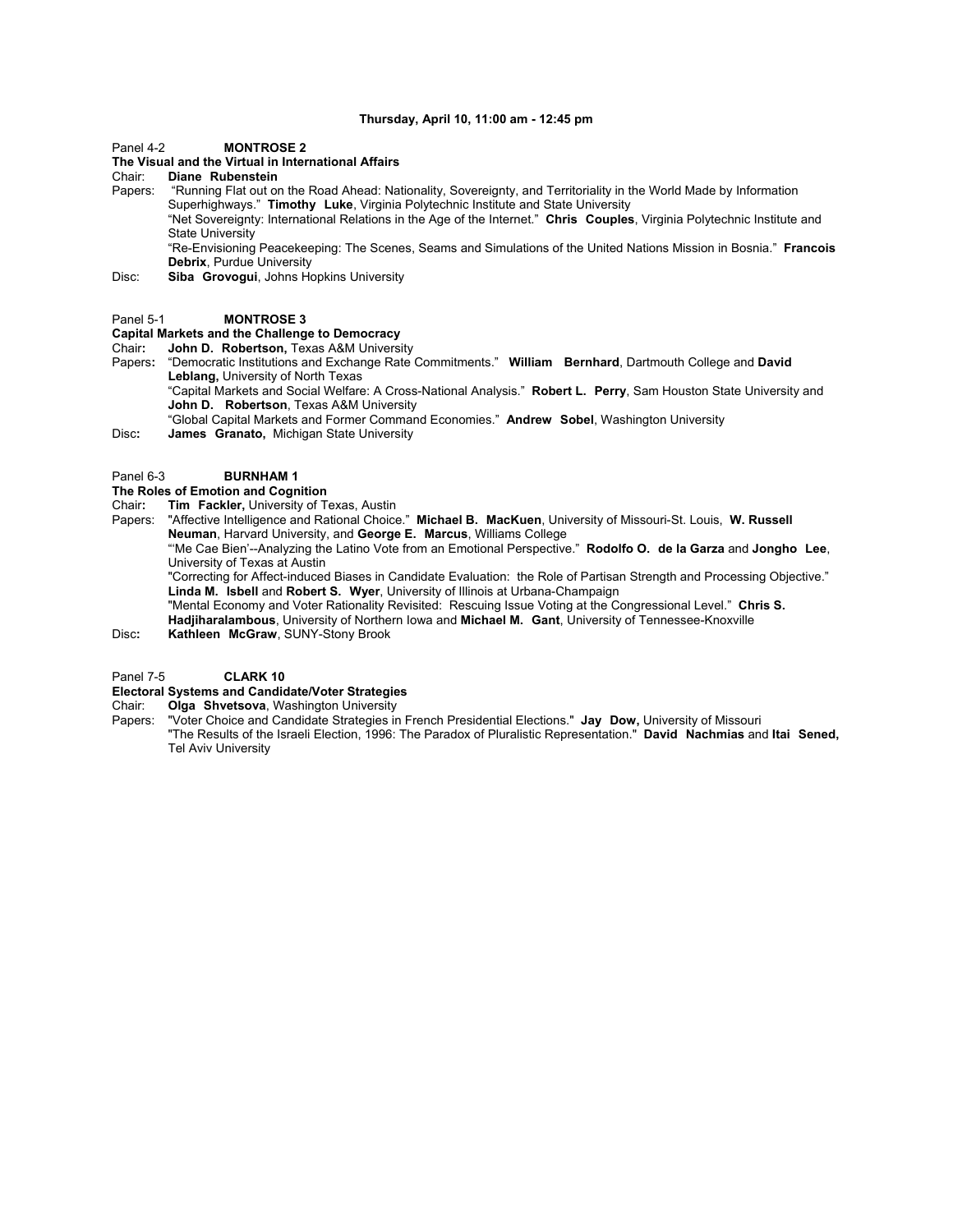#### **Thursday, April 10, 11:00 am - 12:45 pm**

#### Panel 4-2 **MONTROSE 2**

## **The Visual and the Virtual in International Affairs**

Chair: **Diane Rubenstein**

Papers: "Running Flat out on the Road Ahead: Nationality, Sovereignty, and Territoriality in the World Made by Information Superhighways." **Timothy Luke**, Virginia Polytechnic Institute and State University "Net Sovereignty: International Relations in the Age of the Internet." **Chris Couples**, Virginia Polytechnic Institute and State University "Re-Envisioning Peacekeeping: The Scenes, Seams and Simulations of the United Nations Mission in Bosnia." **Francois Debrix**, Purdue University

Disc: **Siba Grovogui**, Johns Hopkins University

#### Panel 5-1 **MONTROSE 3**

#### **Capital Markets and the Challenge to Democracy**

- Chair: **John D. Robertson, Texas A&M University Papers: "Democratic Institutions and Exchange Rate (**
- Papers**:** "Democratic Institutions and Exchange Rate Commitments." **William Bernhard**, Dartmouth College and **David Leblang,** University of North Texas

"Capital Markets and Social Welfare: A Cross-National Analysis." **Robert L. Perry**, Sam Houston State University and **John D. Robertson**, Texas A&M University

"Global Capital Markets and Former Command Economies." **Andrew Sobel**, Washington University

Disc**: James Granato,** Michigan State University

#### Panel 6-3 **BURNHAM 1**

#### **The Roles of Emotion and Cognition**

Chair**: Tim Fackler,** University of Texas, Austin

Papers: "Affective Intelligence and Rational Choice." **Michael B. MacKuen**, University of Missouri-St. Louis, **W. Russell Neuman**, Harvard University, and **George E. Marcus**, Williams College

"'Me Cae Bien'--Analyzing the Latino Vote from an Emotional Perspective." **Rodolfo O. de la Garza** and **Jongho Lee**, University of Texas at Austin

"Correcting for Affect-induced Biases in Candidate Evaluation: the Role of Partisan Strength and Processing Objective." **Linda M. Isbell** and **Robert S. Wyer**, University of Illinois at Urbana-Champaign

"Mental Economy and Voter Rationality Revisited: Rescuing Issue Voting at the Congressional Level." **Chris S.** 

**Hadjiharalambous**, University of Northern Iowa and **Michael M. Gant**, University of Tennessee-Knoxville

Disc**: Kathleen McGraw**, SUNY-Stony Brook

#### Panel 7-5 **CLARK 10**

#### **Electoral Systems and Candidate/Voter Strategies**

Chair: **Olga Shvetsova**, Washington University

Papers: "Voter Choice and Candidate Strategies in French Presidential Elections." **Jay Dow,** University of Missouri "The Results of the Israeli Election, 1996: The Paradox of Pluralistic Representation." **David Nachmias** and **Itai Sened,** Tel Aviv University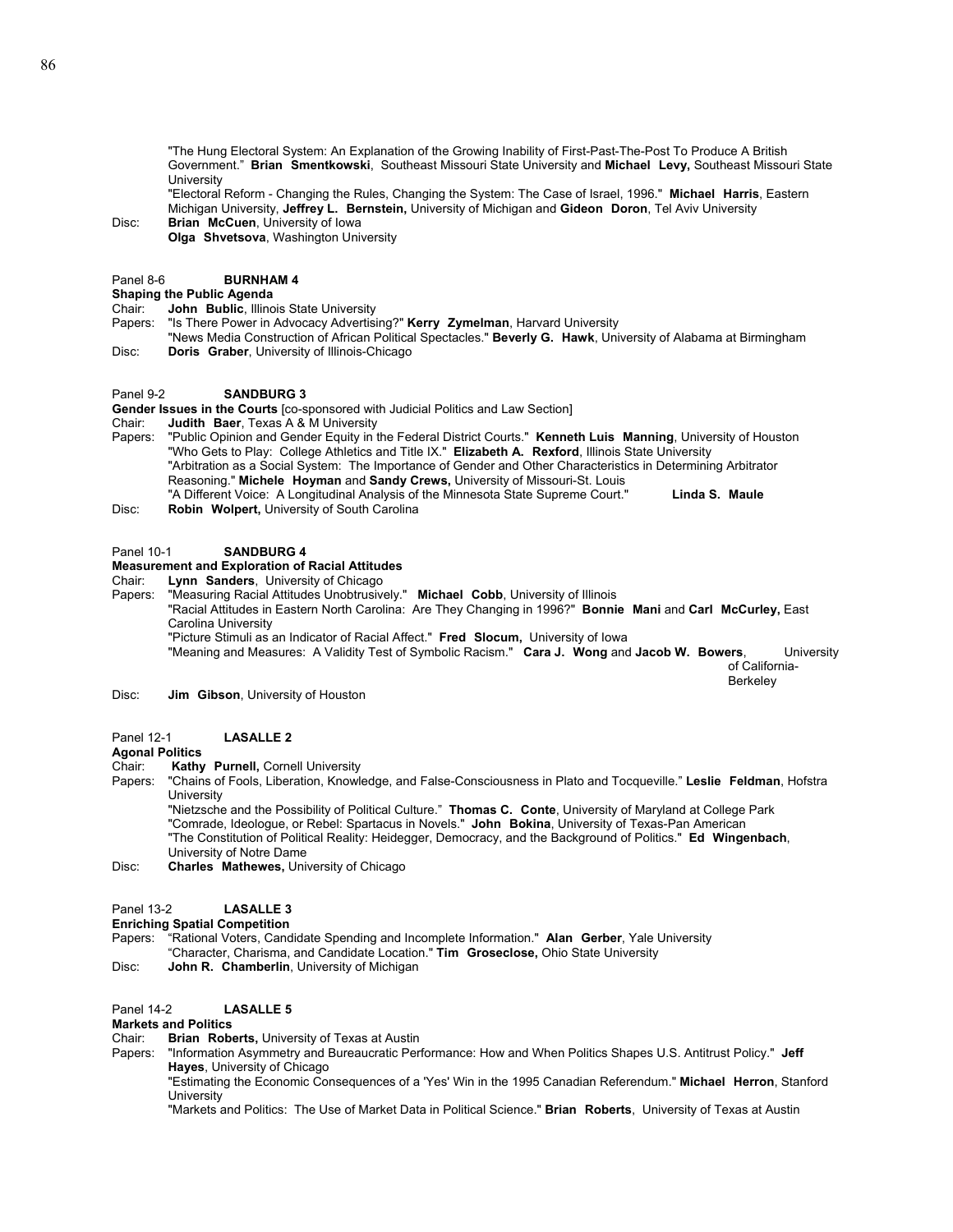"The Hung Electoral System: An Explanation of the Growing Inability of First-Past-The-Post To Produce A British Government." **Brian Smentkowski**, Southeast Missouri State University and **Michael Levy,** Southeast Missouri State **University** 

"Electoral Reform - Changing the Rules, Changing the System: The Case of Israel, 1996." **Michael Harris**, Eastern Michigan University, **Jeffrey L. Bernstein,** University of Michigan and **Gideon Doron**, Tel Aviv University Disc: **Brian McCuen**, University of Iowa

**Olga Shvetsova**, Washington University

#### Panel 8-6 **BURNHAM 4**

# **Shaping the Public Agenda Chair:** John Bublic, Illinc

John Bublic, Illinois State University

- Papers: "Is There Power in Advocacy Advertising?" **Kerry Zymelman**, Harvard University
- "News Media Construction of African Political Spectacles." **Beverly G. Hawk**, University of Alabama at Birmingham Disc: **Doris Graber**, University of Illinois-Chicago

#### Panel 9-2 **SANDBURG 3**

- **Gender Issues in the Courts** [co-sponsored with Judicial Politics and Law Section]
- Chair: **Judith Baer**, Texas A & M University

Papers: "Public Opinion and Gender Equity in the Federal District Courts." **Kenneth Luis Manning**, University of Houston "Who Gets to Play: College Athletics and Title IX." **Elizabeth A. Rexford**, Illinois State University "Arbitration as a Social System: The Importance of Gender and Other Characteristics in Determining Arbitrator Reasoning." **Michele Hoyman** and **Sandy Crews,** University of Missouri-St. Louis "A Different Voice: A Longitudinal Analysis of the Minnesota State Supreme Court." **Linda S. Maule** Disc: **Robin Wolpert,** University of South Carolina

#### Panel 10-1 **SANDBURG 4**

# **Measurement and Exploration of Racial Attitudes**

## Lynn Sanders, University of Chicago

Papers: "Measuring Racial Attitudes Unobtrusively." **Michael Cobb**, University of Illinois "Racial Attitudes in Eastern North Carolina: Are They Changing in 1996?" **Bonnie Mani** and **Carl McCurley,** East

Carolina University

"Picture Stimuli as an Indicator of Racial Affect." **Fred Slocum,** University of Iowa

"Meaning and Measures: A Validity Test of Symbolic Racism." **Cara J. Wong** and **Jacob W. Bowers**, University of California-

Berkeley

Disc: **Jim Gibson**, University of Houston

#### Panel 12-1 **LASALLE 2**

#### **Agonal Politics**

- Chair: **Kathy Purnell,** Cornell University
- Papers: "Chains of Fools, Liberation, Knowledge, and False-Consciousness in Plato and Tocqueville." **Leslie Feldman**, Hofstra University

"Nietzsche and the Possibility of Political Culture." **Thomas C. Conte**, University of Maryland at College Park "Comrade, Ideologue, or Rebel: Spartacus in Novels." **John Bokina**, University of Texas-Pan American "The Constitution of Political Reality: Heidegger, Democracy, and the Background of Politics." **Ed Wingenbach**, University of Notre Dame

Disc: **Charles Mathewes,** University of Chicago

Panel 13-2 **LASALLE 3** 

### **Enriching Spatial Competition**

- Papers: "Rational Voters, Candidate Spending and Incomplete Information." **Alan Gerber**, Yale University "Character, Charisma, and Candidate Location." **Tim Groseclose,** Ohio State University
- Disc: **John R. Chamberlin**, University of Michigan

#### Panel 14-2 **LASALLE 5**

#### **Markets and Politics**

- Chair: **Brian Roberts,** University of Texas at Austin
- Papers: "Information Asymmetry and Bureaucratic Performance: How and When Politics Shapes U.S. Antitrust Policy." **Jeff Hayes**, University of Chicago

"Estimating the Economic Consequences of a 'Yes' Win in the 1995 Canadian Referendum." **Michael Herron**, Stanford **University** 

"Markets and Politics: The Use of Market Data in Political Science." **Brian Roberts**, University of Texas at Austin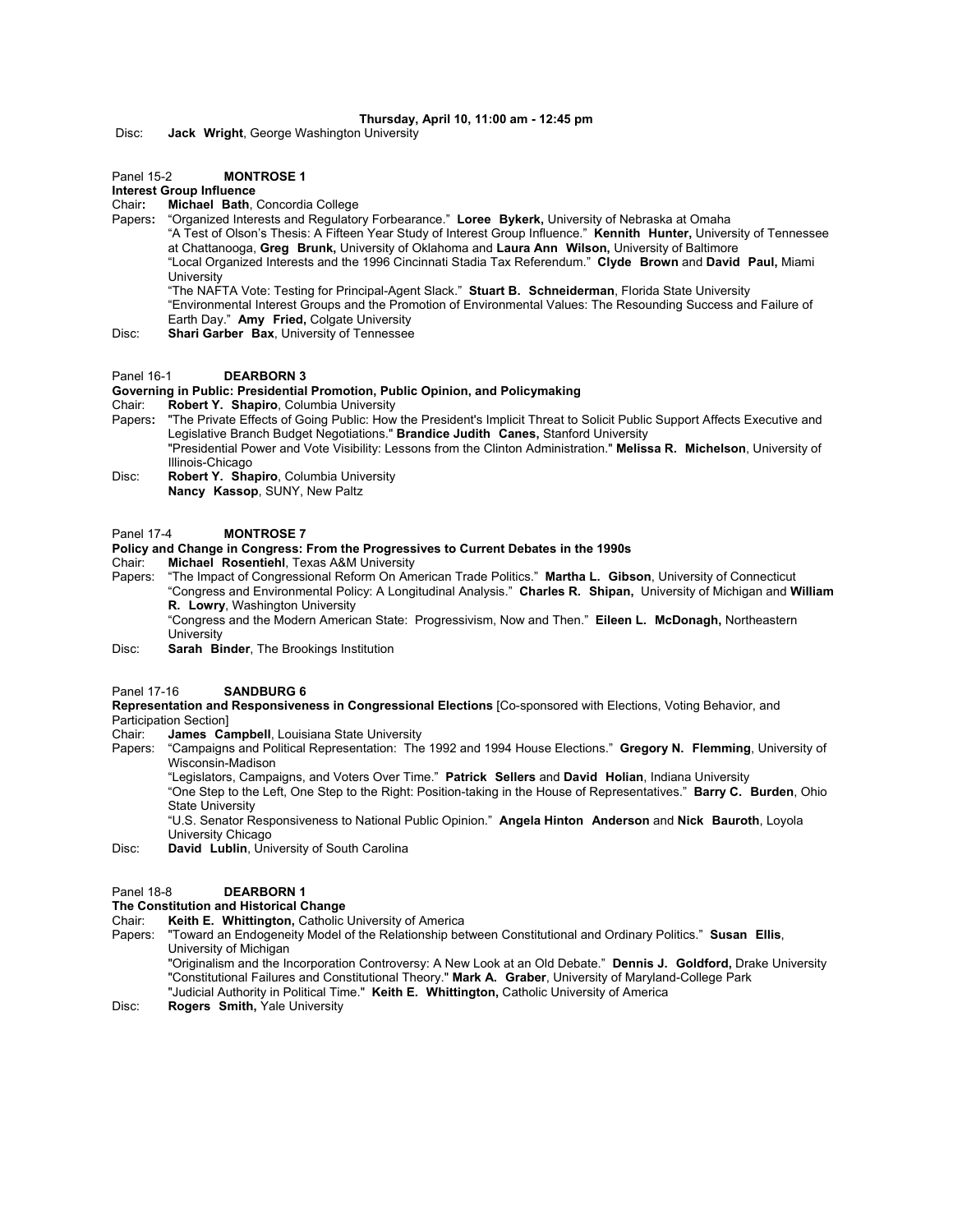#### **Thursday, April 10, 11:00 am - 12:45 pm**

Disc: **Jack Wright**, George Washington University

#### Panel 15-2 **MONTROSE 1**

# **Interest Group Influence**<br>Chair: **Michael Bath.**

#### **Michael Bath, Concordia College**

Papers**:** "Organized Interests and Regulatory Forbearance." **Loree Bykerk,** University of Nebraska at Omaha "A Test of Olson's Thesis: A Fifteen Year Study of Interest Group Influence." **Kennith Hunter,** University of Tennessee at Chattanooga, **Greg Brunk,** University of Oklahoma and **Laura Ann Wilson,** University of Baltimore "Local Organized Interests and the 1996 Cincinnati Stadia Tax Referendum." **Clyde Brown** and **David Paul,** Miami **University** "The NAFTA Vote: Testing for Principal-Agent Slack." **Stuart B. Schneiderman**, Florida State University

"Environmental Interest Groups and the Promotion of Environmental Values: The Resounding Success and Failure of Earth Day." **Amy Fried,** Colgate University

Disc: **Shari Garber Bax**, University of Tennessee

#### Panel 16-1 **DEARBORN 3**

### **Governing in Public: Presidential Promotion, Public Opinion, and Policymaking**

Chair: **Robert Y. Shapiro**, Columbia University

- Papers**:** "The Private Effects of Going Public: How the President's Implicit Threat to Solicit Public Support Affects Executive and Legislative Branch Budget Negotiations." **Brandice Judith Canes,** Stanford University "Presidential Power and Vote Visibility: Lessons from the Clinton Administration." **Melissa R. Michelson**, University of Illinois-Chicago
- Disc: **Robert Y. Shapiro**, Columbia University **Nancy Kassop**, SUNY, New Paltz

#### Panel 17-4 **MONTROSE 7**

### **Policy and Change in Congress: From the Progressives to Current Debates in the 1990s**

- Chair: **Michael Rosentiehl**, Texas A&M University<br>Papers: "The Impact of Congressional Reform On Am Papers: "The Impact of Congressional Reform On American Trade Politics." **Martha L. Gibson**, University of Connecticut "Congress and Environmental Policy: A Longitudinal Analysis." **Charles R. Shipan,** University of Michigan and **William R. Lowry**, Washington University "Congress and the Modern American State: Progressivism, Now and Then." **Eileen L. McDonagh,** Northeastern **University**
- Disc: **Sarah Binder**, The Brookings Institution

#### Panel 17-16 **SANDBURG 6**

**Representation and Responsiveness in Congressional Elections** [Co-sponsored with Elections, Voting Behavior, and Participation Section]

- Chair: **James Campbell**, Louisiana State University
- Papers: "Campaigns and Political Representation: The 1992 and 1994 House Elections." **Gregory N. Flemming**, University of Wisconsin-Madison

"Legislators, Campaigns, and Voters Over Time." **Patrick Sellers** and **David Holian**, Indiana University

"One Step to the Left, One Step to the Right: Position-taking in the House of Representatives." **Barry C. Burden**, Ohio State University

"U.S. Senator Responsiveness to National Public Opinion." **Angela Hinton Anderson** and **Nick Bauroth**, Loyola University Chicago

Disc: **David Lublin**, University of South Carolina

#### Panel 18-8 **DEARBORN 1**

#### **The Constitution and Historical Change**

Chair: **Keith E. Whittington,** Catholic University of America

Papers: "Toward an Endogeneity Model of the Relationship between Constitutional and Ordinary Politics." **Susan Ellis**, University of Michigan

"Originalism and the Incorporation Controversy: A New Look at an Old Debate." **Dennis J. Goldford,** Drake University "Constitutional Failures and Constitutional Theory." **Mark A. Graber**, University of Maryland-College Park "Judicial Authority in Political Time." **Keith E. Whittington,** Catholic University of America

Disc: **Rogers Smith,** Yale University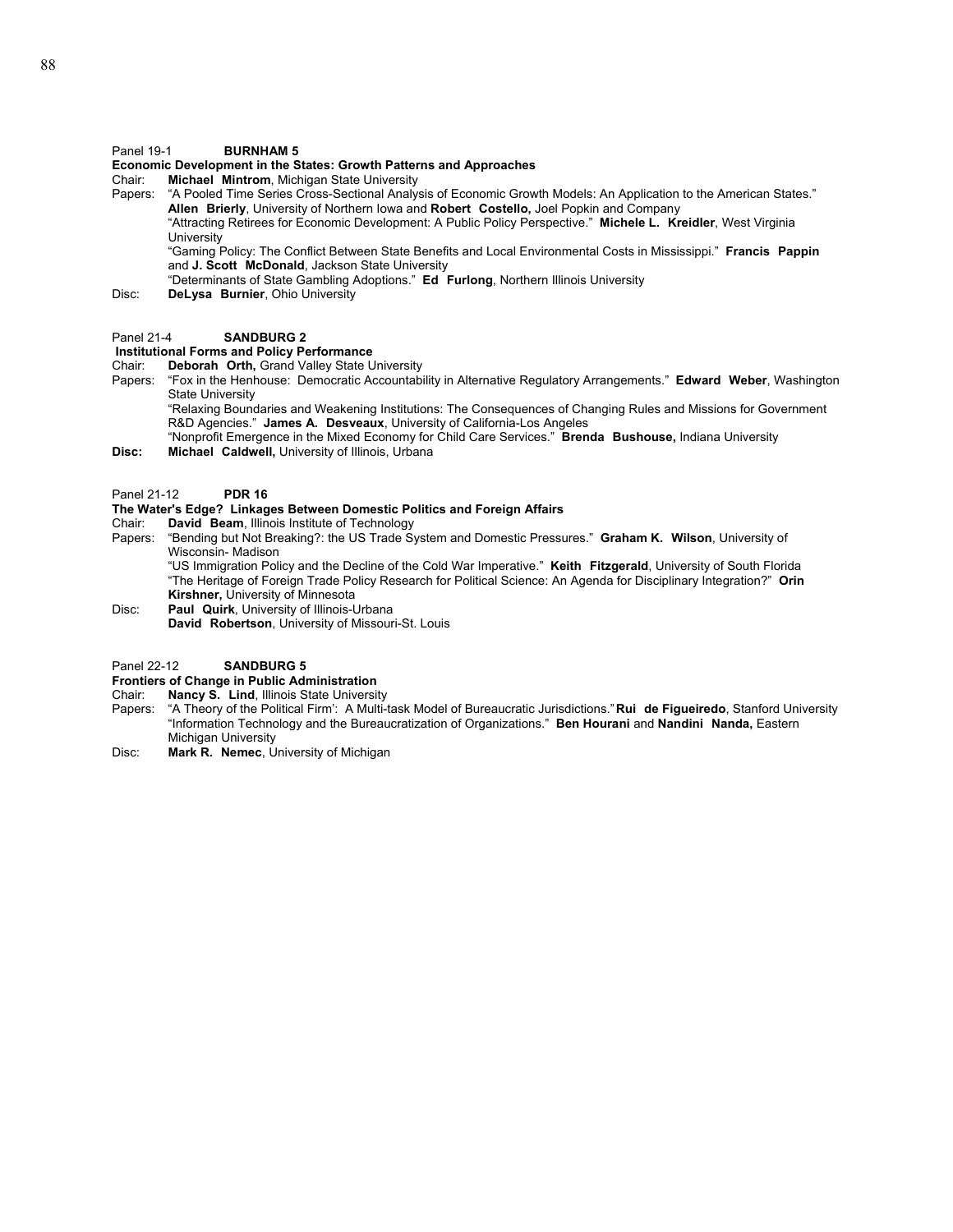#### Panel 19-1 **BURNHAM 5**

### **Economic Development in the States: Growth Patterns and Approaches**

Chair: **Michael Mintrom**, Michigan State University Papers: "A Pooled Time Series Cross-Sectional Analysis of Economic Growth Models: An Application to the American States." **Allen Brierly**, University of Northern Iowa and **Robert Costello,** Joel Popkin and Company "Attracting Retirees for Economic Development: A Public Policy Perspective." **Michele L. Kreidler**, West Virginia **University** "Gaming Policy: The Conflict Between State Benefits and Local Environmental Costs in Mississippi." **Francis Pappin** and **J. Scott McDonald**, Jackson State University

"Determinants of State Gambling Adoptions." **Ed Furlong**, Northern Illinois University

Disc: **DeLysa Burnier**, Ohio University

#### Panel 21-4 **SANDBURG 2**

# **Institutional Forms and Policy Performance**

Deborah Orth, Grand Valley State University

Papers: "Fox in the Henhouse: Democratic Accountability in Alternative Regulatory Arrangements." **Edward Weber**, Washington State University

"Relaxing Boundaries and Weakening Institutions: The Consequences of Changing Rules and Missions for Government R&D Agencies." **James A. Desveaux**, University of California-Los Angeles

"Nonprofit Emergence in the Mixed Economy for Child Care Services." **Brenda Bushouse,** Indiana University **Disc: Michael Caldwell,** University of Illinois, Urbana

#### Panel 21-12 **PDR 16**

# **The Water's Edge? Linkages Between Domestic Politics and Foreign Affairs**

- **David Beam, Illinois Institute of Technology**
- Papers: "Bending but Not Breaking?: the US Trade System and Domestic Pressures." **Graham K. Wilson**, University of Wisconsin- Madison

"US Immigration Policy and the Decline of the Cold War Imperative." **Keith Fitzgerald**, University of South Florida "The Heritage of Foreign Trade Policy Research for Political Science: An Agenda for Disciplinary Integration?" **Orin Kirshner,** University of Minnesota

- Disc: **Paul Quirk**, University of Illinois-Urbana **David Robertson**, University of Missouri-St. Louis
- Panel 22-12 **SANDBURG 5**

### **Frontiers of Change in Public Administration**

Chair: **Nancy S. Lind**, Illinois State University

- Papers: "A Theory of the Political Firm': A Multi-task Model of Bureaucratic Jurisdictions." **Rui de Figueiredo**, Stanford University "Information Technology and the Bureaucratization of Organizations." **Ben Hourani** and **Nandini Nanda,** Eastern Michigan University
- Disc: **Mark R. Nemec**, University of Michigan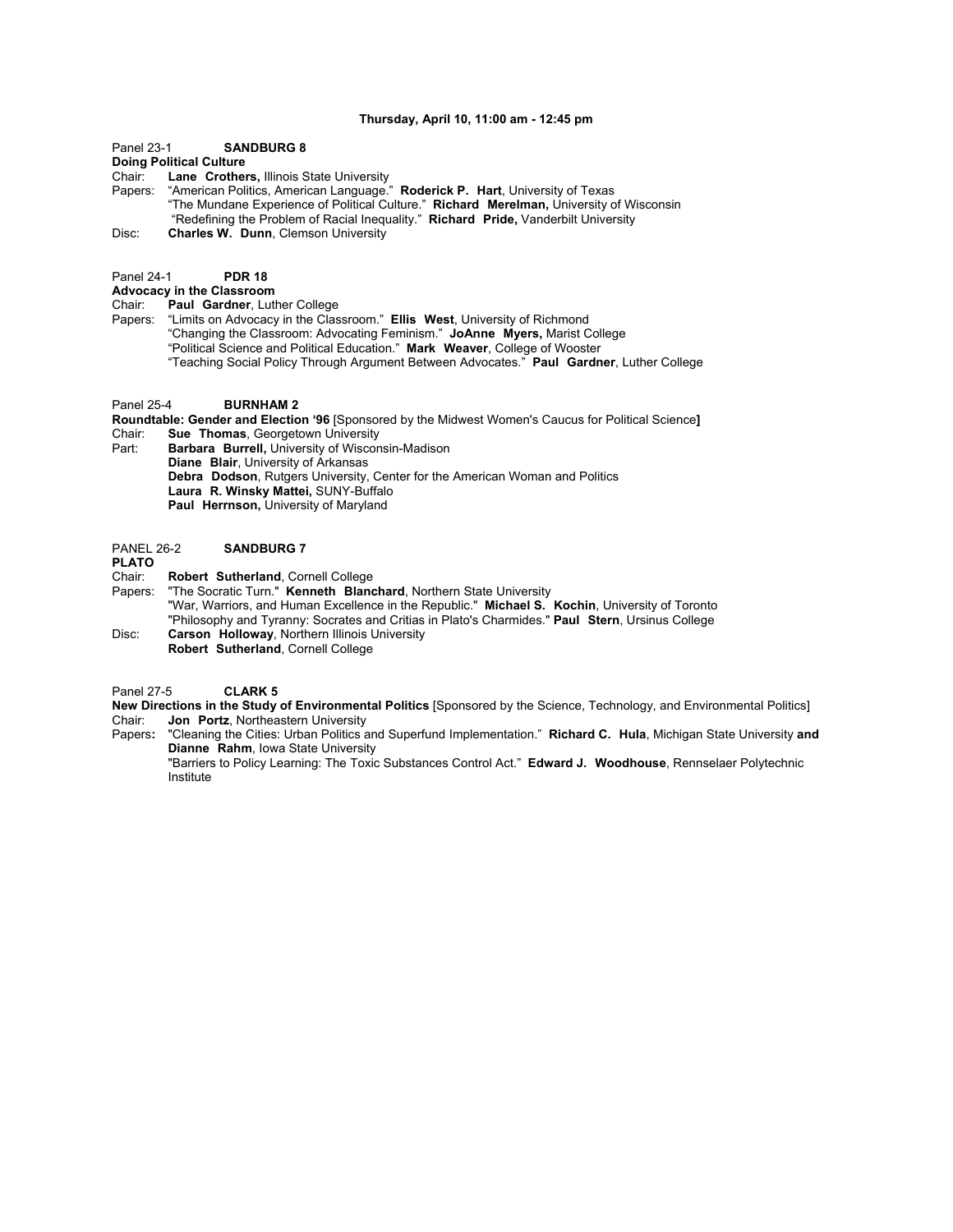#### **Thursday, April 10, 11:00 am - 12:45 pm**

Panel 23-1 **SANDBURG 8** 

#### **Doing Political Culture**

Chair: **Lane Crothers,** Illinois State University

- Papers: "American Politics, American Language." **Roderick P. Hart**, University of Texas "The Mundane Experience of Political Culture." **Richard Merelman,** University of Wisconsin "Redefining the Problem of Racial Inequality." **Richard Pride,** Vanderbilt University Disc: **Charles W. Dunn**, Clemson University
- 

Panel 24-1 **PDR 18** 

# **Advocacy in the Classroom**

Paul Gardner, Luther College

Papers: "Limits on Advocacy in the Classroom." **Ellis West**, University of Richmond "Changing the Classroom: Advocating Feminism." **JoAnne Myers,** Marist College "Political Science and Political Education." **Mark Weaver**, College of Wooster "Teaching Social Policy Through Argument Between Advocates." **Paul Gardner**, Luther College

Panel 25-4 **BURNHAM 2** 

**Roundtable: Gender and Election '96** [Sponsored by the Midwest Women's Caucus for Political Science**]** 

- Chair: **Sue Thomas**, Georgetown University
- Part: **Barbara Burrell,** University of Wisconsin-Madison
- **Diane Blair**, University of Arkansas
	- **Debra Dodson**, Rutgers University, Center for the American Woman and Politics
		- **Laura R. Winsky Mattei,** SUNY-Buffalo
		- **Paul Herrnson,** University of Maryland

PANEL 26-2 **SANDBURG 7** 

**PLATO** 

- Robert Sutherland, Cornell College
- Papers: "The Socratic Turn." **Kenneth Blanchard**, Northern State University "War, Warriors, and Human Excellence in the Republic." **Michael S. Kochin**, University of Toronto "Philosophy and Tyranny: Socrates and Critias in Plato's Charmides." **Paul Stern**, Ursinus College Disc: **Carson Holloway**, Northern Illinois University
	- **Robert Sutherland**, Cornell College

Panel 27-5 **CLARK 5** 

- **New Directions in the Study of Environmental Politics** [Sponsored by the Science, Technology, and Environmental Politics] Chair: **Jon Portz**, Northeastern University
- Papers**:** "Cleaning the Cities: Urban Politics and Superfund Implementation." **Richard C. Hula**, Michigan State University **and Dianne Rahm**, Iowa State University "Barriers to Policy Learning: The Toxic Substances Control Act." **Edward J. Woodhouse**, Rennselaer Polytechnic Institute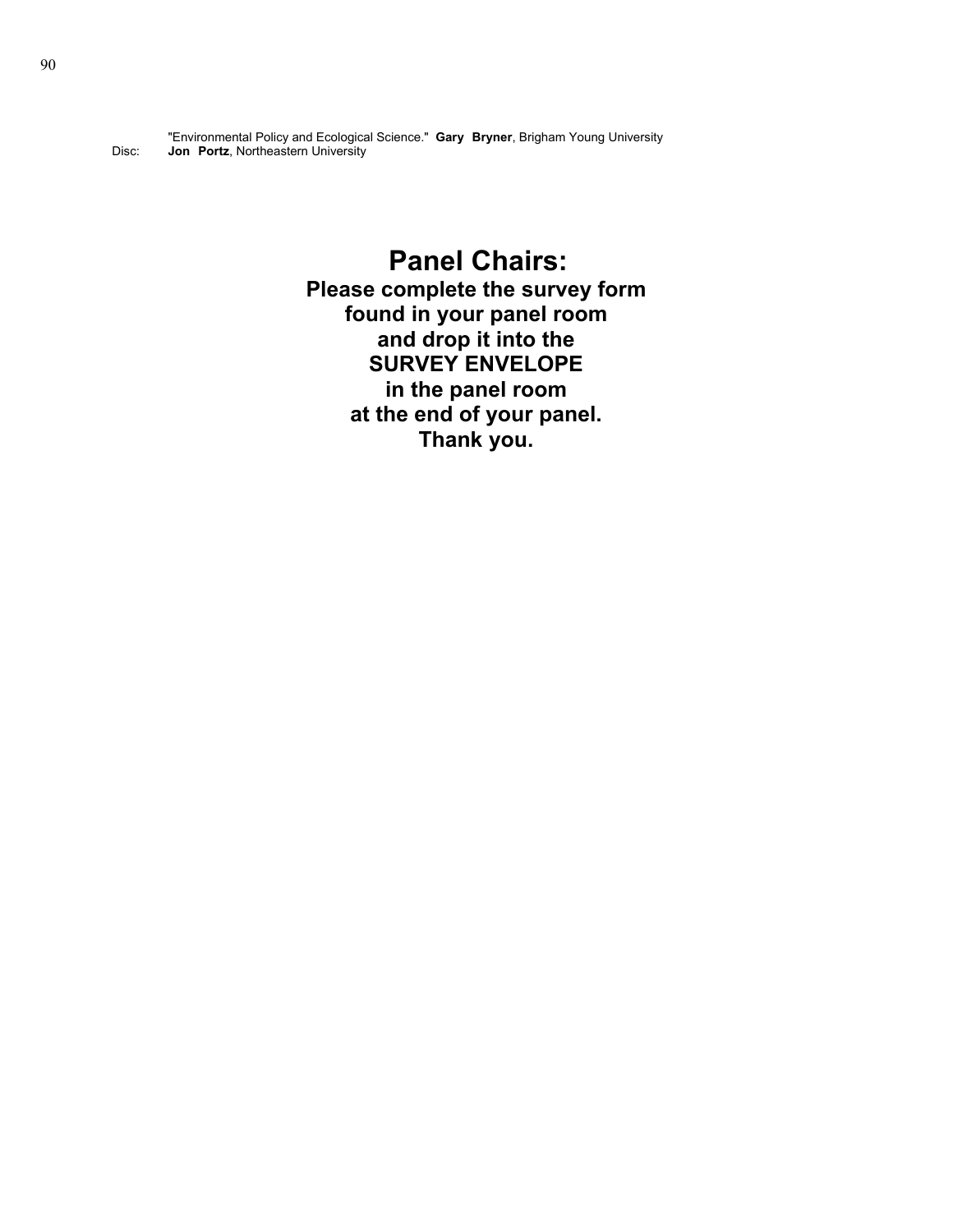"Environmental Policy and Ecological Science." **Gary Bryner**, Brigham Young University Disc: **Jon Portz**, Northeastern University

# **Panel Chairs: Please complete the survey form found in your panel room and drop it into the SURVEY ENVELOPE in the panel room at the end of your panel. Thank you.**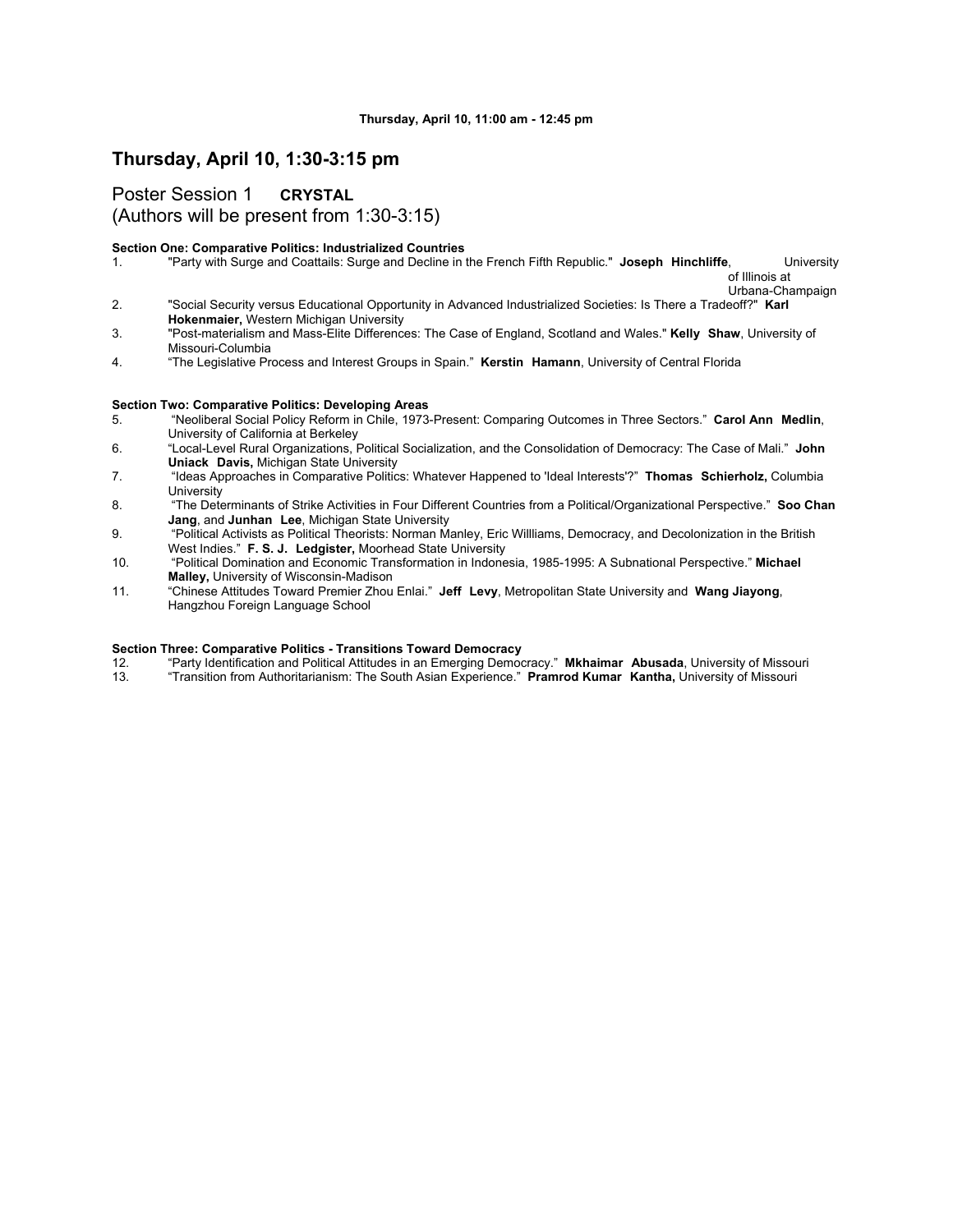# **Thursday, April 10, 1:30-3:15 pm**

Poster Session 1 **CRYSTAL** (Authors will be present from 1:30-3:15)

### **Section One: Comparative Politics: Industrialized Countries**

1. "Party with Surge and Coattails: Surge and Decline in the French Fifth Republic." **Joseph Hinchliffe**, University

of Illinois at Urbana-Champaign

- 2. "Social Security versus Educational Opportunity in Advanced Industrialized Societies: Is There a Tradeoff?" **Karl Hokenmaier,** Western Michigan University
- 3. "Post-materialism and Mass-Elite Differences: The Case of England, Scotland and Wales." **Kelly Shaw**, University of Missouri-Columbia
- 4. "The Legislative Process and Interest Groups in Spain." **Kerstin Hamann**, University of Central Florida

# **Section Two: Comparative Politics: Developing Areas**

- 5. "Neoliberal Social Policy Reform in Chile, 1973-Present: Comparing Outcomes in Three Sectors." **Carol Ann Medlin**, University of California at Berkeley
- 6. "Local-Level Rural Organizations, Political Socialization, and the Consolidation of Democracy: The Case of Mali." **John Uniack Davis,** Michigan State University
- 7. "Ideas Approaches in Comparative Politics: Whatever Happened to 'Ideal Interests'?" **Thomas Schierholz,** Columbia **University**
- 8. "The Determinants of Strike Activities in Four Different Countries from a Political/Organizational Perspective." **Soo Chan Jang**, and **Junhan Lee**, Michigan State University
- 9. "Political Activists as Political Theorists: Norman Manley, Eric Willliams, Democracy, and Decolonization in the British West Indies." **F. S. J. Ledgister,** Moorhead State University
- 10. "Political Domination and Economic Transformation in Indonesia, 1985-1995: A Subnational Perspective." **Michael Malley,** University of Wisconsin-Madison
- 11. "Chinese Attitudes Toward Premier Zhou Enlai." **Jeff Levy**, Metropolitan State University and **Wang Jiayong**, Hangzhou Foreign Language School

#### **Section Three: Comparative Politics - Transitions Toward Democracy**

- 12. "Party Identification and Political Attitudes in an Emerging Democracy." **Mkhaimar Abusada**, University of Missouri
- 13. "Transition from Authoritarianism: The South Asian Experience." **Pramrod Kumar Kantha,** University of Missouri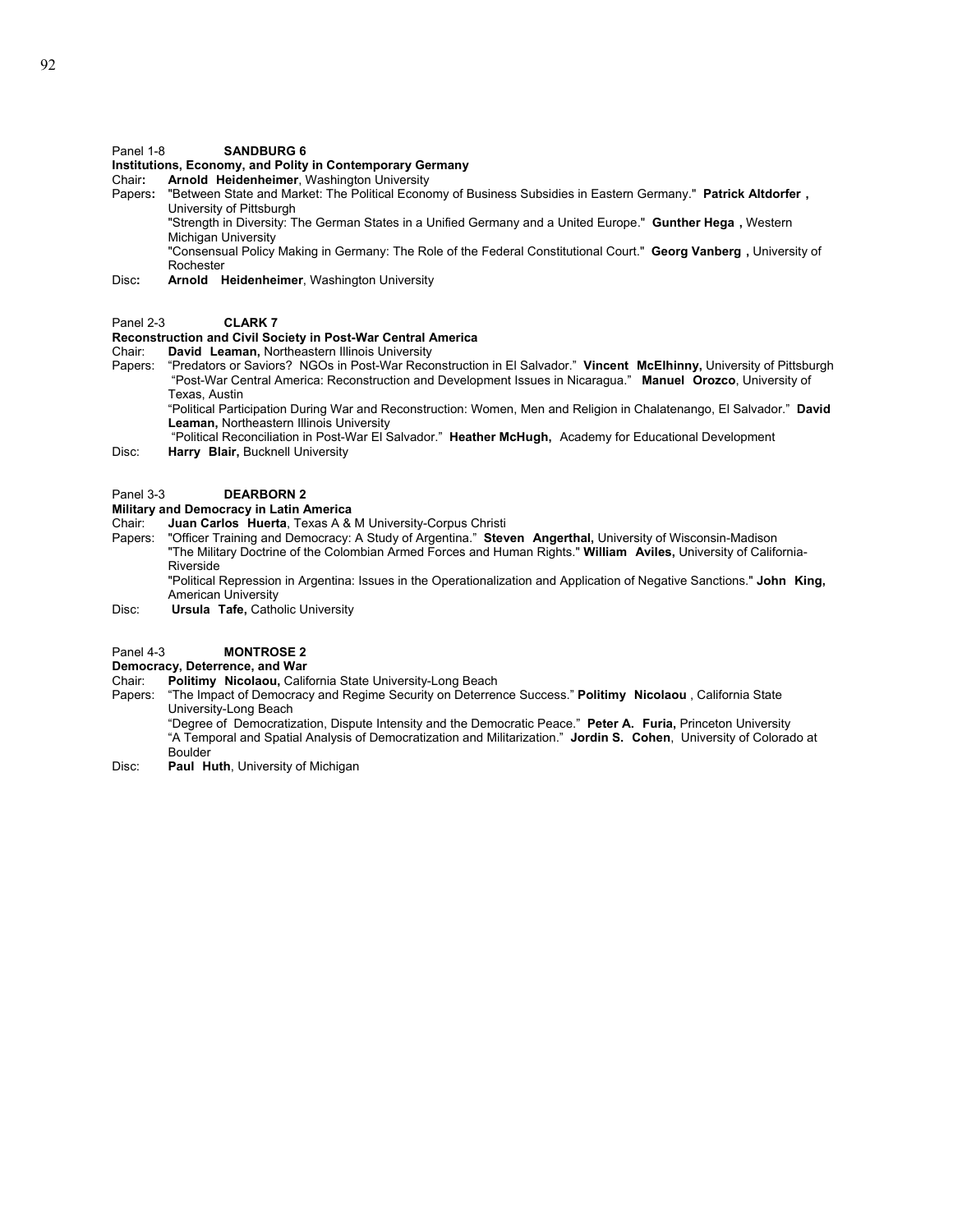#### Panel 1-8 **SANDBURG 6**

### **Institutions, Economy, and Polity in Contemporary Germany**

Chair**: Arnold Heidenheimer**, Washington University Papers**:** "Between State and Market: The Political Economy of Business Subsidies in Eastern Germany." **Patrick Altdorfer ,**  University of Pittsburgh

"Strength in Diversity: The German States in a Unified Germany and a United Europe." **Gunther Hega ,** Western Michigan University

"Consensual Policy Making in Germany: The Role of the Federal Constitutional Court." **Georg Vanberg ,** University of Rochester

Disc**: Arnold Heidenheimer**, Washington University

#### Panel 2-3 **CLARK 7**

#### **Reconstruction and Civil Society in Post-War Central America**

- 
- Chair: **David Leaman,** Northeastern Illinois University Papers: "Predators or Saviors? NGOs in Post-War Reconstruction in El Salvador." **Vincent McElhinny,** University of Pittsburgh "Post-War Central America: Reconstruction and Development Issues in Nicaragua." **Manuel Orozco**, University of Texas, Austin

 "Political Participation During War and Reconstruction: Women, Men and Religion in Chalatenango, El Salvador." **David Leaman,** Northeastern Illinois University

"Political Reconciliation in Post-War El Salvador." **Heather McHugh,** Academy for Educational Development

Disc: **Harry Blair,** Bucknell University

#### Panel 3-3 **DEARBORN 2**

# **Military and Democracy in Latin America**<br>Chair **Juan Carlos Huerta** Texas A &

- Juan Carlos Huerta, Texas A & M University-Corpus Christi
- Papers: "Officer Training and Democracy: A Study of Argentina." **Steven Angerthal,** University of Wisconsin-Madison "The Military Doctrine of the Colombian Armed Forces and Human Rights." **William Aviles,** University of California-Riverside

"Political Repression in Argentina: Issues in the Operationalization and Application of Negative Sanctions." **John King,** American University

Disc: **Ursula Tafe,** Catholic University

#### Panel 4-3 **MONTROSE 2**

#### **Democracy, Deterrence, and War**

- Chair: **Politimy Nicolaou,** California State University-Long Beach
- Papers: "The Impact of Democracy and Regime Security on Deterrence Success." **Politimy Nicolaou** , California State University-Long Beach

"Degree of Democratization, Dispute Intensity and the Democratic Peace." **Peter A. Furia,** Princeton University "A Temporal and Spatial Analysis of Democratization and Militarization." **Jordin S. Cohen**, University of Colorado at Boulder

Disc: **Paul Huth**, University of Michigan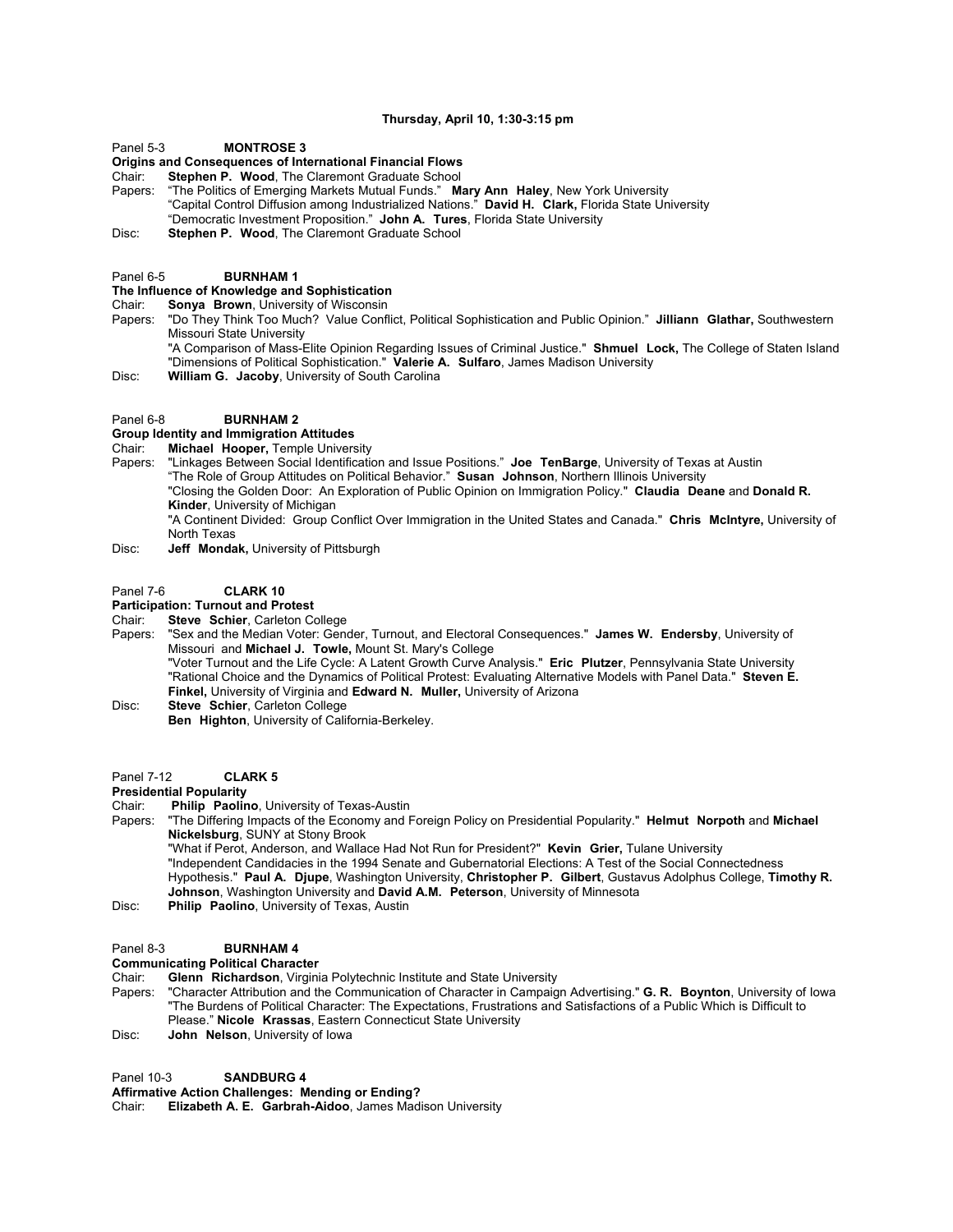#### **Thursday, April 10, 1:30-3:15 pm**

#### Panel 5-3 **MONTROSE 3**

## **Origins and Consequences of International Financial Flows**

Chair: **Stephen P. Wood**, The Claremont Graduate School

- Papers: "The Politics of Emerging Markets Mutual Funds." **Mary Ann Haley**, New York University "Capital Control Diffusion among Industrialized Nations." **David H. Clark,** Florida State University "Democratic Investment Proposition." **John A. Tures**, Florida State University
- Disc: **Stephen P. Wood**, The Claremont Graduate School

#### Panel 6-5 **BURNHAM 1**

# **The Influence of Knowledge and Sophistication**

**Sonya Brown, University of Wisconsin** 

- Papers: "Do They Think Too Much? Value Conflict, Political Sophistication and Public Opinion." **Jilliann Glathar,** Southwestern Missouri State University
	- "A Comparison of Mass-Elite Opinion Regarding Issues of Criminal Justice." **Shmuel Lock,** The College of Staten Island "Dimensions of Political Sophistication." **Valerie A. Sulfaro**, James Madison University
- Disc: **William G. Jacoby**, University of South Carolina

#### Panel 6-8 **BURNHAM 2**

## **Group Identity and Immigration Attitudes**

### Chair: **Michael Hooper,** Temple University

Papers: "Linkages Between Social Identification and Issue Positions." **Joe TenBarge**, University of Texas at Austin "The Role of Group Attitudes on Political Behavior." **Susan Johnson**, Northern Illinois University "Closing the Golden Door: An Exploration of Public Opinion on Immigration Policy." **Claudia Deane** and **Donald R. Kinder**, University of Michigan

"A Continent Divided: Group Conflict Over Immigration in the United States and Canada." **Chris McIntyre,** University of North Texas

Disc: **Jeff Mondak,** University of Pittsburgh

#### Panel 7-6 **CLARK 10**

## **Participation: Turnout and Protest**

- Chair: **Steve Schier**, Carleton College<br>Papers: "Sex and the Median Voter: Geno
- "Sex and the Median Voter: Gender, Turnout, and Electoral Consequences." James W. Endersby, University of Missouri and **Michael J. Towle,** Mount St. Mary's College "Voter Turnout and the Life Cycle: A Latent Growth Curve Analysis." **Eric Plutzer**, Pennsylvania State University "Rational Choice and the Dynamics of Political Protest: Evaluating Alternative Models with Panel Data." **Steven E.**

**Finkel,** University of Virginia and **Edward N. Muller,** University of Arizona Disc: **Steve Schier**, Carleton College

**Ben Highton**, University of California-Berkeley.

### Panel 7-12 **CLARK 5**

# **Presidential Popularity**

- Philip Paolino, University of Texas-Austin
- Papers: "The Differing Impacts of the Economy and Foreign Policy on Presidential Popularity." **Helmut Norpoth** and **Michael Nickelsburg**, SUNY at Stony Brook

"What if Perot, Anderson, and Wallace Had Not Run for President?" **Kevin Grier,** Tulane University "Independent Candidacies in the 1994 Senate and Gubernatorial Elections: A Test of the Social Connectedness Hypothesis." **Paul A. Djupe**, Washington University, **Christopher P. Gilbert**, Gustavus Adolphus College, **Timothy R. Johnson**, Washington University and **David A.M. Peterson**, University of Minnesota

Disc: **Philip Paolino**, University of Texas, Austin

#### Panel 8-3 **BURNHAM 4**

### **Communicating Political Character**

- Chair: **Glenn Richardson**, Virginia Polytechnic Institute and State University
- Papers: "Character Attribution and the Communication of Character in Campaign Advertising." **G. R. Boynton**, University of Iowa "The Burdens of Political Character: The Expectations, Frustrations and Satisfactions of a Public Which is Difficult to Please." **Nicole Krassas**, Eastern Connecticut State University
- Disc: **John Nelson**, University of Iowa

Panel 10-3 **SANDBURG 4** 

**Affirmative Action Challenges: Mending or Ending?** 

Chair: **Elizabeth A. E. Garbrah-Aidoo**, James Madison University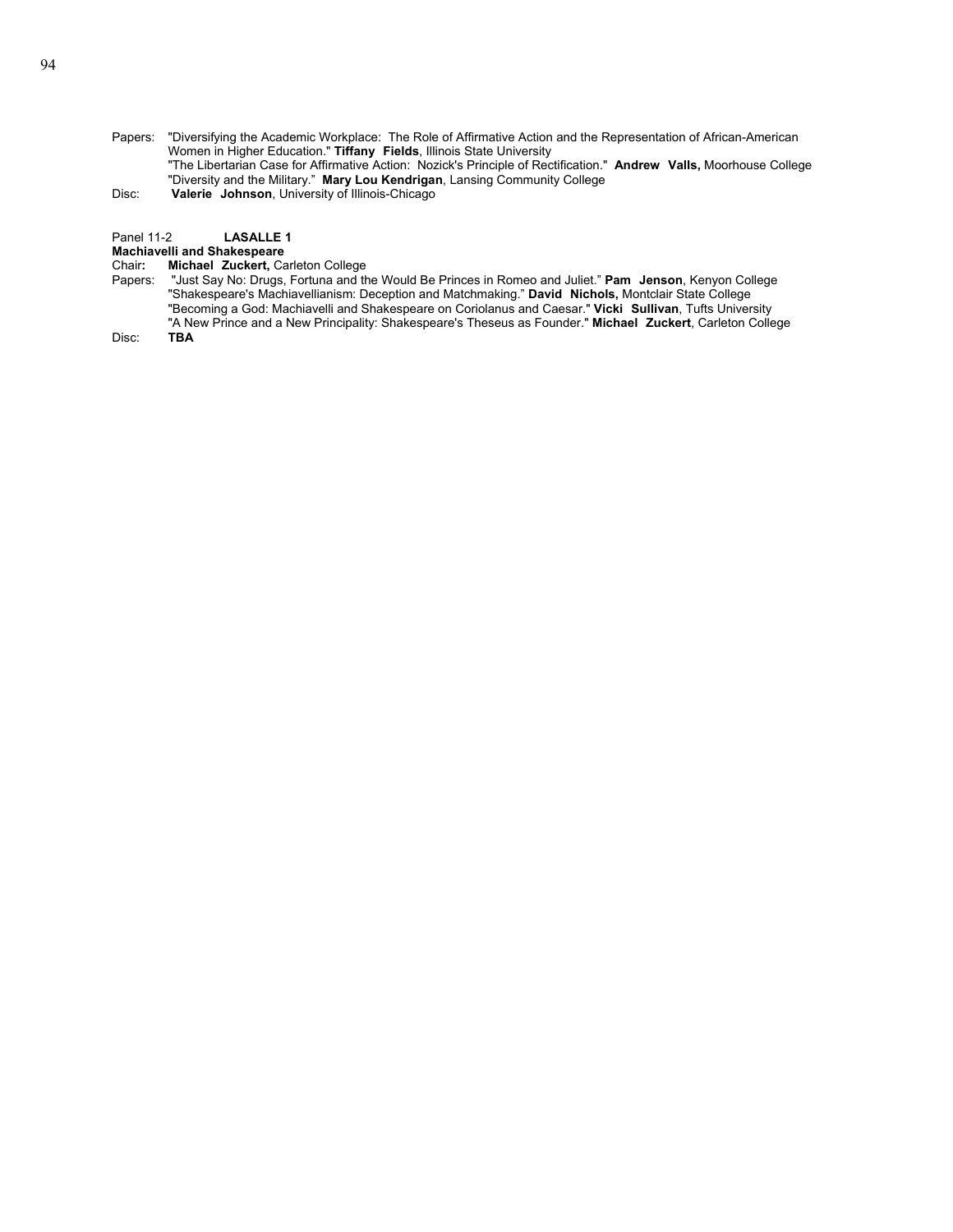- Papers: "Diversifying the Academic Workplace: The Role of Affirmative Action and the Representation of African-American Women in Higher Education." **Tiffany Fields**, Illinois State University "The Libertarian Case for Affirmative Action: Nozick's Principle of Rectification." **Andrew Valls,** Moorhouse College "Diversity and the Military." **Mary Lou Kendrigan**, Lansing Community College
- Disc: **Valerie Johnson**, University of Illinois-Chicago

## Panel 11-2 **LASALLE 1**

#### **Machiavelli and Shakespeare**

- 
- Chair**: Michael Zuckert,** Carleton College "Just Say No: Drugs, Fortuna and the Would Be Princes in Romeo and Juliet." Pam Jenson, Kenyon College "Shakespeare's Machiavellianism: Deception and Matchmaking." **David Nichols,** Montclair State College "Becoming a God: Machiavelli and Shakespeare on Coriolanus and Caesar." **Vicki Sullivan**, Tufts University "A New Prince and a New Principality: Shakespeare's Theseus as Founder." **Michael Zuckert**, Carleton College

Disc: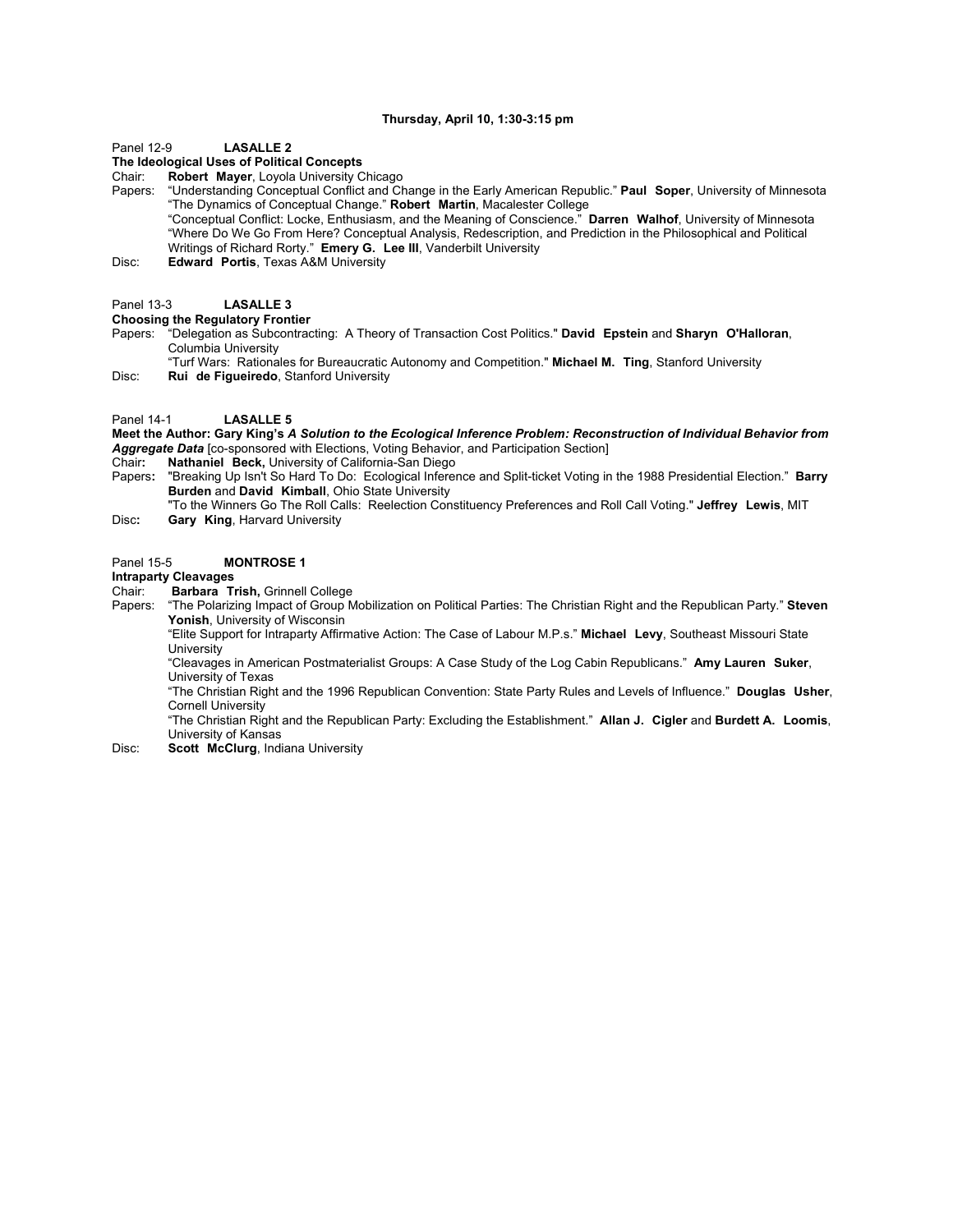#### **Thursday, April 10, 1:30-3:15 pm**

Panel 12-9 **LASALLE 2** 

**The Ideological Uses of Political Concepts** 

Chair: **Robert Mayer**, Loyola University Chicago

Papers: "Understanding Conceptual Conflict and Change in the Early American Republic." **Paul Soper**, University of Minnesota "The Dynamics of Conceptual Change." **Robert Martin**, Macalester College "Conceptual Conflict: Locke, Enthusiasm, and the Meaning of Conscience." **Darren Walhof**, University of Minnesota "Where Do We Go From Here? Conceptual Analysis, Redescription, and Prediction in the Philosophical and Political Writings of Richard Rorty." **Emery G. Lee III**, Vanderbilt University

Disc: **Edward Portis**, Texas A&M University

#### Panel 13-3 **LASALLE 3**

**Choosing the Regulatory Frontier** 

- Papers: "Delegation as Subcontracting: A Theory of Transaction Cost Politics." **David Epstein** and **Sharyn O'Halloran**, Columbia University
- "Turf Wars: Rationales for Bureaucratic Autonomy and Competition." **Michael M. Ting**, Stanford University Disc: **Rui de Figueiredo**, Stanford University

#### Panel 14-1 **LASALLE 5**

**Meet the Author: Gary King's** *A Solution to the Ecological Inference Problem: Reconstruction of Individual Behavior from Aggregate Data* [co-sponsored with Elections, Voting Behavior, and Participation Section]

- Chair**: Nathaniel Beck,** University of California-San Diego Papers**:** "Breaking Up Isn't So Hard To Do: Ecological Inference and Split-ticket Voting in the 1988 Presidential Election." **Barry Burden** and **David Kimball**, Ohio State University
- "To the Winners Go The Roll Calls: Reelection Constituency Preferences and Roll Call Voting." **Jeffrey Lewis**, MIT Disc**: Gary King**, Harvard University
- Panel 15-5 **MONTROSE 1**

#### **Intraparty Cleavages**

Chair: **Barbara Trish,** Grinnell College

Papers: "The Polarizing Impact of Group Mobilization on Political Parties: The Christian Right and the Republican Party." **Steven Yonish**, University of Wisconsin

"Elite Support for Intraparty Affirmative Action: The Case of Labour M.P.s." **Michael Levy**, Southeast Missouri State **University** 

"Cleavages in American Postmaterialist Groups: A Case Study of the Log Cabin Republicans." **Amy Lauren Suker**, University of Texas

"The Christian Right and the 1996 Republican Convention: State Party Rules and Levels of Influence." **Douglas Usher**, Cornell University

"The Christian Right and the Republican Party: Excluding the Establishment." **Allan J. Cigler** and **Burdett A. Loomis**, University of Kansas

Disc: **Scott McClurg**, Indiana University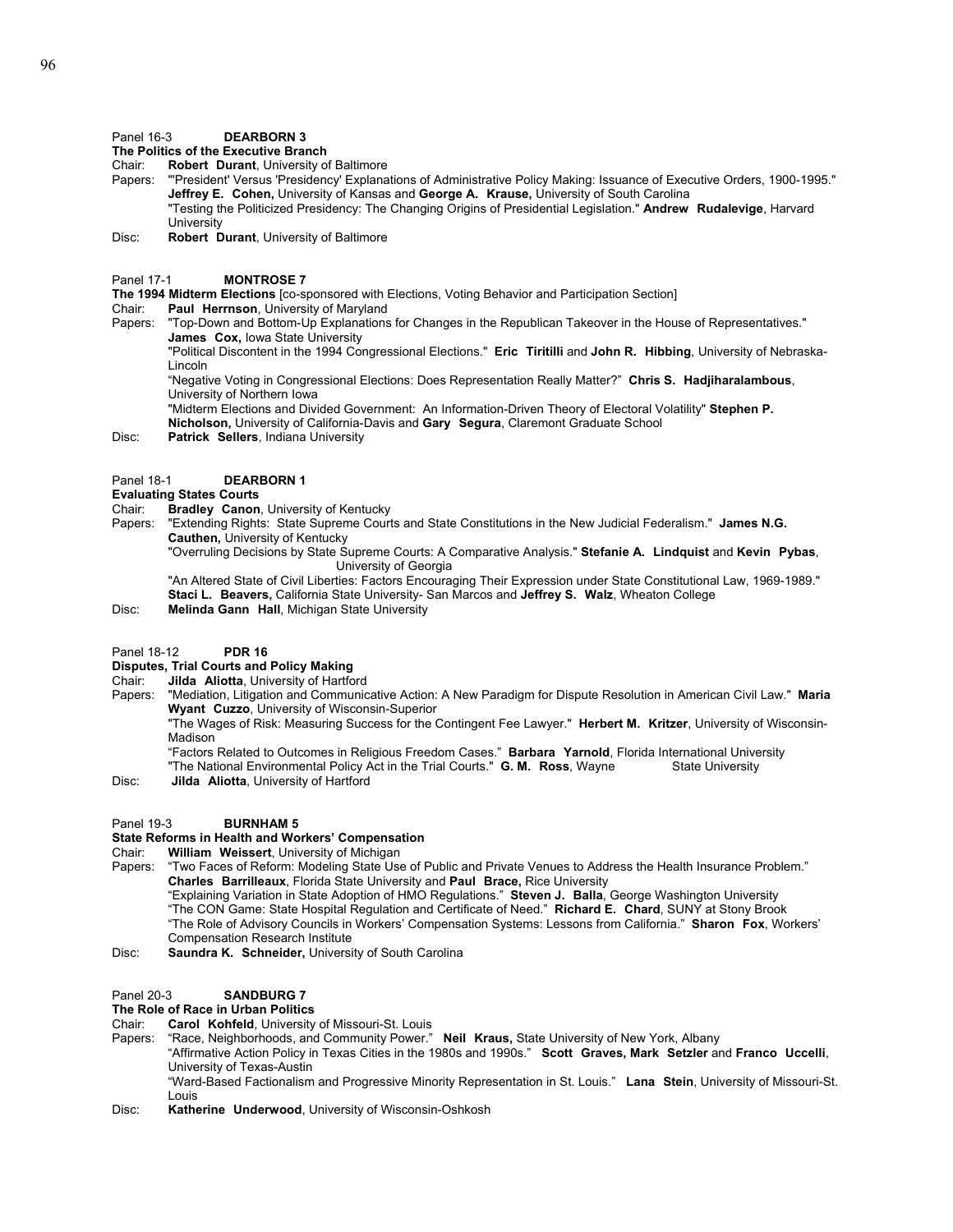#### Panel 16-3 **DEARBORN 3**

#### **The Politics of the Executive Branch**

Chair: **Robert Durant**, University of Baltimore

- Papers: "'President' Versus 'Presidency' Explanations of Administrative Policy Making: Issuance of Executive Orders, 1900-1995." **Jeffrey E. Cohen,** University of Kansas and **George A. Krause,** University of South Carolina "Testing the Politicized Presidency: The Changing Origins of Presidential Legislation." **Andrew Rudalevige**, Harvard **University**
- Disc: **Robert Durant**, University of Baltimore

#### Panel 17-1 **MONTROSE 7**

**The 1994 Midterm Elections** [co-sponsored with Elections, Voting Behavior and Participation Section]

- Paul Herrnson, University of Maryland
- Papers: "Top-Down and Bottom-Up Explanations for Changes in the Republican Takeover in the House of Representatives." **James Cox,** Iowa State University

"Political Discontent in the 1994 Congressional Elections." **Eric Tiritilli** and **John R. Hibbing**, University of Nebraska-Lincoln

"Negative Voting in Congressional Elections: Does Representation Really Matter?" **Chris S. Hadjiharalambous**, University of Northern Iowa

"Midterm Elections and Divided Government: An Information-Driven Theory of Electoral Volatility" **Stephen P. Nicholson,** University of California-Davis and **Gary Segura**, Claremont Graduate School

Disc: **Patrick Sellers**, Indiana University

#### Panel 18-1 **DEARBORN 1**

## **Evaluating States Courts**

Chair: **Bradley Canon**, University of Kentucky<br>Papers: "Extending Rights: State Supreme Court

"Extending Rights: State Supreme Courts and State Constitutions in the New Judicial Federalism." James N.G. **Cauthen,** University of Kentucky

"Overruling Decisions by State Supreme Courts: A Comparative Analysis." **Stefanie A. Lindquist** and **Kevin Pybas**, University of Georgia

"An Altered State of Civil Liberties: Factors Encouraging Their Expression under State Constitutional Law, 1969-1989." **Staci L. Beavers,** California State University- San Marcos and **Jeffrey S. Walz**, Wheaton College

Disc: **Melinda Gann Hall**, Michigan State University

#### Panel 18-12 **PDR 16**

## **Disputes, Trial Courts and Policy Making**

- Chair: **Jilda Aliotta**, University of Hartford
- Papers: "Mediation, Litigation and Communicative Action: A New Paradigm for Dispute Resolution in American Civil Law." **Maria Wyant Cuzzo**, University of Wisconsin-Superior
	- "The Wages of Risk: Measuring Success for the Contingent Fee Lawyer." **Herbert M. Kritzer**, University of Wisconsin-Madison
	- "Factors Related to Outcomes in Religious Freedom Cases." **Barbara Yarnold**, Florida International University "The National Environmental Policy Act in the Trial Courts." G. M. Ross, Wayne State University
- Disc: **Jilda Aliotta**, University of Hartford

#### Panel 19-3 **BURNHAM 5**

## **State Reforms in Health and Workers' Compensation**

Chair: **William Weissert**, University of Michigan

- Papers: "Two Faces of Reform: Modeling State Use of Public and Private Venues to Address the Health Insurance Problem." **Charles Barrilleaux**, Florida State University and **Paul Brace,** Rice University
	- "Explaining Variation in State Adoption of HMO Regulations." **Steven J. Balla**, George Washington University
	- "The CON Game: State Hospital Regulation and Certificate of Need." **Richard E. Chard**, SUNY at Stony Brook

"The Role of Advisory Councils in Workers' Compensation Systems: Lessons from California." **Sharon Fox**, Workers' Compensation Research Institute

Disc: **Saundra K. Schneider,** University of South Carolina

### Panel 20-3 **SANDBURG 7**

#### **The Role of Race in Urban Politics**

Chair: **Carol Kohfeld**, University of Missouri-St. Louis

Papers: "Race, Neighborhoods, and Community Power." **Neil Kraus,** State University of New York, Albany

"Affirmative Action Policy in Texas Cities in the 1980s and 1990s." **Scott Graves, Mark Setzler** and **Franco Uccelli**, University of Texas-Austin

"Ward-Based Factionalism and Progressive Minority Representation in St. Louis." **Lana Stein**, University of Missouri-St. Louis

Disc: **Katherine Underwood**, University of Wisconsin-Oshkosh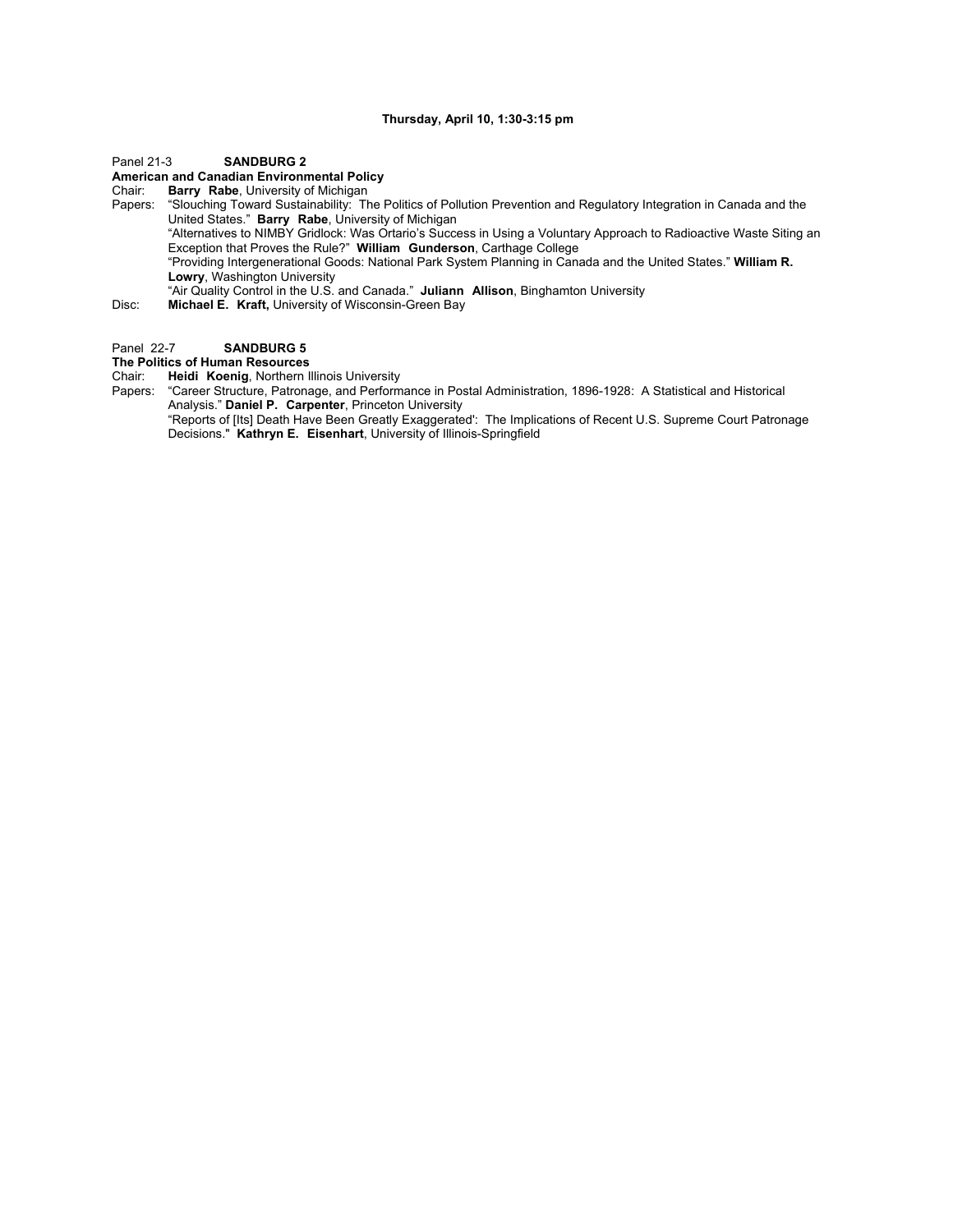#### **Thursday, April 10, 1:30-3:15 pm**

#### Panel 21-3 **SANDBURG 2**

**American and Canadian Environmental Policy**<br>Chair: **Barry Rabe**, University of Michigan

Chair: **Barry Rabe**, University of Michigan<br>Papers: "Slouching Toward Sustainability: Th

Papers: "Slouching Toward Sustainability: The Politics of Pollution Prevention and Regulatory Integration in Canada and the United States." **Barry Rabe**, University of Michigan "Alternatives to NIMBY Gridlock: Was Ortario's Success in Using a Voluntary Approach to Radioactive Waste Siting an Exception that Proves the Rule?" **William Gunderson**, Carthage College

"Providing Intergenerational Goods: National Park System Planning in Canada and the United States." **William R. Lowry**, Washington University

 "Air Quality Control in the U.S. and Canada." **Juliann Allison**, Binghamton University Michael E. Kraft, University of Wisconsin-Green Bay

#### Panel 22-7 **SANDBURG 5**

**The Politics of Human Resources**

- Chair: **Heidi Koenig**, Northern Illinois University
- Papers: "Career Structure, Patronage, and Performance in Postal Administration, 1896-1928: A Statistical and Historical Analysis." **Daniel P. Carpenter**, Princeton University

"Reports of [Its] Death Have Been Greatly Exaggerated': The Implications of Recent U.S. Supreme Court Patronage Decisions." **Kathryn E. Eisenhart**, University of Illinois-Springfield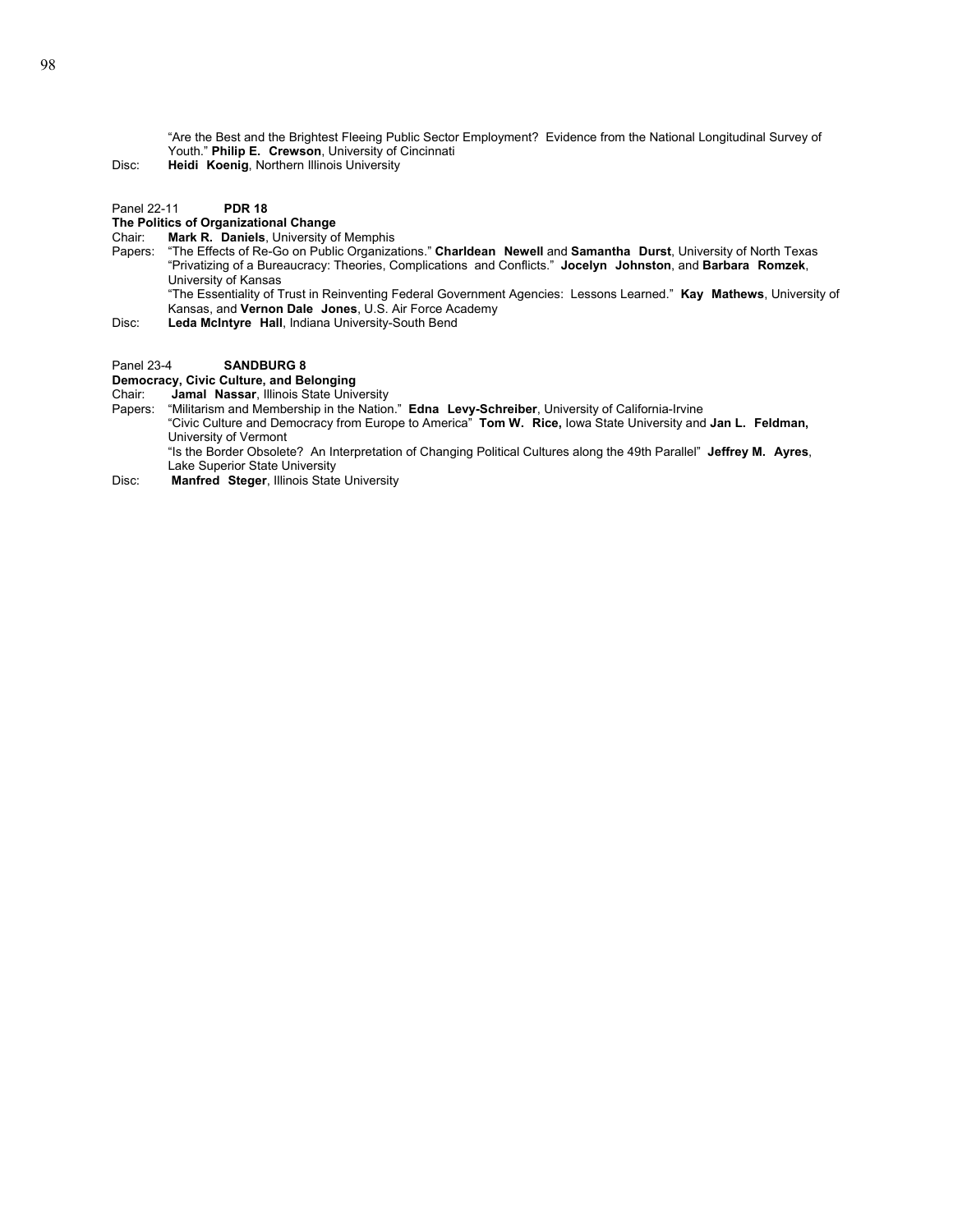"Are the Best and the Brightest Fleeing Public Sector Employment? Evidence from the National Longitudinal Survey of Youth." **Philip E. Crewson**, University of Cincinnati

Disc: **Heidi Koenig**, Northern Illinois University

Panel 22-11 **PDR 18**

## **The Politics of Organizational Change**

- Chair: **Mark R. Daniels**, University of Memphis
- Papers: "The Effects of Re-Go on Public Organizations." **Charldean Newell** and **Samantha Durst**, University of North Texas "Privatizing of a Bureaucracy: Theories, Complications and Conflicts." **Jocelyn Johnston**, and **Barbara Romzek**, University of Kansas

"The Essentiality of Trust in Reinventing Federal Government Agencies: Lessons Learned." **Kay Mathews**, University of Kansas, and **Vernon Dale Jones**, U.S. Air Force Academy

Disc: **Leda McIntyre Hall**, Indiana University-South Bend

#### Panel 23-4 **SANDBURG 8**

**Democracy, Civic Culture, and Belonging**<br>Chair: **Jamal Nassar**, Illinois State Univ

Jamal Nassar, Illinois State University

Papers: "Militarism and Membership in the Nation." **Edna Levy-Schreiber**, University of California-Irvine

"Civic Culture and Democracy from Europe to America" **Tom W. Rice,** Iowa State University and **Jan L. Feldman,** University of Vermont

"Is the Border Obsolete? An Interpretation of Changing Political Cultures along the 49th Parallel" **Jeffrey M. Ayres**, Lake Superior State University

Disc: **Manfred Steger**, Illinois State University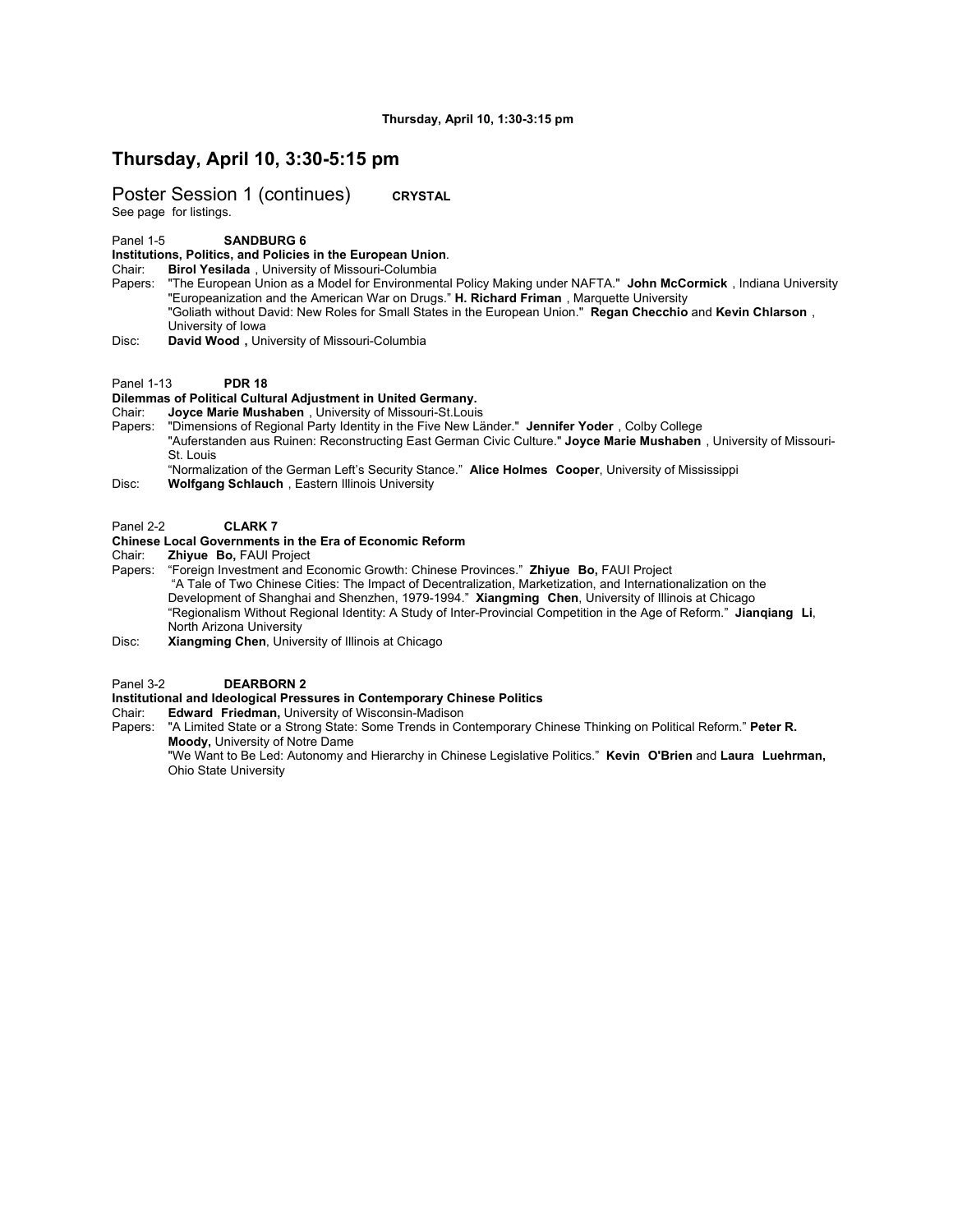#### **Thursday, April 10, 1:30-3:15 pm**

## **Thursday, April 10, 3:30-5:15 pm**

**Poster Session 1 (continues) CRYSTAL** 

See page for listings.

### Panel 1-5 **SANDBURG 6**

**Institutions, Politics, and Policies in the European Union**.

Chair: **Birol Yesilada** , University of Missouri-Columbia

- Papers: "The European Union as a Model for Environmental Policy Making under NAFTA." **John McCormick** , Indiana University "Europeanization and the American War on Drugs." **H. Richard Friman** , Marquette University "Goliath without David: New Roles for Small States in the European Union." **Regan Checchio** and **Kevin Chlarson** , University of Iowa
- Disc: **David Wood ,** University of Missouri-Columbia
- Panel 1-13 **PDR 18**

# **Dilemmas of Political Cultural Adjustment in United Germany.<br>Chair: Joyce Marie Mushaben , University of Missouri-St.Louis**

Joyce Marie Mushaben , University of Missouri-St.Louis

- Papers: "Dimensions of Regional Party Identity in the Five New Länder." **Jennifer Yoder** , Colby College
	- "Auferstanden aus Ruinen: Reconstructing East German Civic Culture." **Joyce Marie Mushaben** , University of Missouri-St. Louis

"Normalization of the German Left's Security Stance." **Alice Holmes Cooper**, University of Mississippi Disc: **Wolfgang Schlauch** , Eastern Illinois University

#### Panel 2-2 **CLARK 7**

#### **Chinese Local Governments in the Era of Economic Reform**

- Chair: **Zhiyue Bo,** FAUI Project
- Papers: "Foreign Investment and Economic Growth: Chinese Provinces." **Zhiyue Bo,** FAUI Project "A Tale of Two Chinese Cities: The Impact of Decentralization, Marketization, and Internationalization on the Development of Shanghai and Shenzhen, 1979-1994." **Xiangming Chen**, University of Illinois at Chicago "Regionalism Without Regional Identity: A Study of Inter-Provincial Competition in the Age of Reform." **Jianqiang Li**, North Arizona University
- Disc: **Xiangming Chen**, University of Illinois at Chicago

#### Panel 3-2 **DEARBORN 2**

### **Institutional and Ideological Pressures in Contemporary Chinese Politics**

Chair: **Edward Friedman,** University of Wisconsin-Madison

Papers: "A Limited State or a Strong State: Some Trends in Contemporary Chinese Thinking on Political Reform." **Peter R. Moody,** University of Notre Dame

"We Want to Be Led: Autonomy and Hierarchy in Chinese Legislative Politics." **Kevin O'Brien** and **Laura Luehrman,**  Ohio State University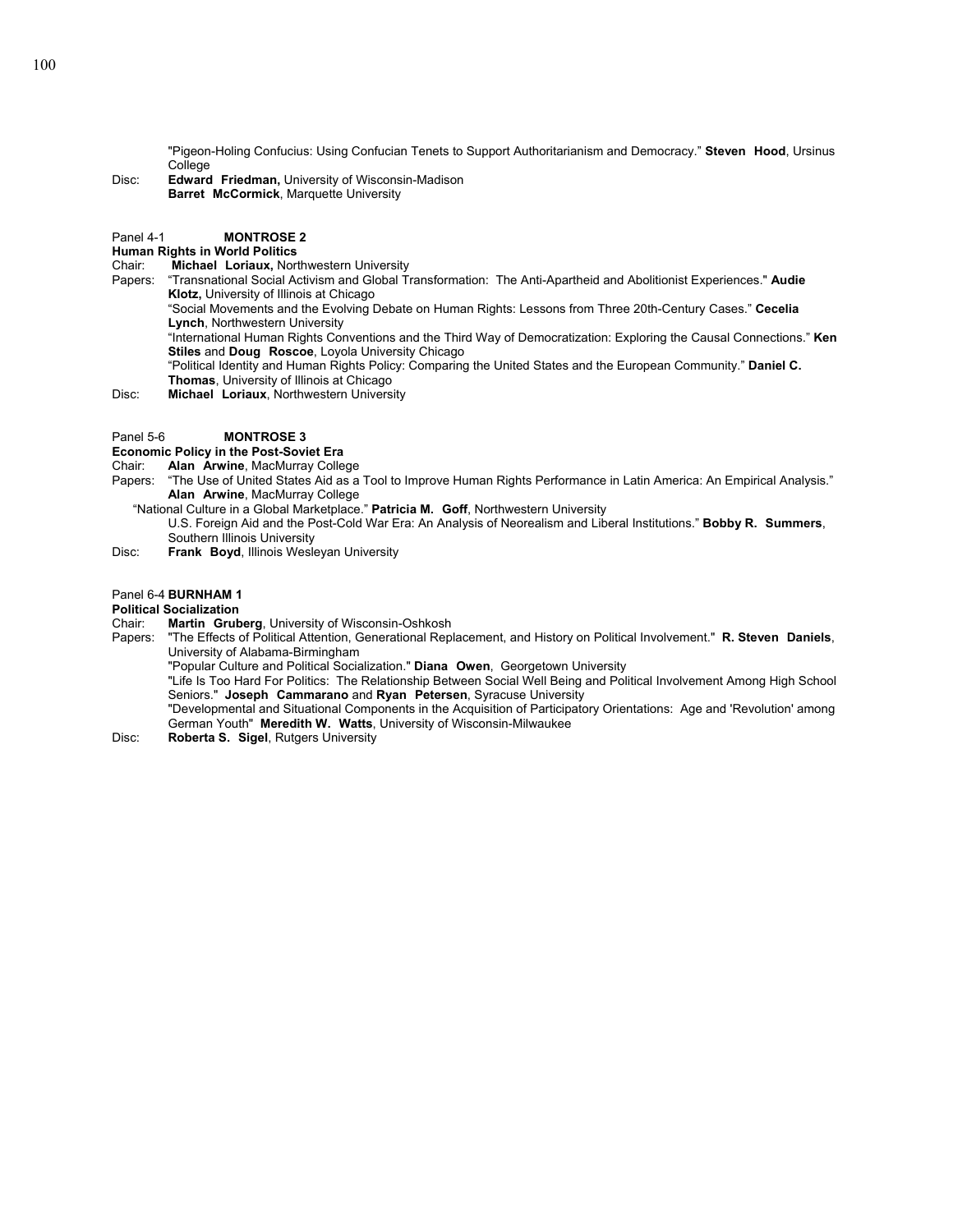"Pigeon-Holing Confucius: Using Confucian Tenets to Support Authoritarianism and Democracy." **Steven Hood**, Ursinus **College** 

Disc: **Edward Friedman,** University of Wisconsin-Madison **Barret McCormick**, Marquette University

## Panel 4-1 **MONTROSE 2**

#### **Human Rights in World Politics**

- 
- Chair: **Michael Loriaux,** Northwestern University Papers: "Transnational Social Activism and Global Transformation: The Anti-Apartheid and Abolitionist Experiences." **Audie Klotz,** University of Illinois at Chicago
	- "Social Movements and the Evolving Debate on Human Rights: Lessons from Three 20th-Century Cases." **Cecelia Lynch**, Northwestern University
	- "International Human Rights Conventions and the Third Way of Democratization: Exploring the Causal Connections." **Ken Stiles** and **Doug Roscoe**, Loyola University Chicago
	- "Political Identity and Human Rights Policy: Comparing the United States and the European Community." **Daniel C. Thomas**, University of Illinois at Chicago
- Disc: **Michael Loriaux**, Northwestern University
- Panel 5-6 **MONTROSE 3**

#### **Economic Policy in the Post-Soviet Era**

- Chair: **Alan Arwine**, MacMurray College
- Papers: "The Use of United States Aid as a Tool to Improve Human Rights Performance in Latin America: An Empirical Analysis." **Alan Arwine**, MacMurray College
- "National Culture in a Global Marketplace." **Patricia M. Goff**, Northwestern University
	- U.S. Foreign Aid and the Post-Cold War Era: An Analysis of Neorealism and Liberal Institutions." **Bobby R. Summers**, Southern Illinois University
- Disc: **Frank Boyd**, Illinois Wesleyan University

#### Panel 6-4 **BURNHAM 1**

#### **Political Socialization**

- Chair: **Martin Gruberg**, University of Wisconsin-Oshkosh
	- Papers: "The Effects of Political Attention, Generational Replacement, and History on Political Involvement." **R. Steven Daniels**, University of Alabama-Birmingham
		- "Popular Culture and Political Socialization." **Diana Owen**, Georgetown University

"Life Is Too Hard For Politics: The Relationship Between Social Well Being and Political Involvement Among High School Seniors." **Joseph Cammarano** and **Ryan Petersen**, Syracuse University

"Developmental and Situational Components in the Acquisition of Participatory Orientations: Age and 'Revolution' among German Youth" **Meredith W. Watts**, University of Wisconsin-Milwaukee

Disc: **Roberta S. Sigel**, Rutgers University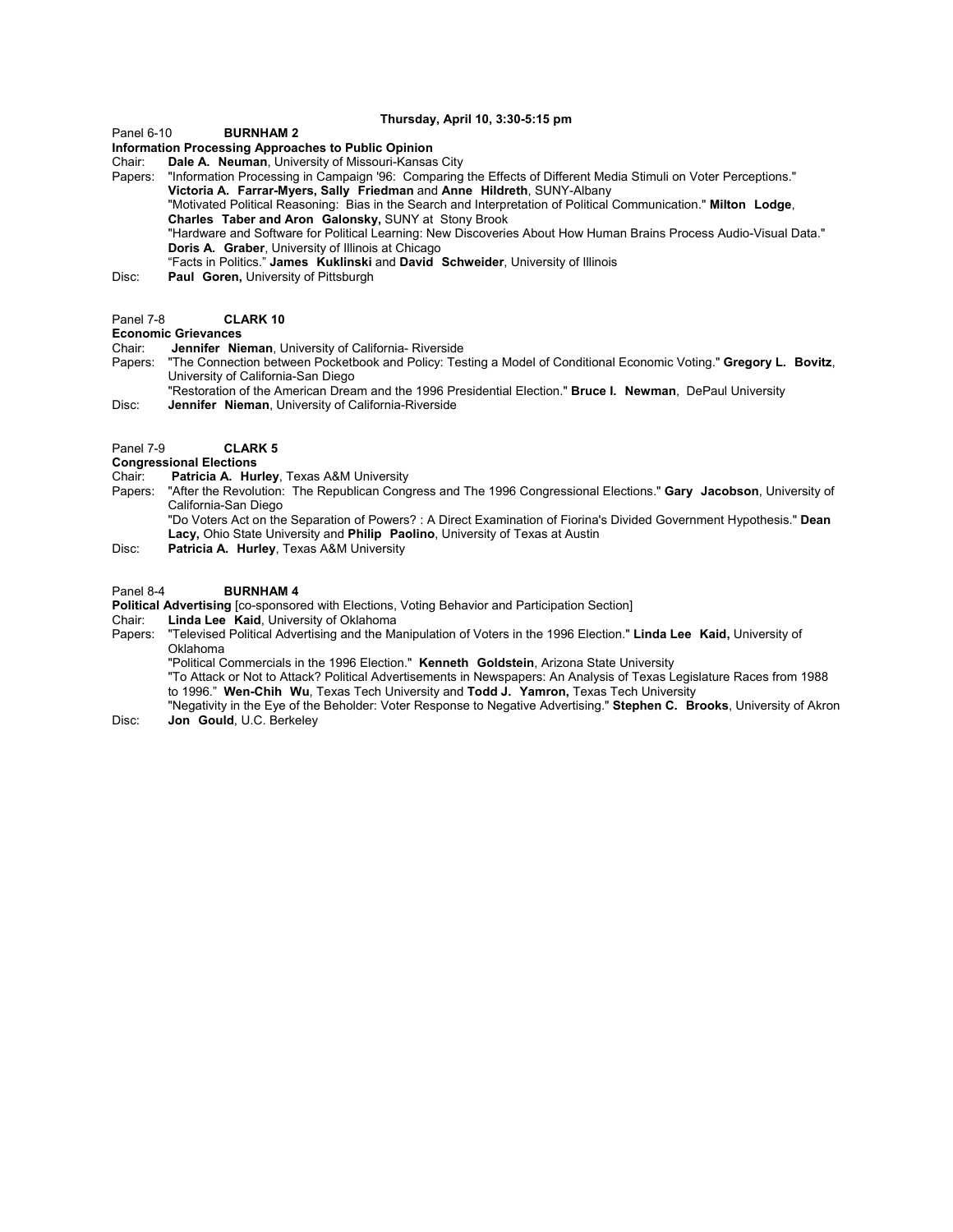#### **Thursday, April 10, 3:30-5:15 pm**

#### Panel 6-10 **BURNHAM 2**

**Information Processing Approaches to Public Opinion**

Chair: **Dale A. Neuman**, University of Missouri-Kansas City

Papers: "Information Processing in Campaign '96: Comparing the Effects of Different Media Stimuli on Voter Perceptions." **Victoria A. Farrar-Myers, Sally Friedman** and **Anne Hildreth**, SUNY-Albany "Motivated Political Reasoning: Bias in the Search and Interpretation of Political Communication." **Milton Lodge**, **Charles Taber and Aron Galonsky,** SUNY at Stony Brook "Hardware and Software for Political Learning: New Discoveries About How Human Brains Process Audio-Visual Data." **Doris A. Graber**, University of Illinois at Chicago "Facts in Politics." **James Kuklinski** and **David Schweider**, University of Illinois Disc: **Paul Goren,** University of Pittsburgh

## Panel 7-8 **CLARK 10**

## **Economic Grievances**

- Chair: **Jennifer Nieman**, University of California- Riverside
- "The Connection between Pocketbook and Policy: Testing a Model of Conditional Economic Voting." Gregory L. Bovitz, University of California-San Diego

"Restoration of the American Dream and the 1996 Presidential Election." **Bruce I. Newman**, DePaul University Disc: **Jennifer Nieman**, University of California-Riverside

Panel 7-9 **CLARK 5**

# **Congressional Elections**<br>Chair: **Patricia A Hure**

- Patricia A. Hurley, Texas A&M University
- Papers: "After the Revolution: The Republican Congress and The 1996 Congressional Elections." **Gary Jacobson**, University of California-San Diego

"Do Voters Act on the Separation of Powers? : A Direct Examination of Fiorina's Divided Government Hypothesis." **Dean Lacy,** Ohio State University and **Philip Paolino**, University of Texas at Austin

Disc: **Patricia A. Hurley**, Texas A&M University

#### Panel 8-4 **BURNHAM 4**

**Political Advertising** [co-sponsored with Elections, Voting Behavior and Participation Section]

- Chair: **Linda Lee Kaid**, University of Oklahoma
	- "Televised Political Advertising and the Manipulation of Voters in the 1996 Election." Linda Lee Kaid, University of Oklahoma

"Political Commercials in the 1996 Election." **Kenneth Goldstein**, Arizona State University

"To Attack or Not to Attack? Political Advertisements in Newspapers: An Analysis of Texas Legislature Races from 1988 to 1996." **Wen-Chih Wu**, Texas Tech University and **Todd J. Yamron,** Texas Tech University

"Negativity in the Eye of the Beholder: Voter Response to Negative Advertising." **Stephen C. Brooks**, University of Akron Disc: **Jon Gould**, U.C. Berkeley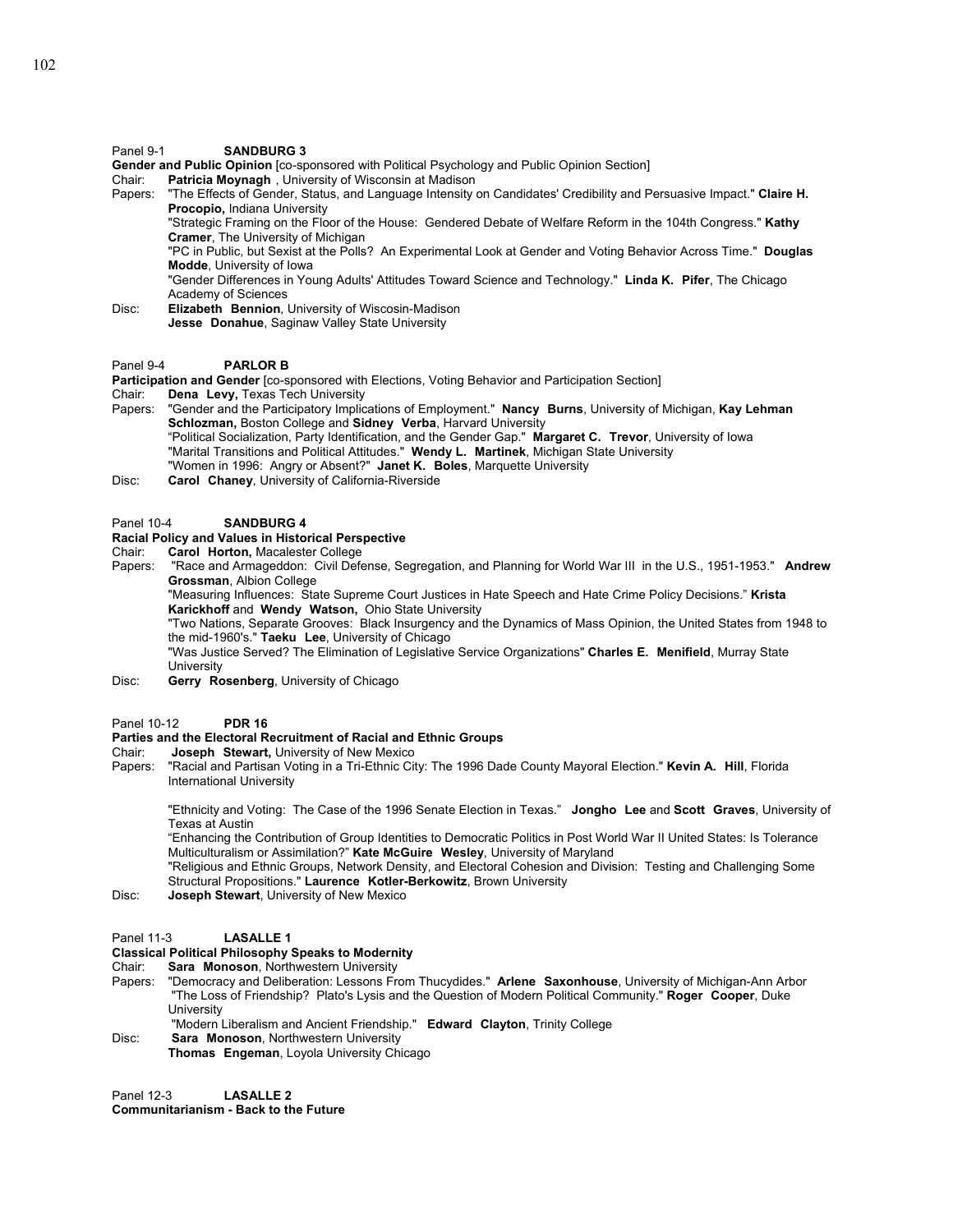#### Panel 9-1 **SANDBURG 3 Gender and Public Opinion** [co-sponsored with Political Psychology and Public Opinion Section] Chair: **Patricia Moynagh** , University of Wisconsin at Madison "The Effects of Gender, Status, and Language Intensity on Candidates' Credibility and Persuasive Impact." Claire H. **Procopio,** Indiana University "Strategic Framing on the Floor of the House: Gendered Debate of Welfare Reform in the 104th Congress." **Kathy Cramer**, The University of Michigan "PC in Public, but Sexist at the Polls? An Experimental Look at Gender and Voting Behavior Across Time." **Douglas Modde**, University of Iowa "Gender Differences in Young Adults' Attitudes Toward Science and Technology." **Linda K. Pifer**, The Chicago Academy of Sciences Disc: **Elizabeth Bennion**, University of Wiscosin-Madison **Jesse Donahue**, Saginaw Valley State University

#### Panel 9-4 **PARLOR B**

**Participation and Gender** [co-sponsored with Elections, Voting Behavior and Participation Section]

Chair: **Dena Levy,** Texas Tech University

- Papers: "Gender and the Participatory Implications of Employment." **Nancy Burns**, University of Michigan, **Kay Lehman Schlozman,** Boston College and **Sidney Verba**, Harvard University "Political Socialization, Party Identification, and the Gender Gap." **Margaret C. Trevor**, University of Iowa "Marital Transitions and Political Attitudes." **Wendy L. Martinek**, Michigan State University "Women in 1996: Angry or Absent?" **Janet K. Boles**, Marquette University
- Disc: **Carol Chaney**, University of California-Riverside

#### Panel 10-4 **SANDBURG 4**

### **Racial Policy and Values in Historical Perspective**

- Chair: **Carol Horton,** Macalester College
- Papers: "Race and Armageddon: Civil Defense, Segregation, and Planning for World War III in the U.S., 1951-1953." **Andrew Grossman**, Albion College

"Measuring Influences: State Supreme Court Justices in Hate Speech and Hate Crime Policy Decisions." **Krista Karickhoff** and **Wendy Watson,** Ohio State University

"Two Nations, Separate Grooves: Black Insurgency and the Dynamics of Mass Opinion, the United States from 1948 to the mid-1960's." **Taeku Lee**, University of Chicago

"Was Justice Served? The Elimination of Legislative Service Organizations" **Charles E. Menifield**, Murray State **University** 

Disc: **Gerry Rosenberg**, University of Chicago

#### Panel 10-12 **PDR 16**

#### **Parties and the Electoral Recruitment of Racial and Ethnic Groups**

Chair: **Joseph Stewart,** University of New Mexico

Papers: "Racial and Partisan Voting in a Tri-Ethnic City: The 1996 Dade County Mayoral Election." **Kevin A. Hill**, Florida International University

"Ethnicity and Voting: The Case of the 1996 Senate Election in Texas." **Jongho Lee** and **Scott Graves**, University of Texas at Austin

"Enhancing the Contribution of Group Identities to Democratic Politics in Post World War II United States: Is Tolerance Multiculturalism or Assimilation?" **Kate McGuire Wesley**, University of Maryland

"Religious and Ethnic Groups, Network Density, and Electoral Cohesion and Division: Testing and Challenging Some Structural Propositions." **Laurence Kotler-Berkowitz**, Brown University

- Disc: **Joseph Stewart**, University of New Mexico
- Panel 11-3 **LASALLE 1**

### **Classical Political Philosophy Speaks to Modernity**

- Chair: **Sara Monoson**, Northwestern University
- Papers: "Democracy and Deliberation: Lessons From Thucydides." **Arlene Saxonhouse**, University of Michigan-Ann Arbor "The Loss of Friendship? Plato's Lysis and the Question of Modern Political Community." **Roger Cooper**, Duke University
- "Modern Liberalism and Ancient Friendship." **Edward Clayton**, Trinity College Disc: **Sara Monoson**, Northwestern University
	- **Thomas Engeman**, Loyola University Chicago

Panel 12-3 **LASALLE 2**

**Communitarianism - Back to the Future**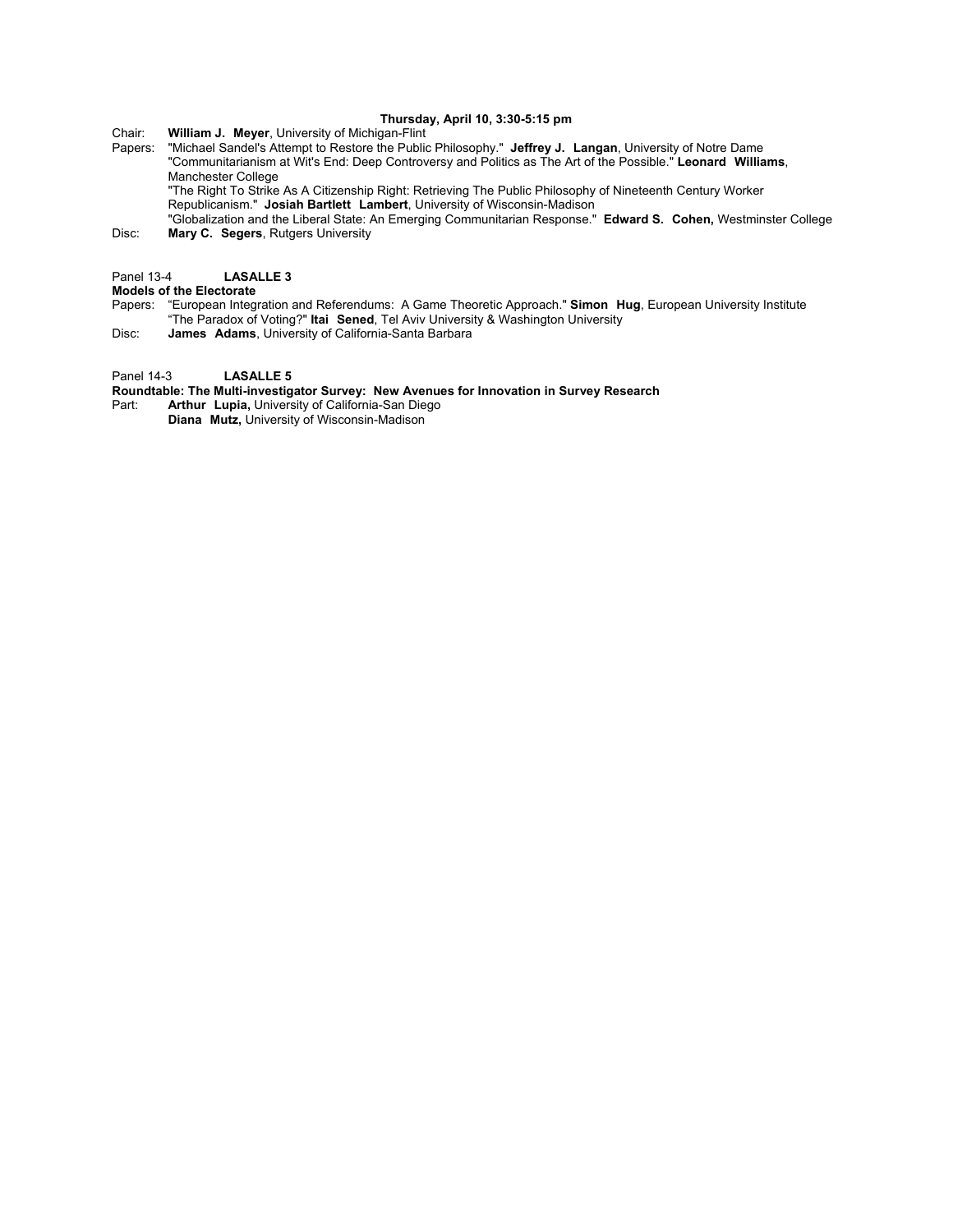#### **Thursday, April 10, 3:30-5:15 pm**

Chair: **William J. Meyer**, University of Michigan-Flint "Michael Sandel's Attempt to Restore the Public Philosophy." Jeffrey J. Langan, University of Notre Dame "Communitarianism at Wit's End: Deep Controversy and Politics as The Art of the Possible." **Leonard Williams**, Manchester College

"The Right To Strike As A Citizenship Right: Retrieving The Public Philosophy of Nineteenth Century Worker Republicanism." **Josiah Bartlett Lambert**, University of Wisconsin-Madison

"Globalization and the Liberal State: An Emerging Communitarian Response." **Edward S. Cohen,** Westminster College Disc: **Mary C. Segers**, Rutgers University

Panel 13-4 **LASALLE 3**

**Models of the Electorate**

- Papers: "European Integration and Referendums: A Game Theoretic Approach." **Simon Hug**, European University Institute "The Paradox of Voting?" **Itai Sened**, Tel Aviv University & Washington University
- Disc: **James Adams**, University of California-Santa Barbara

Panel 14-3 **LASALLE 5**

**Roundtable: The Multi-investigator Survey: New Avenues for Innovation in Survey Research**

Part: **Arthur Lupia,** University of California-San Diego **Diana Mutz,** University of Wisconsin-Madison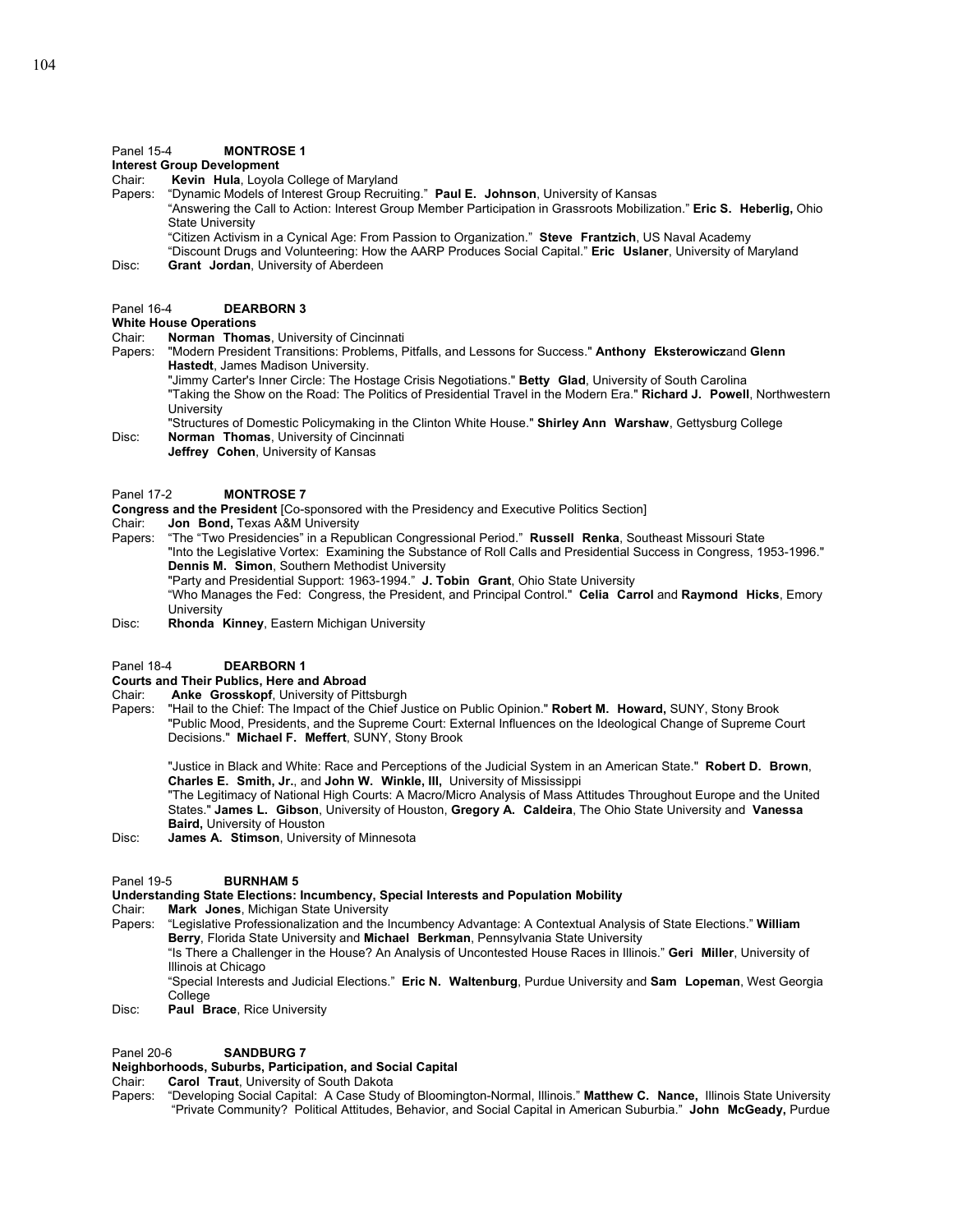#### Panel 15-4 **MONTROSE 1**

#### **Interest Group Development**

- Chair: **Kevin Hula**, Loyola College of Maryland
	- Papers: "Dynamic Models of Interest Group Recruiting." **Paul E. Johnson**, University of Kansas
	- "Answering the Call to Action: Interest Group Member Participation in Grassroots Mobilization." **Eric S. Heberlig,** Ohio State University
		- "Citizen Activism in a Cynical Age: From Passion to Organization." **Steve Frantzich**, US Naval Academy
- "Discount Drugs and Volunteering: How the AARP Produces Social Capital." **Eric Uslaner**, University of Maryland Disc: **Grant Jordan**, University of Aberdeen

### Panel 16-4 **DEARBORN 3**

#### **White House Operations**

- Chair: **Norman Thomas**, University of Cincinnati
- Papers: "Modern President Transitions: Problems, Pitfalls, and Lessons for Success." **Anthony Eksterowicz**and **Glenn Hastedt**, James Madison University.
	- "Jimmy Carter's Inner Circle: The Hostage Crisis Negotiations." **Betty Glad**, University of South Carolina "Taking the Show on the Road: The Politics of Presidential Travel in the Modern Era." **Richard J. Powell**, Northwestern **University**
- "Structures of Domestic Policymaking in the Clinton White House." **Shirley Ann Warshaw**, Gettysburg College Disc: **Norman Thomas**, University of Cincinnati
- **Jeffrey Cohen**, University of Kansas

#### Panel 17-2 **MONTROSE 7**

- **Congress and the President** [Co-sponsored with the Presidency and Executive Politics Section]<br>Chair: Jon Bond Texas A&M University
- Jon Bond, Texas A&M University

Papers: "The "Two Presidencies" in a Republican Congressional Period." **Russell Renka**, Southeast Missouri State "Into the Legislative Vortex: Examining the Substance of Roll Calls and Presidential Success in Congress, 1953-1996." **Dennis M. Simon**, Southern Methodist University "Party and Presidential Support: 1963-1994." **J. Tobin Grant**, Ohio State University "Who Manages the Fed: Congress, the President, and Principal Control." **Celia Carrol** and **Raymond Hicks**, Emory **University** 

Disc: **Rhonda Kinney**, Eastern Michigan University

#### Panel 18-4 **DEARBORN 1**

## **Courts and Their Publics, Here and Abroad**

- Chair: **Anke Grosskopf**, University of Pittsburgh
- Papers: "Hail to the Chief: The Impact of the Chief Justice on Public Opinion." **Robert M. Howard,** SUNY, Stony Brook "Public Mood, Presidents, and the Supreme Court: External Influences on the Ideological Change of Supreme Court Decisions." **Michael F. Meffert**, SUNY, Stony Brook

"Justice in Black and White: Race and Perceptions of the Judicial System in an American State." **Robert D. Brown**, **Charles E. Smith, Jr.**, and **John W. Winkle, III,** University of Mississippi

"The Legitimacy of National High Courts: A Macro/Micro Analysis of Mass Attitudes Throughout Europe and the United States." **James L. Gibson**, University of Houston, **Gregory A. Caldeira**, The Ohio State University and **Vanessa Baird,** University of Houston

Disc: **James A. Stimson**, University of Minnesota

#### Panel 19-5 **BURNHAM 5**

#### **Understanding State Elections: Incumbency, Special Interests and Population Mobility**

Chair: **Mark Jones**, Michigan State University

Papers: "Legislative Professionalization and the Incumbency Advantage: A Contextual Analysis of State Elections." **William Berry**, Florida State University and **Michael Berkman**, Pennsylvania State University

"Is There a Challenger in the House? An Analysis of Uncontested House Races in Illinois." **Geri Miller**, University of Illinois at Chicago

"Special Interests and Judicial Elections." **Eric N. Waltenburg**, Purdue University and **Sam Lopeman**, West Georgia College

Disc: **Paul Brace**, Rice University

#### Panel 20-6 **SANDBURG 7**

#### **Neighborhoods, Suburbs, Participation, and Social Capital**

Chair: **Carol Traut**, University of South Dakota

Papers: "Developing Social Capital: A Case Study of Bloomington-Normal, Illinois." **Matthew C. Nance,** Illinois State University "Private Community? Political Attitudes, Behavior, and Social Capital in American Suburbia." **John McGeady,** Purdue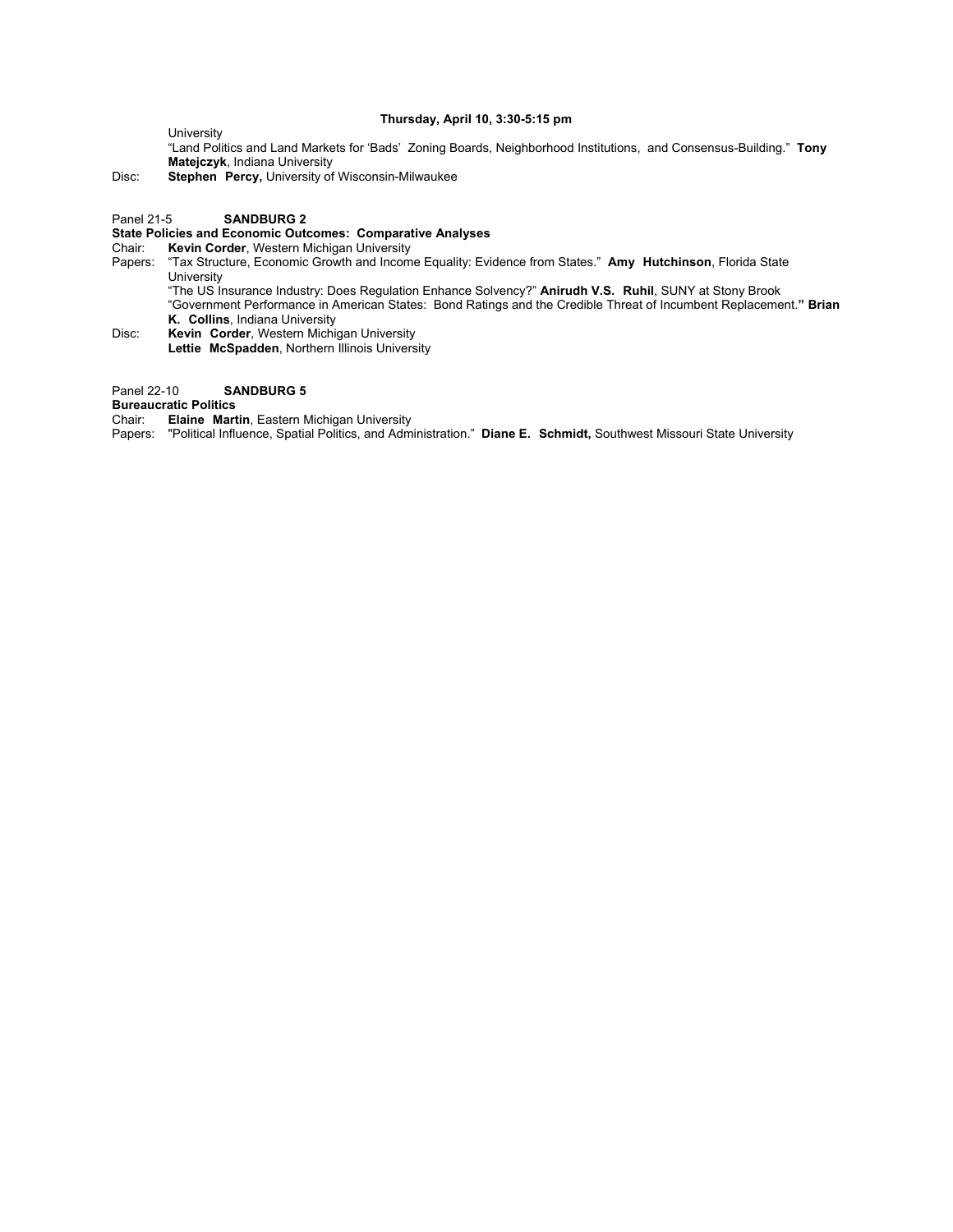#### **Thursday, April 10, 3:30-5:15 pm**

**University** 

"Land Politics and Land Markets for 'Bads' Zoning Boards, Neighborhood Institutions, and Consensus-Building." **Tony Matejczyk**, Indiana University

Disc: **Stephen Percy,** University of Wisconsin-Milwaukee

#### Panel 21-5 **SANDBURG 2**

#### **State Policies and Economic Outcomes: Comparative Analyses**

Chair: **Kevin Corder**, Western Michigan University

Papers: "Tax Structure, Economic Growth and Income Equality: Evidence from States." **Amy Hutchinson**, Florida State University

"The US Insurance Industry: Does Regulation Enhance Solvency?" **Anirudh V.S. Ruhil**, SUNY at Stony Brook "Government Performance in American States: Bond Ratings and the Credible Threat of Incumbent Replacement.**" Brian K. Collins**, Indiana University

Disc: **Kevin Corder**, Western Michigan University **Lettie McSpadden**, Northern Illinois University

Panel 22-10 **SANDBURG 5**

**Bureaucratic Politics**<br>Chair: **Elaine Mart** 

**Elaine Martin, Eastern Michigan University** 

Papers: "Political Influence, Spatial Politics, and Administration." **Diane E. Schmidt,** Southwest Missouri State University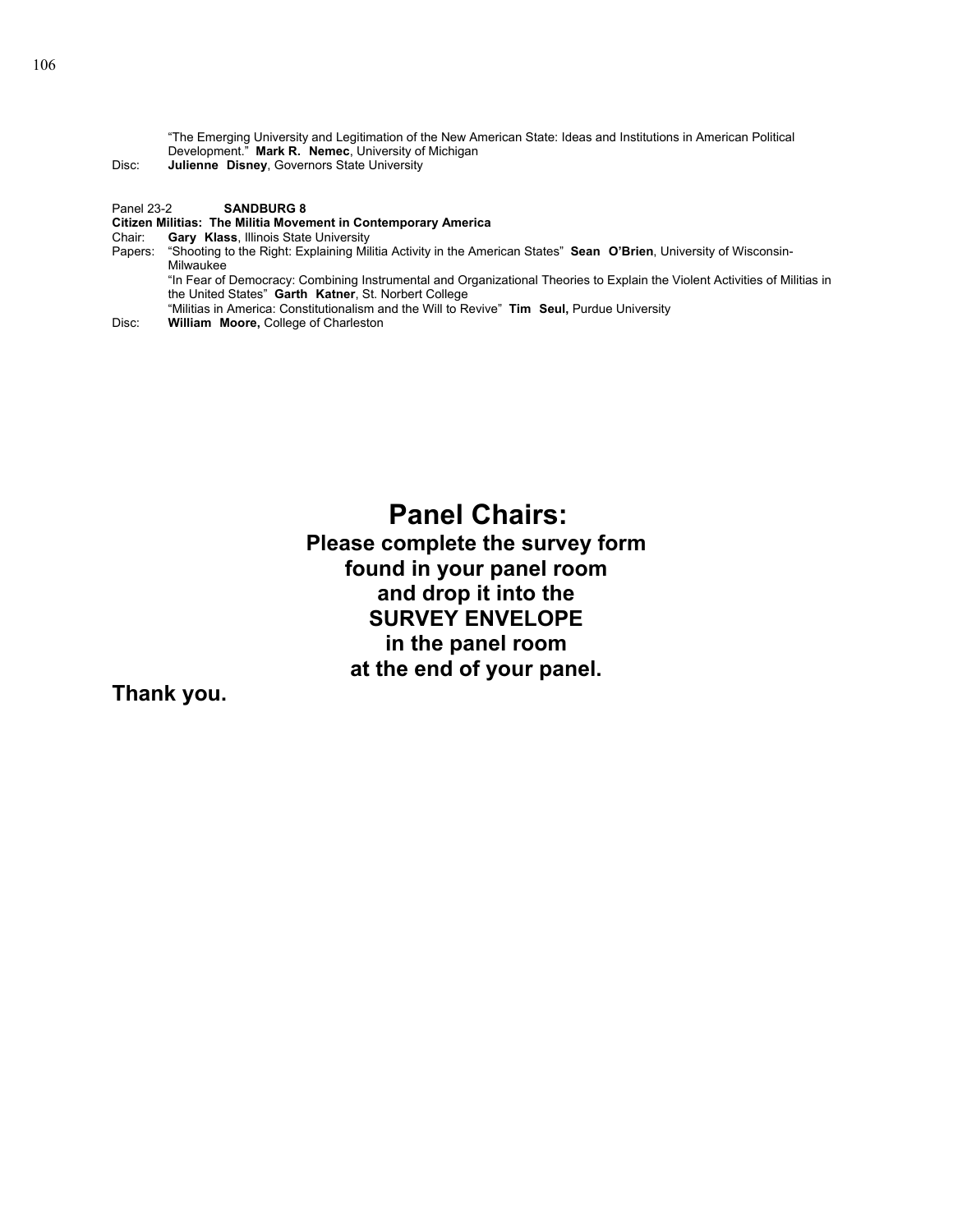"The Emerging University and Legitimation of the New American State: Ideas and Institutions in American Political Development." **Mark R. Nemec**, University of Michigan

Disc: **Julienne Disney**, Governors State University

#### Panel 23-2 **SANDBURG 8**

### **Citizen Militias: The Militia Movement in Contemporary America**

Chair: **Gary Klass**, Illinois State University

Papers: "Shooting to the Right: Explaining Militia Activity in the American States" **Sean O'Brien**, University of Wisconsin-Milwaukee

"In Fear of Democracy: Combining Instrumental and Organizational Theories to Explain the Violent Activities of Militias in the United States" **Garth Katner**, St. Norbert College

"Militias in America: Constitutionalism and the Will to Revive" **Tim Seul,** Purdue University

Disc: **William Moore,** College of Charleston

# **Panel Chairs: Please complete the survey form found in your panel room and drop it into the SURVEY ENVELOPE in the panel room at the end of your panel.**

**Thank you.**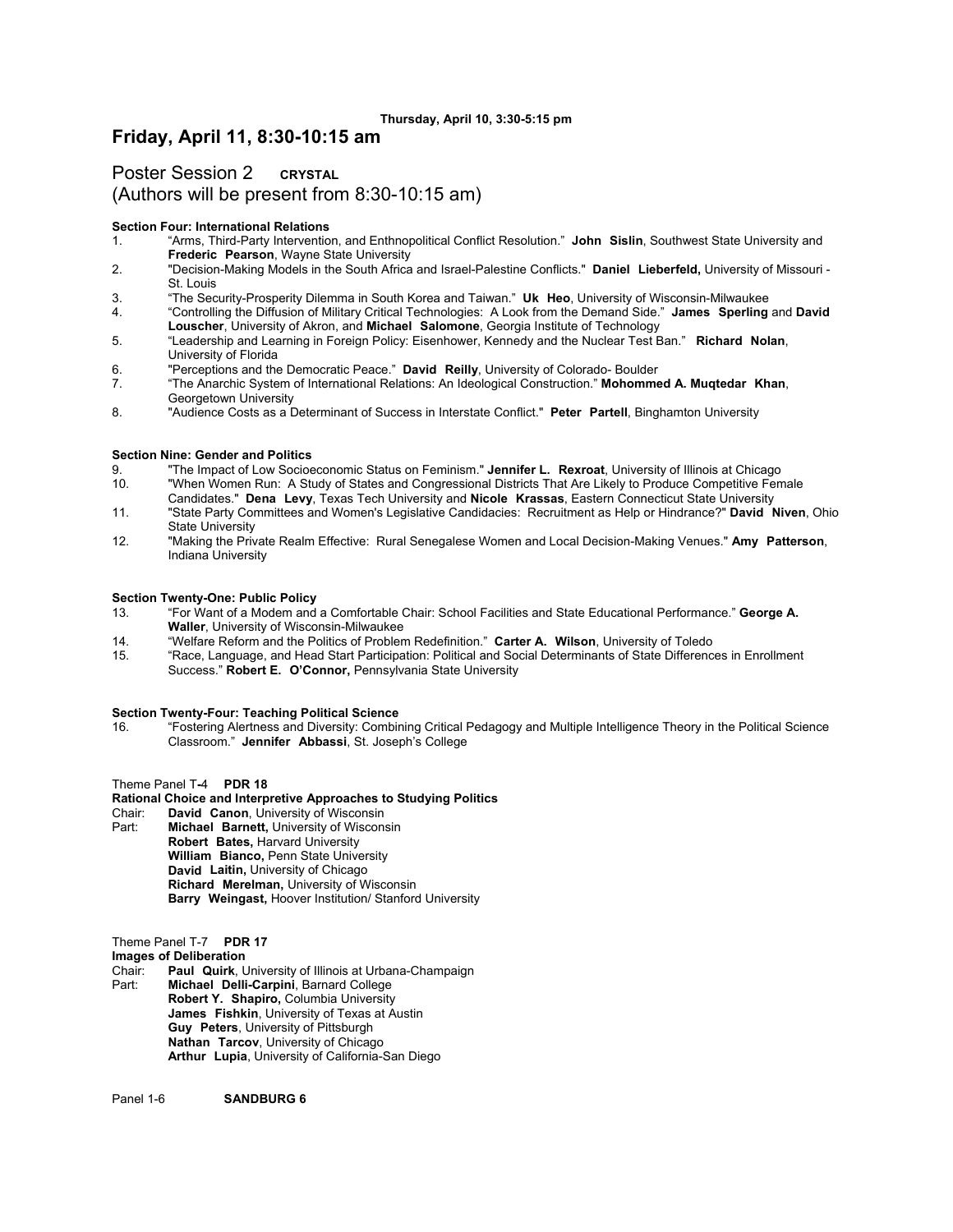#### **Thursday, April 10, 3:30-5:15 pm**

## **Friday, April 11, 8:30-10:15 am**

## **Poster Session 2 CRYSTAL** (Authors will be present from 8:30-10:15 am)

#### **Section Four: International Relations**

- 1. "Arms, Third-Party Intervention, and Enthnopolitical Conflict Resolution." **John Sislin**, Southwest State University and **Frederic Pearson**, Wayne State University
- 2. "Decision-Making Models in the South Africa and Israel-Palestine Conflicts." **Daniel Lieberfeld,** University of Missouri St. Louis
- 3. "The Security-Prosperity Dilemma in South Korea and Taiwan." **Uk Heo**, University of Wisconsin-Milwaukee
- 4. "Controlling the Diffusion of Military Critical Technologies: A Look from the Demand Side." **James Sperling** and **David Louscher**, University of Akron, and **Michael Salomone**, Georgia Institute of Technology
- 5. "Leadership and Learning in Foreign Policy: Eisenhower, Kennedy and the Nuclear Test Ban." **Richard Nolan**, University of Florida
- 6. "Perceptions and the Democratic Peace." **David Reilly**, University of Colorado- Boulder
- 7. "The Anarchic System of International Relations: An Ideological Construction." **Mohommed A. Muqtedar Khan**, Georgetown University
- 8. "Audience Costs as a Determinant of Success in Interstate Conflict." **Peter Partell**, Binghamton University

# **Section Nine: Gender and Politics**<br>9 **The Impact of Low Socioe**

- 9. "The Impact of Low Socioeconomic Status on Feminism." **Jennifer L. Rexroat**, University of Illinois at Chicago
- 10. "When Women Run: A Study of States and Congressional Districts That Are Likely to Produce Competitive Female Candidates." **Dena Levy**, Texas Tech University and **Nicole Krassas**, Eastern Connecticut State University
- 11. "State Party Committees and Women's Legislative Candidacies: Recruitment as Help or Hindrance?" **David Niven**, Ohio State University
- 12. "Making the Private Realm Effective: Rural Senegalese Women and Local Decision-Making Venues." **Amy Patterson**, Indiana University

#### **Section Twenty-One: Public Policy**

- 13. "For Want of a Modem and a Comfortable Chair: School Facilities and State Educational Performance." **George A. Waller**, University of Wisconsin-Milwaukee
- 14. "Welfare Reform and the Politics of Problem Redefinition." **Carter A. Wilson**, University of Toledo
- 15. "Race, Language, and Head Start Participation: Political and Social Determinants of State Differences in Enrollment Success." **Robert E. O'Connor,** Pennsylvania State University

#### **Section Twenty-Four: Teaching Political Science**

16. "Fostering Alertness and Diversity: Combining Critical Pedagogy and Multiple Intelligence Theory in the Political Science Classroom." **Jennifer Abbassi**, St. Joseph's College

#### Theme Panel T**-**4 **PDR 18**

## **Rational Choice and Interpretive Approaches to Studying Politics**

Chair: **David Canon**, University of Wisconsin

Part: **Michael Barnett,** University of Wisconsin **Robert Bates,** Harvard University **William Bianco,** Penn State University **David Laitin,** University of Chicago **Richard Merelman,** University of Wisconsin **Barry Weingast,** Hoover Institution/ Stanford University

#### Theme Panel T-7 **PDR 17**

**Images of Deliberation**

Chair: **Paul Quirk**, University of Illinois at Urbana-Champaign Part: **Michael Delli-Carpini**, Barnard College **Robert Y. Shapiro,** Columbia University **James Fishkin**, University of Texas at Austin **Guy Peters**, University of Pittsburgh **Nathan Tarcov**, University of Chicago **Arthur Lupia**, University of California-San Diego

#### Panel 1-6 **SANDBURG 6**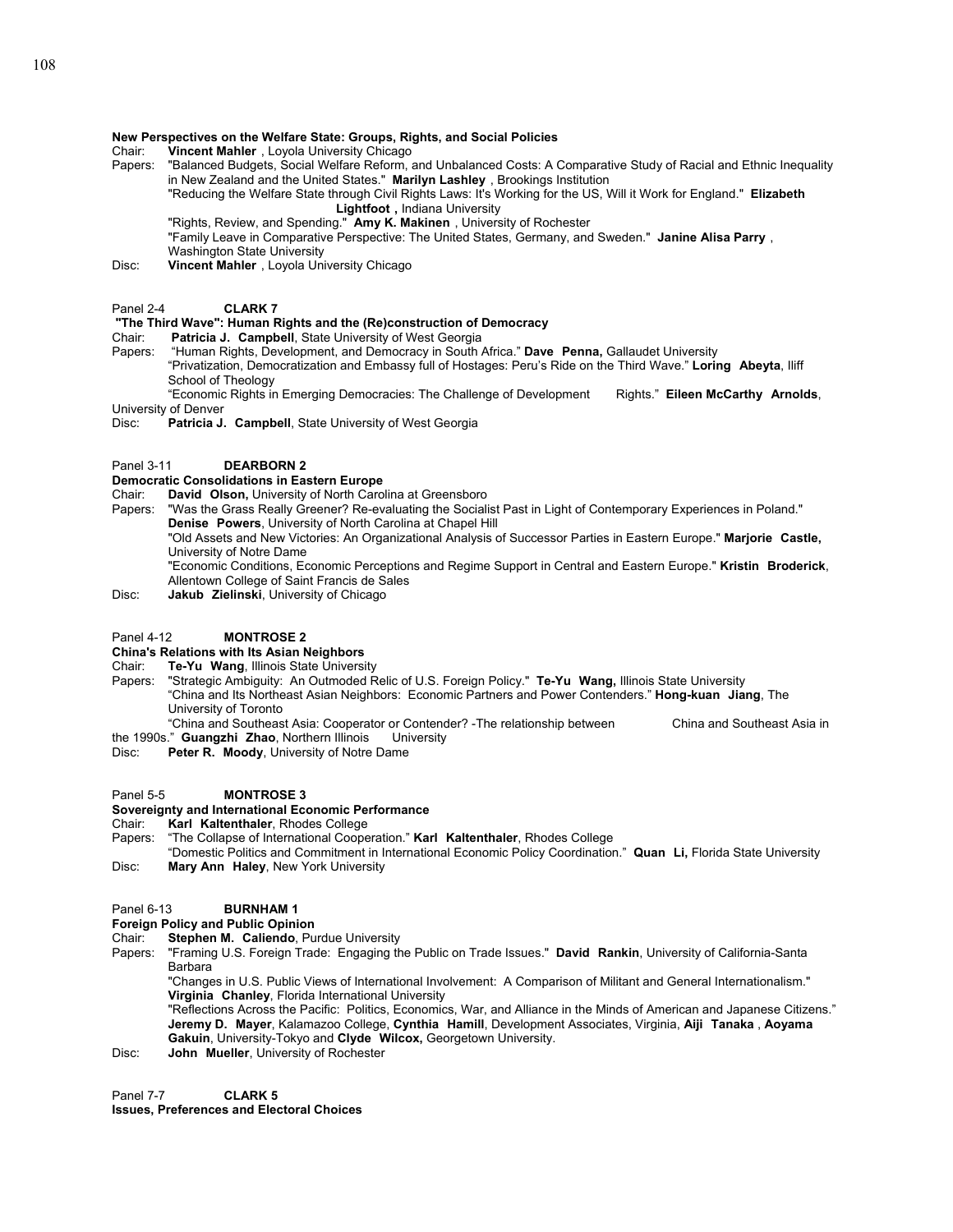# **New Perspectives on the Welfare State: Groups, Rights, and Social Policies**<br>Chair: **Vincent Mabler** Lovola University Chicago

Vincent Mahler, Loyola University Chicago

- Papers: "Balanced Budgets, Social Welfare Reform, and Unbalanced Costs: A Comparative Study of Racial and Ethnic Inequality in New Zealand and the United States." **Marilyn Lashley** , Brookings Institution "Reducing the Welfare State through Civil Rights Laws: It's Working for the US, Will it Work for England." **Elizabeth** 
	- **Lightfoot ,** Indiana University

"Rights, Review, and Spending." **Amy K. Makinen** , University of Rochester

"Family Leave in Comparative Perspective: The United States, Germany, and Sweden." **Janine Alisa Parry** , Washington State University

Disc: **Vincent Mahler** , Loyola University Chicago

#### Panel 2-4 **CLARK 7**

### **"The Third Wave": Human Rights and the (Re)construction of Democracy**

Chair: **Patricia J. Campbell**, State University of West Georgia

Papers: "Human Rights, Development, and Democracy in South Africa." **Dave Penna,** Gallaudet University "Privatization, Democratization and Embassy full of Hostages: Peru's Ride on the Third Wave." **Loring Abeyta**, Iliff School of Theology

 "Economic Rights in Emerging Democracies: The Challenge of Development Rights." **Eileen McCarthy Arnolds**, University of Denver

Disc: **Patricia J. Campbell**, State University of West Georgia

#### Panel 3-11 **DEARBORN 2**

#### **Democratic Consolidations in Eastern Europe**

Chair: **David Olson,** University of North Carolina at Greensboro

Papers: "Was the Grass Really Greener? Re-evaluating the Socialist Past in Light of Contemporary Experiences in Poland." **Denise Powers**, University of North Carolina at Chapel Hill

"Old Assets and New Victories: An Organizational Analysis of Successor Parties in Eastern Europe." **Marjorie Castle,** University of Notre Dame

"Economic Conditions, Economic Perceptions and Regime Support in Central and Eastern Europe." **Kristin Broderick**, Allentown College of Saint Francis de Sales

Disc: **Jakub Zielinski**, University of Chicago

#### Panel 4-12 **MONTROSE 2**

#### **China's Relations with Its Asian Neighbors**

Chair: **Te-Yu Wang**, Illinois State University

- Papers: "Strategic Ambiguity: An Outmoded Relic of U.S. Foreign Policy." **Te-Yu Wang,** Illinois State University "China and Its Northeast Asian Neighbors: Economic Partners and Power Contenders." **Hong-kuan Jiang**, The University of Toronto
- "China and Southeast Asia: Cooperator or Contender? -The relationship between China and Southeast Asia in the 1990s." **Guangzhi Zhao**, Northern Illinois University
- Disc: **Peter R. Moody**, University of Notre Dame

#### Panel 5-5 **MONTROSE 3**

#### **Sovereignty and International Economic Performance**

Chair: **Karl Kaltenthaler**, Rhodes College

Papers: "The Collapse of International Cooperation." **Karl Kaltenthaler**, Rhodes College

"Domestic Politics and Commitment in International Economic Policy Coordination." **Quan Li,** Florida State University Disc: **Mary Ann Haley**, New York University

#### Panel 6-13 **BURNHAM 1**

**Foreign Policy and Public Opinion**

Chair: **Stephen M. Caliendo**, Purdue University

"Framing U.S. Foreign Trade: Engaging the Public on Trade Issues." David Rankin, University of California-Santa Barbara

"Changes in U.S. Public Views of International Involvement: A Comparison of Militant and General Internationalism." **Virginia Chanley**, Florida International University

"Reflections Across the Pacific: Politics, Economics, War, and Alliance in the Minds of American and Japanese Citizens." **Jeremy D. Mayer**, Kalamazoo College, **Cynthia Hamill**, Development Associates, Virginia, **Aiji Tanaka** , **Aoyama Gakuin**, University-Tokyo and **Clyde Wilcox,** Georgetown University.

Disc: **John Mueller**, University of Rochester

Panel 7-7 **CLARK 5**

**Issues, Preferences and Electoral Choices**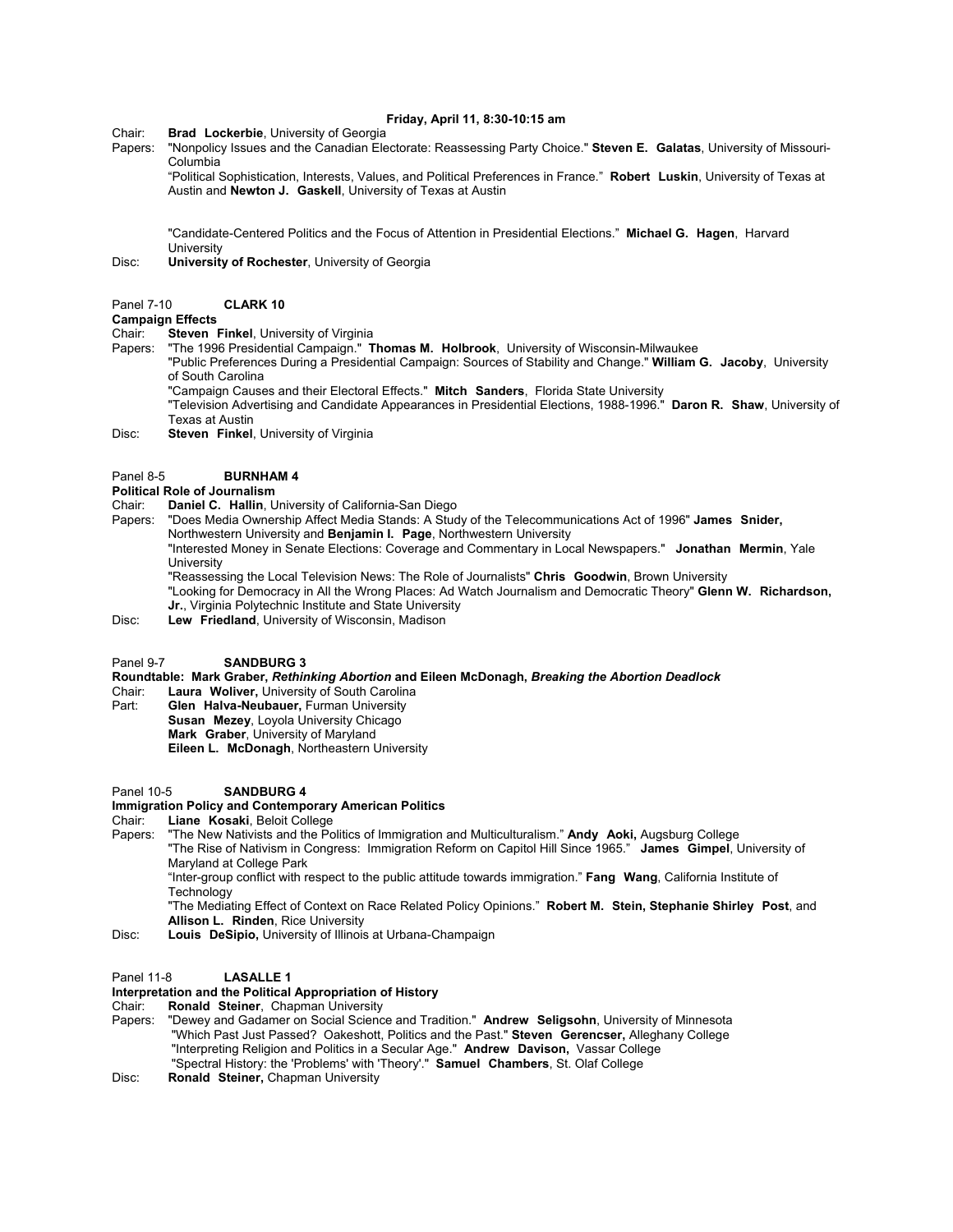#### **Friday, April 11, 8:30-10:15 am**

Chair: **Brad Lockerbie**, University of Georgia

Papers: "Nonpolicy Issues and the Canadian Electorate: Reassessing Party Choice." **Steven E. Galatas**, University of Missouri-Columbia

"Political Sophistication, Interests, Values, and Political Preferences in France." **Robert Luskin**, University of Texas at Austin and **Newton J. Gaskell**, University of Texas at Austin

"Candidate-Centered Politics and the Focus of Attention in Presidential Elections." **Michael G. Hagen**, Harvard **University** 

Disc: **University of Rochester**, University of Georgia

#### Panel 7-10 **CLARK 10**

#### **Campaign Effects**

Chair: **Steven Finkel**, University of Virginia

Papers: "The 1996 Presidential Campaign." **Thomas M. Holbrook**, University of Wisconsin-Milwaukee

"Public Preferences During a Presidential Campaign: Sources of Stability and Change." **William G. Jacoby**, University of South Carolina

"Campaign Causes and their Electoral Effects." **Mitch Sanders**, Florida State University

"Television Advertising and Candidate Appearances in Presidential Elections, 1988-1996." **Daron R. Shaw**, University of Texas at Austin

Disc: **Steven Finkel**, University of Virginia

## Panel 8-5 **BURNHAM 4**

### **Political Role of Journalism**

Chair: **Daniel C. Hallin**, University of California-San Diego

"Does Media Ownership Affect Media Stands: A Study of the Telecommunications Act of 1996" James Snider,

Northwestern University and **Benjamin I. Page**, Northwestern University "Interested Money in Senate Elections: Coverage and Commentary in Local Newspapers." **Jonathan Mermin**, Yale

**University** 

"Reassessing the Local Television News: The Role of Journalists" **Chris Goodwin**, Brown University

"Looking for Democracy in All the Wrong Places: Ad Watch Journalism and Democratic Theory" **Glenn W. Richardson, Jr.**, Virginia Polytechnic Institute and State University

Disc: **Lew Friedland**, University of Wisconsin, Madison

#### Panel 9-7 **SANDBURG 3**

**Roundtable: Mark Graber,** *Rethinking Abortion* **and Eileen McDonagh,** *Breaking the Abortion Deadlock*

- Laura Woliver, University of South Carolina Part: **Glen Halva-Neubauer,** Furman University
- **Susan Mezey**, Loyola University Chicago **Mark Graber**, University of Maryland **Eileen L. McDonagh**, Northeastern University

Panel 10-5 **SANDBURG 4**

#### **Immigration Policy and Contemporary American Politics**

Chair: **Liane Kosaki**, Beloit College

Papers: "The New Nativists and the Politics of Immigration and Multiculturalism." **Andy Aoki,** Augsburg College "The Rise of Nativism in Congress: Immigration Reform on Capitol Hill Since 1965." **James Gimpel**, University of Maryland at College Park

"Inter-group conflict with respect to the public attitude towards immigration." **Fang Wang**, California Institute of **Technology** 

"The Mediating Effect of Context on Race Related Policy Opinions." **Robert M. Stein, Stephanie Shirley Post**, and **Allison L. Rinden**, Rice University

Disc: **Louis DeSipio,** University of Illinois at Urbana-Champaign

Panel 11-8 **LASALLE 1**

#### **Interpretation and the Political Appropriation of History**

Chair: **Ronald Steiner**, Chapman University

Papers: "Dewey and Gadamer on Social Science and Tradition." **Andrew Seligsohn**, University of Minnesota "Which Past Just Passed? Oakeshott, Politics and the Past." **Steven Gerencser,** Alleghany College "Interpreting Religion and Politics in a Secular Age." **Andrew Davison,** Vassar College "Spectral History: the 'Problems' with 'Theory'." **Samuel Chambers**, St. Olaf College

Disc: **Ronald Steiner,** Chapman University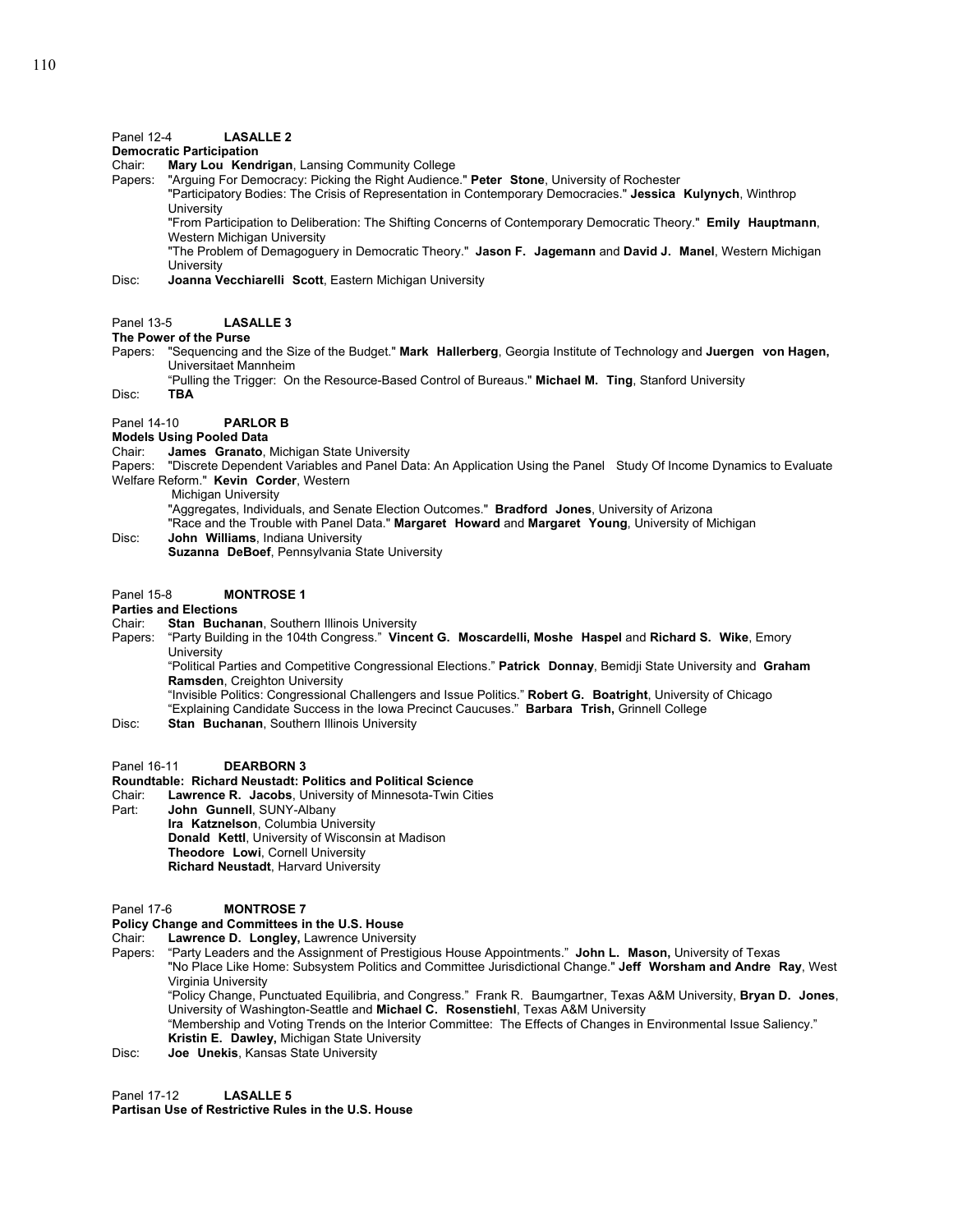### **Democratic Participation**

- Chair: **Mary Lou Kendrigan**, Lansing Community College
- Papers: "Arguing For Democracy: Picking the Right Audience." **Peter Stone**, University of Rochester
	- "Participatory Bodies: The Crisis of Representation in Contemporary Democracies." **Jessica Kulynych**, Winthrop **University**

"From Participation to Deliberation: The Shifting Concerns of Contemporary Democratic Theory." **Emily Hauptmann**, Western Michigan University

"The Problem of Demagoguery in Democratic Theory." **Jason F. Jagemann** and **David J. Manel**, Western Michigan **University** 

Disc: **Joanna Vecchiarelli Scott**, Eastern Michigan University

#### Panel 13-5 **LASALLE 3**

#### **The Power of the Purse**

- Papers: "Sequencing and the Size of the Budget." **Mark Hallerberg**, Georgia Institute of Technology and **Juergen von Hagen,** Universitaet Mannheim
- "Pulling the Trigger: On the Resource-Based Control of Bureaus." **Michael M. Ting**, Stanford University Disc: **TBA**

#### Panel 14-10 **PARLOR B**

#### **Models Using Pooled Data**

- Chair: **James Granato**, Michigan State University
- Papers: "Discrete Dependent Variables and Panel Data: An Application Using the Panel Study Of Income Dynamics to Evaluate Welfare Reform." **Kevin Corder**, Western
- Michigan University "Aggregates, Individuals, and Senate Election Outcomes." **Bradford Jones**, University of Arizona "Race and the Trouble with Panel Data." **Margaret Howard** and **Margaret Young**, University of Michigan Disc: **John Williams**, Indiana University
	- **Suzanna DeBoef**, Pennsylvania State University

#### Panel 15-8 **MONTROSE 1**

#### **Parties and Elections**

Chair: **Stan Buchanan**, Southern Illinois University

Papers: "Party Building in the 104th Congress." **Vincent G. Moscardelli, Moshe Haspel** and **Richard S. Wike**, Emory **University** 

"Political Parties and Competitive Congressional Elections." **Patrick Donnay**, Bemidji State University and **Graham Ramsden**, Creighton University

"Invisible Politics: Congressional Challengers and Issue Politics." **Robert G. Boatright**, University of Chicago "Explaining Candidate Success in the Iowa Precinct Caucuses." **Barbara Trish,** Grinnell College

Disc: **Stan Buchanan**, Southern Illinois University

## Panel 16-11 **DEARBORN 3**

## **Roundtable: Richard Neustadt: Politics and Political Science**

- Chair: **Lawrence R. Jacobs**, University of Minnesota-Twin Cities
- Part: **John Gunnell**, SUNY-Albany
	- **Ira Katznelson**, Columbia University **Donald Kettl**, University of Wisconsin at Madison
		- **Theodore Lowi**, Cornell University
		- **Richard Neustadt**, Harvard University

#### Panel 17-6 **MONTROSE 7**

#### **Policy Change and Committees in the U.S. House**

- Chair: **Lawrence D. Longley, Lawrence University Papers: "Party Leaders and the Assignment of Prestig** Papers: "Party Leaders and the Assignment of Prestigious House Appointments." **John L. Mason,** University of Texas "No Place Like Home: Subsystem Politics and Committee Jurisdictional Change." **Jeff Worsham and Andre Ray**, West
	- Virginia University
		- "Policy Change, Punctuated Equilibria, and Congress." Frank R. Baumgartner, Texas A&M University, **Bryan D. Jones**, University of Washington-Seattle and **Michael C. Rosenstiehl**, Texas A&M University

"Membership and Voting Trends on the Interior Committee: The Effects of Changes in Environmental Issue Saliency." **Kristin E. Dawley,** Michigan State University

Disc: **Joe Unekis**, Kansas State University

Panel 17-12 **LASALLE 5**

**Partisan Use of Restrictive Rules in the U.S. House**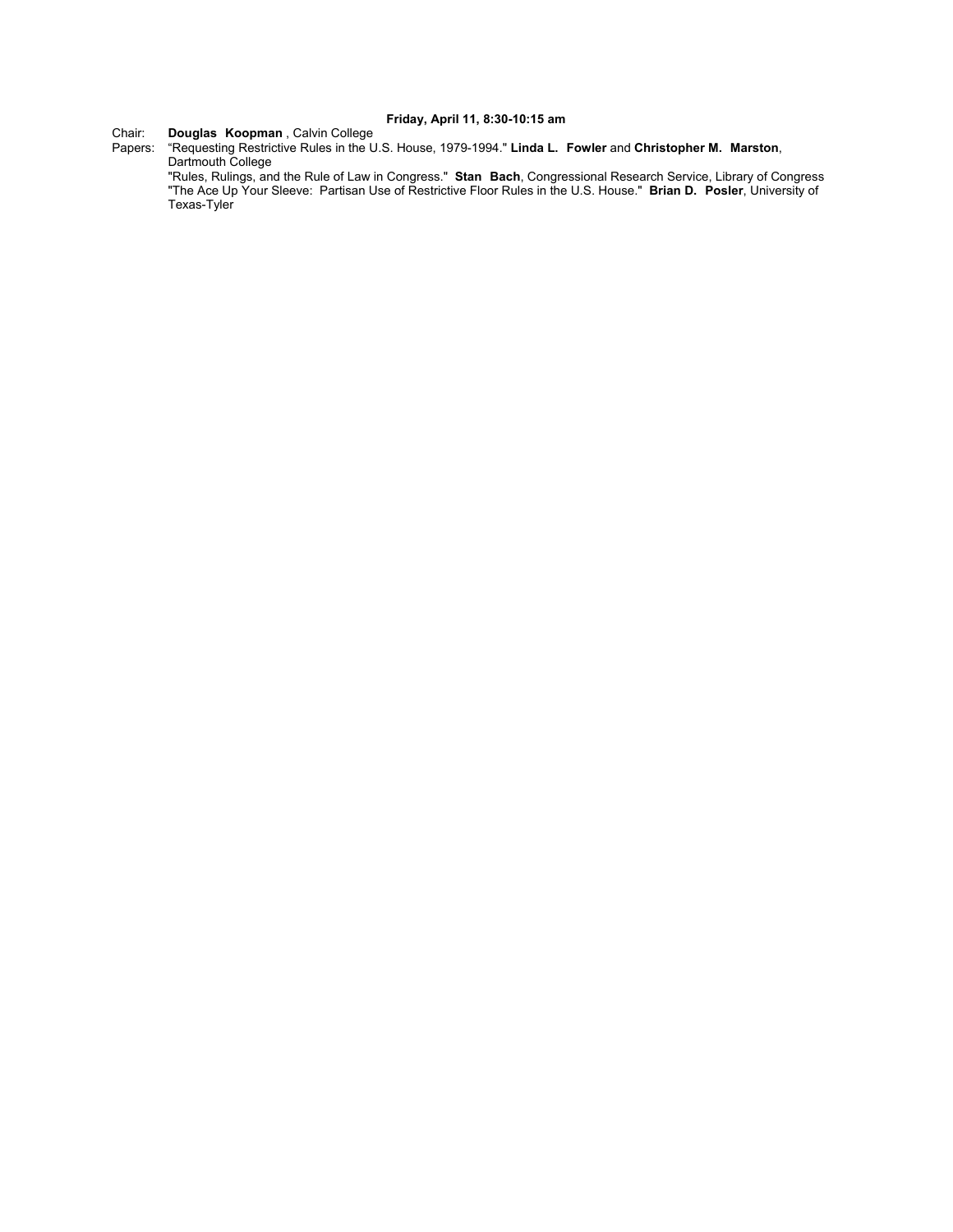### **Friday, April 11, 8:30-10:15 am**

#### Chair: **Douglas Koopman** , Calvin College

Papers: "Requesting Restrictive Rules in the U.S. House, 1979-1994." **Linda L. Fowler** and **Christopher M. Marston**, Dartmouth College

"Rules, Rulings, and the Rule of Law in Congress." **Stan Bach**, Congressional Research Service, Library of Congress "The Ace Up Your Sleeve: Partisan Use of Restrictive Floor Rules in the U.S. House." **Brian D. Posler**, University of Texas-Tyler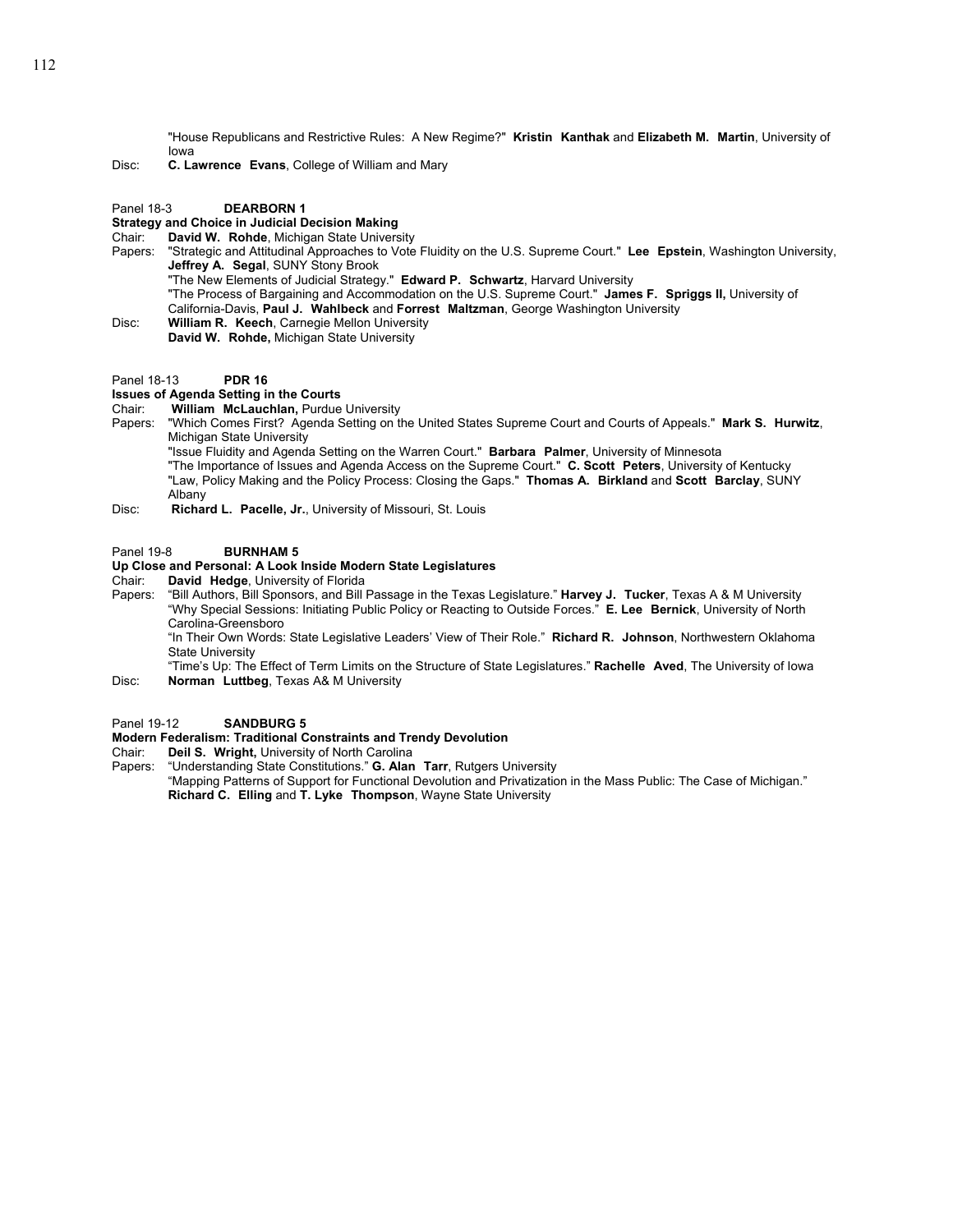"House Republicans and Restrictive Rules: A New Regime?" **Kristin Kanthak** and **Elizabeth M. Martin**, University of Iowa

Disc: **C. Lawrence Evans**, College of William and Mary

#### Panel 18-3 **DEARBORN 1**

### **Strategy and Choice in Judicial Decision Making**

- Chair: **David W. Rohde**, Michigan State University
- Papers: "Strategic and Attitudinal Approaches to Vote Fluidity on the U.S. Supreme Court." **Lee Epstein**, Washington University, **Jeffrey A. Segal**, SUNY Stony Brook
	- "The New Elements of Judicial Strategy." **Edward P. Schwartz**, Harvard University
	- "The Process of Bargaining and Accommodation on the U.S. Supreme Court." **James F. Spriggs II,** University of
	- California-Davis, **Paul J. Wahlbeck** and **Forrest Maltzman**, George Washington University
- Disc: **William R. Keech**, Carnegie Mellon University **David W. Rohde,** Michigan State University

Panel 18-13 **PDR 16**

### **Issues of Agenda Setting in the Courts**

- Chair: **William McLauchlan,** Purdue University
- Papers: "Which Comes First? Agenda Setting on the United States Supreme Court and Courts of Appeals." **Mark S. Hurwitz**, Michigan State University
	- "Issue Fluidity and Agenda Setting on the Warren Court." **Barbara Palmer**, University of Minnesota
	- "The Importance of Issues and Agenda Access on the Supreme Court." **C. Scott Peters**, University of Kentucky "Law, Policy Making and the Policy Process: Closing the Gaps." **Thomas A. Birkland** and **Scott Barclay**, SUNY Albany
- 
- Disc: **Richard L. Pacelle, Jr.**, University of Missouri, St. Louis

Panel 19-8 **BURNHAM 5**

# **Up Close and Personal: A Look Inside Modern State Legislatures**

David Hedge, University of Florida

Papers: "Bill Authors, Bill Sponsors, and Bill Passage in the Texas Legislature." **Harvey J. Tucker**, Texas A & M University "Why Special Sessions: Initiating Public Policy or Reacting to Outside Forces." **E. Lee Bernick**, University of North Carolina-Greensboro

"In Their Own Words: State Legislative Leaders' View of Their Role." **Richard R. Johnson**, Northwestern Oklahoma State University

"Time's Up: The Effect of Term Limits on the Structure of State Legislatures." **Rachelle Aved**, The University of Iowa Disc: **Norman Luttbeg**, Texas A& M University

#### Panel 19-12 **SANDBURG 5**

#### **Modern Federalism: Traditional Constraints and Trendy Devolution**

- Chair: **Deil S. Wright,** University of North Carolina
- Papers: "Understanding State Constitutions." **G. Alan Tarr**, Rutgers University
	- "Mapping Patterns of Support for Functional Devolution and Privatization in the Mass Public: The Case of Michigan." **Richard C. Elling** and **T. Lyke Thompson**, Wayne State University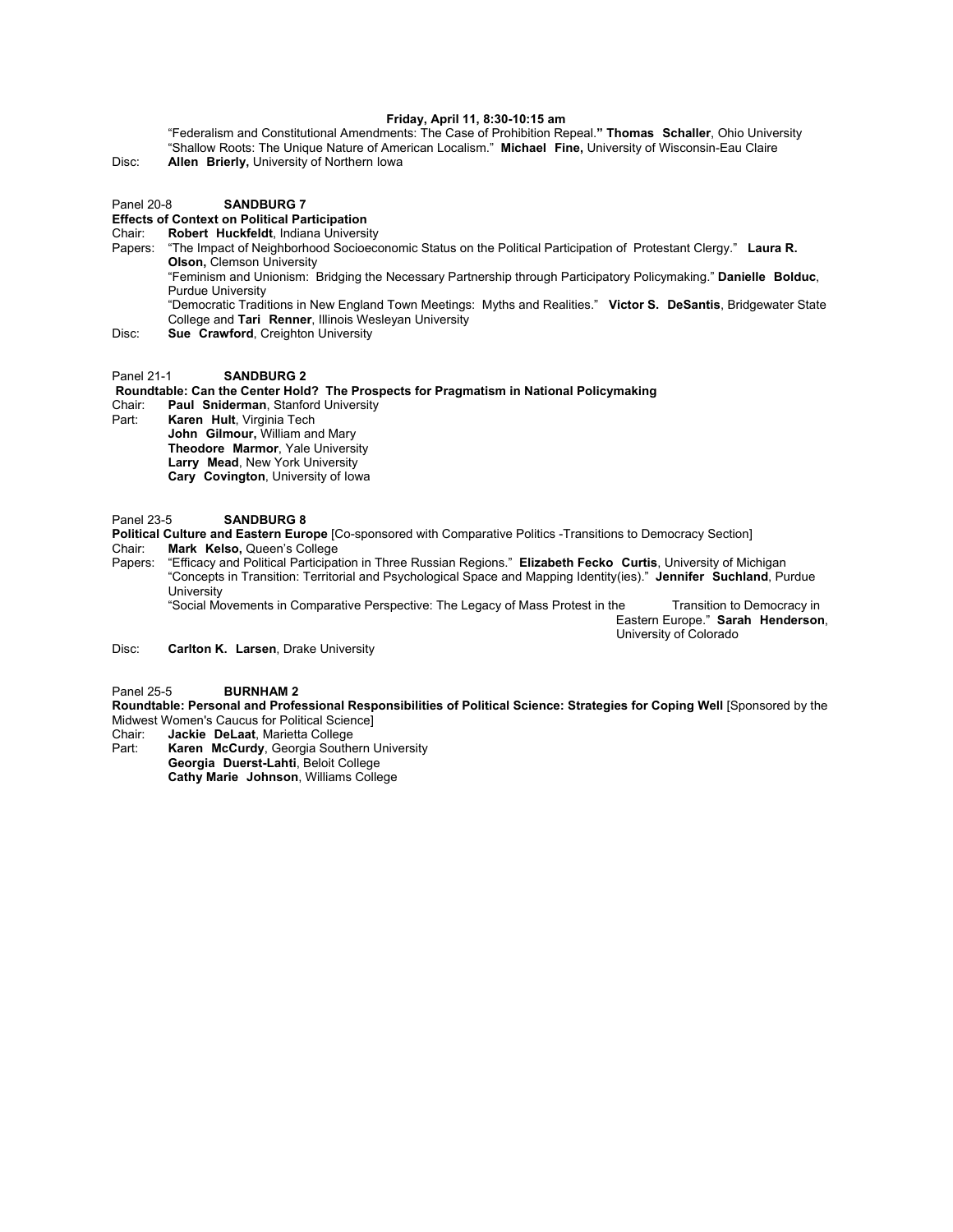### **Friday, April 11, 8:30-10:15 am**

"Federalism and Constitutional Amendments: The Case of Prohibition Repeal.**" Thomas Schaller**, Ohio University "Shallow Roots: The Unique Nature of American Localism." **Michael Fine,** University of Wisconsin-Eau Claire Disc: **Allen Brierly,** University of Northern Iowa

#### Panel 20-8 **SANDBURG 7**

#### **Effects of Context on Political Participation**

Chair: **Robert Huckfeldt**, Indiana University

Papers: "The Impact of Neighborhood Socioeconomic Status on the Political Participation of Protestant Clergy." **Laura R. Olson,** Clemson University "Feminism and Unionism: Bridging the Necessary Partnership through Participatory Policymaking." **Danielle Bolduc**,

Purdue University "Democratic Traditions in New England Town Meetings: Myths and Realities." **Victor S. DeSantis**, Bridgewater State College and **Tari Renner**, Illinois Wesleyan University

Disc: **Sue Crawford**, Creighton University

#### Panel 21-1 **SANDBURG 2**

### **Roundtable: Can the Center Hold? The Prospects for Pragmatism in National Policymaking**

Chair: **Paul Sniderman**, Stanford University Karen Hult, Virginia Tech

**John Gilmour,** William and Mary **Theodore Marmor**, Yale University **Larry Mead**, New York University **Cary Covington**, University of Iowa

#### Panel 23-5 **SANDBURG 8**

**Political Culture and Eastern Europe** [Co-sponsored with Comparative Politics -Transitions to Democracy Section]

Chair: **Mark Kelso,** Queen's College "Efficacy and Political Participation in Three Russian Regions." **Elizabeth Fecko Curtis**, University of Michigan "Concepts in Transition: Territorial and Psychological Space and Mapping Identity(ies)." **Jennifer Suchland**, Purdue **University** 

"Social Movements in Comparative Perspective: The Legacy of Mass Protest in the Transition to Democracy in Eastern Europe." **Sarah Henderson**, University of Colorado

Disc: **Carlton K. Larsen**, Drake University

#### Panel 25-5 **BURNHAM 2**

**Roundtable: Personal and Professional Responsibilities of Political Science: Strategies for Coping Well** [Sponsored by the Midwest Women's Caucus for Political Science]

Chair: **Jackie DeLaat**, Marietta College

Part: **Karen McCurdy**, Georgia Southern University **Georgia Duerst-Lahti**, Beloit College **Cathy Marie Johnson**, Williams College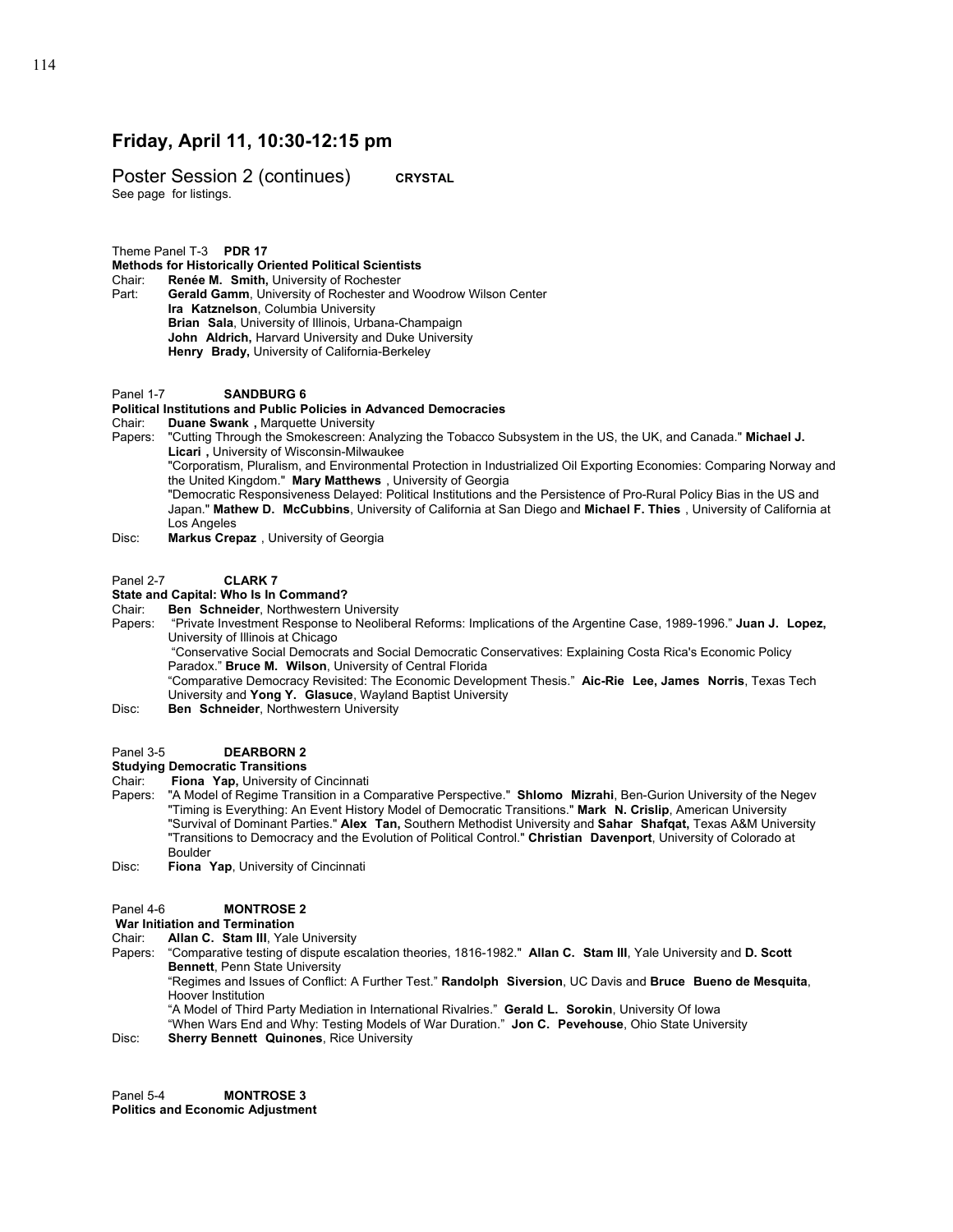# **Friday, April 11, 10:30-12:15 pm**

Poster Session 2 (continues) **CRYSTAL** See page for listings.

Theme Panel T-3 **PDR 17**

# **Methods for Historically Oriented Political Scientists**

Renée M. Smith, University of Rochester

- Part: **Gerald Gamm**, University of Rochester and Woodrow Wilson Center **Ira Katznelson**, Columbia University **Brian Sala**, University of Illinois, Urbana-Champaign **John Aldrich,** Harvard University and Duke University **Henry Brady,** University of California-Berkeley
- Panel 1-7 **SANDBURG 6**

#### **Political Institutions and Public Policies in Advanced Democracies**

- Chair: **Duane Swank ,** Marquette University
- Papers: "Cutting Through the Smokescreen: Analyzing the Tobacco Subsystem in the US, the UK, and Canada." **Michael J. Licari ,** University of Wisconsin-Milwaukee

"Corporatism, Pluralism, and Environmental Protection in Industrialized Oil Exporting Economies: Comparing Norway and the United Kingdom." **Mary Matthews** , University of Georgia

- "Democratic Responsiveness Delayed: Political Institutions and the Persistence of Pro-Rural Policy Bias in the US and Japan." **Mathew D. McCubbins**, University of California at San Diego and **Michael F. Thies** , University of California at Los Angeles
- Disc: **Markus Crepaz** , University of Georgia

#### Panel 2-7 **CLARK 7**

#### **State and Capital: Who Is In Command?**

Chair: **Ben Schneider**, Northwestern University

Papers: "Private Investment Response to Neoliberal Reforms: Implications of the Argentine Case, 1989-1996." **Juan J. Lopez,** University of Illinois at Chicago

 "Conservative Social Democrats and Social Democratic Conservatives: Explaining Costa Rica's Economic Policy Paradox." **Bruce M. Wilson**, University of Central Florida

"Comparative Democracy Revisited: The Economic Development Thesis." **Aic-Rie Lee, James Norris**, Texas Tech University and **Yong Y. Glasuce**, Wayland Baptist University

Disc: **Ben Schneider**, Northwestern University

#### Panel 3-5 **DEARBORN 2**

## **Studying Democratic Transitions**

Chair: **Fiona Yap, University of Cincinnati**<br>Papers: "A Model of Regime Transition in a C "A Model of Regime Transition in a Comparative Perspective." **Shlomo Mizrahi**, Ben-Gurion University of the Negev "Timing is Everything: An Event History Model of Democratic Transitions." **Mark N. Crislip**, American University "Survival of Dominant Parties." **Alex Tan,** Southern Methodist University and **Sahar Shafqat,** Texas A&M University "Transitions to Democracy and the Evolution of Political Control." **Christian Davenport**, University of Colorado at Boulder

Disc: **Fiona Yap**, University of Cincinnati

#### Panel 4-6 **MONTROSE 2**

#### **War Initiation and Termination**

Chair: **Allan C. Stam III**, Yale University

Papers: "Comparative testing of dispute escalation theories, 1816-1982." **Allan C. Stam III**, Yale University and **D. Scott Bennett**, Penn State University

"Regimes and Issues of Conflict: A Further Test." **Randolph Siversion**, UC Davis and **Bruce Bueno de Mesquita**, Hoover Institution

"A Model of Third Party Mediation in International Rivalries." **Gerald L. Sorokin**, University Of Iowa

"When Wars End and Why: Testing Models of War Duration." **Jon C. Pevehouse**, Ohio State University Disc: **Sherry Bennett Quinones**, Rice University

Panel 5-4 **MONTROSE 3 Politics and Economic Adjustment**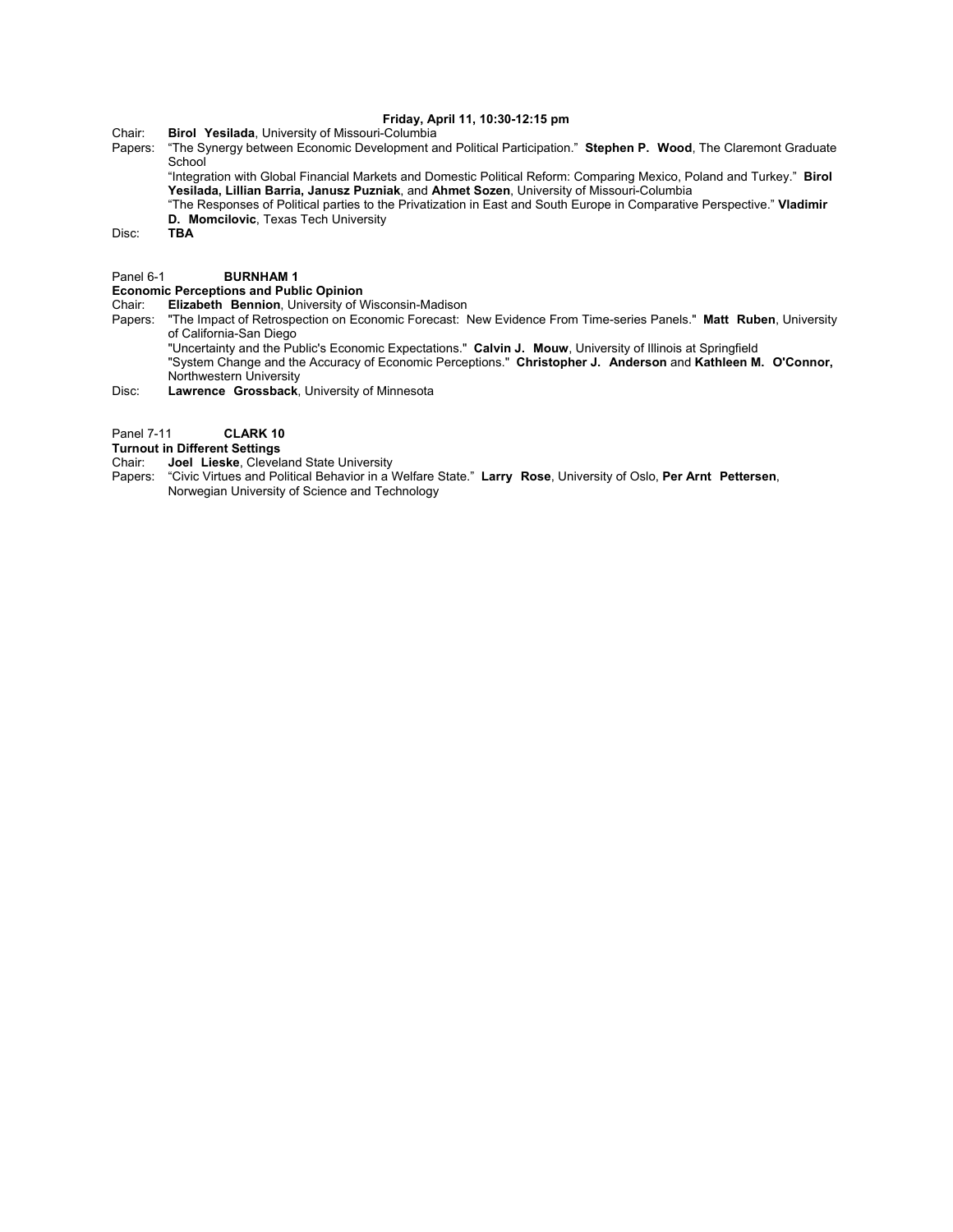#### **Friday, April 11, 10:30-12:15 pm**

Chair: **Birol Yesilada**, University of Missouri-Columbia Papers: "The Synergy between Economic Development and Political Participation." **Stephen P. Wood**, The Claremont Graduate School

"Integration with Global Financial Markets and Domestic Political Reform: Comparing Mexico, Poland and Turkey." **Birol Yesilada, Lillian Barria, Janusz Puzniak**, and **Ahmet Sozen**, University of Missouri-Columbia

 "The Responses of Political parties to the Privatization in East and South Europe in Comparative Perspective." **Vladimir D. Momcilovic**, Texas Tech University

Disc: **TBA**

#### Panel 6-1 **BURNHAM 1**

# **Economic Perceptions and Public Opinion**<br>Chair: **Elizabeth Bennion**, University of V

**Elizabeth Bennion, University of Wisconsin-Madison** 

- Papers: "The Impact of Retrospection on Economic Forecast: New Evidence From Time-series Panels." **Matt Ruben**, University of California-San Diego
	- "Uncertainty and the Public's Economic Expectations." **Calvin J. Mouw**, University of Illinois at Springfield "System Change and the Accuracy of Economic Perceptions." **Christopher J. Anderson** and **Kathleen M. O'Connor,**  Northwestern University
- Disc: **Lawrence Grossback**, University of Minnesota
- Panel 7-11 **CLARK 10**

**Turnout in Different Settings**

- Chair: **Joel Lieske**, Cleveland State University<br>Papers: "Civic Virtues and Political Behavior in a \
- Papers: "Civic Virtues and Political Behavior in a Welfare State." **Larry Rose**, University of Oslo, **Per Arnt Pettersen**, Norwegian University of Science and Technology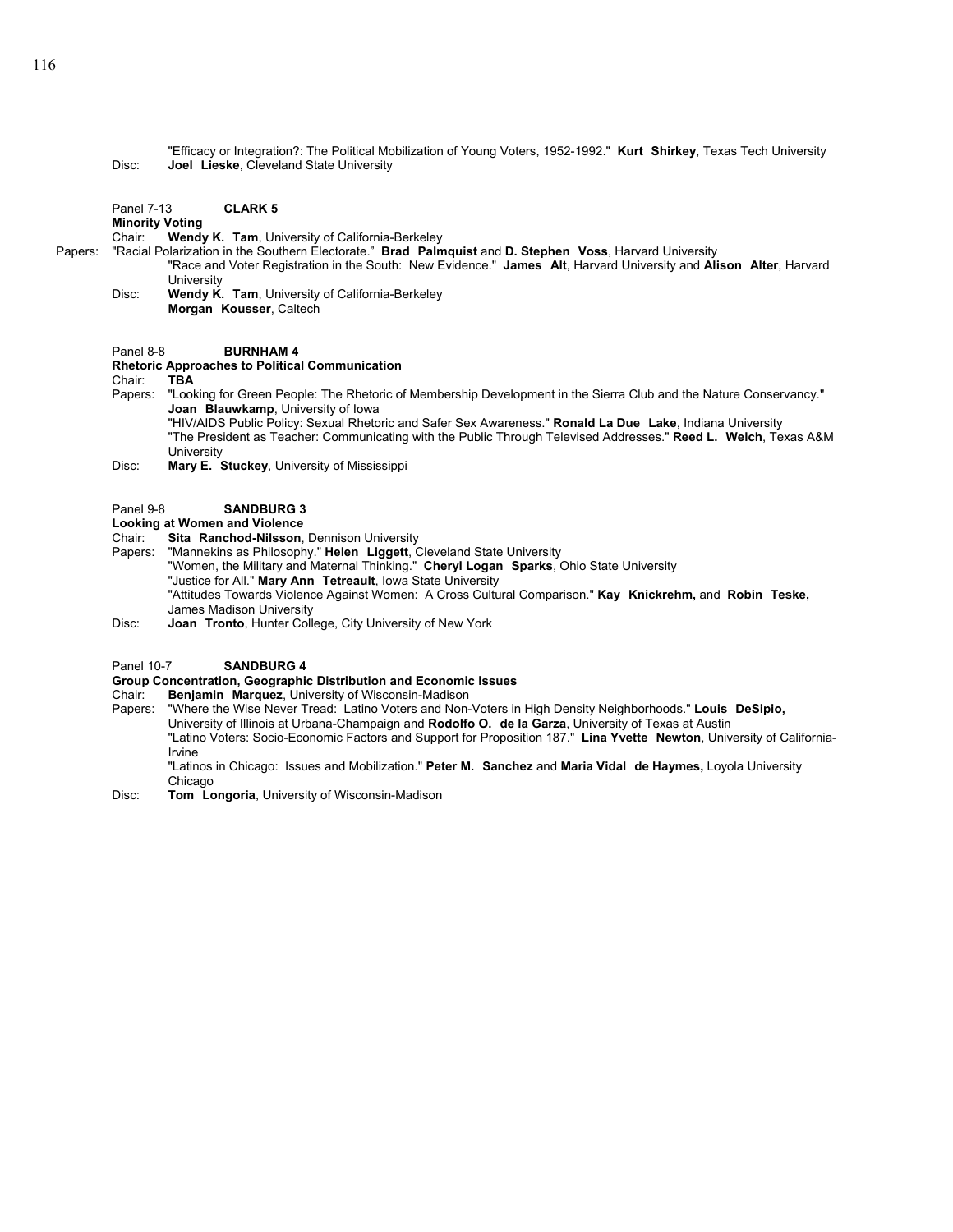"Efficacy or Integration?: The Political Mobilization of Young Voters, 1952-1992." **Kurt Shirkey**, Texas Tech University Disc: **Joel Lieske**, Cleveland State University

Panel 7-13 **CLARK 5**

**Minority Voting**

Chair: **Wendy K. Tam**, University of California-Berkeley

- Papers: "Racial Polarization in the Southern Electorate." **Brad Palmquist** and **D. Stephen Voss**, Harvard University
	- "Race and Voter Registration in the South: New Evidence." **James Alt**, Harvard University and **Alison Alter**, Harvard **University**
	- Disc: **Wendy K. Tam**, University of California-Berkeley **Morgan Kousser**, Caltech

### Panel 8-8 **BURNHAM 4**

#### **Rhetoric Approaches to Political Communication**

Chair: **TBA**

Papers: "Looking for Green People: The Rhetoric of Membership Development in the Sierra Club and the Nature Conservancy." **Joan Blauwkamp**, University of Iowa

"HIV/AIDS Public Policy: Sexual Rhetoric and Safer Sex Awareness." **Ronald La Due Lake**, Indiana University "The President as Teacher: Communicating with the Public Through Televised Addresses." **Reed L. Welch**, Texas A&M **University** 

Disc: **Mary E. Stuckey**, University of Mississippi

#### Panel 9-8 **SANDBURG 3**

## **Looking at Women and Violence**

Chair: **Sita Ranchod-Nilsson**, Dennison University

- Papers: "Mannekins as Philosophy." **Helen Liggett**, Cleveland State University "Women, the Military and Maternal Thinking." **Cheryl Logan Sparks**, Ohio State University "Justice for All." **Mary Ann Tetreault**, Iowa State University "Attitudes Towards Violence Against Women: A Cross Cultural Comparison." **Kay Knickrehm,** and **Robin Teske,**  James Madison University
- Disc: **Joan Tronto**, Hunter College, City University of New York

#### Panel 10-7 **SANDBURG 4**

#### **Group Concentration, Geographic Distribution and Economic Issues**

Chair: **Benjamin Marquez**, University of Wisconsin-Madison

Papers: "Where the Wise Never Tread: Latino Voters and Non-Voters in High Density Neighborhoods." **Louis DeSipio,** University of Illinois at Urbana-Champaign and **Rodolfo O. de la Garza**, University of Texas at Austin "Latino Voters: Socio-Economic Factors and Support for Proposition 187." **Lina Yvette Newton**, University of California-Irvine

"Latinos in Chicago: Issues and Mobilization." **Peter M. Sanchez** and **Maria Vidal de Haymes,** Loyola University Chicago

Disc: **Tom Longoria**, University of Wisconsin-Madison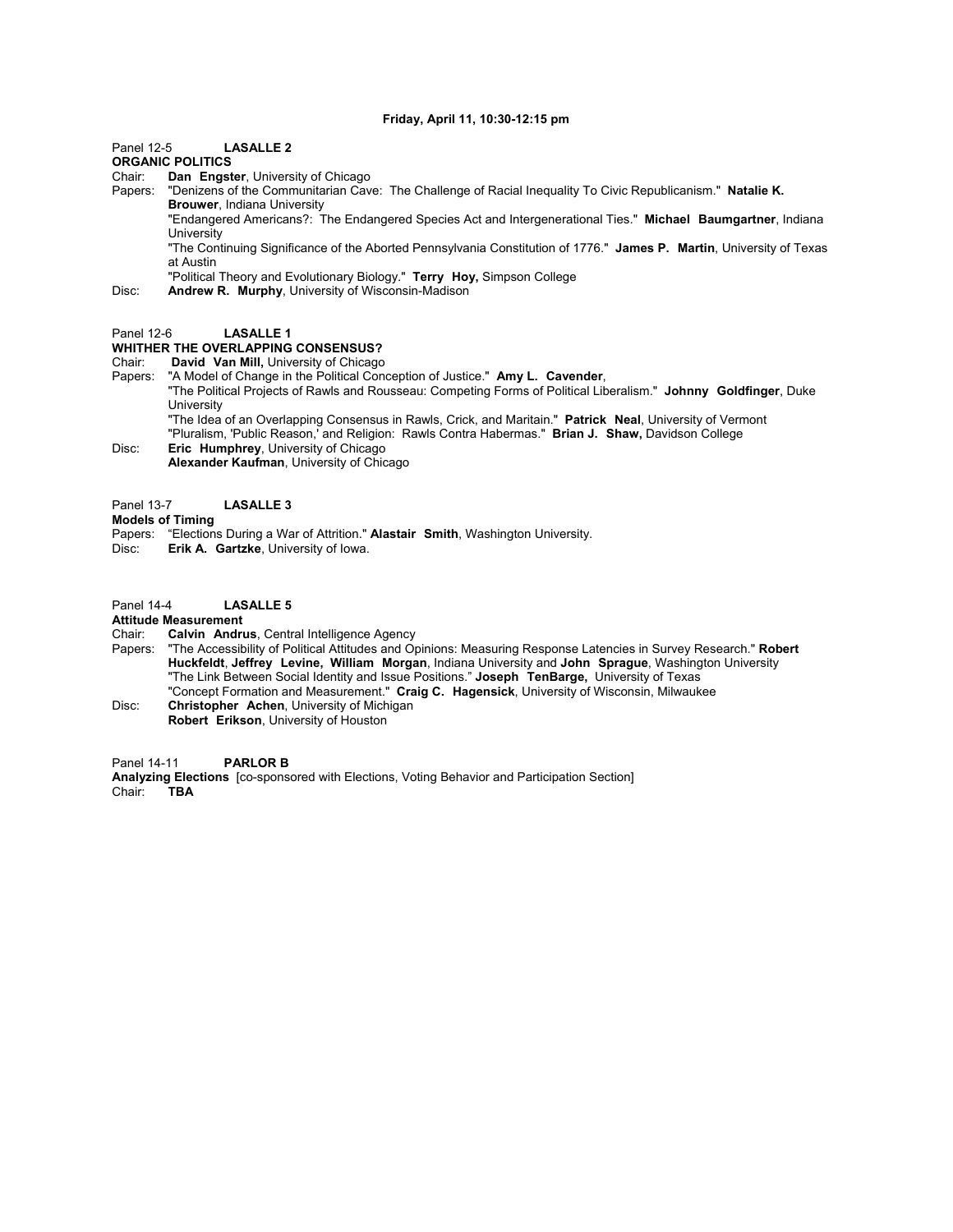#### **Friday, April 11, 10:30-12:15 pm**

#### Panel 12-5 **LASALLE 2**

#### **ORGANIC POLITICS**

Chair: **Dan Engster**, University of Chicago

Papers: "Denizens of the Communitarian Cave: The Challenge of Racial Inequality To Civic Republicanism." **Natalie K.** 

**Brouwer**, Indiana University

"Endangered Americans?: The Endangered Species Act and Intergenerational Ties." **Michael Baumgartner**, Indiana **University** 

"The Continuing Significance of the Aborted Pennsylvania Constitution of 1776." **James P. Martin**, University of Texas at Austin

- "Political Theory and Evolutionary Biology." **Terry Hoy,** Simpson College
- Disc: **Andrew R. Murphy**, University of Wisconsin-Madison

#### Panel 12-6 **LASALLE 1**

# **WHITHER THE OVERLAPPING CONSENSUS?**<br>Chair: **David Van Mill, University of Chicago**

- David Van Mill, University of Chicago
- Papers: "A Model of Change in the Political Conception of Justice." **Amy L. Cavender**,

"The Political Projects of Rawls and Rousseau: Competing Forms of Political Liberalism." **Johnny Goldfinger**, Duke **University** 

"The Idea of an Overlapping Consensus in Rawls, Crick, and Maritain." **Patrick Neal**, University of Vermont

"Pluralism, 'Public Reason,' and Religion: Rawls Contra Habermas." **Brian J. Shaw,** Davidson College Disc: **Eric Humphrey**, University of Chicago

**Alexander Kaufman**, University of Chicago

#### Panel 13-7 **LASALLE 3**

**Models of Timing**

- Papers: "Elections During a War of Attrition." **Alastair Smith**, Washington University.
- Disc: **Erik A. Gartzke**, University of Iowa.
- Panel 14-4 **LASALLE 5**

# **Attitude Measurement**<br>Chair: Calvin Andri

Calvin Andrus, Central Intelligence Agency

Papers: "The Accessibility of Political Attitudes and Opinions: Measuring Response Latencies in Survey Research." **Robert Huckfeldt**, **Jeffrey Levine, William Morgan**, Indiana University and **John Sprague**, Washington University "The Link Between Social Identity and Issue Positions." **Joseph TenBarge,** University of Texas "Concept Formation and Measurement." **Craig C. Hagensick**, University of Wisconsin, Milwaukee

Disc: **Christopher Achen**, University of Michigan **Robert Erikson**, University of Houston

Panel 14-11 **PARLOR B**

**Analyzing Elections** [co-sponsored with Elections, Voting Behavior and Participation Section] Chair: **TBA**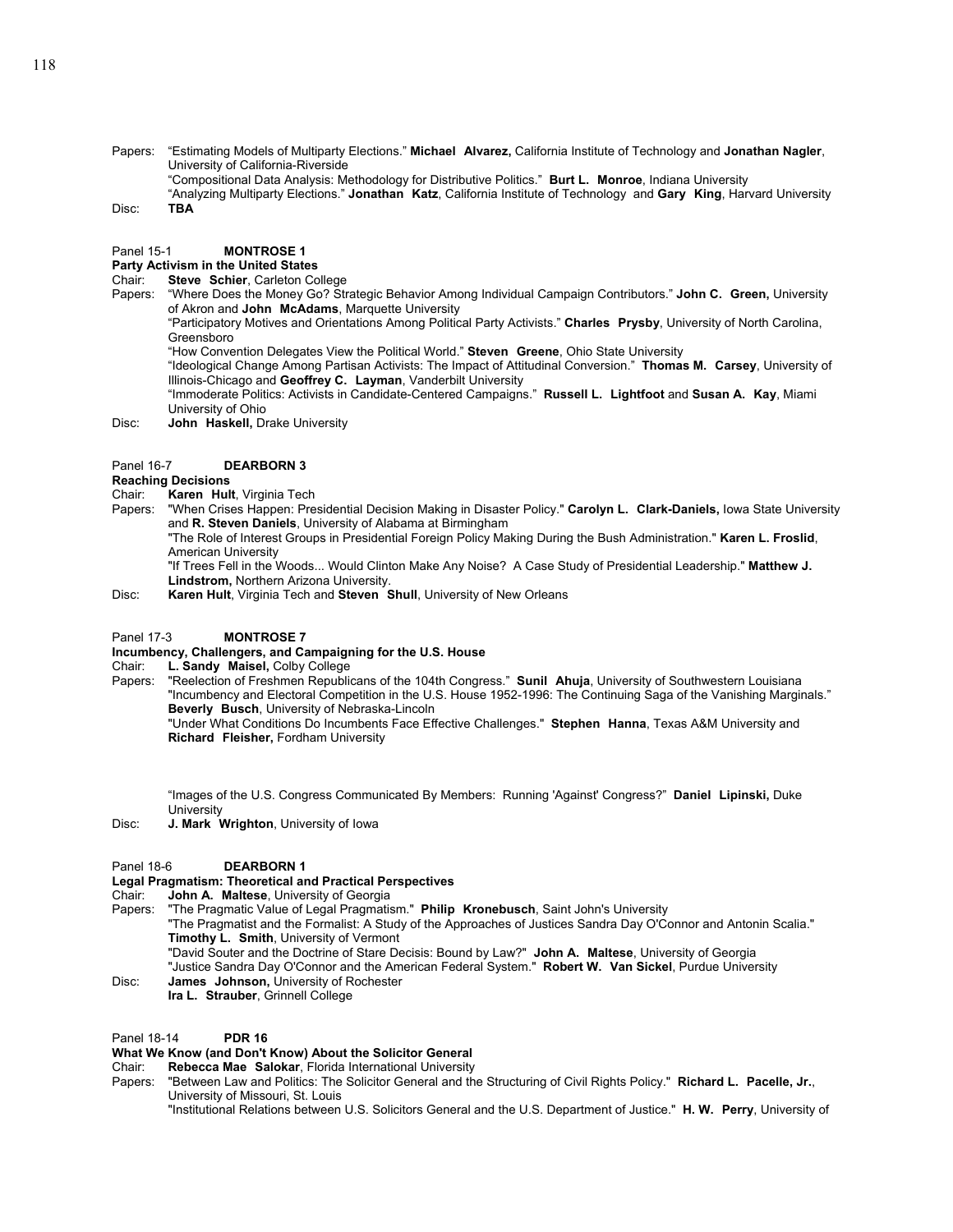Papers: "Estimating Models of Multiparty Elections." **Michael Alvarez,** California Institute of Technology and **Jonathan Nagler**, University of California-Riverside

"Compositional Data Analysis: Methodology for Distributive Politics." **Burt L. Monroe**, Indiana University

"Analyzing Multiparty Elections." **Jonathan Katz**, California Institute of Technology and **Gary King**, Harvard University Disc: **TBA**

### Panel 15-1 **MONTROSE 1**

## **Party Activism in the United States**

Chair: **Steve Schier**, Carleton College

Papers: "Where Does the Money Go? Strategic Behavior Among Individual Campaign Contributors." **John C. Green,** University of Akron and **John McAdams**, Marquette University

"Participatory Motives and Orientations Among Political Party Activists." **Charles Prysby**, University of North Carolina, Greensboro

"How Convention Delegates View the Political World." **Steven Greene**, Ohio State University

"Ideological Change Among Partisan Activists: The Impact of Attitudinal Conversion." **Thomas M. Carsey**, University of Illinois-Chicago and **Geoffrey C. Layman**, Vanderbilt University

"Immoderate Politics: Activists in Candidate-Centered Campaigns." **Russell L. Lightfoot** and **Susan A. Kay**, Miami University of Ohio

Disc: **John Haskell,** Drake University

#### Panel 16-7 **DEARBORN 3 Reaching Decisions**

Chair: **Karen Hult**, Virginia Tech

Papers: "When Crises Happen: Presidential Decision Making in Disaster Policy." **Carolyn L. Clark-Daniels,** Iowa State University and **R. Steven Daniels**, University of Alabama at Birmingham

"The Role of Interest Groups in Presidential Foreign Policy Making During the Bush Administration." **Karen L. Froslid**, American University

"If Trees Fell in the Woods... Would Clinton Make Any Noise? A Case Study of Presidential Leadership." **Matthew J. Lindstrom,** Northern Arizona University.

Disc: **Karen Hult**, Virginia Tech and **Steven Shull**, University of New Orleans

#### Panel 17-3 **MONTROSE 7**

#### **Incumbency, Challengers, and Campaigning for the U.S. House**

Chair: **L. Sandy Maisel,** Colby College

Papers: "Reelection of Freshmen Republicans of the 104th Congress." **Sunil Ahuja**, University of Southwestern Louisiana "Incumbency and Electoral Competition in the U.S. House 1952-1996: The Continuing Saga of the Vanishing Marginals." **Beverly Busch**, University of Nebraska-Lincoln "Under What Conditions Do Incumbents Face Effective Challenges." **Stephen Hanna**, Texas A&M University and

**Richard Fleisher,** Fordham University

"Images of the U.S. Congress Communicated By Members: Running 'Against' Congress?" **Daniel Lipinski,** Duke **University** 

Disc: **J. Mark Wrighton**, University of Iowa

#### Panel 18-6 **DEARBORN 1**

### **Legal Pragmatism: Theoretical and Practical Perspectives**

Chair: **John A. Maltese**, University of Georgia

- Papers: "The Pragmatic Value of Legal Pragmatism." **Philip Kronebusch**, Saint John's University
	- "The Pragmatist and the Formalist: A Study of the Approaches of Justices Sandra Day O'Connor and Antonin Scalia." **Timothy L. Smith**, University of Vermont
		- "David Souter and the Doctrine of Stare Decisis: Bound by Law?" **John A. Maltese**, University of Georgia
- "Justice Sandra Day O'Connor and the American Federal System." **Robert W. Van Sickel**, Purdue University Disc: **James Johnson,** University of Rochester
- **Ira L. Strauber**, Grinnell College

Panel 18-14 **PDR 16**

# **What We Know (and Don't Know) About the Solicitor General**

#### Rebecca Mae Salokar, Florida International University

Papers: "Between Law and Politics: The Solicitor General and the Structuring of Civil Rights Policy." **Richard L. Pacelle, Jr.**, University of Missouri, St. Louis "Institutional Relations between U.S. Solicitors General and the U.S. Department of Justice." **H. W. Perry**, University of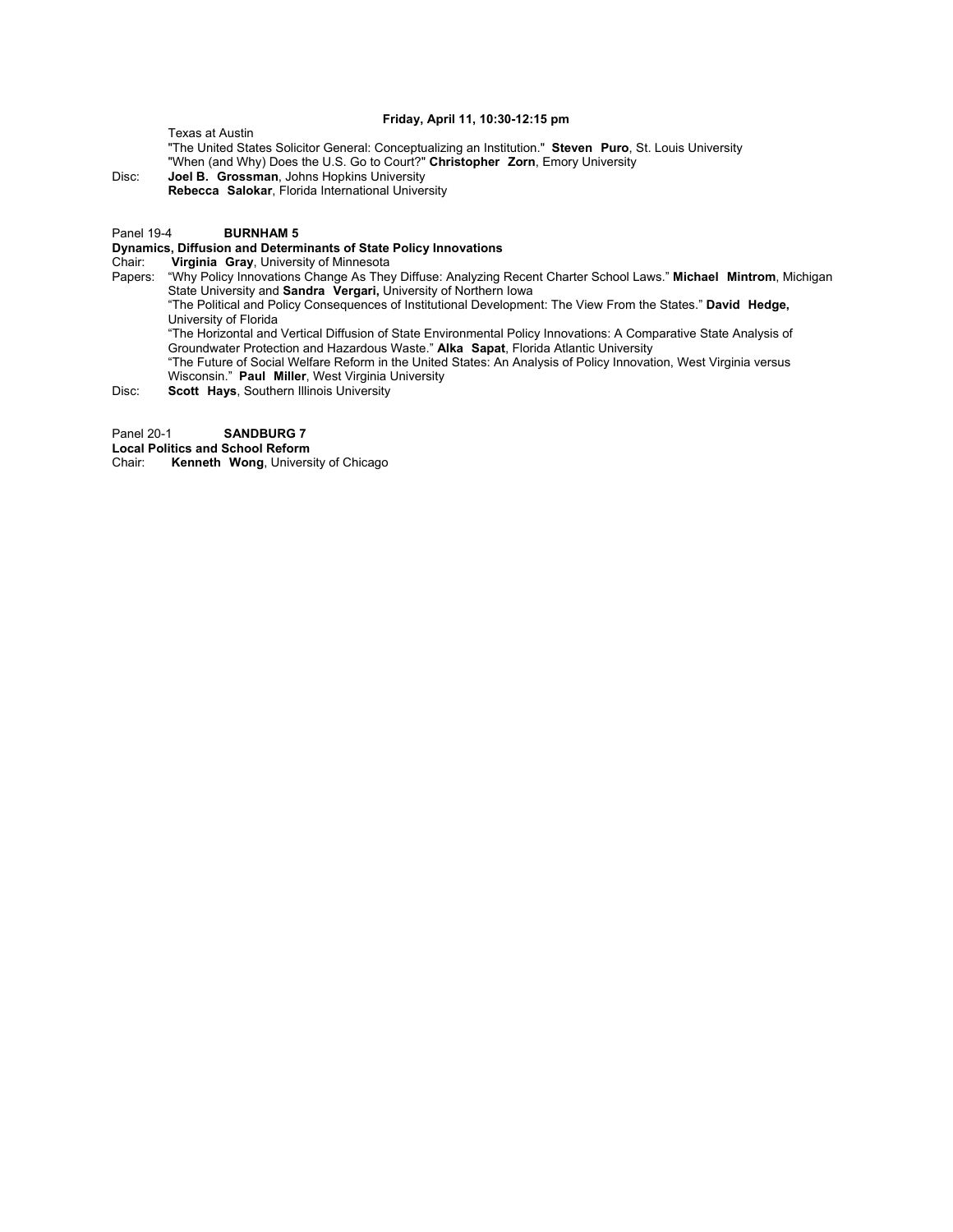#### **Friday, April 11, 10:30-12:15 pm**

Texas at Austin

"The United States Solicitor General: Conceptualizing an Institution." **Steven Puro**, St. Louis University "When (and Why) Does the U.S. Go to Court?" **Christopher Zorn**, Emory University Disc: **Joel B. Grossman**, Johns Hopkins University **Rebecca Salokar**, Florida International University

#### Panel 19-4 **BURNHAM 5**

#### **Dynamics, Diffusion and Determinants of State Policy Innovations**

Chair: **Virginia Gray**, University of Minnesota

Papers: "Why Policy Innovations Change As They Diffuse: Analyzing Recent Charter School Laws." **Michael Mintrom**, Michigan State University and **Sandra Vergari,** University of Northern Iowa

"The Political and Policy Consequences of Institutional Development: The View From the States." **David Hedge,** University of Florida

"The Horizontal and Vertical Diffusion of State Environmental Policy Innovations: A Comparative State Analysis of Groundwater Protection and Hazardous Waste." **Alka Sapat**, Florida Atlantic University

"The Future of Social Welfare Reform in the United States: An Analysis of Policy Innovation, West Virginia versus Wisconsin." **Paul Miller**, West Virginia University

Disc: **Scott Hays**, Southern Illinois University

Panel 20-1 **SANDBURG 7**

**Local Politics and School Reform**<br>Chair: **Kenneth Wong, Univers** 

Kenneth Wong, University of Chicago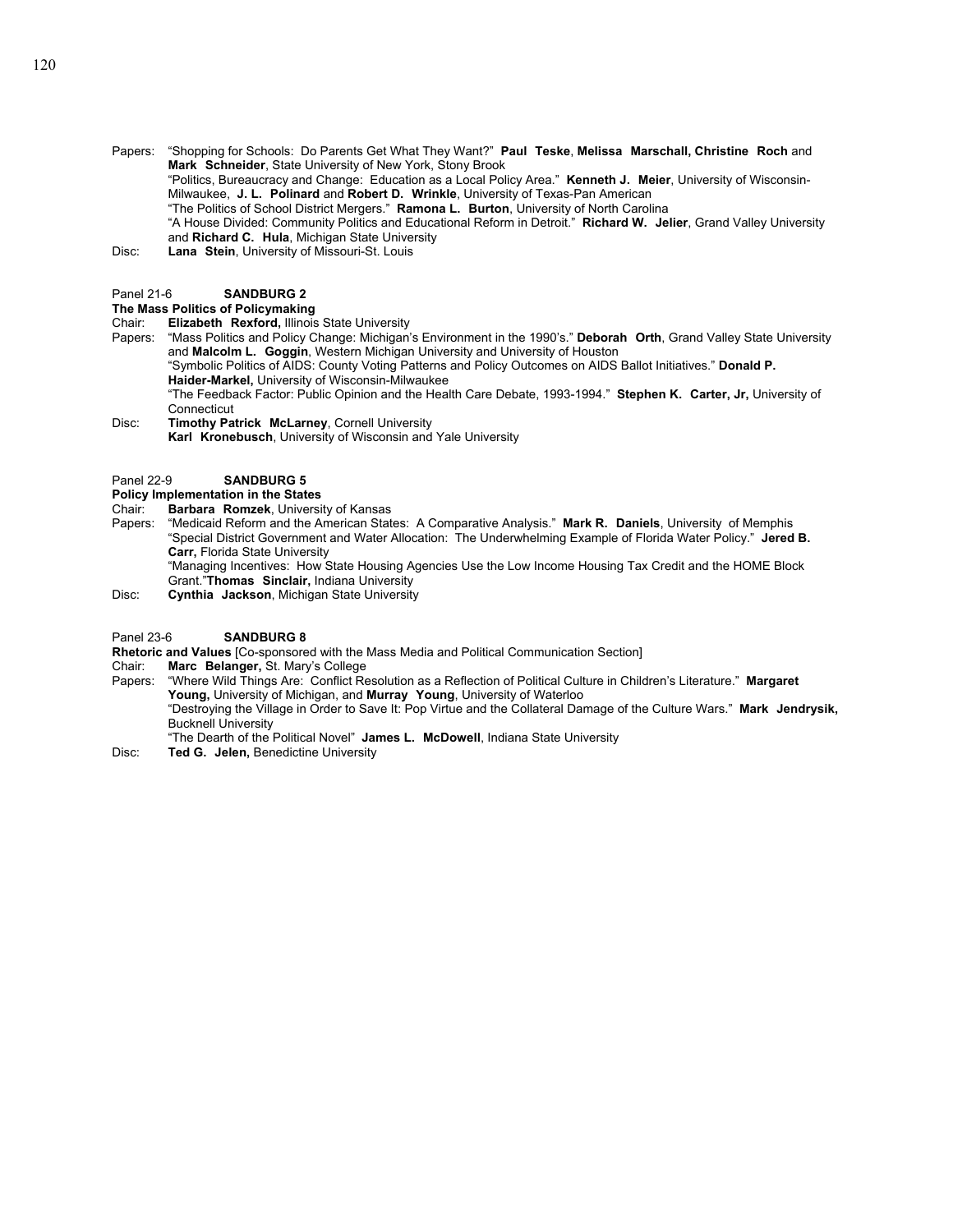Papers: "Shopping for Schools: Do Parents Get What They Want?" **Paul Teske**, **Melissa Marschall, Christine Roch** and **Mark Schneider**, State University of New York, Stony Brook "Politics, Bureaucracy and Change: Education as a Local Policy Area." **Kenneth J. Meier**, University of Wisconsin-Milwaukee, **J. L. Polinard** and **Robert D. Wrinkle**, University of Texas-Pan American "The Politics of School District Mergers." **Ramona L. Burton**, University of North Carolina "A House Divided: Community Politics and Educational Reform in Detroit." **Richard W. Jelier**, Grand Valley University and **Richard C. Hula**, Michigan State University Disc: **Lana Stein**, University of Missouri-St. Louis

#### Panel 21-6 **SANDBURG 2**

#### **The Mass Politics of Policymaking**

Chair: **Elizabeth Rexford,** Illinois State University

Papers: "Mass Politics and Policy Change: Michigan's Environment in the 1990's." **Deborah Orth**, Grand Valley State University and **Malcolm L. Goggin**, Western Michigan University and University of Houston "Symbolic Politics of AIDS: County Voting Patterns and Policy Outcomes on AIDS Ballot Initiatives." **Donald P. Haider-Markel,** University of Wisconsin-Milwaukee

"The Feedback Factor: Public Opinion and the Health Care Debate, 1993-1994." **Stephen K. Carter, Jr,** University of **Connecticut** 

Disc: **Timothy Patrick McLarney**, Cornell University **Karl Kronebusch**, University of Wisconsin and Yale University

#### Panel 22-9 **SANDBURG 5**

#### **Policy Implementation in the States**

Chair: **Barbara Romzek**, University of Kansas Papers: "Medicaid Reform and the American States: A Comparative Analysis." **Mark R. Daniels**, University of Memphis "Special District Government and Water Allocation: The Underwhelming Example of Florida Water Policy." **Jered B. Carr,** Florida State University

"Managing Incentives: How State Housing Agencies Use the Low Income Housing Tax Credit and the HOME Block Grant."**Thomas Sinclair,** Indiana University

Disc: **Cynthia Jackson**, Michigan State University

#### Panel 23-6 **SANDBURG 8**

**Rhetoric and Values** [Co-sponsored with the Mass Media and Political Communication Section]

Chair: **Marc Belanger,** St. Mary's College

Papers: "Where Wild Things Are: Conflict Resolution as a Reflection of Political Culture in Children's Literature." **Margaret Young,** University of Michigan, and **Murray Young**, University of Waterloo "Destroying the Village in Order to Save It: Pop Virtue and the Collateral Damage of the Culture Wars." **Mark Jendrysik,** Bucknell University "The Dearth of the Political Novel" **James L. McDowell**, Indiana State University

Disc: **Ted G. Jelen,** Benedictine University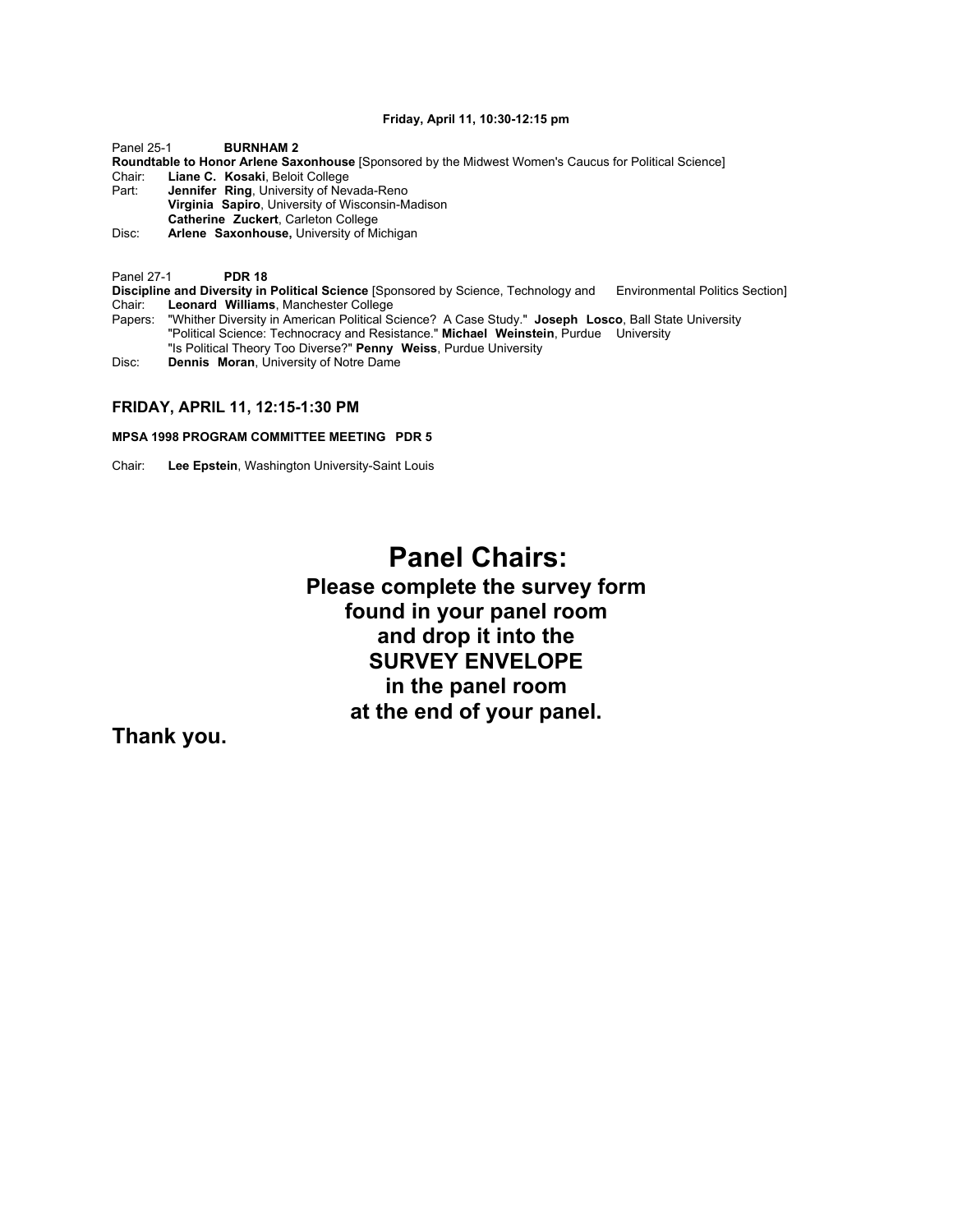#### **Friday, April 11, 10:30-12:15 pm**

Panel 25-1 **BURNHAM 2**

**Roundtable to Honor Arlene Saxonhouse** [Sponsored by the Midwest Women's Caucus for Political Science]

Chair: **Liane C. Kosaki**, Beloit College Jennifer Ring, University of Nevada-Reno **Virginia Sapiro**, University of Wisconsin-Madison **Catherine Zuckert**, Carleton College Disc: **Arlene Saxonhouse,** University of Michigan

Panel 27-1 **PDR 18**

**Discipline and Diversity in Political Science** [Sponsored by Science, Technology and Environmental Politics Section]<br>Chair: **Leonard Williams** Manchester College Leonard Williams, Manchester College

- Papers: "Whither Diversity in American Political Science? A Case Study." **Joseph Losco**, Ball State University "Political Science: Technocracy and Resistance." **Michael Weinstein**, Purdue University "Is Political Theory Too Diverse?" **Penny Weiss**, Purdue University
- Disc: **Dennis Moran**, University of Notre Dame

### **FRIDAY, APRIL 11, 12:15-1:30 PM**

#### **MPSA 1998 PROGRAM COMMITTEE MEETING PDR 5**

Chair: **Lee Epstein**, Washington University-Saint Louis

# **Panel Chairs:**

# **Please complete the survey form found in your panel room and drop it into the SURVEY ENVELOPE in the panel room at the end of your panel.**

**Thank you.**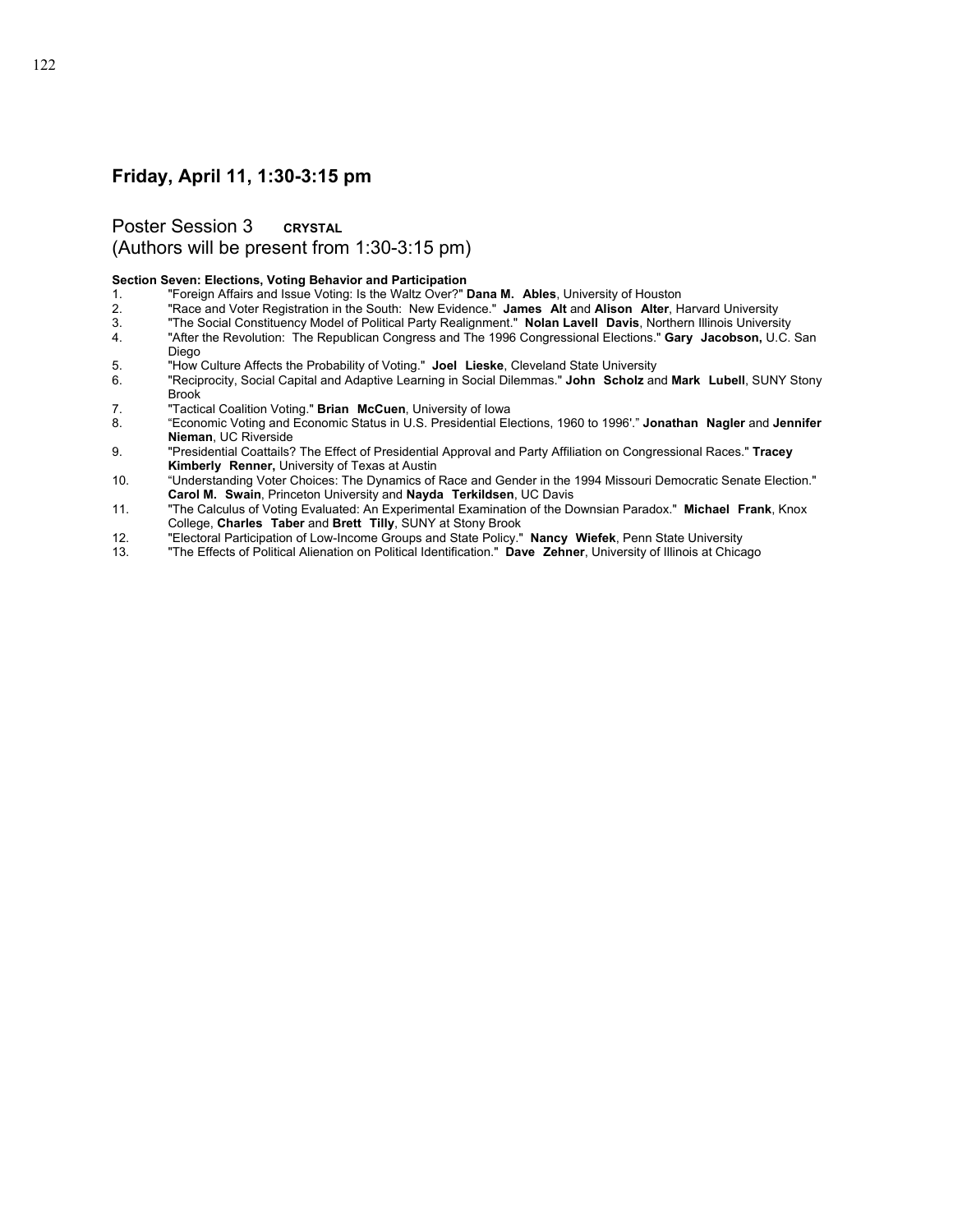### **Friday, April 11, 1:30-3:15 pm**

**Poster Session 3 CRYSTAL** (Authors will be present from 1:30-3:15 pm)

#### **Section Seven: Elections, Voting Behavior and Participation**

- 1. "Foreign Affairs and Issue Voting: Is the Waltz Over?" **Dana M. Ables**, University of Houston
- 2. "Race and Voter Registration in the South: New Evidence." **James Alt** and **Alison Alter**, Harvard University
- 3. "The Social Constituency Model of Political Party Realignment." **Nolan Lavell Davis**, Northern Illinois University
- 4. "After the Revolution: The Republican Congress and The 1996 Congressional Elections." **Gary Jacobson,** U.C. San Diego
- 5. "How Culture Affects the Probability of Voting." **Joel Lieske**, Cleveland State University
- 6. "Reciprocity, Social Capital and Adaptive Learning in Social Dilemmas." **John Scholz** and **Mark Lubell**, SUNY Stony Brook
- 7. "Tactical Coalition Voting." **Brian McCuen**, University of Iowa
- 8. "Economic Voting and Economic Status in U.S. Presidential Elections, 1960 to 1996'." **Jonathan Nagler** and **Jennifer Nieman**, UC Riverside
- 9. "Presidential Coattails? The Effect of Presidential Approval and Party Affiliation on Congressional Races." **Tracey Kimberly Renner,** University of Texas at Austin
- 10. "Understanding Voter Choices: The Dynamics of Race and Gender in the 1994 Missouri Democratic Senate Election." **Carol M. Swain**, Princeton University and **Nayda Terkildsen**, UC Davis
- 11. "The Calculus of Voting Evaluated: An Experimental Examination of the Downsian Paradox." **Michael Frank**, Knox College, **Charles Taber** and **Brett Tilly**, SUNY at Stony Brook
- 12. "Electoral Participation of Low-Income Groups and State Policy." **Nancy Wiefek**, Penn State University
- 13. "The Effects of Political Alienation on Political Identification." **Dave Zehner**, University of Illinois at Chicago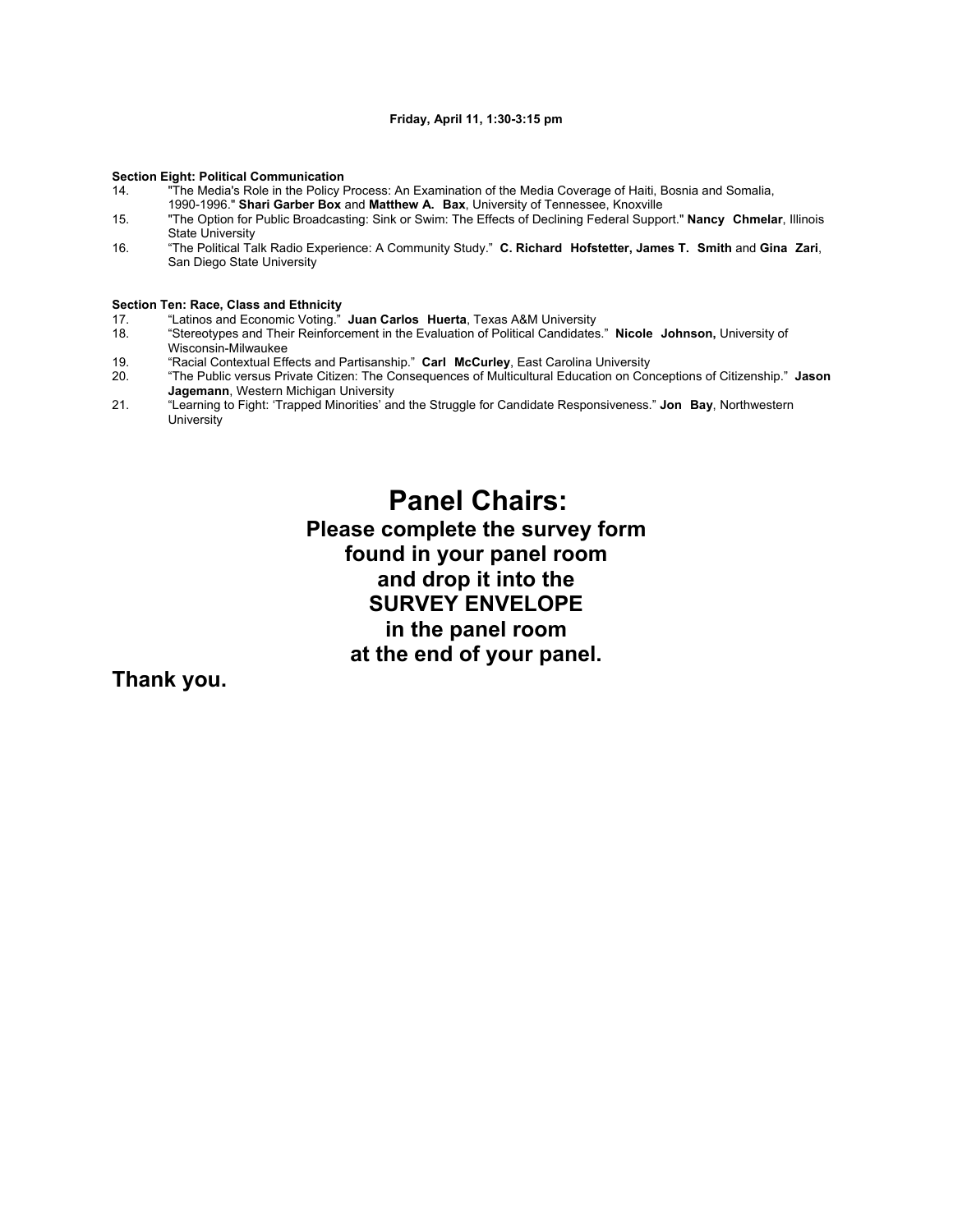#### **Friday, April 11, 1:30-3:15 pm**

#### **Section Eight: Political Communication**

- 14. "The Media's Role in the Policy Process: An Examination of the Media Coverage of Haiti, Bosnia and Somalia, 1990-1996." **Shari Garber Box** and **Matthew A. Bax**, University of Tennessee, Knoxville
- 15. "The Option for Public Broadcasting: Sink or Swim: The Effects of Declining Federal Support." **Nancy Chmelar**, Illinois State University
- 16. "The Political Talk Radio Experience: A Community Study." **C. Richard Hofstetter, James T. Smith** and **Gina Zari**, San Diego State University

#### **Section Ten: Race, Class and Ethnicity**

- 17. "Latinos and Economic Voting." **Juan Carlos Huerta**, Texas A&M University
- 18. "Stereotypes and Their Reinforcement in the Evaluation of Political Candidates." **Nicole Johnson,** University of Wisconsin-Milwaukee
- 19. "Racial Contextual Effects and Partisanship." **Carl McCurley**, East Carolina University
- 20. "The Public versus Private Citizen: The Consequences of Multicultural Education on Conceptions of Citizenship." **Jason Jagemann**, Western Michigan University
- 21. "Learning to Fight: 'Trapped Minorities' and the Struggle for Candidate Responsiveness." **Jon Bay**, Northwestern **University**

# **Panel Chairs: Please complete the survey form found in your panel room and drop it into the SURVEY ENVELOPE in the panel room at the end of your panel.**

**Thank you.**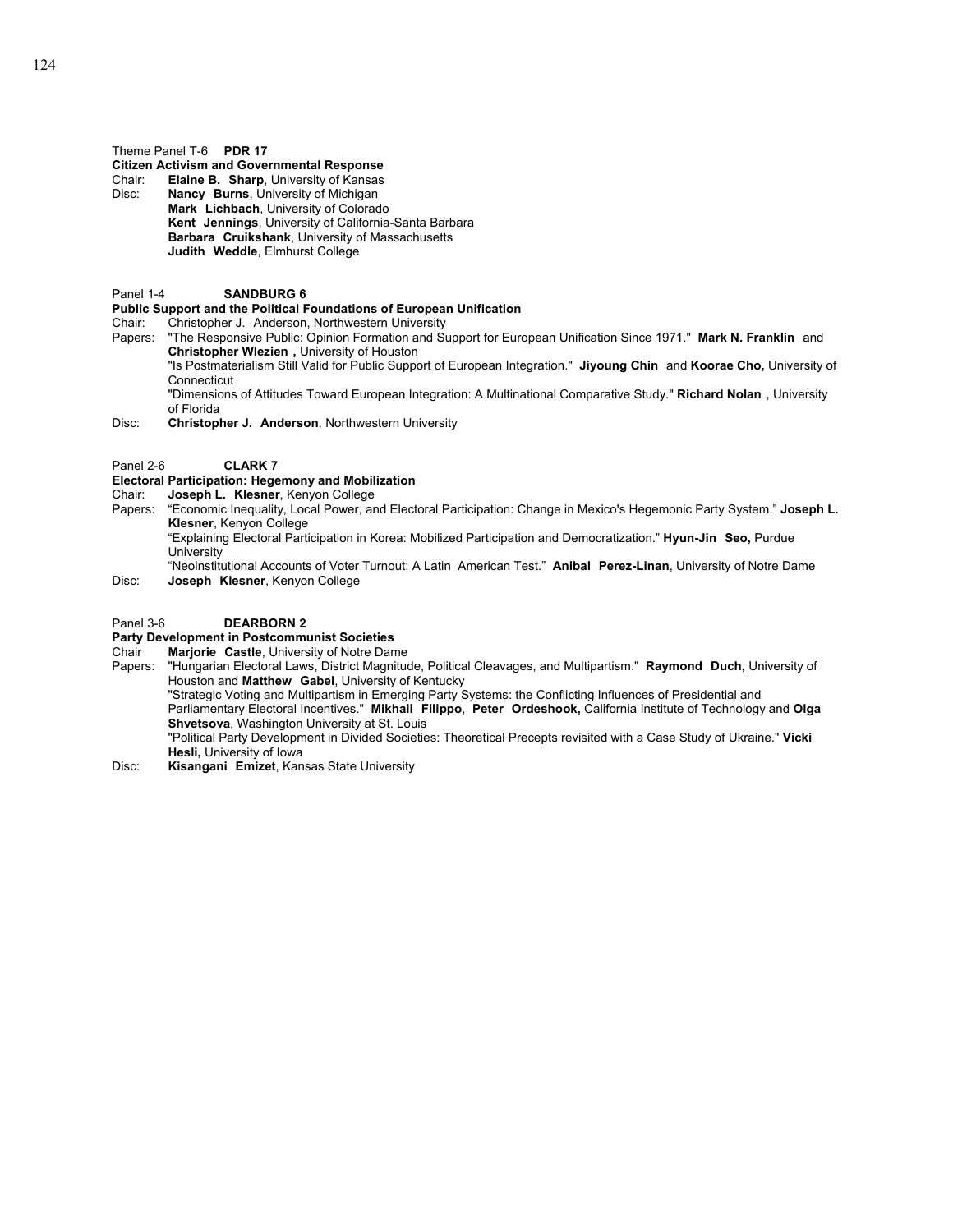#### Theme Panel T-6 **PDR 17**

#### **Citizen Activism and Governmental Response**

Chair: **Elaine B. Sharp**, University of Kansas **Nancy Burns, University of Michigan Mark Lichbach**, University of Colorado  **Kent Jennings**, University of California-Santa Barbara **Barbara Cruikshank**, University of Massachusetts **Judith Weddle**, Elmhurst College

#### Panel 1-4 **SANDBURG 6**

#### **Public Support and the Political Foundations of European Unification**

Chair: Christopher J. Anderson, Northwestern University

Papers: "The Responsive Public: Opinion Formation and Support for European Unification Since 1971." **Mark N. Franklin** and **Christopher Wlezien ,** University of Houston

"Is Postmaterialism Still Valid for Public Support of European Integration." **Jiyoung Chin** and **Koorae Cho,** University of **Connecticut** 

"Dimensions of Attitudes Toward European Integration: A Multinational Comparative Study." **Richard Nolan** , University of Florida

Disc: **Christopher J. Anderson**, Northwestern University

Panel 2-6 **CLARK 7**

#### **Electoral Participation: Hegemony and Mobilization**

Chair: **Joseph L. Klesner**, Kenyon College

Papers: "Economic Inequality, Local Power, and Electoral Participation: Change in Mexico's Hegemonic Party System." **Joseph L. Klesner**, Kenyon College "Explaining Electoral Participation in Korea: Mobilized Participation and Democratization." **Hyun-Jin Seo,** Purdue

**University** 

 "Neoinstitutional Accounts of Voter Turnout: A Latin American Test." **Anibal Perez-Linan**, University of Notre Dame Joseph Klesner, Kenyon College

#### Panel 3-6 **DEARBORN 2**

### **Party Development in Postcommunist Societies**

- Chair **Marjorie Castle**, University of Notre Dame
- Papers: "Hungarian Electoral Laws, District Magnitude, Political Cleavages, and Multipartism." **Raymond Duch,** University of Houston and **Matthew Gabel**, University of Kentucky "Strategic Voting and Multipartism in Emerging Party Systems: the Conflicting Influences of Presidential and

Parliamentary Electoral Incentives." **Mikhail Filippo**, **Peter Ordeshook,** California Institute of Technology and **Olga Shvetsova**, Washington University at St. Louis

"Political Party Development in Divided Societies: Theoretical Precepts revisited with a Case Study of Ukraine." **Vicki Hesli,** University of Iowa

Disc: **Kisangani Emizet**, Kansas State University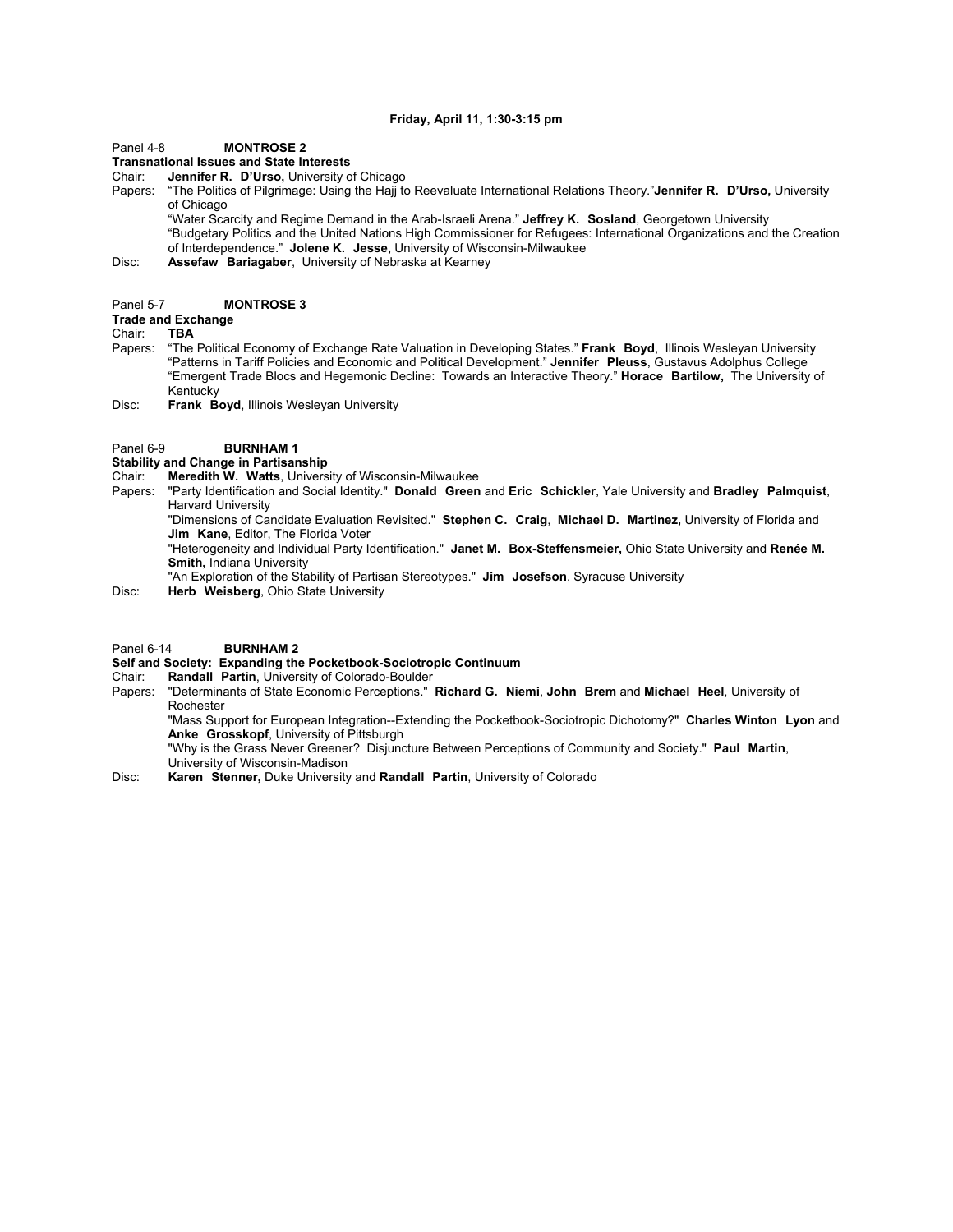#### **Friday, April 11, 1:30-3:15 pm**

#### Panel 4-8 **MONTROSE 2**

#### **Transnational Issues and State Interests**

Chair: **Jennifer R. D'Urso,** University of Chicago

Papers: "The Politics of Pilgrimage: Using the Hajj to Reevaluate International Relations Theory."**Jennifer R. D'Urso,** University of Chicago

"Water Scarcity and Regime Demand in the Arab-Israeli Arena." **Jeffrey K. Sosland**, Georgetown University "Budgetary Politics and the United Nations High Commissioner for Refugees: International Organizations and the Creation of Interdependence." **Jolene K. Jesse,** University of Wisconsin-Milwaukee

Disc: **Assefaw Bariagaber**, University of Nebraska at Kearney

#### Panel 5-7 **MONTROSE 3**

# **Trade and Exchange**

- Chair<sup>:</sup>
- Papers: "The Political Economy of Exchange Rate Valuation in Developing States." **Frank Boyd**, Illinois Wesleyan University "Patterns in Tariff Policies and Economic and Political Development." **Jennifer Pleuss**, Gustavus Adolphus College "Emergent Trade Blocs and Hegemonic Decline: Towards an Interactive Theory." **Horace Bartilow,** The University of Kentucky
- Disc: **Frank Boyd**, Illinois Wesleyan University

#### Panel 6-9 **BURNHAM 1**

# **Stability and Change in Partisanship**<br>Chair: **Meredith W Watts Univers**

- **Meredith W. Watts, University of Wisconsin-Milwaukee**
- Papers: "Party Identification and Social Identity." **Donald Green** and **Eric Schickler**, Yale University and **Bradley Palmquist**, Harvard University

"Dimensions of Candidate Evaluation Revisited." **Stephen C. Craig**, **Michael D. Martinez,** University of Florida and **Jim Kane**, Editor, The Florida Voter

"Heterogeneity and Individual Party Identification." **Janet M. Box-Steffensmeier,** Ohio State University and **Renée M. Smith,** Indiana University

"An Exploration of the Stability of Partisan Stereotypes." **Jim Josefson**, Syracuse University

Disc: **Herb Weisberg**, Ohio State University

#### Panel 6-14 **BURNHAM 2**

#### **Self and Society: Expanding the Pocketbook-Sociotropic Continuum**

- Chair: **Randall Partin**, University of Colorado-Boulder
	- Papers: "Determinants of State Economic Perceptions." **Richard G. Niemi**, **John Brem** and **Michael Heel**, University of Rochester

"Mass Support for European Integration--Extending the Pocketbook-Sociotropic Dichotomy?" **Charles Winton Lyon** and **Anke Grosskopf**, University of Pittsburgh

"Why is the Grass Never Greener? Disjuncture Between Perceptions of Community and Society." **Paul Martin**, University of Wisconsin-Madison

Disc: **Karen Stenner,** Duke University and **Randall Partin**, University of Colorado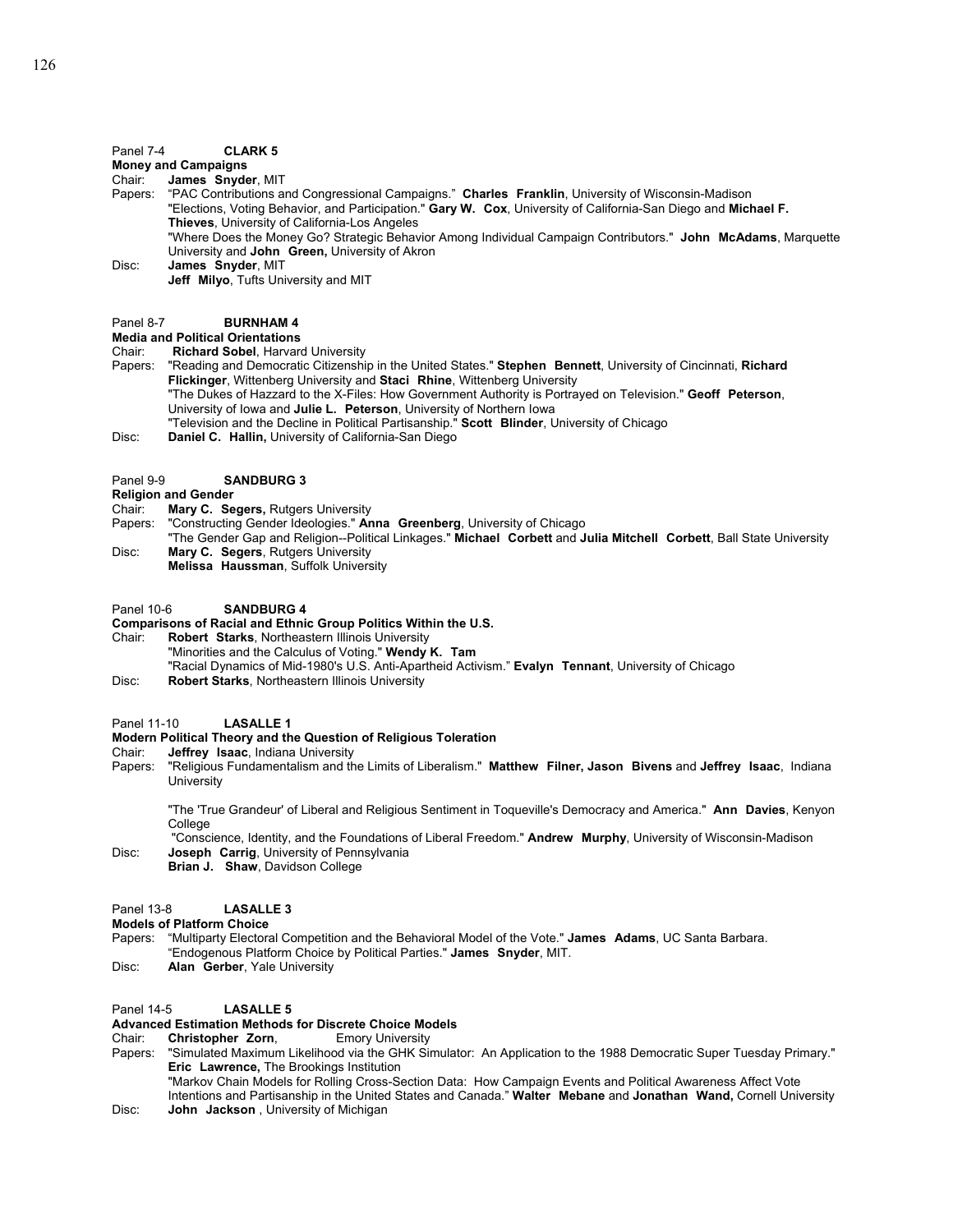#### Panel 7-4 **CLARK 5**

#### **Money and Campaigns**

# Chair: **James Snyder**, MIT<br>Papers: "PAC Contributions are

"PAC Contributions and Congressional Campaigns." **Charles Franklin**, University of Wisconsin-Madison "Elections, Voting Behavior, and Participation." **Gary W. Cox**, University of California-San Diego and **Michael F. Thieves**, University of California-Los Angeles "Where Does the Money Go? Strategic Behavior Among Individual Campaign Contributors." **John McAdams**, Marquette University and **John Green,** University of Akron Disc: **James Snyder**, MIT

**Jeff Milyo**, Tufts University and MIT

### Panel 8-7 **BURNHAM 4**

#### **Media and Political Orientations**

Chair: **Richard Sobel**, Harvard University Papers: "Reading and Democratic Citizenship in the United States." **Stephen Bennett**, University of Cincinnati, **Richard Flickinger**, Wittenberg University and **Staci Rhine**, Wittenberg University "The Dukes of Hazzard to the X-Files: How Government Authority is Portrayed on Television." **Geoff Peterson**, University of Iowa and **Julie L. Peterson**, University of Northern Iowa "Television and the Decline in Political Partisanship." **Scott Blinder**, University of Chicago

Disc: **Daniel C. Hallin,** University of California-San Diego

#### Panel 9-9 **SANDBURG 3**

#### **Religion and Gender**

# Chair: **Mary C. Segers,** Rutgers University

- "Constructing Gender Ideologies." Anna Greenberg, University of Chicago
- "The Gender Gap and Religion--Political Linkages." **Michael Corbett** and **Julia Mitchell Corbett**, Ball State University Disc: **Mary C. Segers**, Rutgers University
- **Melissa Haussman**, Suffolk University

#### Panel 10-6 **SANDBURG 4**

#### **Comparisons of Racial and Ethnic Group Politics Within the U.S.**

Chair: **Robert Starks**, Northeastern Illinois University

"Minorities and the Calculus of Voting." **Wendy K. Tam**

- "Racial Dynamics of Mid-1980's U.S. Anti-Apartheid Activism." **Evalyn Tennant**, University of Chicago
- Disc: **Robert Starks**, Northeastern Illinois University
- Panel 11-10 **LASALLE 1**

#### **Modern Political Theory and the Question of Religious Toleration**

- Chair: **Jeffrey Isaac**, Indiana University
- Papers: "Religious Fundamentalism and the Limits of Liberalism." **Matthew Filner, Jason Bivens** and **Jeffrey Isaac**, Indiana **University**

"The 'True Grandeur' of Liberal and Religious Sentiment in Toqueville's Democracy and America." **Ann Davies**, Kenyon **College** 

 "Conscience, Identity, and the Foundations of Liberal Freedom." **Andrew Murphy**, University of Wisconsin-Madison Disc: **Joseph Carrig**, University of Pennsylvania

**Brian J. Shaw**, Davidson College

#### Panel 13-8 **LASALLE 3**

#### **Models of Platform Choice**

- Papers: "Multiparty Electoral Competition and the Behavioral Model of the Vote." **James Adams**, UC Santa Barbara. "Endogenous Platform Choice by Political Parties." **James Snyder**, MIT.
- Disc: **Alan Gerber**, Yale University

#### Panel 14-5 **LASALLE 5**

#### **Advanced Estimation Methods for Discrete Choice Models**

#### Chair: **Christopher Zorn,** Emory University Papers: "Simulated Maximum Likelihood via the GHK Simulator: An Application to the 1988 Democratic Super Tuesday Primary." **Eric Lawrence,** The Brookings Institution "Markov Chain Models for Rolling Cross-Section Data: How Campaign Events and Political Awareness Affect Vote Intentions and Partisanship in the United States and Canada." **Walter Mebane** and **Jonathan Wand,** Cornell University

Disc: **John Jackson** , University of Michigan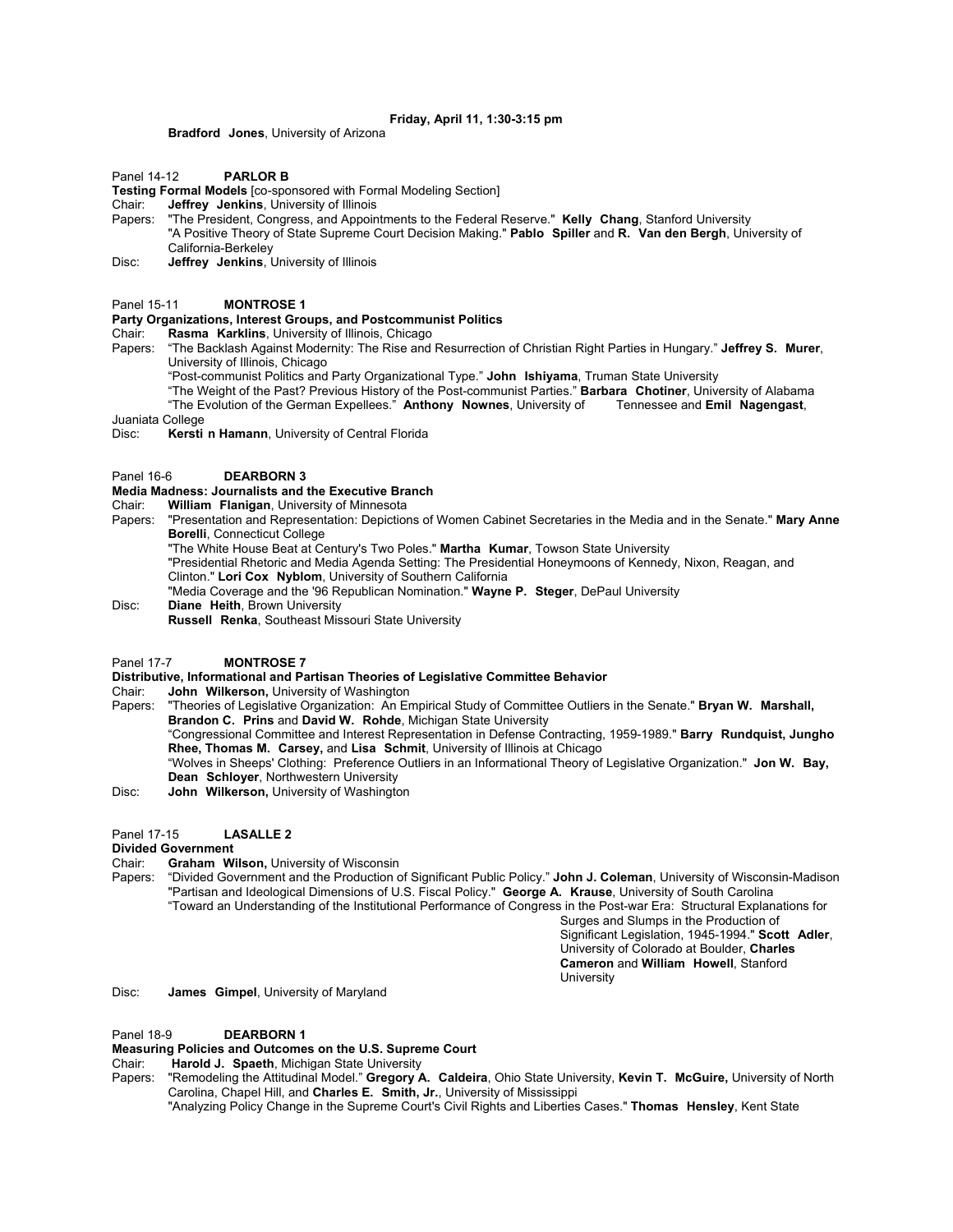#### **Friday, April 11, 1:30-3:15 pm**

#### **Bradford Jones**, University of Arizona

#### Panel 14-12 **PARLOR B**

**Testing Formal Models** [co-sponsored with Formal Modeling Section]<br>Chair: Jeffrey Jenkins, University of Illinois

- Jeffrey Jenkins, University of Illinois
- Papers: "The President, Congress, and Appointments to the Federal Reserve." **Kelly Chang**, Stanford University "A Positive Theory of State Supreme Court Decision Making." **Pablo Spiller** and **R. Van den Bergh**, University of California-Berkeley
- Disc: **Jeffrey Jenkins**, University of Illinois

#### Panel 15-11 **MONTROSE 1**

#### **Party Organizations, Interest Groups, and Postcommunist Politics**

Chair: **Rasma Karklins**, University of Illinois, Chicago

- Papers: "The Backlash Against Modernity: The Rise and Resurrection of Christian Right Parties in Hungary." **Jeffrey S. Murer**, University of Illinois, Chicago
	- "Post-communist Politics and Party Organizational Type." **John Ishiyama**, Truman State University
	- "The Weight of the Past? Previous History of the Post-communist Parties." **Barbara Chotiner**, University of Alabama
	- "The Evolution of the German Expellees." **Anthony Nownes**, University of Tennessee and **Emil Nagengast**,

Juaniata College

- Disc: **Kersti n Hamann**, University of Central Florida
- Panel 16-6 **DEARBORN 3**

#### **Media Madness: Journalists and the Executive Branch**

- Chair: **William Flanigan**, University of Minnesota Papers: "Presentation and Representation: Depictions of Women Cabinet Secretaries in the Media and in the Senate." **Mary Anne Borelli**, Connecticut College
	- "The White House Beat at Century's Two Poles." **Martha Kumar**, Towson State University

"Presidential Rhetoric and Media Agenda Setting: The Presidential Honeymoons of Kennedy, Nixon, Reagan, and Clinton." **Lori Cox Nyblom**, University of Southern California

- "Media Coverage and the '96 Republican Nomination." **Wayne P. Steger**, DePaul University Disc: **Diane Heith**, Brown University
- **Russell Renka**, Southeast Missouri State University

#### Panel 17-7 **MONTROSE 7**

## **Distributive, Informational and Partisan Theories of Legislative Committee Behavior**<br>Chair: **John Wilkerson University of Washington**

John Wilkerson, University of Washington

- Papers: "Theories of Legislative Organization: An Empirical Study of Committee Outliers in the Senate." **Bryan W. Marshall, Brandon C. Prins** and **David W. Rohde**, Michigan State University "Congressional Committee and Interest Representation in Defense Contracting, 1959-1989." **Barry Rundquist, Jungho Rhee, Thomas M. Carsey,** and **Lisa Schmit**, University of Illinois at Chicago "Wolves in Sheeps' Clothing: Preference Outliers in an Informational Theory of Legislative Organization." **Jon W. Bay, Dean Schloyer**, Northwestern University
- Disc: **John Wilkerson,** University of Washington

#### Panel 17-15 **LASALLE 2**

# **Divided Government**<br>Chair: **Graham Wi**

**Graham Wilson, University of Wisconsin** 

Papers: "Divided Government and the Production of Significant Public Policy." **John J. Coleman**, University of Wisconsin-Madison "Partisan and Ideological Dimensions of U.S. Fiscal Policy." **George A. Krause**, University of South Carolina "Toward an Understanding of the Institutional Performance of Congress in the Post-war Era: Structural Explanations for

Surges and Slumps in the Production of Significant Legislation, 1945-1994." **Scott Adler**, University of Colorado at Boulder, **Charles Cameron** and **William Howell**, Stanford **University** 

Disc: **James Gimpel**, University of Maryland

#### Panel 18-9 **DEARBORN 1**

#### **Measuring Policies and Outcomes on the U.S. Supreme Court**

Chair: **Harold J. Spaeth**, Michigan State University

Papers: "Remodeling the Attitudinal Model." **Gregory A. Caldeira**, Ohio State University, **Kevin T. McGuire,** University of North Carolina, Chapel Hill, and **Charles E. Smith, Jr.**, University of Mississippi "Analyzing Policy Change in the Supreme Court's Civil Rights and Liberties Cases." **Thomas Hensley**, Kent State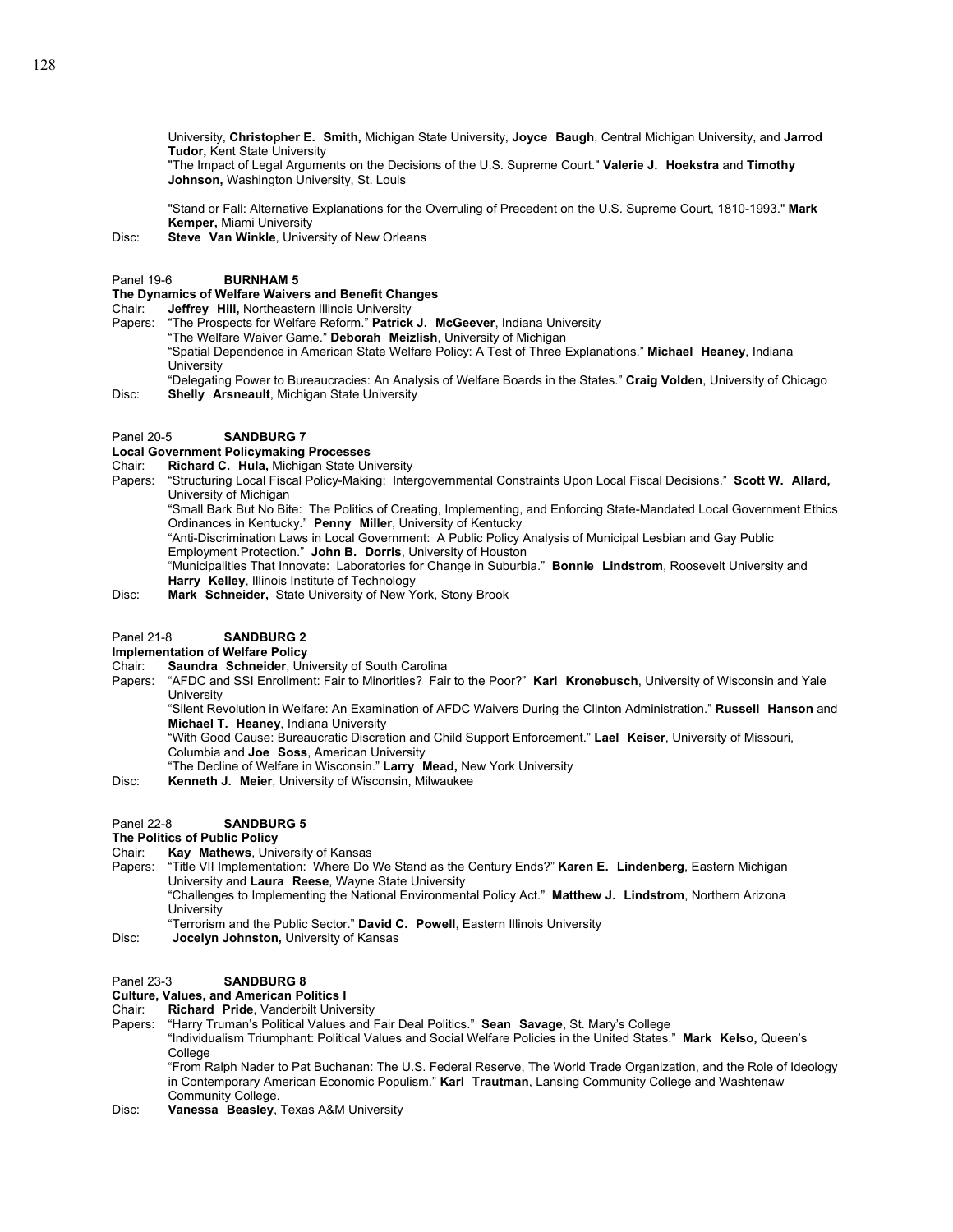University, **Christopher E. Smith,** Michigan State University, **Joyce Baugh**, Central Michigan University, and **Jarrod Tudor,** Kent State University

"The Impact of Legal Arguments on the Decisions of the U.S. Supreme Court." **Valerie J. Hoekstra** and **Timothy Johnson,** Washington University, St. Louis

"Stand or Fall: Alternative Explanations for the Overruling of Precedent on the U.S. Supreme Court, 1810-1993." **Mark Kemper,** Miami University

- Disc: **Steve Van Winkle**, University of New Orleans
- Panel 19-6 **BURNHAM 5**

# **The Dynamics of Welfare Waivers and Benefit Changes**

Jeffrey Hill, Northeastern Illinois University

Papers: "The Prospects for Welfare Reform." **Patrick J. McGeever**, Indiana University

"The Welfare Waiver Game." **Deborah Meizlish**, University of Michigan

"Spatial Dependence in American State Welfare Policy: A Test of Three Explanations." **Michael Heaney**, Indiana **University** 

"Delegating Power to Bureaucracies: An Analysis of Welfare Boards in the States." **Craig Volden**, University of Chicago Disc: **Shelly Arsneault**, Michigan State University

Panel 20-5 **SANDBURG 7**

#### **Local Government Policymaking Processes**

- Chair: **Richard C. Hula,** Michigan State University
- Papers: "Structuring Local Fiscal Policy-Making: Intergovernmental Constraints Upon Local Fiscal Decisions." **Scott W. Allard,** University of Michigan

"Small Bark But No Bite: The Politics of Creating, Implementing, and Enforcing State-Mandated Local Government Ethics Ordinances in Kentucky." **Penny Miller**, University of Kentucky

"Anti-Discrimination Laws in Local Government: A Public Policy Analysis of Municipal Lesbian and Gay Public Employment Protection." **John B. Dorris**, University of Houston

- "Municipalities That Innovate: Laboratories for Change in Suburbia." **Bonnie Lindstrom**, Roosevelt University and **Harry Kelley**, Illinois Institute of Technology
- Disc: **Mark Schneider,** State University of New York, Stony Brook

#### Panel 21-8 **SANDBURG 2**

#### **Implementation of Welfare Policy**

- Chair: **Saundra Schneider**, University of South Carolina
- Papers: "AFDC and SSI Enrollment: Fair to Minorities? Fair to the Poor?" **Karl Kronebusch**, University of Wisconsin and Yale **University**

"Silent Revolution in Welfare: An Examination of AFDC Waivers During the Clinton Administration." **Russell Hanson** and **Michael T. Heaney**, Indiana University

"With Good Cause: Bureaucratic Discretion and Child Support Enforcement." **Lael Keiser**, University of Missouri, Columbia and **Joe Soss**, American University

- 
- "The Decline of Welfare in Wisconsin." **Larry Mead,** New York University Disc: **Kenneth J. Meier**, University of Wisconsin, Milwaukee

Panel 22-8 **SANDBURG 5**

# **The Politics of Public Policy**<br>Chair: **Kay Mathews**, Univ

- Kay Mathews, University of Kansas
- Papers: "Title VII Implementation: Where Do We Stand as the Century Ends?" **Karen E. Lindenberg**, Eastern Michigan University and **Laura Reese**, Wayne State University "Challenges to Implementing the National Environmental Policy Act." **Matthew J. Lindstrom**, Northern Arizona
	- University
- "Terrorism and the Public Sector." **David C. Powell**, Eastern Illinois University
- Disc: **Jocelyn Johnston,** University of Kansas

#### Panel 23-3 **SANDBURG 8**

- **Culture, Values, and American Politics I**
- Chair: **Richard Pride**, Vanderbilt University
- Papers: "Harry Truman's Political Values and Fair Deal Politics." **Sean Savage**, St. Mary's College

"Individualism Triumphant: Political Values and Social Welfare Policies in the United States." **Mark Kelso,** Queen's College

"From Ralph Nader to Pat Buchanan: The U.S. Federal Reserve, The World Trade Organization, and the Role of Ideology in Contemporary American Economic Populism." **Karl Trautman**, Lansing Community College and Washtenaw Community College.

Disc: **Vanessa Beasley**, Texas A&M University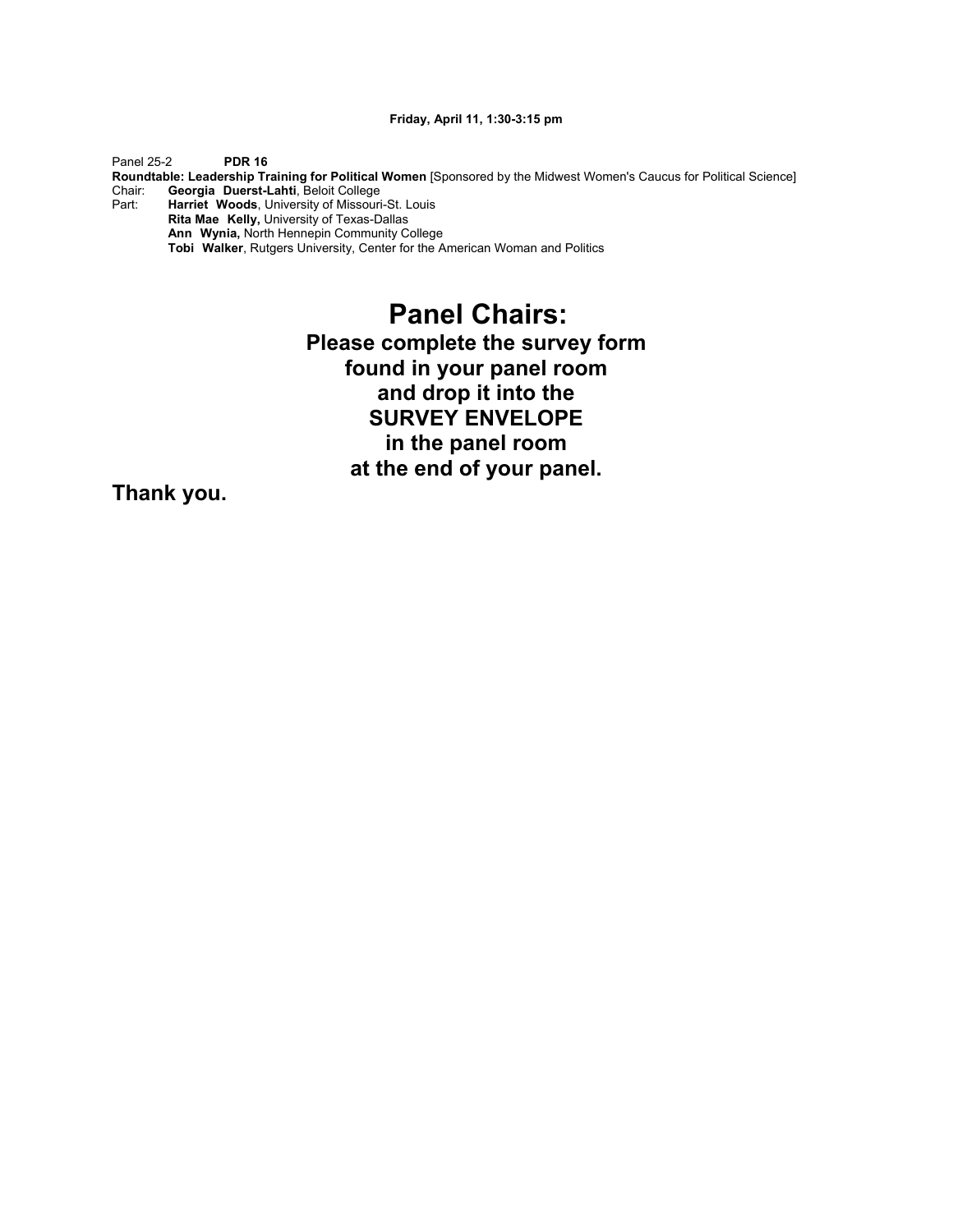**Friday, April 11, 1:30-3:15 pm**

Panel 25-2 **PDR 16 Roundtable: Leadership Training for Political Women** [Sponsored by the Midwest Women's Caucus for Political Science] Chair: **Georgia Duerst-Lahti**, Beloit College Harriet Woods, University of Missouri-St. Louis **Rita Mae Kelly,** University of Texas-Dallas **Ann Wynia,** North Hennepin Community College **Tobi Walker**, Rutgers University, Center for the American Woman and Politics

# **Panel Chairs: Please complete the survey form found in your panel room and drop it into the SURVEY ENVELOPE in the panel room at the end of your panel.**

**Thank you.**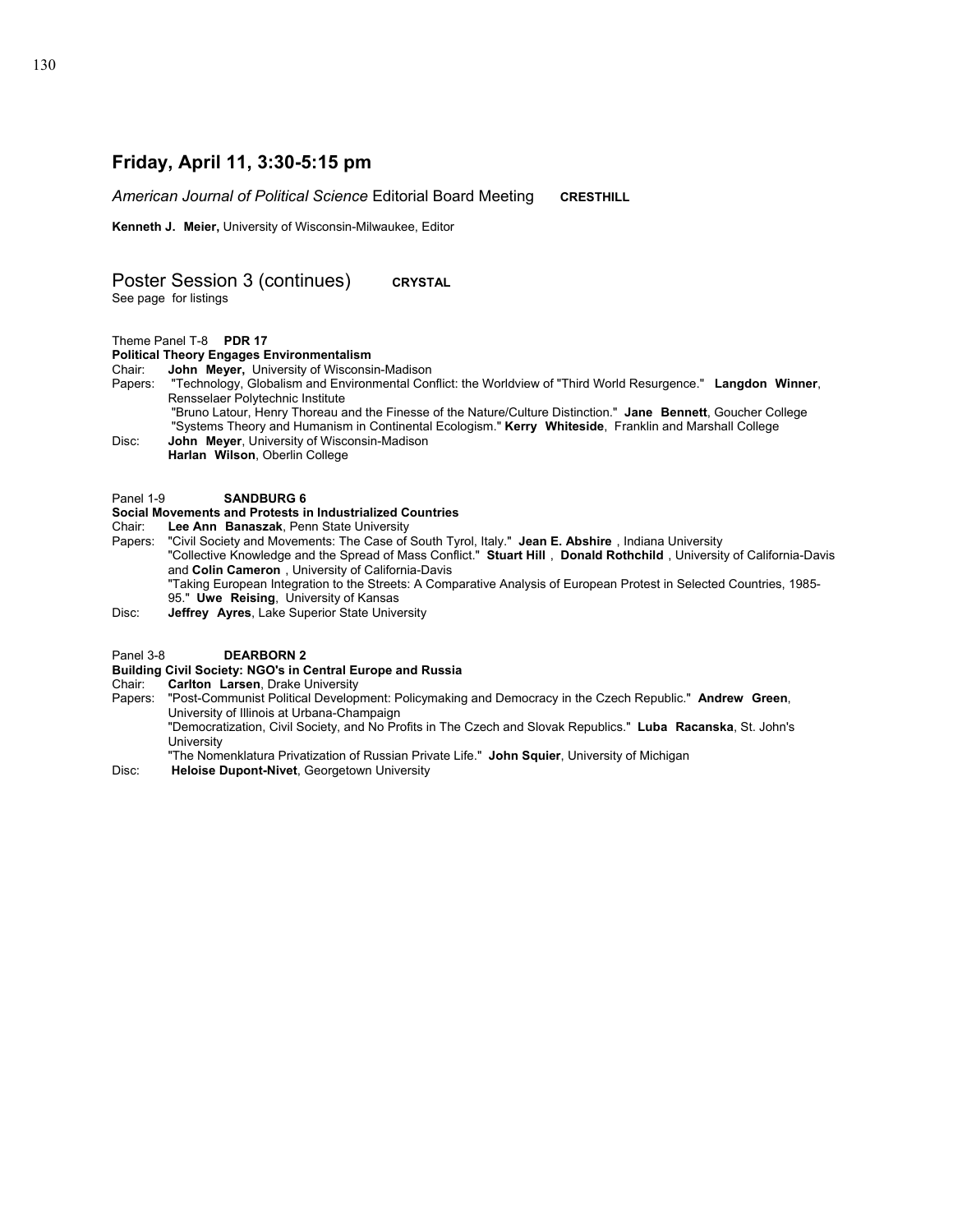### **Friday, April 11, 3:30-5:15 pm**

### *American Journal of Political Science* Editorial Board Meeting **CRESTHILL**

**Kenneth J. Meier,** University of Wisconsin-Milwaukee, Editor

### **Poster Session 3 (continues) CRYSTAL**

See page for listings

Theme Panel T-8 **PDR 17**

**Political Theory Engages Environmentalism**<br>Chair: **John Meyer**, University of Wisconsi

John Meyer, University of Wisconsin-Madison

Papers: "Technology, Globalism and Environmental Conflict: the Worldview of "Third World Resurgence." **Langdon Winner**, Rensselaer Polytechnic Institute

 "Bruno Latour, Henry Thoreau and the Finesse of the Nature/Culture Distinction." **Jane Bennett**, Goucher College "Systems Theory and Humanism in Continental Ecologism." **Kerry Whiteside**, Franklin and Marshall College Disc: **John Meyer**, University of Wisconsin-Madison

**Harlan Wilson**, Oberlin College

#### Panel 1-9 **SANDBURG 6**

**Social Movements and Protests in Industrialized Countries**

Lee Ann Banaszak, Penn State University

Papers: "Civil Society and Movements: The Case of South Tyrol, Italy." **Jean E. Abshire** , Indiana University "Collective Knowledge and the Spread of Mass Conflict." Stuart Hill, Donald Rothchild, University of California-Davis and **Colin Cameron** , University of California-Davis "Taking European Integration to the Streets: A Comparative Analysis of European Protest in Selected Countries, 1985- 95." **Uwe Reising**, University of Kansas Disc: **Jeffrey Ayres**, Lake Superior State University

- 
- Panel 3-8 **DEARBORN 2**

### **Building Civil Society: NGO's in Central Europe and Russia**

- Chair: **Carlton Larsen**, Drake University
- Papers: "Post-Communist Political Development: Policymaking and Democracy in the Czech Republic." **Andrew Green**, University of Illinois at Urbana-Champaign "Democratization, Civil Society, and No Profits in The Czech and Slovak Republics." **Luba Racanska**, St. John's University
	- "The Nomenklatura Privatization of Russian Private Life." **John Squier**, University of Michigan
- Disc: **Heloise Dupont-Nivet**, Georgetown University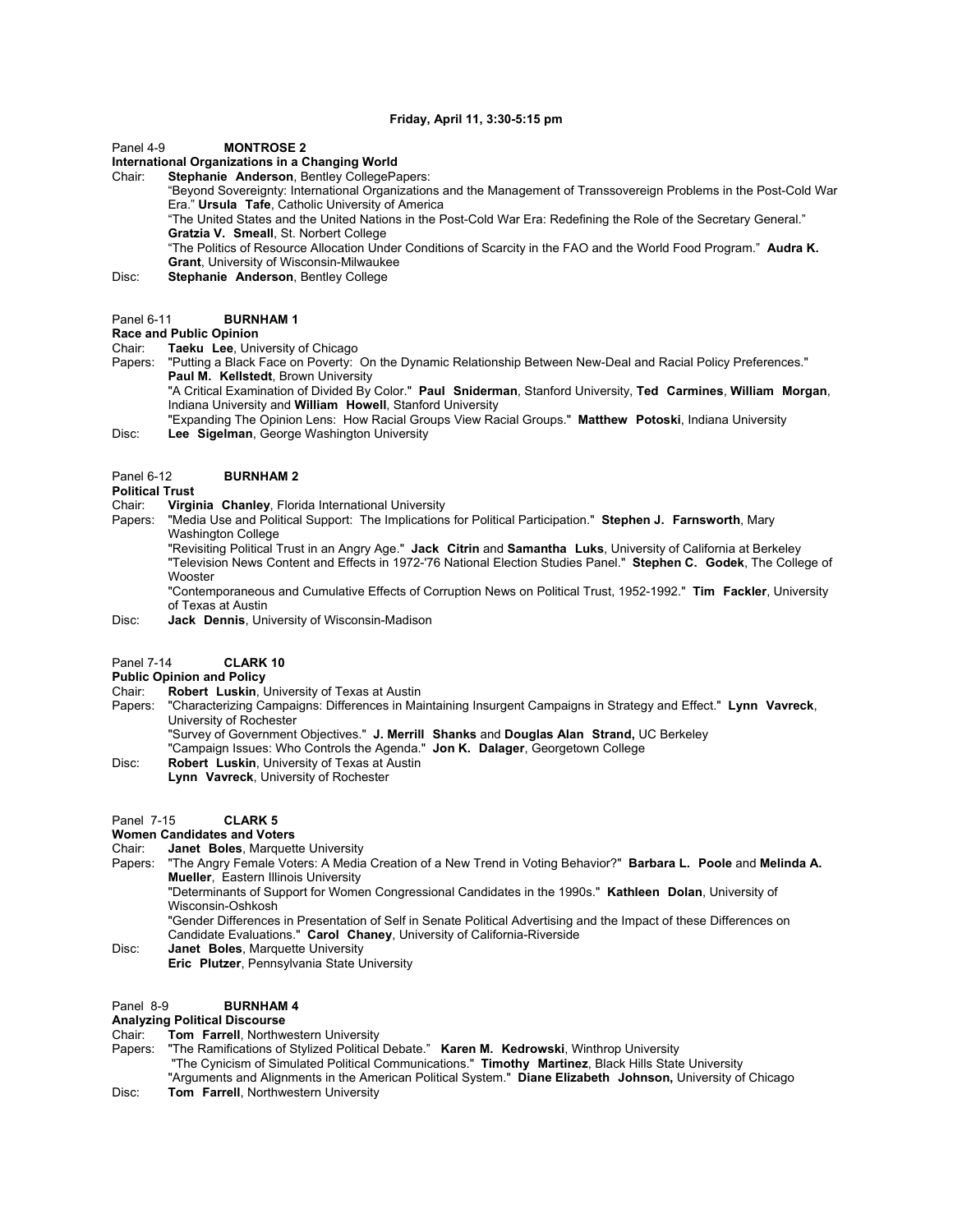#### **Friday, April 11, 3:30-5:15 pm**

#### Panel 4-9 **MONTROSE 2**

### **International Organizations in a Changing World**

Chair: **Stephanie Anderson**, Bentley CollegePapers:

"Beyond Sovereignty: International Organizations and the Management of Transsovereign Problems in the Post-Cold War Era." **Ursula Tafe**, Catholic University of America

"The United States and the United Nations in the Post-Cold War Era: Redefining the Role of the Secretary General." **Gratzia V. Smeall**, St. Norbert College

"The Politics of Resource Allocation Under Conditions of Scarcity in the FAO and the World Food Program." **Audra K. Grant**, University of Wisconsin-Milwaukee

Disc: **Stephanie Anderson**, Bentley College

### Panel 6-11 **BURNHAM 1**

#### **Race and Public Opinion**

- Chair: **Taeku Lee**, University of Chicago
- "Putting a Black Face on Poverty: On the Dynamic Relationship Between New-Deal and Racial Policy Preferences." **Paul M. Kellstedt**, Brown University

"A Critical Examination of Divided By Color." **Paul Sniderman**, Stanford University, **Ted Carmines**, **William Morgan**, Indiana University and **William Howell**, Stanford University

"Expanding The Opinion Lens: How Racial Groups View Racial Groups." **Matthew Potoski**, Indiana University Disc: **Lee Sigelman**, George Washington University

Panel 6-12 **BURNHAM 2**

#### **Political Trust**

- Chair: **Virginia Chanley**, Florida International University
- Papers: "Media Use and Political Support: The Implications for Political Participation." **Stephen J. Farnsworth**, Mary Washington College

"Revisiting Political Trust in an Angry Age." **Jack Citrin** and **Samantha Luks**, University of California at Berkeley "Television News Content and Effects in 1972-'76 National Election Studies Panel." **Stephen C. Godek**, The College of **Wooster** 

"Contemporaneous and Cumulative Effects of Corruption News on Political Trust, 1952-1992." **Tim Fackler**, University of Texas at Austin

Disc: **Jack Dennis**, University of Wisconsin-Madison

#### Panel 7-14 **CLARK 10**

# **Public Opinion and Policy<br>Chair: Robert Luskin, I**

Robert Luskin, University of Texas at Austin

Papers: "Characterizing Campaigns: Differences in Maintaining Insurgent Campaigns in Strategy and Effect." **Lynn Vavreck**, University of Rochester

"Survey of Government Objectives." **J. Merrill Shanks** and **Douglas Alan Strand,** UC Berkeley "Campaign Issues: Who Controls the Agenda." **Jon K. Dalager**, Georgetown College

Disc: **Robert Luskin**, University of Texas at Austin **Lynn Vavreck**, University of Rochester

#### Panel 7-15 **CLARK 5**

### **Women Candidates and Voters**

Chair: **Janet Boles**, Marquette University

Papers: "The Angry Female Voters: A Media Creation of a New Trend in Voting Behavior?" **Barbara L. Poole** and **Melinda A. Mueller**, Eastern Illinois University "Determinants of Support for Women Congressional Candidates in the 1990s." **Kathleen Dolan**, University of Wisconsin-Oshkosh "Gender Differences in Presentation of Self in Senate Political Advertising and the Impact of these Differences on Candidate Evaluations." **Carol Chaney**, University of California-Riverside

- Disc: **Janet Boles**, Marquette University
	- **Eric Plutzer**, Pennsylvania State University

#### Panel 8-9 **BURNHAM 4**

#### **Analyzing Political Discourse**

Chair: **Tom Farrell**, Northwestern University

- Papers: "The Ramifications of Stylized Political Debate." **Karen M. Kedrowski**, Winthrop University
	- "The Cynicism of Simulated Political Communications." **Timothy Martinez**, Black Hills State University
- "Arguments and Alignments in the American Political System." **Diane Elizabeth Johnson,** University of Chicago Disc: **Tom Farrell**, Northwestern University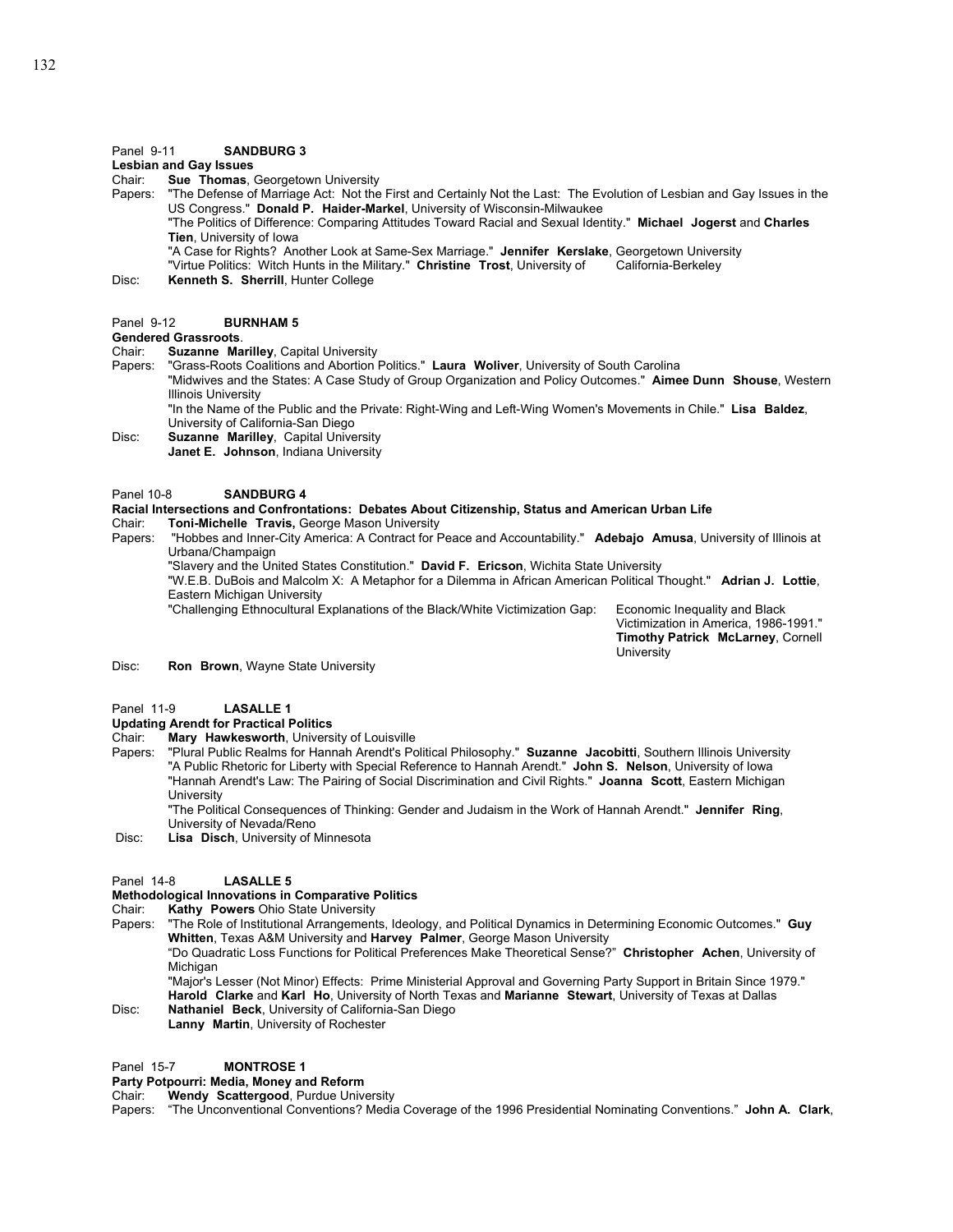#### Panel 9-11 **SANDBURG 3**

#### **Lesbian and Gay Issues**

Chair: **Sue Thomas**, Georgetown University

"The Defense of Marriage Act: Not the First and Certainly Not the Last: The Evolution of Lesbian and Gay Issues in the US Congress." **Donald P. Haider-Markel**, University of Wisconsin-Milwaukee

"The Politics of Difference: Comparing Attitudes Toward Racial and Sexual Identity." **Michael Jogerst** and **Charles Tien**, University of Iowa

"A Case for Rights? Another Look at Same-Sex Marriage." **Jennifer Kerslake**, Georgetown University "Virtue Politics: Witch Hunts in the Military." **Christine Trost**, University of California-Berkeley

Kenneth S. Sherrill, Hunter College

#### Panel 9-12 **BURNHAM 5**

#### **Gendered Grassroots**.

Chair: **Suzanne Marilley**, Capital University

"Grass-Roots Coalitions and Abortion Politics." Laura Woliver, University of South Carolina

"Midwives and the States: A Case Study of Group Organization and Policy Outcomes." **Aimee Dunn Shouse**, Western Illinois University

"In the Name of the Public and the Private: Right-Wing and Left-Wing Women's Movements in Chile." **Lisa Baldez**, University of California-San Diego

- Disc: **Suzanne Marilley**, Capital University
- **Janet E. Johnson**, Indiana University

#### Panel 10-8 **SANDBURG 4**

## **Racial Intersections and Confrontations: Debates About Citizenship, Status and American Urban Life**<br>Chair: **Toni-Michelle Travis** George Mason University

Toni-Michelle Travis, George Mason University

Papers: "Hobbes and Inner-City America: A Contract for Peace and Accountability." **Adebajo Amusa**, University of Illinois at Urbana/Champaign

"Slavery and the United States Constitution." **David F. Ericson**, Wichita State University

"W.E.B. DuBois and Malcolm X: A Metaphor for a Dilemma in African American Political Thought." **Adrian J. Lottie**, Eastern Michigan University

"Challenging Ethnocultural Explanations of the Black/White Victimization Gap: Economic Inequality and Black

Victimization in America, 1986-1991." **Timothy Patrick McLarney**, Cornell **University** 

Disc: **Ron Brown**, Wayne State University

#### Panel 11-9 **LASALLE 1**

### **Updating Arendt for Practical Politics**

Chair: **Mary Hawkesworth**, University of Louisville

Papers: "Plural Public Realms for Hannah Arendt's Political Philosophy." **Suzanne Jacobitti**, Southern Illinois University "A Public Rhetoric for Liberty with Special Reference to Hannah Arendt." **John S. Nelson**, University of Iowa "Hannah Arendt's Law: The Pairing of Social Discrimination and Civil Rights." **Joanna Scott**, Eastern Michigan University

"The Political Consequences of Thinking: Gender and Judaism in the Work of Hannah Arendt." **Jennifer Ring**, University of Nevada/Reno

Disc: **Lisa Disch**, University of Minnesota

#### Panel 14-8 **LASALLE 5**

#### **Methodological Innovations in Comparative Politics**

Chair: **Kathy Powers** Ohio State University

Papers: "The Role of Institutional Arrangements, Ideology, and Political Dynamics in Determining Economic Outcomes." **Guy Whitten**, Texas A&M University and **Harvey Palmer**, George Mason University

"Do Quadratic Loss Functions for Political Preferences Make Theoretical Sense?" **Christopher Achen**, University of Michigan

"Major's Lesser (Not Minor) Effects: Prime Ministerial Approval and Governing Party Support in Britain Since 1979." **Harold Clarke** and **Karl Ho**, University of North Texas and **Marianne Stewart**, University of Texas at Dallas

Disc: **Nathaniel Beck**, University of California-San Diego **Lanny Martin**, University of Rochester

#### Panel 15-7 **MONTROSE 1**

#### **Party Potpourri: Media, Money and Reform**

Chair: **Wendy Scattergood**, Purdue University

Papers: "The Unconventional Conventions? Media Coverage of the 1996 Presidential Nominating Conventions." **John A. Clark**,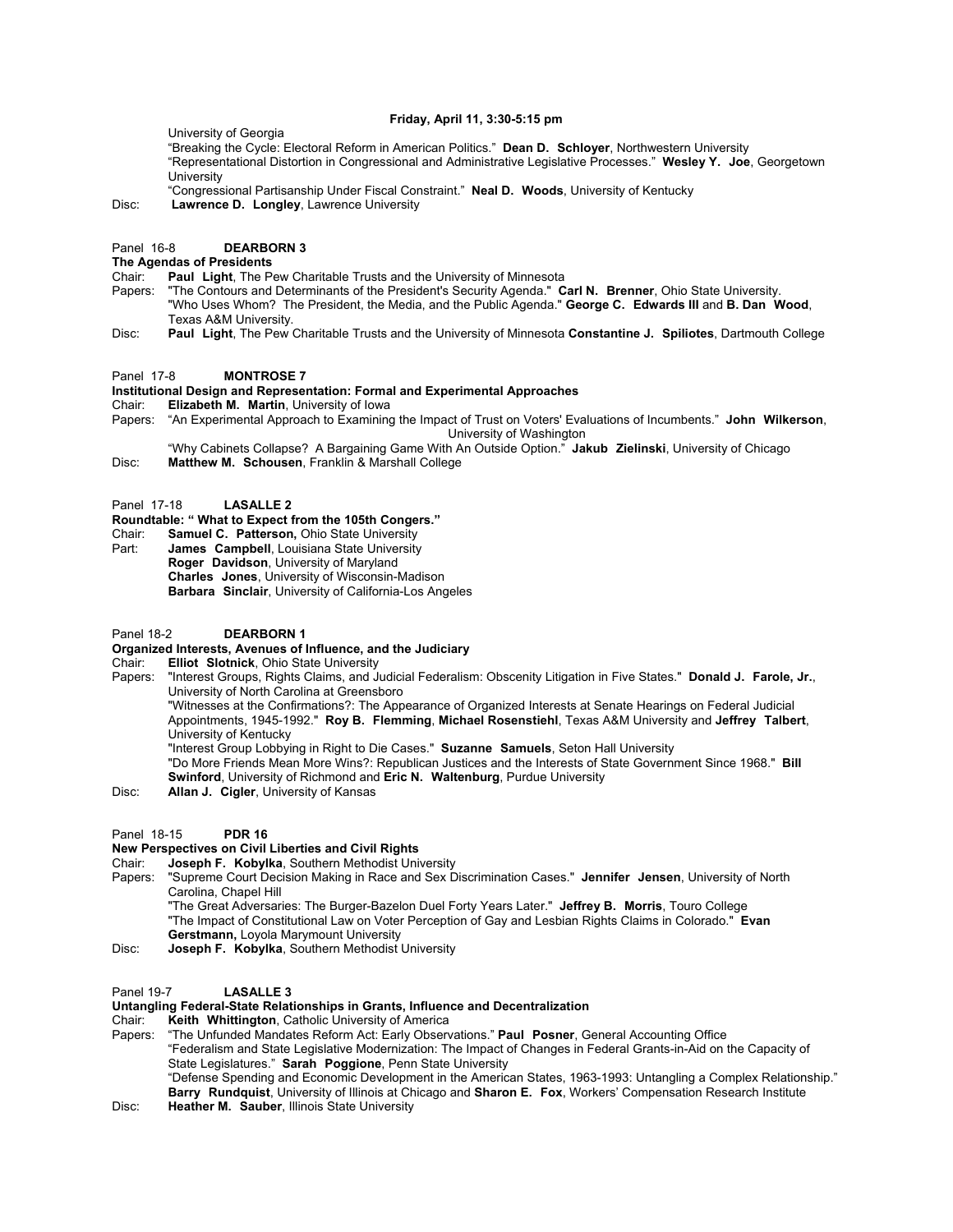#### **Friday, April 11, 3:30-5:15 pm**

University of Georgia

"Breaking the Cycle: Electoral Reform in American Politics." **Dean D. Schloyer**, Northwestern University "Representational Distortion in Congressional and Administrative Legislative Processes." **Wesley Y. Joe**, Georgetown **University** 

"Congressional Partisanship Under Fiscal Constraint." **Neal D. Woods**, University of Kentucky

Disc: **Lawrence D. Longley**, Lawrence University

#### Panel 16-8 **DEARBORN 3**

### **The Agendas of Presidents**

Chair: **Paul Light**, The Pew Charitable Trusts and the University of Minnesota

- Papers: "The Contours and Determinants of the President's Security Agenda." **Carl N. Brenner**, Ohio State University. "Who Uses Whom? The President, the Media, and the Public Agenda." **George C. Edwards III** and **B. Dan Wood**, Texas A&M University.
- Disc: **Paul Light**, The Pew Charitable Trusts and the University of Minnesota **Constantine J. Spiliotes**, Dartmouth College

#### Panel 17-8 **MONTROSE 7**

#### **Institutional Design and Representation: Formal and Experimental Approaches**

Chair: **Elizabeth M. Martin**, University of Iowa

- Papers: "An Experimental Approach to Examining the Impact of Trust on Voters' Evaluations of Incumbents." **John Wilkerson**, University of Washington
- "Why Cabinets Collapse? A Bargaining Game With An Outside Option." **Jakub Zielinski**, University of Chicago Disc: **Matthew M. Schousen**, Franklin & Marshall College

Panel 17-18 **LASALLE 2**

- **Roundtable: " What to Expect from the 105th Congers."**
- Chair: **Samuel C. Patterson,** Ohio State University Part: **James Campbell**, Louisiana State University **Roger Davidson**, University of Maryland **Charles Jones**, University of Wisconsin-Madison **Barbara Sinclair**, University of California-Los Angeles

#### Panel 18-2 **DEARBORN 1**

#### **Organized Interests, Avenues of Influence, and the Judiciary**

- Chair: **Elliot Slotnick**, Ohio State University
- Papers: "Interest Groups, Rights Claims, and Judicial Federalism: Obscenity Litigation in Five States." **Donald J. Farole, Jr.**, University of North Carolina at Greensboro
	- "Witnesses at the Confirmations?: The Appearance of Organized Interests at Senate Hearings on Federal Judicial Appointments, 1945-1992." **Roy B. Flemming**, **Michael Rosenstiehl**, Texas A&M University and **Jeffrey Talbert**, University of Kentucky
	- "Interest Group Lobbying in Right to Die Cases." **Suzanne Samuels**, Seton Hall University
	- "Do More Friends Mean More Wins?: Republican Justices and the Interests of State Government Since 1968." **Bill Swinford**, University of Richmond and **Eric N. Waltenburg**, Purdue University
- Disc: **Allan J. Cigler**, University of Kansas

#### Panel 18-15 **PDR 16**

#### **New Perspectives on Civil Liberties and Civil Rights**

#### Chair: **Joseph F. Kobylka**, Southern Methodist University

- Papers: "Supreme Court Decision Making in Race and Sex Discrimination Cases." **Jennifer Jensen**, University of North Carolina, Chapel Hill
	- "The Great Adversaries: The Burger-Bazelon Duel Forty Years Later." **Jeffrey B. Morris**, Touro College "The Impact of Constitutional Law on Voter Perception of Gay and Lesbian Rights Claims in Colorado." **Evan Gerstmann,** Loyola Marymount University
- Disc: **Joseph F. Kobylka**, Southern Methodist University

#### Panel 19-7 **LASALLE 3**

#### **Untangling Federal-State Relationships in Grants, Influence and Decentralization**

Chair: **Keith Whittington**, Catholic University of America

Papers: "The Unfunded Mandates Reform Act: Early Observations." **Paul Posner**, General Accounting Office "Federalism and State Legislative Modernization: The Impact of Changes in Federal Grants-in-Aid on the Capacity of State Legislatures." **Sarah Poggione**, Penn State University "Defense Spending and Economic Development in the American States, 1963-1993: Untangling a Complex Relationship." **Barry Rundquist**, University of Illinois at Chicago and **Sharon E. Fox**, Workers' Compensation Research Institute

Disc: **Heather M. Sauber**, Illinois State University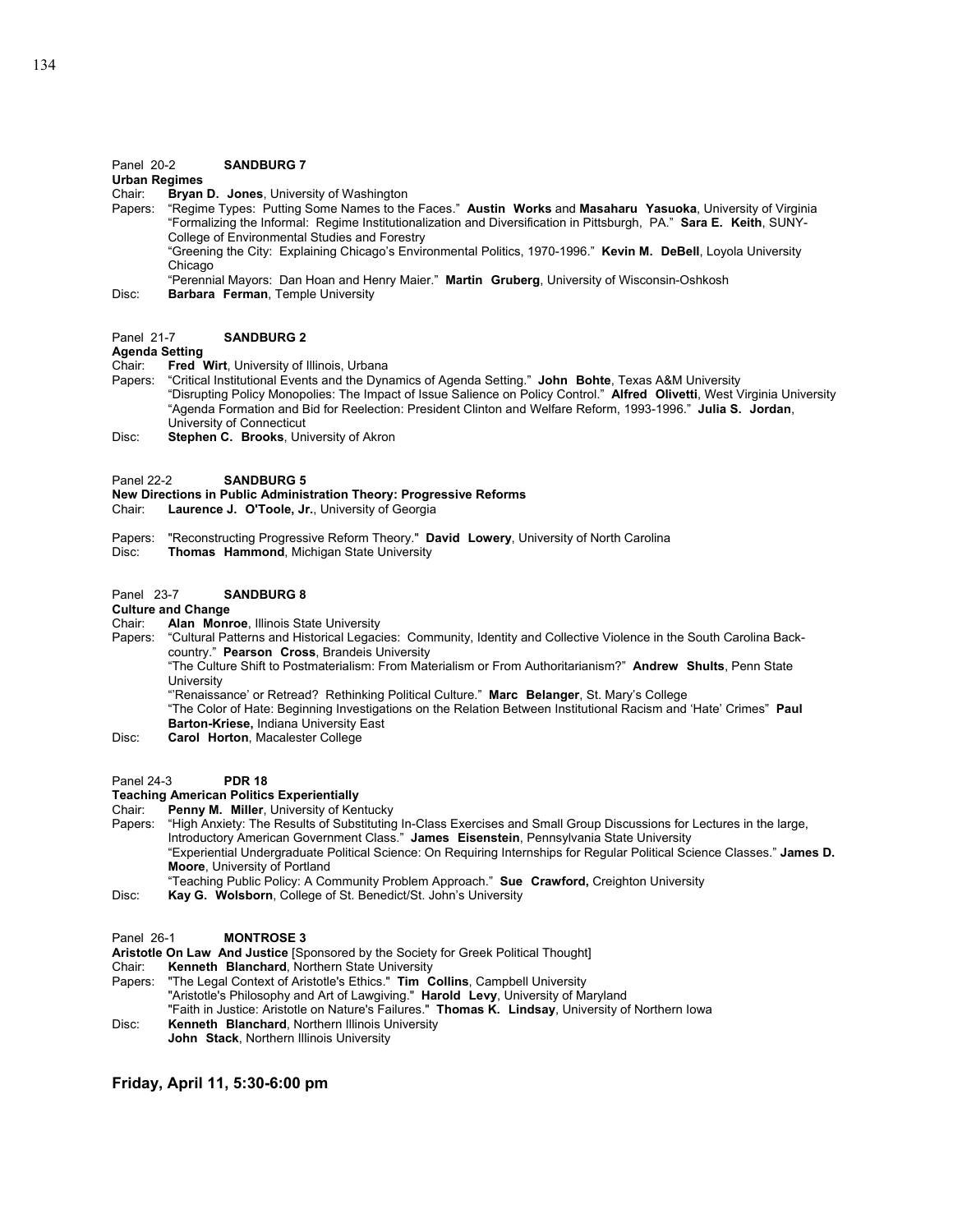#### Panel 20-2 **SANDBURG 7**

## **Urban Regimes**

**Bryan D. Jones**, University of Washington

- Papers: "Regime Types: Putting Some Names to the Faces." **Austin Works** and **Masaharu Yasuoka**, University of Virginia "Formalizing the Informal: Regime Institutionalization and Diversification in Pittsburgh, PA." **Sara E. Keith**, SUNY-College of Environmental Studies and Forestry "Greening the City: Explaining Chicago's Environmental Politics, 1970-1996." **Kevin M. DeBell**, Loyola University Chicago
- "Perennial Mayors: Dan Hoan and Henry Maier." **Martin Gruberg**, University of Wisconsin-Oshkosh
- Disc: **Barbara Ferman**, Temple University
- Panel 21-7 **SANDBURG 2**

# **Agenda Setting**<br>Chair: **Fred**

Fred Wirt, University of Illinois, Urbana

Papers: "Critical Institutional Events and the Dynamics of Agenda Setting." **John Bohte**, Texas A&M University "Disrupting Policy Monopolies: The Impact of Issue Salience on Policy Control." **Alfred Olivetti**, West Virginia University "Agenda Formation and Bid for Reelection: President Clinton and Welfare Reform, 1993-1996." **Julia S. Jordan**, University of Connecticut

- Disc: **Stephen C. Brooks**, University of Akron
- Panel 22-2 **SANDBURG 5**

#### **New Directions in Public Administration Theory: Progressive Reforms**

Chair: **Laurence J. O'Toole, Jr.**, University of Georgia

Papers: "Reconstructing Progressive Reform Theory." **David Lowery**, University of North Carolina Disc: **Thomas Hammond**, Michigan State University

### Panel 23-7 **SANDBURG 8**

### **Culture and Change**

- 
- Chair: **Alan Monroe**, Illinois State University "Cultural Patterns and Historical Legacies: Community, Identity and Collective Violence in the South Carolina Backcountry." **Pearson Cross**, Brandeis University
	- "The Culture Shift to Postmaterialism: From Materialism or From Authoritarianism?" **Andrew Shults**, Penn State **University**
	- "'Renaissance' or Retread? Rethinking Political Culture." **Marc Belanger**, St. Mary's College
	- "The Color of Hate: Beginning Investigations on the Relation Between Institutional Racism and 'Hate' Crimes" **Paul Barton-Kriese,** Indiana University East
- Disc: **Carol Horton**, Macalester College

Panel 24-3 **PDR 18**

### **Teaching American Politics Experientially**

Chair: **Penny M. Miller**, University of Kentucky

Papers: "High Anxiety: The Results of Substituting In-Class Exercises and Small Group Discussions for Lectures in the large, Introductory American Government Class." **James Eisenstein**, Pennsylvania State University "Experiential Undergraduate Political Science: On Requiring Internships for Regular Political Science Classes." **James D. Moore**, University of Portland "Teaching Public Policy: A Community Problem Approach." **Sue Crawford,** Creighton University

- 
- Disc: **Kay G. Wolsborn**, College of St. Benedict/St. John's University
- Panel 26-1 **MONTROSE 3**

**Aristotle On Law And Justice** [Sponsored by the Society for Greek Political Thought]

- Chair: **Kenneth Blanchard**, Northern State University
- Papers: "The Legal Context of Aristotle's Ethics." **Tim Collins**, Campbell University "Aristotle's Philosophy and Art of Lawgiving." **Harold Levy**, University of Maryland "Faith in Justice: Aristotle on Nature's Failures." **Thomas K. Lindsay**, University of Northern Iowa Disc: **Kenneth Blanchard**, Northern Illinois University
- **John Stack**, Northern Illinois University

**Friday, April 11, 5:30-6:00 pm**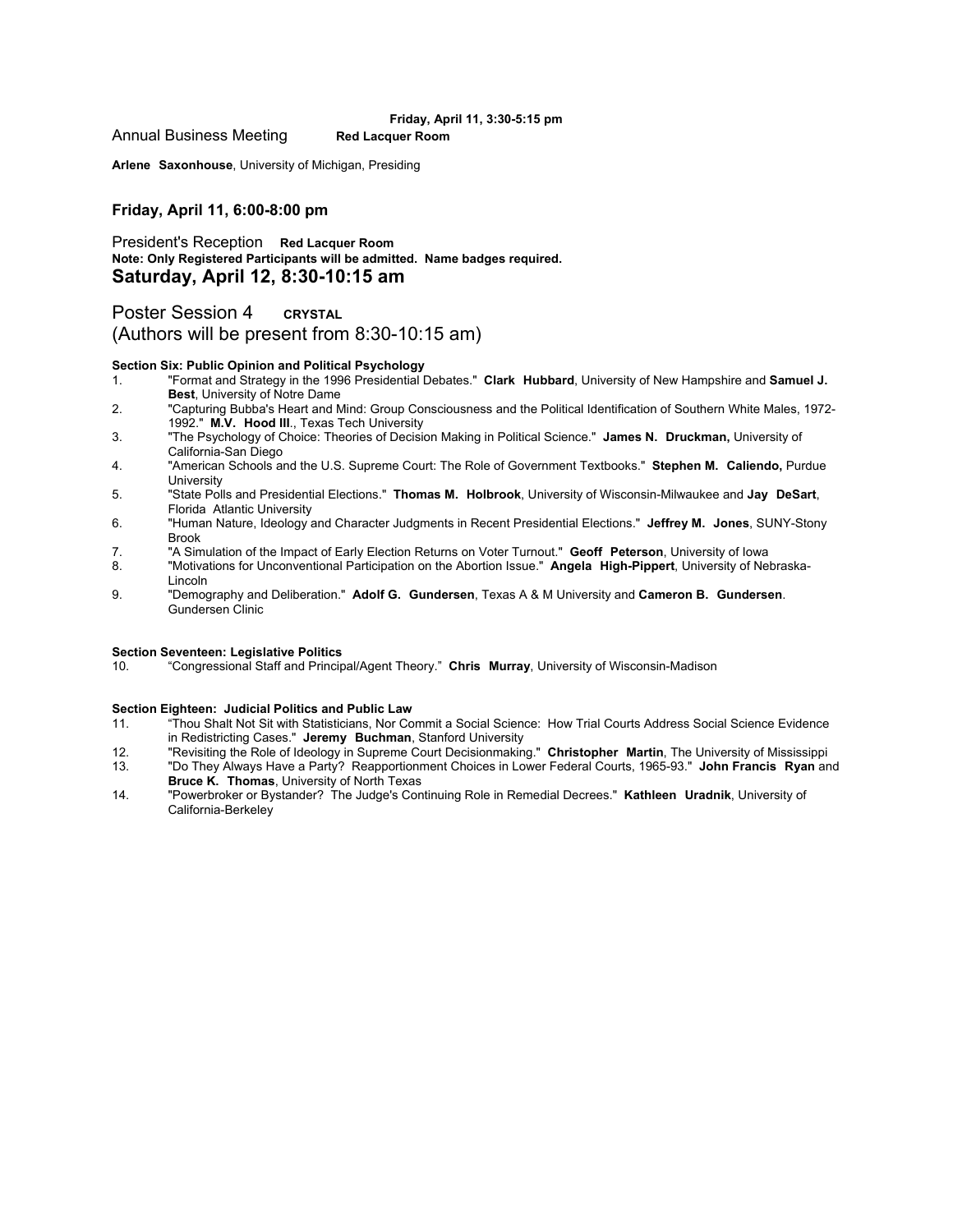**Friday, April 11, 3:30-5:15 pm**

Annual Business Meeting **Red Lacquer Room**

**Arlene Saxonhouse**, University of Michigan, Presiding

### **Friday, April 11, 6:00-8:00 pm**

President's Reception **Red Lacquer Room Note: Only Registered Participants will be admitted. Name badges required. Saturday, April 12, 8:30-10:15 am**

**Poster Session 4 CRYSTAL** 

(Authors will be present from 8:30-10:15 am)

#### **Section Six: Public Opinion and Political Psychology**

- 1. "Format and Strategy in the 1996 Presidential Debates." **Clark Hubbard**, University of New Hampshire and **Samuel J. Best**, University of Notre Dame
- 2. "Capturing Bubba's Heart and Mind: Group Consciousness and the Political Identification of Southern White Males, 1972- 1992." **M.V. Hood III**., Texas Tech University
- 3. "The Psychology of Choice: Theories of Decision Making in Political Science." **James N. Druckman,** University of California-San Diego
- 4. "American Schools and the U.S. Supreme Court: The Role of Government Textbooks." **Stephen M. Caliendo,** Purdue **University**
- 5. "State Polls and Presidential Elections." **Thomas M. Holbrook**, University of Wisconsin-Milwaukee and **Jay DeSart**, Florida Atlantic University
- 6. "Human Nature, Ideology and Character Judgments in Recent Presidential Elections." **Jeffrey M. Jones**, SUNY-Stony Brook
- 7. "A Simulation of the Impact of Early Election Returns on Voter Turnout." **Geoff Peterson**, University of Iowa
- 8. "Motivations for Unconventional Participation on the Abortion Issue." **Angela High-Pippert**, University of Nebraska-Lincoln
- 9. "Demography and Deliberation." **Adolf G. Gundersen**, Texas A & M University and **Cameron B. Gundersen**. Gundersen Clinic

#### **Section Seventeen: Legislative Politics**

10. "Congressional Staff and Principal/Agent Theory." **Chris Murray**, University of Wisconsin-Madison

#### **Section Eighteen: Judicial Politics and Public Law**

- 11. "Thou Shalt Not Sit with Statisticians, Nor Commit a Social Science: How Trial Courts Address Social Science Evidence in Redistricting Cases." **Jeremy Buchman**, Stanford University
- 12. "Revisiting the Role of Ideology in Supreme Court Decisionmaking." **Christopher Martin**, The University of Mississippi
- 13. "Do They Always Have a Party? Reapportionment Choices in Lower Federal Courts, 1965-93." **John Francis Ryan** and **Bruce K. Thomas**, University of North Texas
- 14. "Powerbroker or Bystander? The Judge's Continuing Role in Remedial Decrees." **Kathleen Uradnik**, University of California-Berkeley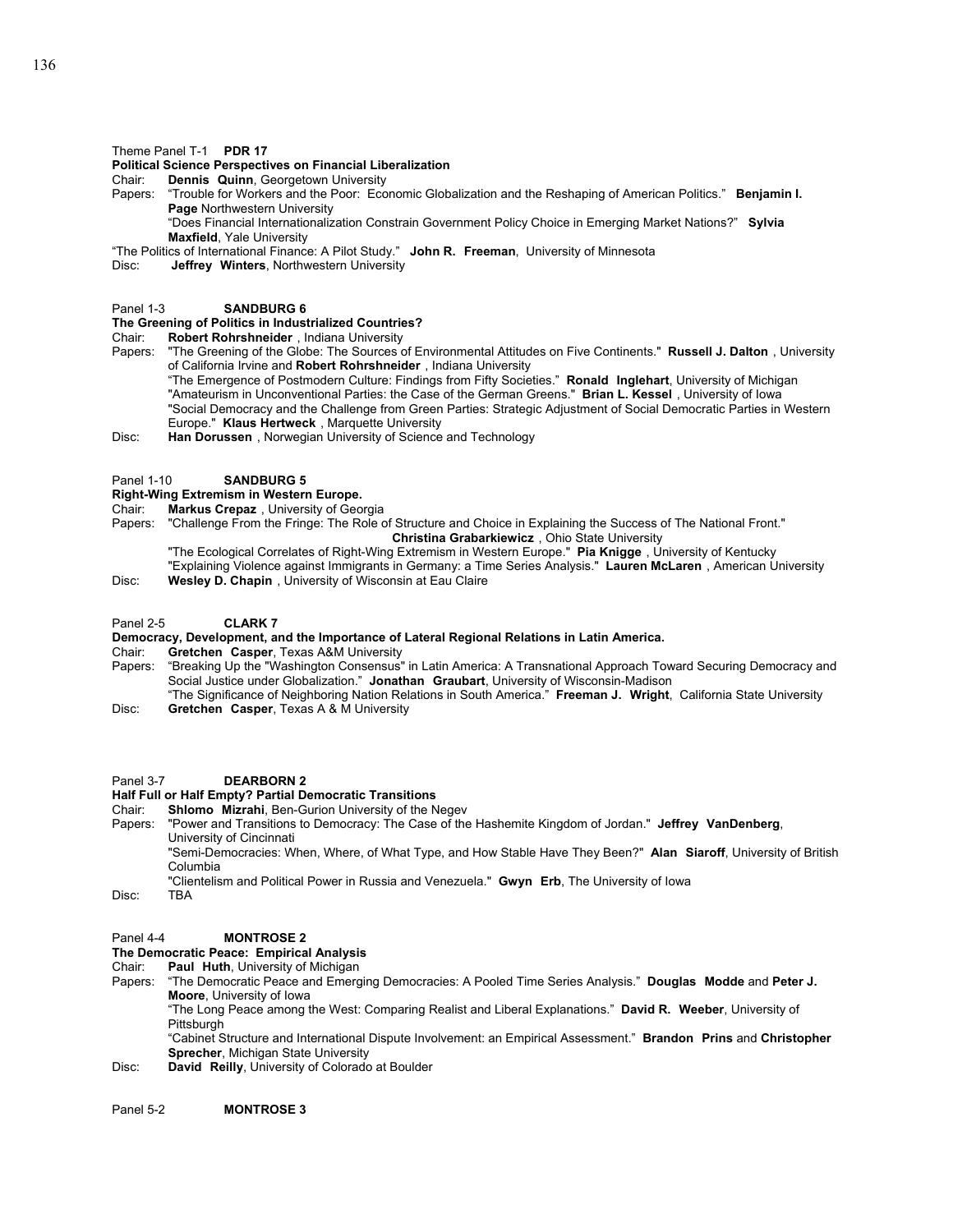#### **Political Science Perspectives on Financial Liberalization**

Chair: **Dennis Quinn**, Georgetown University

Papers: "Trouble for Workers and the Poor: Economic Globalization and the Reshaping of American Politics." **Benjamin I. Page** Northwestern University

"Does Financial Internationalization Constrain Government Policy Choice in Emerging Market Nations?" **Sylvia Maxfield**, Yale University

- "The Politics of International Finance: A Pilot Study." **John R. Freeman**, University of Minnesota
- Disc: **Jeffrey Winters**, Northwestern University

#### Panel 1-3 **SANDBURG 6**

#### **The Greening of Politics in Industrialized Countries?**

Chair: **Robert Rohrshneider** , Indiana University

- Papers: "The Greening of the Globe: The Sources of Environmental Attitudes on Five Continents." **Russell J. Dalton** , University of California Irvine and **Robert Rohrshneider** , Indiana University "The Emergence of Postmodern Culture: Findings from Fifty Societies." **Ronald Inglehart**, University of Michigan
	- "Amateurism in Unconventional Parties: the Case of the German Greens." **Brian L. Kessel** , University of Iowa "Social Democracy and the Challenge from Green Parties: Strategic Adjustment of Social Democratic Parties in Western Europe." **Klaus Hertweck** , Marquette University
- Disc: **Han Dorussen** , Norwegian University of Science and Technology
- Panel 1-10 **SANDBURG 5**

#### **Right-Wing Extremism in Western Europe.**

- Chair: **Markus Crepaz** , University of Georgia "Challenge From the Fringe: The Role of Structure and Choice in Explaining the Success of The National Front." **Christina Grabarkiewicz** , Ohio State University
	- "The Ecological Correlates of Right-Wing Extremism in Western Europe." **Pia Knigge** , University of Kentucky
- "Explaining Violence against Immigrants in Germany: a Time Series Analysis." **Lauren McLaren** , American University Disc: **Wesley D. Chapin** , University of Wisconsin at Eau Claire

#### Panel 2-5 **CLARK 7**

#### **Democracy, Development, and the Importance of Lateral Regional Relations in Latin America.**

- Chair: **Gretchen Casper**, Texas A&M University
- Papers: "Breaking Up the "Washington Consensus" in Latin America: A Transnational Approach Toward Securing Democracy and Social Justice under Globalization." **Jonathan Graubart**, University of Wisconsin-Madison "The Significance of Neighboring Nation Relations in South America." **Freeman J. Wright**, California State University
- Disc: **Gretchen Casper**, Texas A & M University

#### Panel 3-7 **DEARBORN 2**

#### **Half Full or Half Empty? Partial Democratic Transitions**

Chair: **Shlomo Mizrahi**, Ben-Gurion University of the Negev

Papers: "Power and Transitions to Democracy: The Case of the Hashemite Kingdom of Jordan." **Jeffrey VanDenberg**, University of Cincinnati

"Semi-Democracies: When, Where, of What Type, and How Stable Have They Been?" **Alan Siaroff**, University of British Columbia

"Clientelism and Political Power in Russia and Venezuela." **Gwyn Erb**, The University of Iowa

Disc: TBA

#### Panel 4-4 **MONTROSE 2**

#### **The Democratic Peace: Empirical Analysis**

#### Chair: **Paul Huth**, University of Michigan

Papers: "The Democratic Peace and Emerging Democracies: A Pooled Time Series Analysis." **Douglas Modde** and **Peter J. Moore**, University of Iowa

"The Long Peace among the West: Comparing Realist and Liberal Explanations." **David R. Weeber**, University of Pittsburgh

"Cabinet Structure and International Dispute Involvement: an Empirical Assessment." **Brandon Prins** and **Christopher Sprecher**, Michigan State University

Disc: **David Reilly**, University of Colorado at Boulder

Panel 5-2 **MONTROSE 3**

Theme Panel T-1 **PDR 17**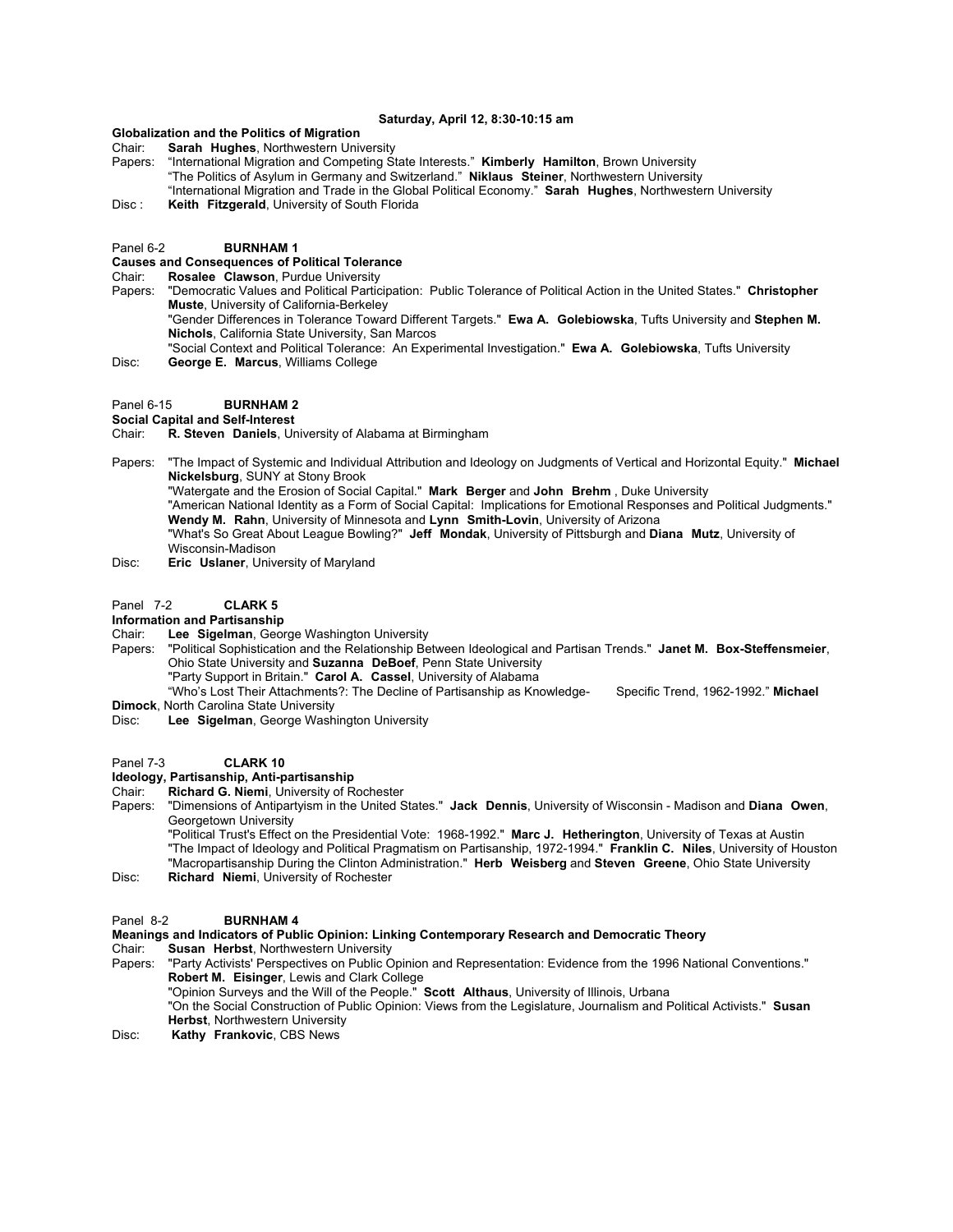#### **Saturday, April 12, 8:30-10:15 am**

### **Globalization and the Politics of Migration**

Chair: **Sarah Hughes**, Northwestern University

Papers: "International Migration and Competing State Interests." **Kimberly Hamilton**, Brown University "The Politics of Asylum in Germany and Switzerland." **Niklaus Steiner**, Northwestern University "International Migration and Trade in the Global Political Economy." **Sarah Hughes**, Northwestern University

Disc : **Keith Fitzgerald**, University of South Florida

#### Panel 6-2 **BURNHAM 1**

#### **Causes and Consequences of Political Tolerance**

Chair: **Rosalee Clawson**, Purdue University

- Papers: "Democratic Values and Political Participation: Public Tolerance of Political Action in the United States." **Christopher Muste**, University of California-Berkeley
	- "Gender Differences in Tolerance Toward Different Targets." **Ewa A. Golebiowska**, Tufts University and **Stephen M. Nichols**, California State University, San Marcos
- "Social Context and Political Tolerance: An Experimental Investigation." **Ewa A. Golebiowska**, Tufts University Disc: **George E. Marcus**, Williams College
- Panel 6-15 **BURNHAM 2**

**Social Capital and Self-Interest**

#### Chair: **R. Steven Daniels**, University of Alabama at Birmingham

Papers: "The Impact of Systemic and Individual Attribution and Ideology on Judgments of Vertical and Horizontal Equity." **Michael Nickelsburg**, SUNY at Stony Brook "Watergate and the Erosion of Social Capital." **Mark Berger** and **John Brehm** , Duke University "American National Identity as a Form of Social Capital: Implications for Emotional Responses and Political Judgments." **Wendy M. Rahn**, University of Minnesota and **Lynn Smith-Lovin**, University of Arizona "What's So Great About League Bowling?" **Jeff Mondak**, University of Pittsburgh and **Diana Mutz**, University of Wisconsin-Madison Disc: **Eric Uslaner**, University of Maryland

Panel 7-2 **CLARK 5**

#### **Information and Partisanship**

- Chair: **Lee Sigelman**, George Washington University
- Papers: "Political Sophistication and the Relationship Between Ideological and Partisan Trends." **Janet M. Box-Steffensmeier**, Ohio State University and **Suzanna DeBoef**, Penn State University "Party Support in Britain." **Carol A. Cassel**, University of Alabama

 "Who's Lost Their Attachments?: The Decline of Partisanship as Knowledge- Specific Trend, 1962-1992." **Michael Dimock**, North Carolina State University

Disc: **Lee Sigelman**, George Washington University

Panel 7-3 **CLARK 10**

#### **Ideology, Partisanship, Anti-partisanship**

Chair: **Richard G. Niemi**, University of Rochester

Papers: "Dimensions of Antipartyism in the United States." **Jack Dennis**, University of Wisconsin - Madison and **Diana Owen**, Georgetown University

"Political Trust's Effect on the Presidential Vote: 1968-1992." **Marc J. Hetherington**, University of Texas at Austin "The Impact of Ideology and Political Pragmatism on Partisanship, 1972-1994." **Franklin C. Niles**, University of Houston "Macropartisanship During the Clinton Administration." **Herb Weisberg** and **Steven Greene**, Ohio State University Disc: **Richard Niemi**, University of Rochester

#### Panel 8-2 **BURNHAM 4**

#### **Meanings and Indicators of Public Opinion: Linking Contemporary Research and Democratic Theory**

Chair: **Susan Herbst**, Northwestern University

Papers: "Party Activists' Perspectives on Public Opinion and Representation: Evidence from the 1996 National Conventions." **Robert M. Eisinger**, Lewis and Clark College

"Opinion Surveys and the Will of the People." **Scott Althaus**, University of Illinois, Urbana

"On the Social Construction of Public Opinion: Views from the Legislature, Journalism and Political Activists." **Susan Herbst**, Northwestern University

Disc: **Kathy Frankovic**, CBS News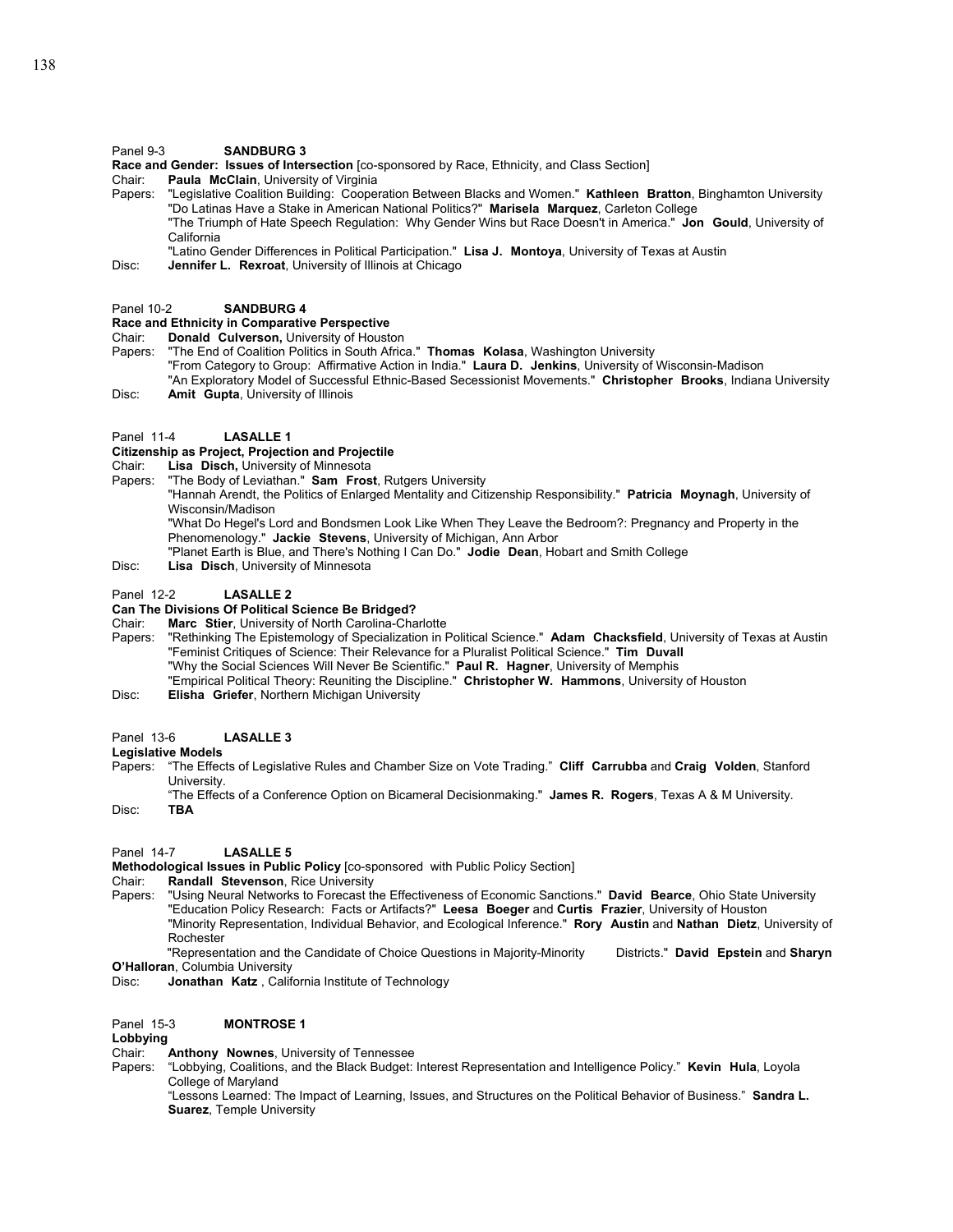#### Panel 9-3 **SANDBURG 3**

**Race and Gender: Issues of Intersection** [co-sponsored by Race, Ethnicity, and Class Section]

- Chair: **Paula McClain**, University of Virginia
- "Legislative Coalition Building: Cooperation Between Blacks and Women." **Kathleen Bratton**, Binghamton University "Do Latinas Have a Stake in American National Politics?" **Marisela Marquez**, Carleton College "The Triumph of Hate Speech Regulation: Why Gender Wins but Race Doesn't in America." **Jon Gould**, University of California
	- "Latino Gender Differences in Political Participation." **Lisa J. Montoya**, University of Texas at Austin
- Disc: **Jennifer L. Rexroat**, University of Illinois at Chicago

#### Panel 10-2 **SANDBURG 4**

#### **Race and Ethnicity in Comparative Perspective**

Chair: **Donald Culverson,** University of Houston

- Papers: "The End of Coalition Politics in South Africa." **Thomas Kolasa**, Washington University "From Category to Group: Affirmative Action in India." **Laura D. Jenkins**, University of Wisconsin-Madison "An Exploratory Model of Successful Ethnic-Based Secessionist Movements." **Christopher Brooks**, Indiana University
- Disc: **Amit Gupta**, University of Illinois
- Panel 11-4 **LASALLE 1**

#### **Citizenship as Project, Projection and Projectile**

- Chair: **Lisa Disch,** University of Minnesota
- Papers: "The Body of Leviathan." **Sam Frost**, Rutgers University
	- "Hannah Arendt, the Politics of Enlarged Mentality and Citizenship Responsibility." **Patricia Moynagh**, University of Wisconsin/Madison
		- "What Do Hegel's Lord and Bondsmen Look Like When They Leave the Bedroom?: Pregnancy and Property in the Phenomenology." **Jackie Stevens**, University of Michigan, Ann Arbor
		- "Planet Earth is Blue, and There's Nothing I Can Do." **Jodie Dean**, Hobart and Smith College
- Disc: **Lisa Disch**, University of Minnesota

Panel 12-2 **LASALLE 2**

#### **Can The Divisions Of Political Science Be Bridged?**

Chair: **Marc Stier**, University of North Carolina-Charlotte

- "Rethinking The Epistemology of Specialization in Political Science." Adam Chacksfield, University of Texas at Austin "Feminist Critiques of Science: Their Relevance for a Pluralist Political Science." **Tim Duvall** "Why the Social Sciences Will Never Be Scientific." **Paul R. Hagner**, University of Memphis "Empirical Political Theory: Reuniting the Discipline." **Christopher W. Hammons**, University of Houston
- Disc: **Elisha Griefer**, Northern Michigan University
- Panel 13-6 **LASALLE 3**

#### **Legislative Models**

- Papers: "The Effects of Legislative Rules and Chamber Size on Vote Trading." **Cliff Carrubba** and **Craig Volden**, Stanford University.
- "The Effects of a Conference Option on Bicameral Decisionmaking." **James R. Rogers**, Texas A & M University. Disc: **TBA**

#### Panel 14-7 **LASALLE 5**

**Methodological Issues in Public Policy** [co-sponsored with Public Policy Section]

- Chair: **Randall Stevenson**, Rice University
- Papers: "Using Neural Networks to Forecast the Effectiveness of Economic Sanctions." **David Bearce**, Ohio State University "Education Policy Research: Facts or Artifacts?" **Leesa Boeger** and **Curtis Frazier**, University of Houston "Minority Representation, Individual Behavior, and Ecological Inference." **Rory Austin** and **Nathan Dietz**, University of Rochester
- "Representation and the Candidate of Choice Questions in Majority-Minority Districts." **David Epstein** and Sharyn **O'Halloran**, Columbia University

Disc: **Jonathan Katz** , California Institute of Technology

#### Panel 15-3 **MONTROSE 1**

#### **Lobbying**

- Chair: **Anthony Nownes**, University of Tennessee
	- Papers: "Lobbying, Coalitions, and the Black Budget: Interest Representation and Intelligence Policy." **Kevin Hula**, Loyola College of Maryland

"Lessons Learned: The Impact of Learning, Issues, and Structures on the Political Behavior of Business." **Sandra L. Suarez**, Temple University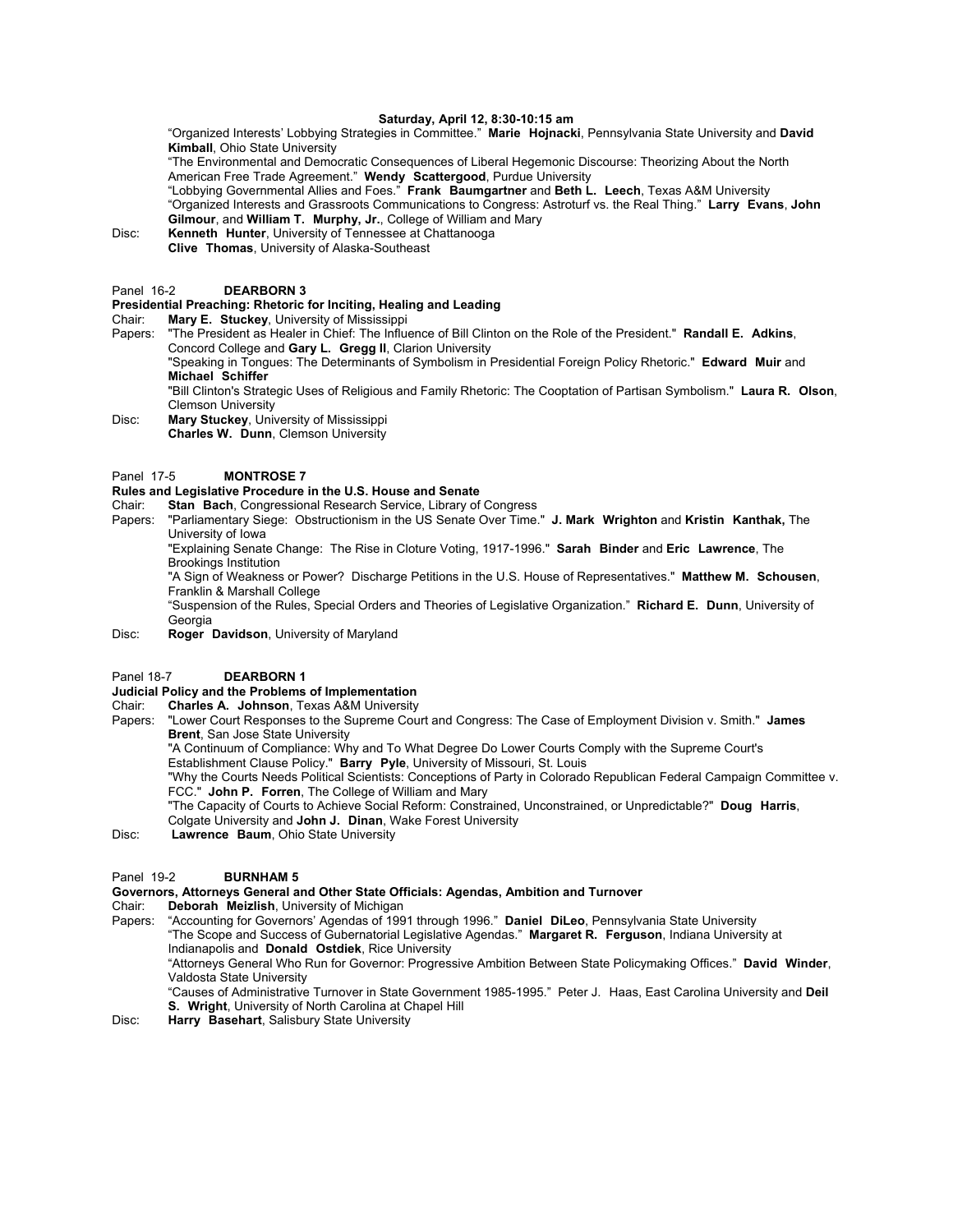#### **Saturday, April 12, 8:30-10:15 am**

"Organized Interests' Lobbying Strategies in Committee." **Marie Hojnacki**, Pennsylvania State University and **David Kimball**, Ohio State University

"The Environmental and Democratic Consequences of Liberal Hegemonic Discourse: Theorizing About the North American Free Trade Agreement." **Wendy Scattergood**, Purdue University

"Lobbying Governmental Allies and Foes." **Frank Baumgartner** and **Beth L. Leech**, Texas A&M University "Organized Interests and Grassroots Communications to Congress: Astroturf vs. the Real Thing." **Larry Evans**, **John Gilmour**, and **William T. Murphy, Jr.**, College of William and Mary

Disc: **Kenneth Hunter**, University of Tennessee at Chattanooga

**Clive Thomas**, University of Alaska-Southeast

#### Panel 16-2 **DEARBORN 3**

#### **Presidential Preaching: Rhetoric for Inciting, Healing and Leading**

Chair: **Mary E. Stuckey**, University of Mississippi

Papers: "The President as Healer in Chief: The Influence of Bill Clinton on the Role of the President." **Randall E. Adkins**, Concord College and **Gary L. Gregg II**, Clarion University

"Speaking in Tongues: The Determinants of Symbolism in Presidential Foreign Policy Rhetoric." **Edward Muir** and **Michael Schiffer**

"Bill Clinton's Strategic Uses of Religious and Family Rhetoric: The Cooptation of Partisan Symbolism." **Laura R. Olson**, Clemson University

Disc: **Mary Stuckey**, University of Mississippi **Charles W. Dunn**, Clemson University

#### Panel 17-5 **MONTROSE 7**

#### **Rules and Legislative Procedure in the U.S. House and Senate**

Chair: **Stan Bach**, Congressional Research Service, Library of Congress

Papers: "Parliamentary Siege: Obstructionism in the US Senate Over Time." **J. Mark Wrighton** and **Kristin Kanthak,** The University of Iowa

"Explaining Senate Change: The Rise in Cloture Voting, 1917-1996." **Sarah Binder** and **Eric Lawrence**, The Brookings Institution

"A Sign of Weakness or Power? Discharge Petitions in the U.S. House of Representatives." **Matthew M. Schousen**, Franklin & Marshall College

"Suspension of the Rules, Special Orders and Theories of Legislative Organization." **Richard E. Dunn**, University of **Georgia** 

Disc: **Roger Davidson**, University of Maryland

#### Panel 18-7 **DEARBORN 1**

#### **Judicial Policy and the Problems of Implementation**

Chair: **Charles A. Johnson**, Texas A&M University

Papers: "Lower Court Responses to the Supreme Court and Congress: The Case of Employment Division v. Smith." **James Brent**, San Jose State University

"A Continuum of Compliance: Why and To What Degree Do Lower Courts Comply with the Supreme Court's Establishment Clause Policy." **Barry Pyle**, University of Missouri, St. Louis

"Why the Courts Needs Political Scientists: Conceptions of Party in Colorado Republican Federal Campaign Committee v. FCC." **John P. Forren**, The College of William and Mary

"The Capacity of Courts to Achieve Social Reform: Constrained, Unconstrained, or Unpredictable?" **Doug Harris**, Colgate University and **John J. Dinan**, Wake Forest University

Disc: **Lawrence Baum**, Ohio State University

#### Panel 19-2 **BURNHAM 5**

# **Governors, Attorneys General and Other State Officials: Agendas, Ambition and Turnover**<br>Chair: **Deborah Meizlish University of Michigan**

Deborah Meizlish, University of Michigan

Papers: "Accounting for Governors' Agendas of 1991 through 1996." **Daniel DiLeo**, Pennsylvania State University "The Scope and Success of Gubernatorial Legislative Agendas." **Margaret R. Ferguson**, Indiana University at Indianapolis and **Donald Ostdiek**, Rice University

"Attorneys General Who Run for Governor: Progressive Ambition Between State Policymaking Offices." **David Winder**, Valdosta State University

"Causes of Administrative Turnover in State Government 1985-1995." Peter J. Haas, East Carolina University and **Deil S. Wright**, University of North Carolina at Chapel Hill

Disc: **Harry Basehart**, Salisbury State University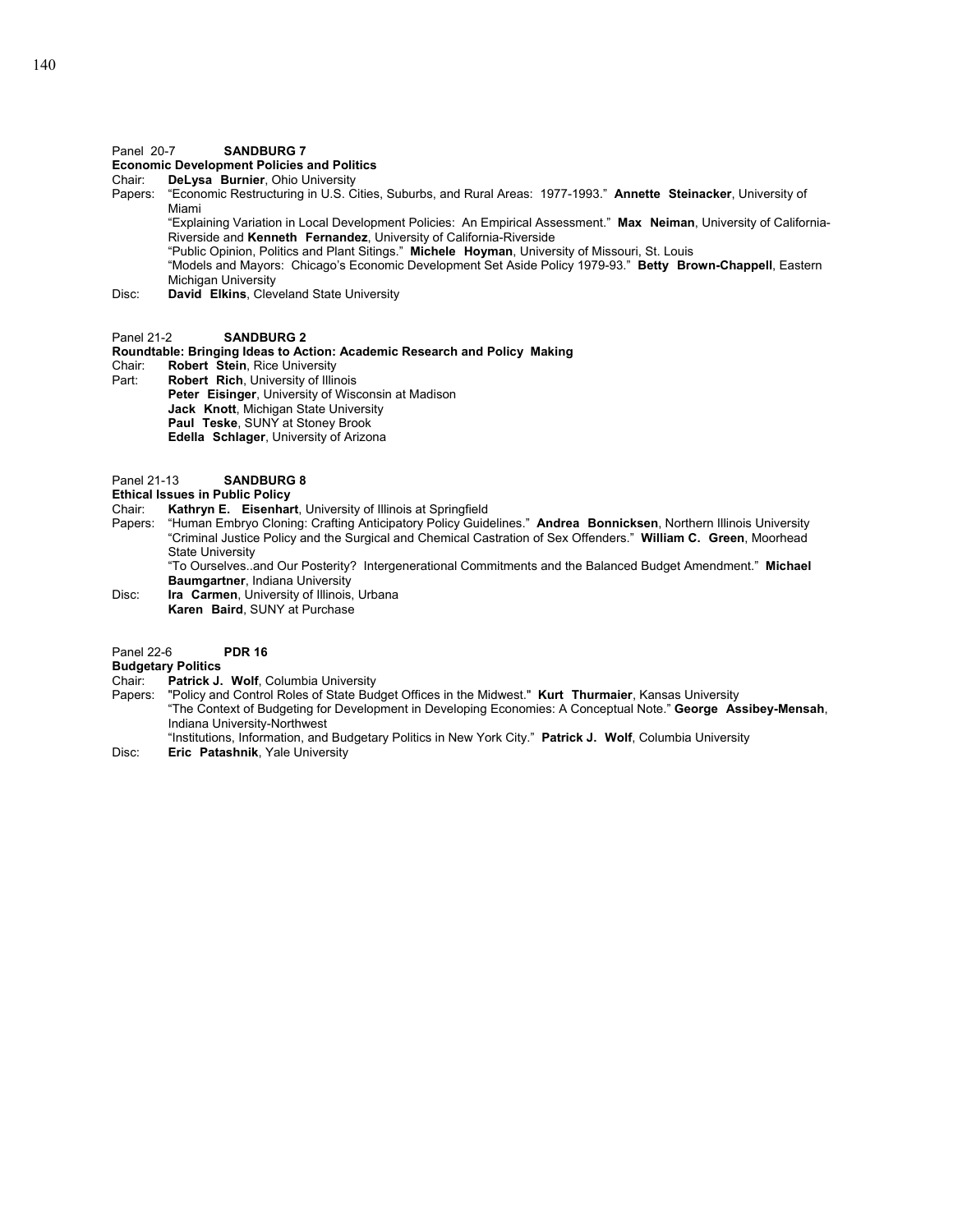#### Panel 20-7 **SANDBURG 7**

### **Economic Development Policies and Politics**

- Chair: **DeLysa Burnier**, Ohio University
- Papers: "Economic Restructuring in U.S. Cities, Suburbs, and Rural Areas: 1977-1993." **Annette Steinacker**, University of Miami

"Explaining Variation in Local Development Policies: An Empirical Assessment." **Max Neiman**, University of California-Riverside and **Kenneth Fernandez**, University of California-Riverside

"Public Opinion, Politics and Plant Sitings." **Michele Hoyman**, University of Missouri, St. Louis

"Models and Mayors: Chicago's Economic Development Set Aside Policy 1979-93." **Betty Brown-Chappell**, Eastern Michigan University

Disc: **David Elkins**, Cleveland State University

#### Panel 21-2 **SANDBURG 2**

**Roundtable: Bringing Ideas to Action: Academic Research and Policy Making**

- **Robert Stein, Rice University**
- Part: **Robert Rich**, University of Illinois **Peter Eisinger**, University of Wisconsin at Madison **Jack Knott**, Michigan State University **Paul Teske**, SUNY at Stoney Brook **Edella Schlager**, University of Arizona

#### Panel 21-13 **SANDBURG 8**

**Ethical Issues in Public Policy**

- 
- Chair: **Kathryn E. Eisenhart**, University of Illinois at Springfield Papers: "Human Embryo Cloning: Crafting Anticipatory Policy Guidelines." **Andrea Bonnicksen**, Northern Illinois University "Criminal Justice Policy and the Surgical and Chemical Castration of Sex Offenders." **William C. Green**, Moorhead State University

"To Ourselves..and Our Posterity? Intergenerational Commitments and the Balanced Budget Amendment." **Michael Baumgartner**, Indiana University

Disc: **Ira Carmen**, University of Illinois, Urbana **Karen Baird**, SUNY at Purchase

Panel 22-6 **PDR 16**

**Budgetary Politics**

- Chair: **Patrick J. Wolf**, Columbia University
- Papers: "Policy and Control Roles of State Budget Offices in the Midwest." **Kurt Thurmaier**, Kansas University "The Context of Budgeting for Development in Developing Economies: A Conceptual Note." **George Assibey-Mensah**, Indiana University-Northwest
- "Institutions, Information, and Budgetary Politics in New York City." **Patrick J. Wolf**, Columbia University
- Disc: **Eric Patashnik**, Yale University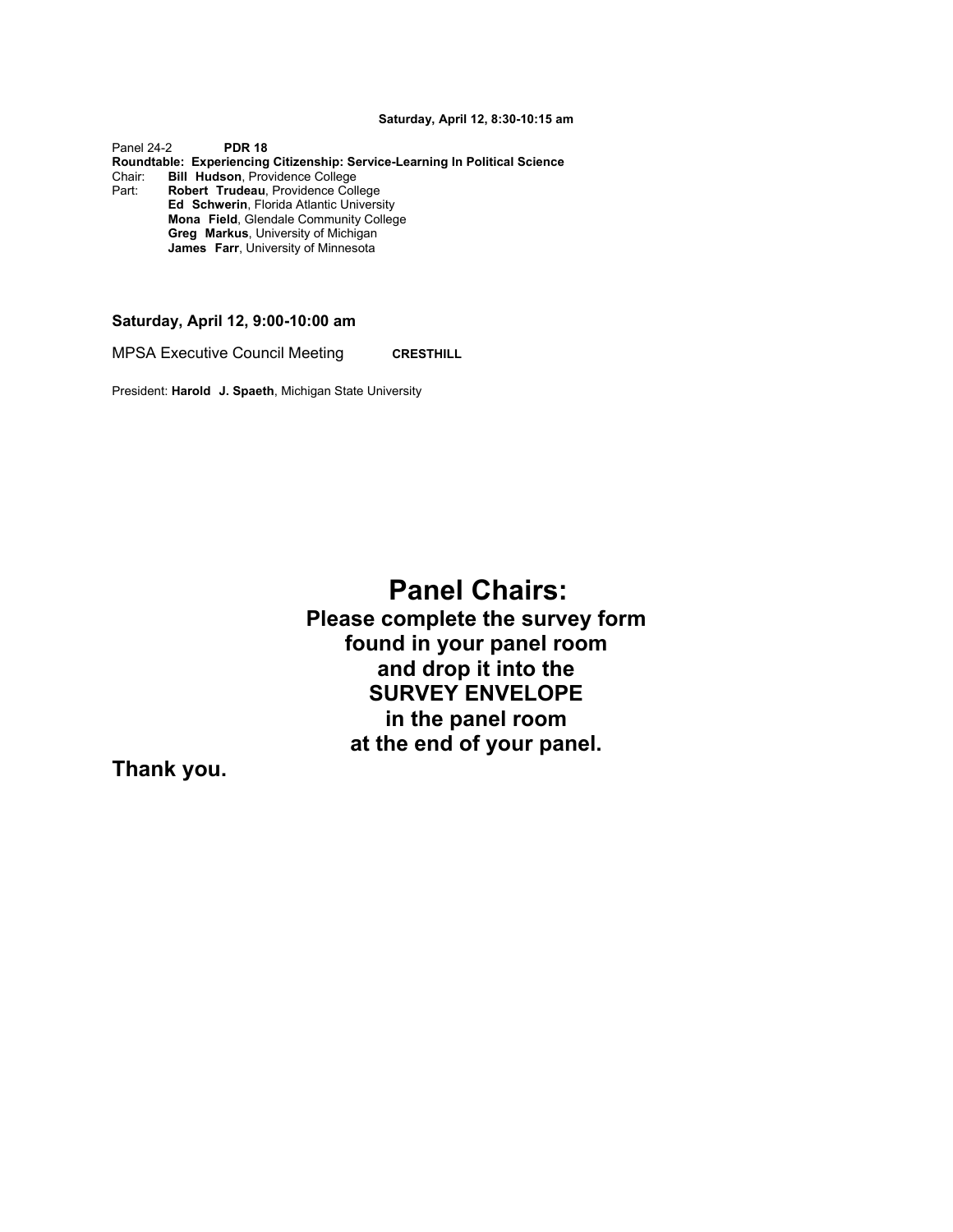#### **Saturday, April 12, 8:30-10:15 am**

Panel 24-2 **PDR 18 Roundtable: Experiencing Citizenship: Service-Learning In Political Science** Chair: **Bill Hudson**, Providence College Robert Trudeau, Providence College **Ed Schwerin**, Florida Atlantic University  **Mona Field**, Glendale Community College **Greg Markus**, University of Michigan **James Farr**, University of Minnesota

### **Saturday, April 12, 9:00-10:00 am**

MPSA Executive Council Meeting **CRESTHILL**

President: **Harold J. Spaeth**, Michigan State University

# **Panel Chairs: Please complete the survey form found in your panel room and drop it into the SURVEY ENVELOPE in the panel room at the end of your panel.**

**Thank you.**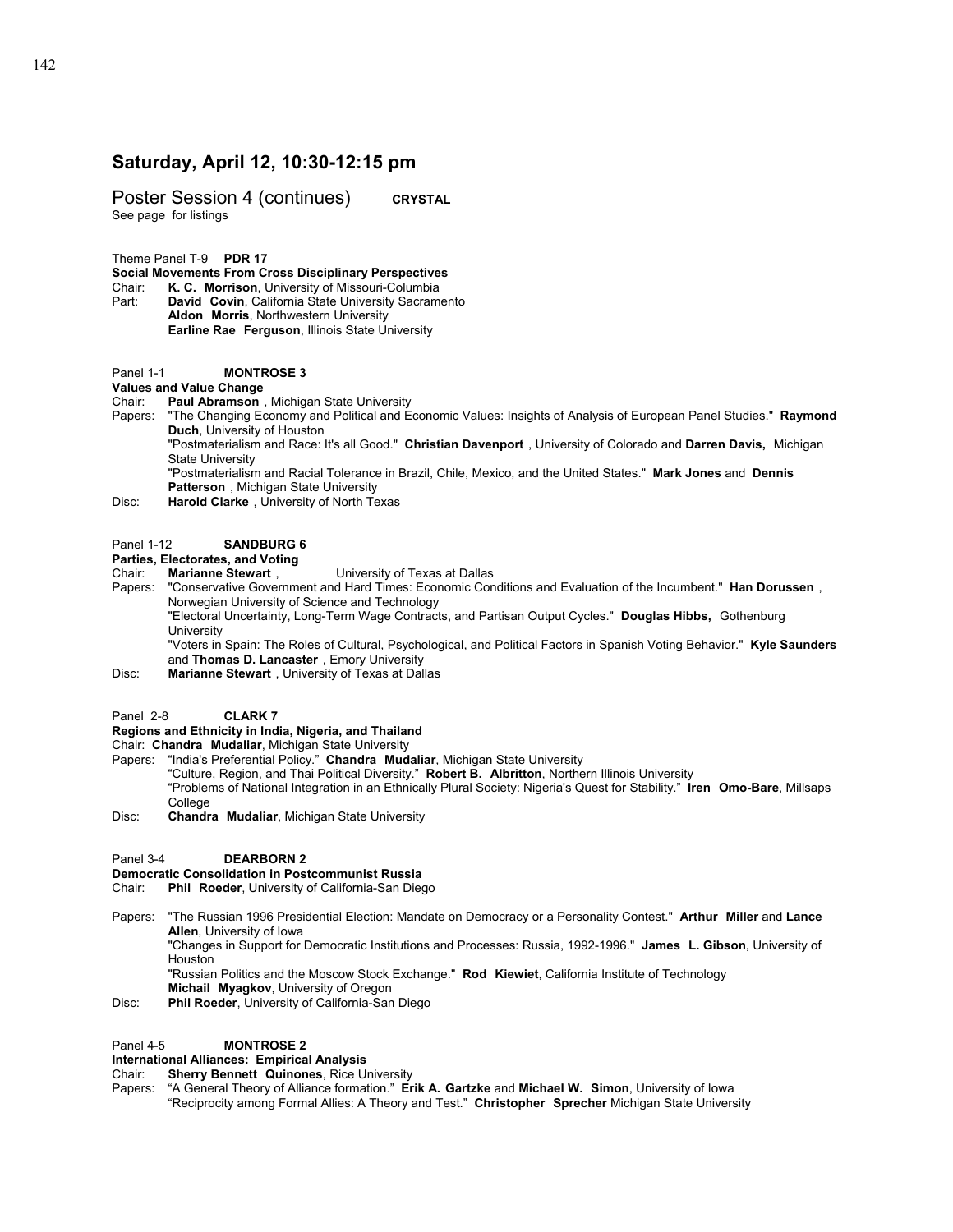### **Saturday, April 12, 10:30-12:15 pm**

**Poster Session 4 (continues) CRYSTAL** See page for listings

Theme Panel T-9 **PDR 17**

**Social Movements From Cross Disciplinary Perspectives**

Chair: **K. C. Morrison**, University of Missouri-Columbia David Covin, California State University Sacramento **Aldon Morris**, Northwestern University **Earline Rae Ferguson**, Illinois State University

#### Panel 1-1 **MONTROSE 3**

#### **Values and Value Change**

Chair: **Paul Abramson** , Michigan State University

"The Changing Economy and Political and Economic Values: Insights of Analysis of European Panel Studies." **Raymond Duch**, University of Houston

"Postmaterialism and Race: It's all Good." **Christian Davenport** , University of Colorado and **Darren Davis,** Michigan State University

"Postmaterialism and Racial Tolerance in Brazil, Chile, Mexico, and the United States." **Mark Jones** and **Dennis Patterson** , Michigan State University

Disc: **Harold Clarke** , University of North Texas

#### Panel 1-12 **SANDBURG 6**

# **Parties, Electorates, and Voting**

Chair: **Marianne Stewart** , University of Texas at Dallas<br>Papers: "Conservative Government and Hard Times: Economic Con Papers: "Conservative Government and Hard Times: Economic Conditions and Evaluation of the Incumbent." **Han Dorussen** , Norwegian University of Science and Technology "Electoral Uncertainty, Long-Term Wage Contracts, and Partisan Output Cycles." **Douglas Hibbs,** Gothenburg **University** 

"Voters in Spain: The Roles of Cultural, Psychological, and Political Factors in Spanish Voting Behavior." **Kyle Saunders** and **Thomas D. Lancaster** , Emory University

Disc: **Marianne Stewart** , University of Texas at Dallas

Panel 2-8 **CLARK 7**

#### **Regions and Ethnicity in India, Nigeria, and Thailand**

Chair: **Chandra Mudaliar**, Michigan State University

Papers: "India's Preferential Policy." **Chandra Mudaliar**, Michigan State University "Culture, Region, and Thai Political Diversity." **Robert B. Albritton**, Northern Illinois University "Problems of National Integration in an Ethnically Plural Society: Nigeria's Quest for Stability." **Iren Omo-Bare**, Millsaps College

Disc: **Chandra Mudaliar**, Michigan State University

Panel 3-4 **DEARBORN 2**

**Democratic Consolidation in Postcommunist Russia**

Chair: **Phil Roeder**, University of California-San Diego

- Papers: "The Russian 1996 Presidential Election: Mandate on Democracy or a Personality Contest." **Arthur Miller** and **Lance Allen**, University of Iowa "Changes in Support for Democratic Institutions and Processes: Russia, 1992-1996." **James L. Gibson**, University of Houston "Russian Politics and the Moscow Stock Exchange." **Rod Kiewiet**, California Institute of Technology **Michail Myagkov**, University of Oregon
- Disc: **Phil Roeder**, University of California-San Diego

#### Panel 4-5 **MONTROSE 2**

#### **International Alliances: Empirical Analysis**

Chair: **Sherry Bennett Quinones**, Rice University

Papers: "A General Theory of Alliance formation." **Erik A. Gartzke** and **Michael W. Simon**, University of Iowa "Reciprocity among Formal Allies: A Theory and Test." **Christopher Sprecher** Michigan State University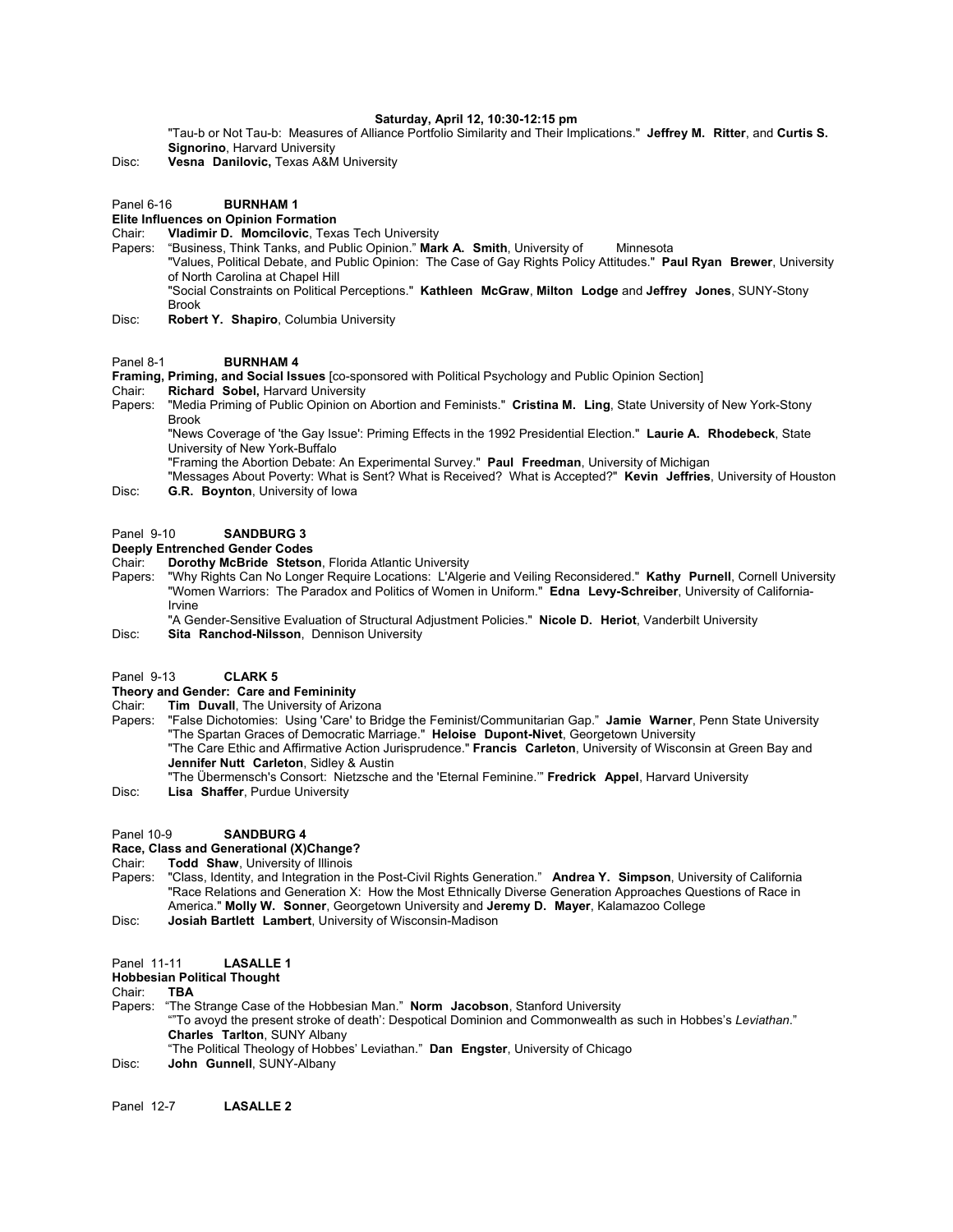#### **Saturday, April 12, 10:30-12:15 pm**

"Tau-b or Not Tau-b: Measures of Alliance Portfolio Similarity and Their Implications." **Jeffrey M. Ritter**, and **Curtis S. Signorino**, Harvard University

Disc: **Vesna Danilovic,** Texas A&M University

#### Panel 6-16 **BURNHAM 1**

#### **Elite Influences on Opinion Formation**

- Chair: **Vladimir D. Momcilovic**, Texas Tech University
- "Business, Think Tanks, and Public Opinion." Mark A. Smith, University of Minnesota
- "Values, Political Debate, and Public Opinion: The Case of Gay Rights Policy Attitudes." **Paul Ryan Brewer**, University of North Carolina at Chapel Hill
	- "Social Constraints on Political Perceptions." **Kathleen McGraw**, **Milton Lodge** and **Jeffrey Jones**, SUNY-Stony Brook
- Disc: **Robert Y. Shapiro**, Columbia University

#### Panel 8-1 **BURNHAM 4**

**Framing, Priming, and Social Issues** [co-sponsored with Political Psychology and Public Opinion Section]

- Chair: **Richard Sobel,** Harvard University
- Papers: "Media Priming of Public Opinion on Abortion and Feminists." **Cristina M. Ling**, State University of New York-Stony Brook

"News Coverage of 'the Gay Issue': Priming Effects in the 1992 Presidential Election." **Laurie A. Rhodebeck**, State University of New York-Buffalo

"Framing the Abortion Debate: An Experimental Survey." **Paul Freedman**, University of Michigan

"Messages About Poverty: What is Sent? What is Received? What is Accepted?" **Kevin Jeffries**, University of Houston Disc: **G.R. Boynton**, University of Iowa

#### Panel 9-10 **SANDBURG 3**

### **Deeply Entrenched Gender Codes**

- Chair: **Dorothy McBride Stetson**, Florida Atlantic University<br>Papers: "Why Rights Can No Longer Require Locations: L'Alge
- "Why Rights Can No Longer Require Locations: L'Algerie and Veiling Reconsidered." Kathy Purnell, Cornell University "Women Warriors: The Paradox and Politics of Women in Uniform." **Edna Levy-Schreiber**, University of California-Irvine
- "A Gender-Sensitive Evaluation of Structural Adjustment Policies." **Nicole D. Heriot**, Vanderbilt University Disc: **Sita Ranchod-Nilsson**, Dennison University
- Panel 9-13 **CLARK 5**

#### **Theory and Gender: Care and Femininity**

- Chair: **Tim Duvall**, The University of Arizona
- Papers: "False Dichotomies: Using 'Care' to Bridge the Feminist/Communitarian Gap." **Jamie Warner**, Penn State University "The Spartan Graces of Democratic Marriage." **Heloise Dupont-Nivet**, Georgetown University "The Care Ethic and Affirmative Action Jurisprudence." **Francis Carleton**, University of Wisconsin at Green Bay and **Jennifer Nutt Carleton**, Sidley & Austin
- "The Übermensch's Consort: Nietzsche and the 'Eternal Feminine.'" **Fredrick Appel**, Harvard University Disc: **Lisa Shaffer**, Purdue University
- Panel 10-9 **SANDBURG 4**

#### **Race, Class and Generational (X)Change?**

Chair: **Todd Shaw**, University of Illinois

- Papers: "Class, Identity, and Integration in the Post-Civil Rights Generation." **Andrea Y. Simpson**, University of California "Race Relations and Generation X: How the Most Ethnically Diverse Generation Approaches Questions of Race in America." **Molly W. Sonner**, Georgetown University and **Jeremy D. Mayer**, Kalamazoo College
- Disc: **Josiah Bartlett Lambert**, University of Wisconsin-Madison

Panel 11-11 **LASALLE 1**

#### **Hobbesian Political Thought**

Chair: **TBA**

- Papers: "The Strange Case of the Hobbesian Man." **Norm Jacobson**, Stanford University ""To avoyd the present stroke of death': Despotical Dominion and Commonwealth as such in Hobbes's *Leviathan*." **Charles Tarlton**, SUNY Albany
	- "The Political Theology of Hobbes' Leviathan." **Dan Engster**, University of Chicago
- Disc: **John Gunnell**, SUNY-Albany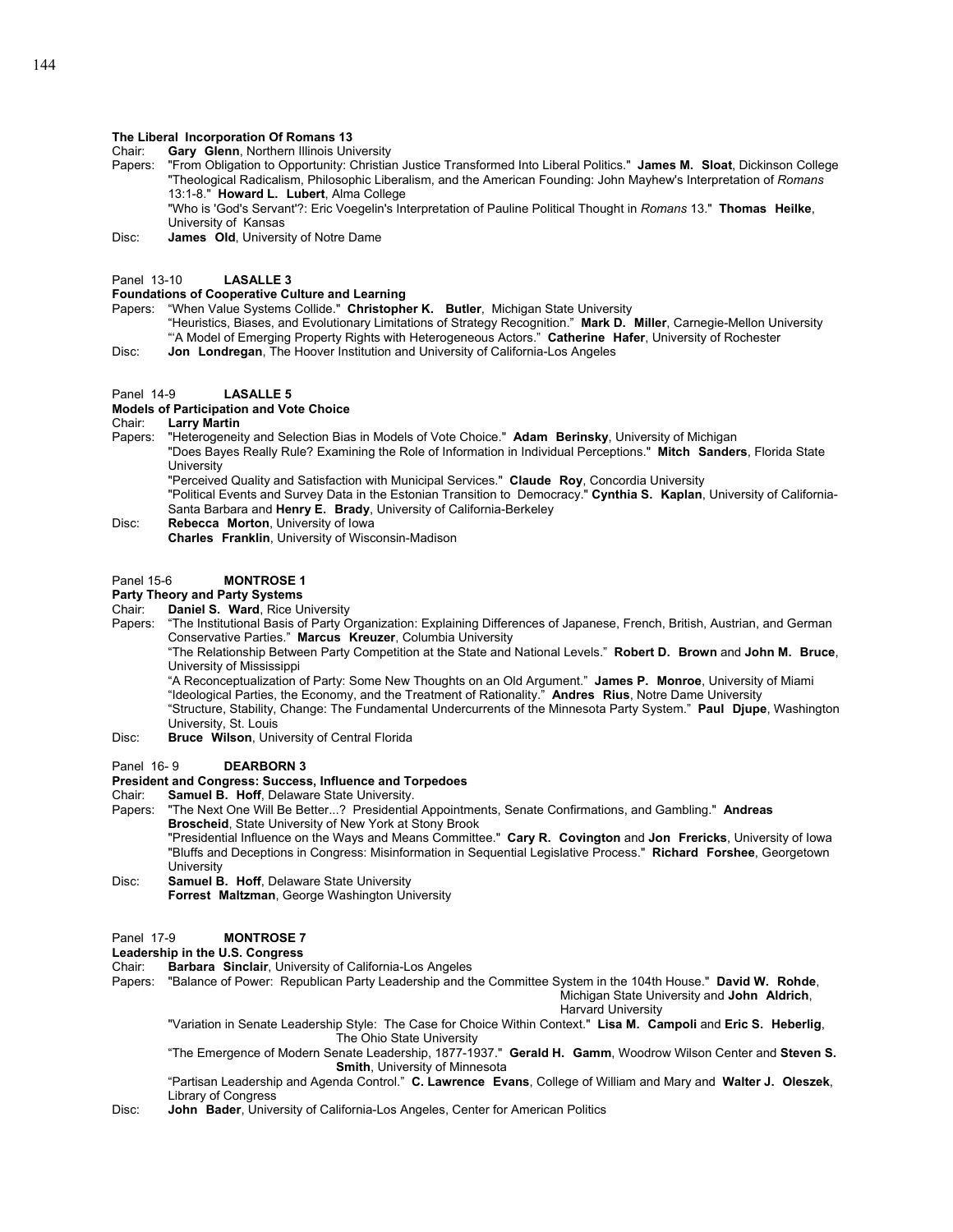## **The Liberal Incorporation Of Romans 13**<br>Chair: **Gary Glenn** Northern Illinois Uni

Gary Glenn, Northern Illinois University

Papers: "From Obligation to Opportunity: Christian Justice Transformed Into Liberal Politics." **James M. Sloat**, Dickinson College "Theological Radicalism, Philosophic Liberalism, and the American Founding: John Mayhew's Interpretation of *Romans* 13:1-8." **Howard L. Lubert**, Alma College

"Who is 'God's Servant'?: Eric Voegelin's Interpretation of Pauline Political Thought in *Romans* 13." **Thomas Heilke**, University of Kansas

Disc: **James Old**, University of Notre Dame

#### Panel 13-10 **LASALLE 3**

### **Foundations of Cooperative Culture and Learning**

Papers: "When Value Systems Collide." **Christopher K. Butler**, Michigan State University

- "Heuristics, Biases, and Evolutionary Limitations of Strategy Recognition." **Mark D. Miller**, Carnegie-Mellon University "'A Model of Emerging Property Rights with Heterogeneous Actors." **Catherine Hafer**, University of Rochester
- Disc: **Jon Londregan**, The Hoover Institution and University of California-Los Angeles

#### Panel 14-9 **LASALLE 5**

#### **Models of Participation and Vote Choice**

Chair: **Larry Martin**

Papers: "Heterogeneity and Selection Bias in Models of Vote Choice." **Adam Berinsky**, University of Michigan

"Does Bayes Really Rule? Examining the Role of Information in Individual Perceptions." **Mitch Sanders**, Florida State **University** 

"Perceived Quality and Satisfaction with Municipal Services." **Claude Roy**, Concordia University

"Political Events and Survey Data in the Estonian Transition to Democracy." **Cynthia S. Kaplan**, University of California-Santa Barbara and **Henry E. Brady**, University of California-Berkeley

Disc: **Rebecca Morton**, University of Iowa **Charles Franklin**, University of Wisconsin-Madison

#### Panel 15-6 **MONTROSE 1**

#### **Party Theory and Party Systems**

#### Chair: **Daniel S. Ward**, Rice University

Papers: "The Institutional Basis of Party Organization: Explaining Differences of Japanese, French, British, Austrian, and German Conservative Parties." **Marcus Kreuzer**, Columbia University

"The Relationship Between Party Competition at the State and National Levels." **Robert D. Brown** and **John M. Bruce**, University of Mississippi

"A Reconceptualization of Party: Some New Thoughts on an Old Argument." **James P. Monroe**, University of Miami "Ideological Parties, the Economy, and the Treatment of Rationality." **Andres Rius**, Notre Dame University

"Structure, Stability, Change: The Fundamental Undercurrents of the Minnesota Party System." **Paul Djupe**, Washington University, St. Louis

Disc: **Bruce Wilson**, University of Central Florida

#### Panel 16-9 **DEARBORN 3**

#### **President and Congress: Success, Influence and Torpedoes**

Chair: **Samuel B. Hoff**, Delaware State University.

Papers: "The Next One Will Be Better...? Presidential Appointments, Senate Confirmations, and Gambling." **Andreas Broscheid**, State University of New York at Stony Brook "Presidential Influence on the Ways and Means Committee." **Cary R. Covington** and **Jon Frericks**, University of Iowa "Bluffs and Deceptions in Congress: Misinformation in Sequential Legislative Process." **Richard Forshee**, Georgetown

**University** Disc: **Samuel B. Hoff**, Delaware State University **Forrest Maltzman**, George Washington University

### Panel 17-9 **MONTROSE 7**

#### **Leadership in the U.S. Congress**

- Chair: **Barbara Sinclair**, University of California-Los Angeles
- Papers: "Balance of Power: Republican Party Leadership and the Committee System in the 104th House." **David W. Rohde**, Michigan State University and **John Aldrich**, Harvard University

"Variation in Senate Leadership Style: The Case for Choice Within Context." **Lisa M. Campoli** and **Eric S. Heberlig**, The Ohio State University

"The Emergence of Modern Senate Leadership, 1877-1937." **Gerald H. Gamm**, Woodrow Wilson Center and **Steven S. Smith**, University of Minnesota

"Partisan Leadership and Agenda Control." **C. Lawrence Evans**, College of William and Mary and **Walter J. Oleszek**, Library of Congress

Disc: **John Bader**, University of California-Los Angeles, Center for American Politics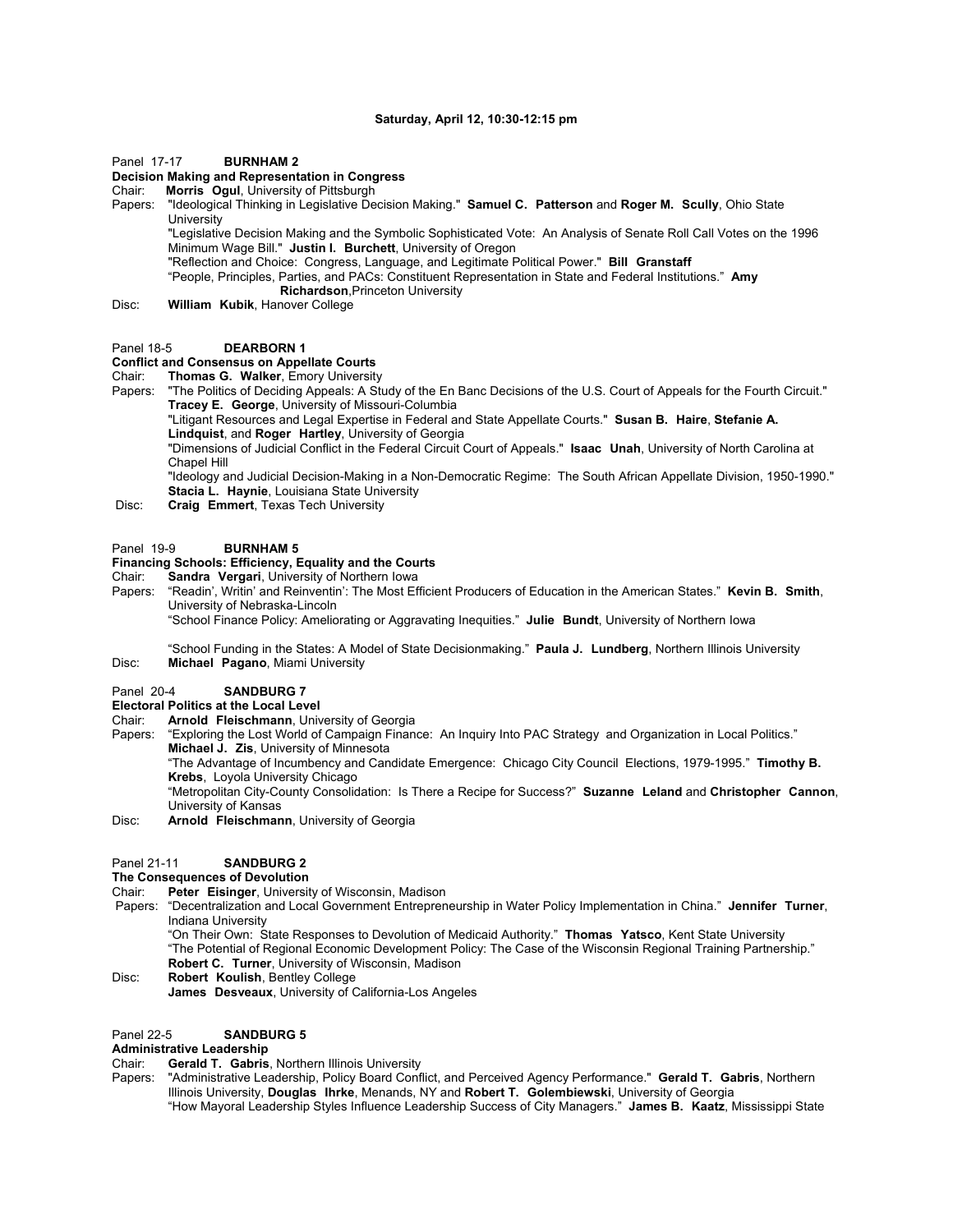#### **Saturday, April 12, 10:30-12:15 pm**

#### Panel 17-17 **BURNHAM 2**

#### **Decision Making and Representation in Congress**

Chair: **Morris Ogul**, University of Pittsburgh

Papers: "Ideological Thinking in Legislative Decision Making." **Samuel C. Patterson** and **Roger M. Scully**, Ohio State University

"Legislative Decision Making and the Symbolic Sophisticated Vote: An Analysis of Senate Roll Call Votes on the 1996 Minimum Wage Bill." **Justin I. Burchett**, University of Oregon

- "Reflection and Choice: Congress, Language, and Legitimate Political Power." **Bill Granstaff**
- "People, Principles, Parties, and PACs: Constituent Representation in State and Federal Institutions." **Amy Richardson**,Princeton University
- Disc: **William Kubik**, Hanover College

#### Panel 18-5 **DEARBORN 1**

### **Conflict and Consensus on Appellate Courts**

Chair: **Thomas G. Walker**, Emory University

"The Politics of Deciding Appeals: A Study of the En Banc Decisions of the U.S. Court of Appeals for the Fourth Circuit." **Tracey E. George**, University of Missouri-Columbia

 "Litigant Resources and Legal Expertise in Federal and State Appellate Courts." **Susan B. Haire**, **Stefanie A. Lindquist**, and **Roger Hartley**, University of Georgia

"Dimensions of Judicial Conflict in the Federal Circuit Court of Appeals." **Isaac Unah**, University of North Carolina at Chapel Hill

"Ideology and Judicial Decision-Making in a Non-Democratic Regime: The South African Appellate Division, 1950-1990." **Stacia L. Haynie**, Louisiana State University

Disc: **Craig Emmert**, Texas Tech University

#### Panel 19-9 **BURNHAM 5**

# **Financing Schools: Efficiency, Equality and the Courts**

Sandra Vergari, University of Northern Iowa

Papers: "Readin', Writin' and Reinventin': The Most Efficient Producers of Education in the American States." **Kevin B. Smith**, University of Nebraska-Lincoln

"School Finance Policy: Ameliorating or Aggravating Inequities." **Julie Bundt**, University of Northern Iowa

"School Funding in the States: A Model of State Decisionmaking." **Paula J. Lundberg**, Northern Illinois University Disc: **Michael Pagano**, Miami University

#### Panel 20-4 **SANDBURG 7**

**Electoral Politics at the Local Level** 

Chair: **Arnold Fleischmann**, University of Georgia

- Papers: "Exploring the Lost World of Campaign Finance: An Inquiry Into PAC Strategy and Organization in Local Politics." **Michael J. Zis**, University of Minnesota
	- "The Advantage of Incumbency and Candidate Emergence: Chicago City Council Elections, 1979-1995." **Timothy B. Krebs**, Loyola University Chicago

"Metropolitan City-County Consolidation: Is There a Recipe for Success?" **Suzanne Leland** and **Christopher Cannon**, University of Kansas

Disc: **Arnold Fleischmann**, University of Georgia

#### Panel 21-11 **SANDBURG 2**

#### **The Consequences of Devolution**

Chair: **Peter Eisinger**, University of Wisconsin, Madison

 Papers: "Decentralization and Local Government Entrepreneurship in Water Policy Implementation in China." **Jennifer Turner**, Indiana University

"On Their Own: State Responses to Devolution of Medicaid Authority." **Thomas Yatsco**, Kent State University "The Potential of Regional Economic Development Policy: The Case of the Wisconsin Regional Training Partnership." **Robert C. Turner**, University of Wisconsin, Madison

Disc: **Robert Koulish**, Bentley College **James Desveaux**, University of California-Los Angeles

#### Panel 22-5 **SANDBURG 5**

#### **Administrative Leadership**

Chair: **Gerald T. Gabris**, Northern Illinois University

Papers: "Administrative Leadership, Policy Board Conflict, and Perceived Agency Performance." **Gerald T. Gabris**, Northern Illinois University, **Douglas Ihrke**, Menands, NY and **Robert T. Golembiewski**, University of Georgia "How Mayoral Leadership Styles Influence Leadership Success of City Managers." **James B. Kaatz**, Mississippi State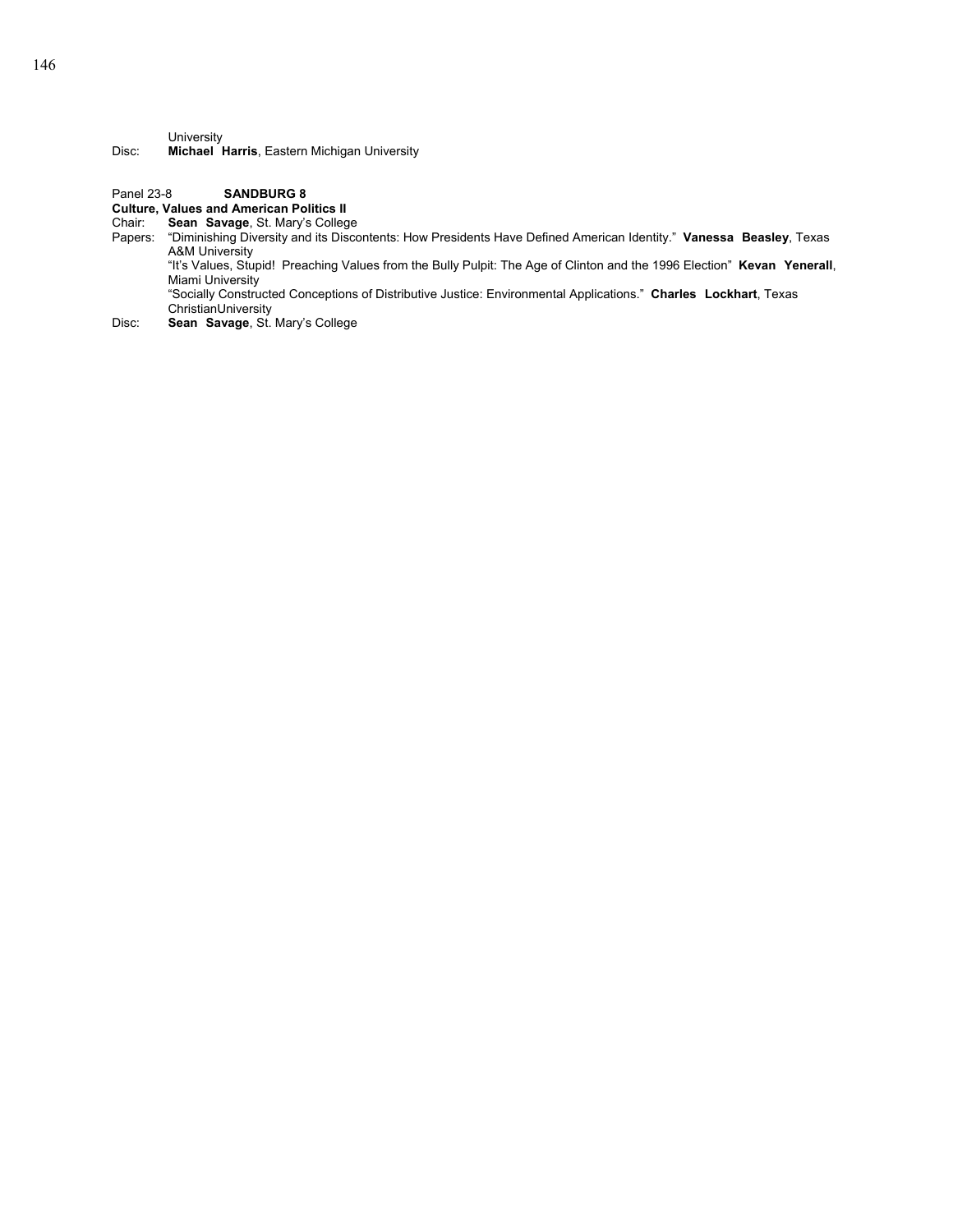#### University Disc: **Michael Harris**, Eastern Michigan University

#### Panel 23-8 **SANDBURG 8**

# **Culture, Values and American Politics II**<br>Chair: **Sean Savage**, St. Mary's Colleg

### Sean Savage, St. Mary's College

Papers: "Diminishing Diversity and its Discontents: How Presidents Have Defined American Identity." **Vanessa Beasley**, Texas A&M University

"It's Values, Stupid! Preaching Values from the Bully Pulpit: The Age of Clinton and the 1996 Election" **Kevan Yenerall**, Miami University

"Socially Constructed Conceptions of Distributive Justice: Environmental Applications." **Charles Lockhart**, Texas ChristianUniversity

Disc: **Sean Savage**, St. Mary's College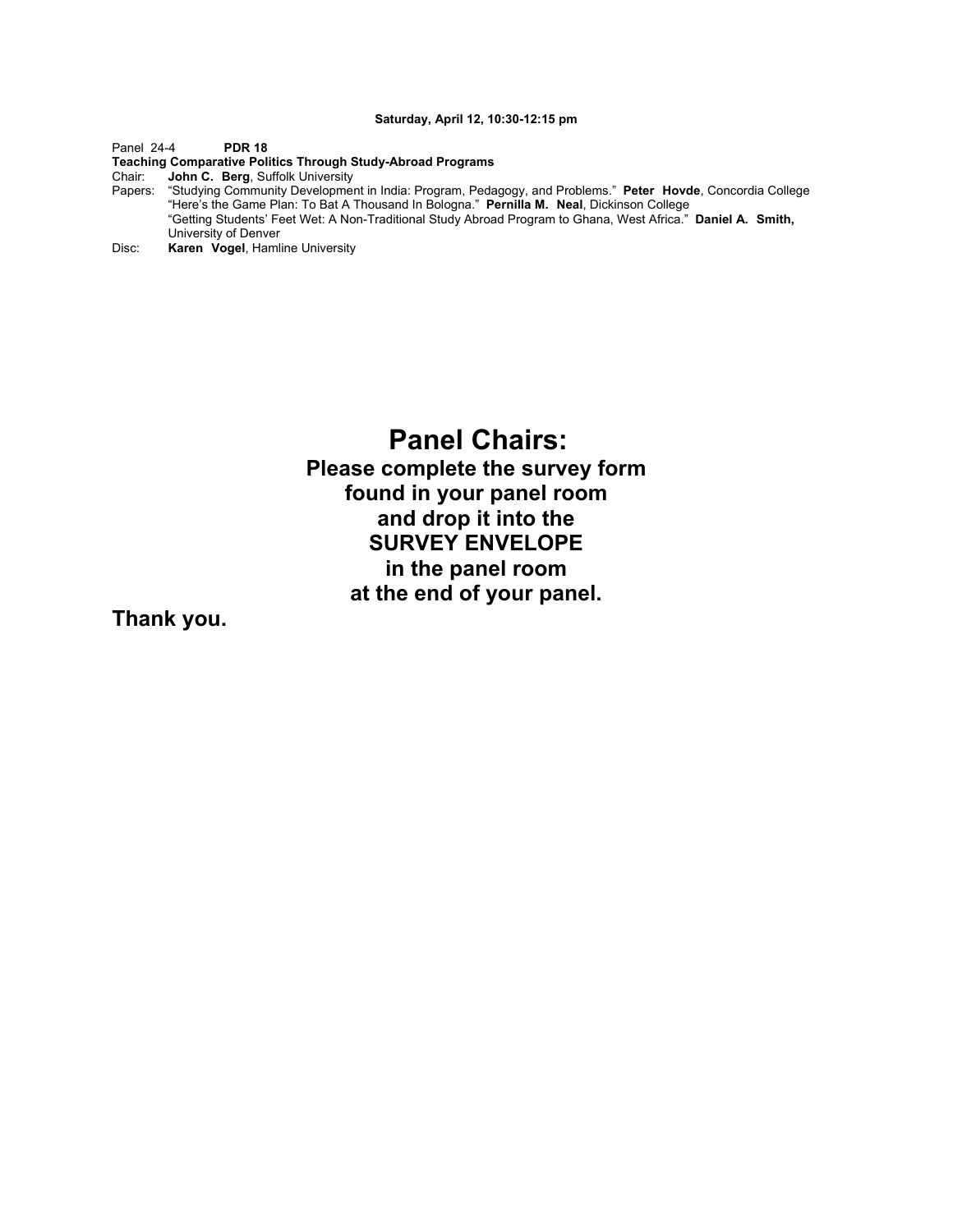#### **Saturday, April 12, 10:30-12:15 pm**

Panel 24-4 **PDR 18**

**Teaching Comparative Politics Through Study-Abroad Programs**

Chair: **John C. Berg**, Suffolk University Papers: "Studying Community Development in India: Program, Pedagogy, and Problems." **Peter Hovde**, Concordia College "Here's the Game Plan: To Bat A Thousand In Bologna." **Pernilla M. Neal**, Dickinson College "Getting Students' Feet Wet: A Non-Traditional Study Abroad Program to Ghana, West Africa." **Daniel A. Smith,** University of Denver

Disc: **Karen Vogel**, Hamline University

# **Panel Chairs: Please complete the survey form found in your panel room and drop it into the SURVEY ENVELOPE in the panel room at the end of your panel.**

**Thank you.**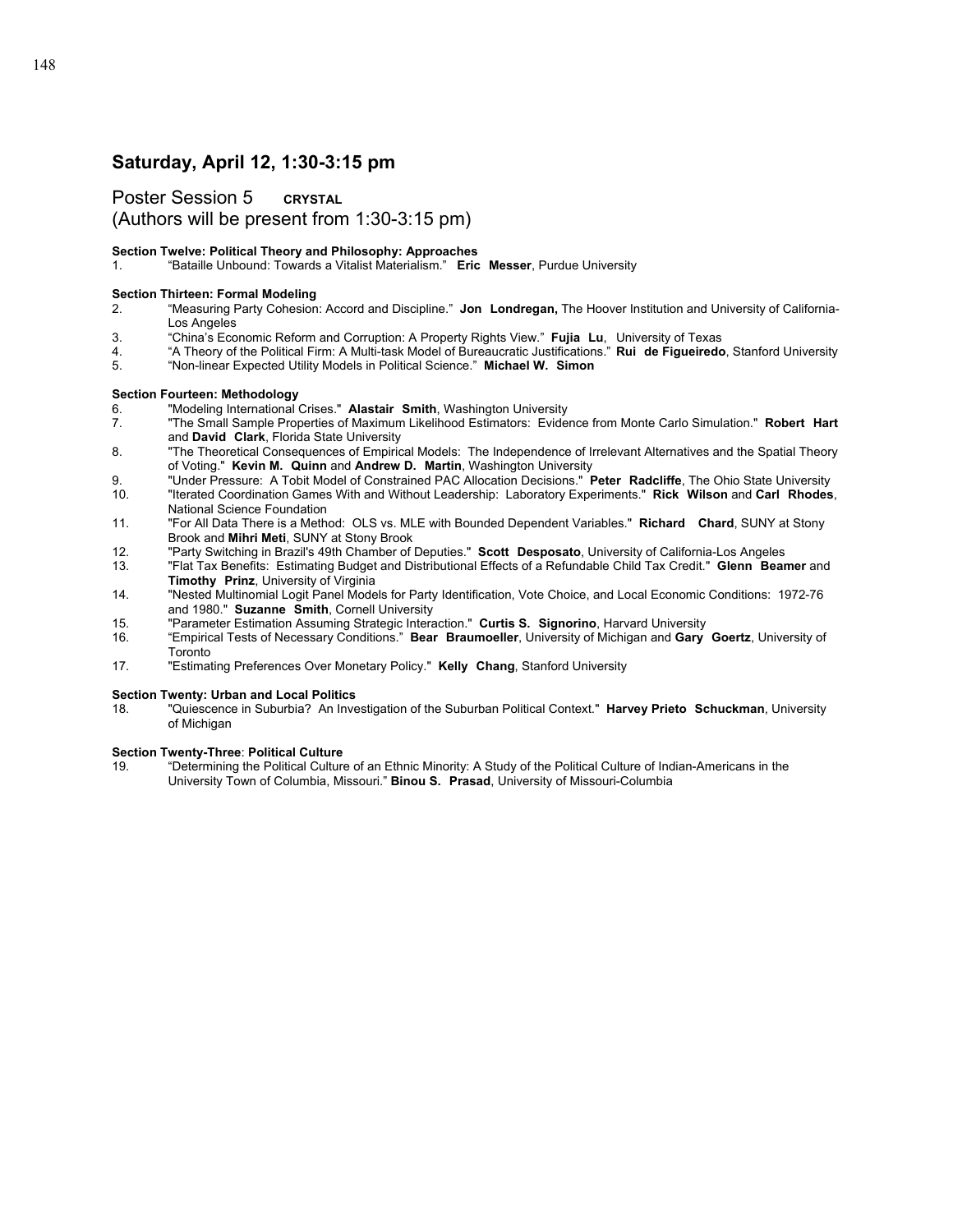### **Saturday, April 12, 1:30-3:15 pm**

**Poster Session 5 CRYSTAL** 

(Authors will be present from 1:30-3:15 pm)

#### **Section Twelve: Political Theory and Philosophy: Approaches**

1. "Bataille Unbound: Towards a Vitalist Materialism." **Eric Messer**, Purdue University

# **Section Thirteen: Formal Modeling**<br>
<sup>2</sup> EMeasuring Party Cohesion

- 2. "Measuring Party Cohesion: Accord and Discipline." **Jon Londregan,** The Hoover Institution and University of California-Los Angeles
- 3. "China's Economic Reform and Corruption: A Property Rights View." **Fujia Lu**, University of Texas
- 4. "A Theory of the Political Firm: A Multi-task Model of Bureaucratic Justifications." **Rui de Figueiredo**, Stanford University 5. "Non-linear Expected Utility Models in Political Science." **Michael W. Simon**
- **Section Fourteen: Methodology**
- 6. "Modeling International Crises." **Alastair Smith**, Washington University
- 7. "The Small Sample Properties of Maximum Likelihood Estimators: Evidence from Monte Carlo Simulation." **Robert Hart** and **David Clark**, Florida State University
- 8. "The Theoretical Consequences of Empirical Models: The Independence of Irrelevant Alternatives and the Spatial Theory of Voting." **Kevin M. Quinn** and **Andrew D. Martin**, Washington University
- 9. "Under Pressure: A Tobit Model of Constrained PAC Allocation Decisions." **Peter Radcliffe**, The Ohio State University
- 10. "Iterated Coordination Games With and Without Leadership: Laboratory Experiments." **Rick Wilson** and **Carl Rhodes**, National Science Foundation
- 11. "For All Data There is a Method: OLS vs. MLE with Bounded Dependent Variables." **Richard Chard**, SUNY at Stony Brook and **Mihri Meti**, SUNY at Stony Brook
- 12. "Party Switching in Brazil's 49th Chamber of Deputies." **Scott Desposato**, University of California-Los Angeles
- 13. "Flat Tax Benefits: Estimating Budget and Distributional Effects of a Refundable Child Tax Credit." **Glenn Beamer** and **Timothy Prinz**, University of Virginia
- 14. "Nested Multinomial Logit Panel Models for Party Identification, Vote Choice, and Local Economic Conditions: 1972-76 and 1980." **Suzanne Smith**, Cornell University
- 15. "Parameter Estimation Assuming Strategic Interaction." **Curtis S. Signorino**, Harvard University
- 16. "Empirical Tests of Necessary Conditions." **Bear Braumoeller**, University of Michigan and **Gary Goertz**, University of Toronto
- 17. "Estimating Preferences Over Monetary Policy." **Kelly Chang**, Stanford University

#### **Section Twenty: Urban and Local Politics**

18. "Quiescence in Suburbia? An Investigation of the Suburban Political Context." **Harvey Prieto Schuckman**, University of Michigan

#### **Section Twenty-Three**: **Political Culture**

19. "Determining the Political Culture of an Ethnic Minority: A Study of the Political Culture of Indian-Americans in the University Town of Columbia, Missouri." **Binou S. Prasad**, University of Missouri-Columbia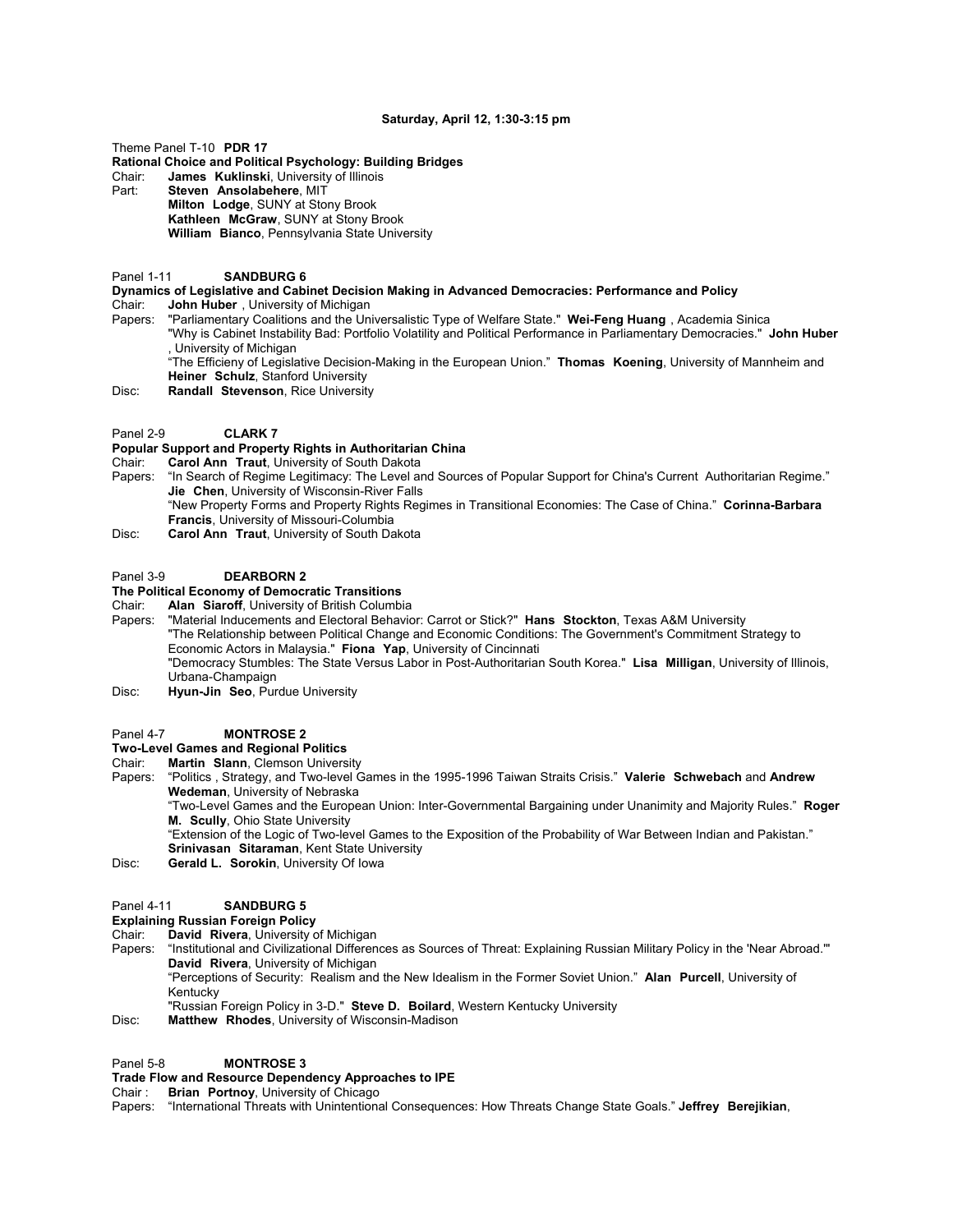#### **Saturday, April 12, 1:30-3:15 pm**

Theme Panel T-10 **PDR 17**

**Rational Choice and Political Psychology: Building Bridges** 

Chair: **James Kuklinski**, University of Illinois Steven Ansolabehere, MIT **Milton Lodge**, SUNY at Stony Brook **Kathleen McGraw**, SUNY at Stony Brook  **William Bianco**, Pennsylvania State University

#### Panel 1-11 **SANDBURG 6**

**Dynamics of Legislative and Cabinet Decision Making in Advanced Democracies: Performance and Policy**

- John Huber, University of Michigan
- Papers: "Parliamentary Coalitions and the Universalistic Type of Welfare State." **Wei-Feng Huang** , Academia Sinica "Why is Cabinet Instability Bad: Portfolio Volatility and Political Performance in Parliamentary Democracies." **John Huber** , University of Michigan

"The Efficieny of Legislative Decision-Making in the European Union." **Thomas Koening**, University of Mannheim and **Heiner Schulz**, Stanford University

Disc: **Randall Stevenson**, Rice University

Panel 2-9 **CLARK 7**

#### **Popular Support and Property Rights in Authoritarian China**

Chair: **Carol Ann Traut**, University of South Dakota

- "In Search of Regime Legitimacy: The Level and Sources of Popular Support for China's Current Authoritarian Regime." **Jie Chen**, University of Wisconsin-River Falls "New Property Forms and Property Rights Regimes in Transitional Economies: The Case of China." **Corinna-Barbara**
- **Francis**, University of Missouri-Columbia
- Disc: **Carol Ann Traut**, University of South Dakota

#### Panel 3-9 **DEARBORN 2**

#### **The Political Economy of Democratic Transitions**

Chair: **Alan Siaroff**, University of British Columbia

Papers: "Material Inducements and Electoral Behavior: Carrot or Stick?" **Hans Stockton**, Texas A&M University "The Relationship between Political Change and Economic Conditions: The Government's Commitment Strategy to Economic Actors in Malaysia." **Fiona Yap**, University of Cincinnati "Democracy Stumbles: The State Versus Labor in Post-Authoritarian South Korea." **Lisa Milligan**, University of Illinois, Urbana-Champaign

Disc: **Hyun-Jin Seo**, Purdue University

#### Panel 4-7 **MONTROSE 2**

#### **Two-Level Games and Regional Politics**

Chair: **Martin Slann**, Clemson University

Papers: "Politics , Strategy, and Two-level Games in the 1995-1996 Taiwan Straits Crisis." **Valerie Schwebach** and **Andrew Wedeman**, University of Nebraska

"Two-Level Games and the European Union: Inter-Governmental Bargaining under Unanimity and Majority Rules." **Roger M. Scully**, Ohio State University

"Extension of the Logic of Two-level Games to the Exposition of the Probability of War Between Indian and Pakistan." **Srinivasan Sitaraman**, Kent State University

Disc: **Gerald L. Sorokin**, University Of Iowa

#### Panel 4-11 **SANDBURG 5**

#### **Explaining Russian Foreign Policy**

- Chair: **David Rivera**, University of Michigan
- Papers: "Institutional and Civilizational Differences as Sources of Threat: Explaining Russian Military Policy in the 'Near Abroad.'" **David Rivera**, University of Michigan

"Perceptions of Security: Realism and the New Idealism in the Former Soviet Union." **Alan Purcell**, University of Kentucky

- "Russian Foreign Policy in 3-D." **Steve D. Boilard**, Western Kentucky University
- Disc: **Matthew Rhodes**, University of Wisconsin-Madison

#### Panel 5-8 **MONTROSE 3**

#### **Trade Flow and Resource Dependency Approaches to IPE**

Chair : **Brian Portnoy**, University of Chicago

Papers: "International Threats with Unintentional Consequences: How Threats Change State Goals." **Jeffrey Berejikian**,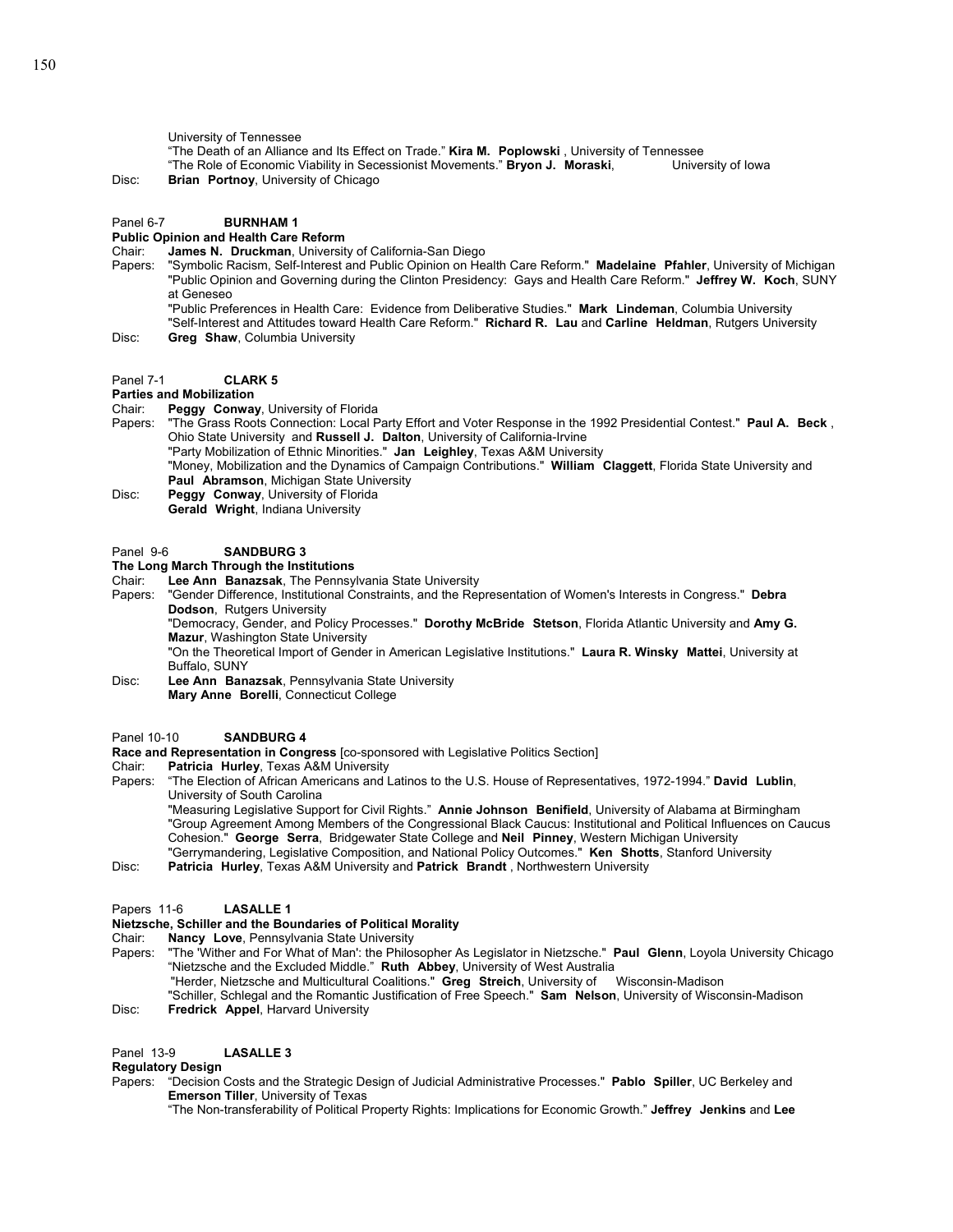"The Death of an Alliance and Its Effect on Trade." **Kira M. Poplowski** , University of Tennessee "The Role of Economic Viability in Secessionist Movements." **Bryon J. Moraski**, University of Iowa

Disc: **Brian Portnoy**, University of Chicago

#### Panel 6-7 **BURNHAM 1**

# **Public Opinion and Health Care Reform**<br>Chair: **James N. Druckman**, Universit

James N. Druckman, University of California-San Diego

- Papers: "Symbolic Racism, Self-Interest and Public Opinion on Health Care Reform." **Madelaine Pfahler**, University of Michigan "Public Opinion and Governing during the Clinton Presidency: Gays and Health Care Reform." **Jeffrey W. Koch**, SUNY at Geneseo
- "Public Preferences in Health Care: Evidence from Deliberative Studies." **Mark Lindeman**, Columbia University "Self-Interest and Attitudes toward Health Care Reform." **Richard R. Lau** and **Carline Heldman**, Rutgers University Disc: **Greg Shaw**, Columbia University
- 

#### Panel 7-1 **CLARK 5**

#### **Parties and Mobilization**

Chair: **Peggy Conway**, University of Florida

- Papers: "The Grass Roots Connection: Local Party Effort and Voter Response in the 1992 Presidential Contest." **Paul A. Beck** , Ohio State University and **Russell J. Dalton**, University of California-Irvine "Party Mobilization of Ethnic Minorities." **Jan Leighley**, Texas A&M University
	- "Money, Mobilization and the Dynamics of Campaign Contributions." **William Claggett**, Florida State University and **Paul Abramson**, Michigan State University
- Disc: **Peggy Conway**, University of Florida **Gerald Wright**, Indiana University

#### Panel 9-6 **SANDBURG 3**

## **The Long March Through the Institutions**<br>Chair: **Lee Ann Banazsak** The Pennsy

Lee Ann Banazsak, The Pennsylvania State University

Papers: "Gender Difference, Institutional Constraints, and the Representation of Women's Interests in Congress." **Debra Dodson**, Rutgers University

"Democracy, Gender, and Policy Processes." **Dorothy McBride Stetson**, Florida Atlantic University and **Amy G. Mazur**, Washington State University

"On the Theoretical Import of Gender in American Legislative Institutions." **Laura R. Winsky Mattei**, University at Buffalo, SUNY

Disc: **Lee Ann Banazsak**, Pennsylvania State University **Mary Anne Borelli**, Connecticut College

#### Panel 10-10 **SANDBURG 4**

**Race and Representation in Congress** [co-sponsored with Legislative Politics Section]

- Chair: **Patricia Hurley**, Texas A&M University
- Papers: "The Election of African Americans and Latinos to the U.S. House of Representatives, 1972-1994." **David Lublin**, University of South Carolina

"Measuring Legislative Support for Civil Rights." **Annie Johnson Benifield**, University of Alabama at Birmingham "Group Agreement Among Members of the Congressional Black Caucus: Institutional and Political Influences on Caucus Cohesion." **George Serra**, Bridgewater State College and **Neil Pinney**, Western Michigan University "Gerrymandering, Legislative Composition, and National Policy Outcomes." **Ken Shotts**, Stanford University

- Disc: **Patricia Hurley**, Texas A&M University and **Patrick Brandt** , Northwestern University
- Papers 11-6 **LASALLE 1**

#### **Nietzsche, Schiller and the Boundaries of Political Morality**

Chair: **Nancy Love**, Pennsylvania State University

Papers: "The 'Wither and For What of Man': the Philosopher As Legislator in Nietzsche." **Paul Glenn**, Loyola University Chicago "Nietzsche and the Excluded Middle." **Ruth Abbey**, University of West Australia

"Herder, Nietzsche and Multicultural Coalitions." **Greg Streich**, University of Wisconsin-Madison

"Schiller, Schlegal and the Romantic Justification of Free Speech." **Sam Nelson**, University of Wisconsin-Madison Disc: **Fredrick Appel**, Harvard University

### Panel 13-9 **LASALLE 3**

#### **Regulatory Design**

Papers: "Decision Costs and the Strategic Design of Judicial Administrative Processes." **Pablo Spiller**, UC Berkeley and **Emerson Tiller**, University of Texas

"The Non-transferability of Political Property Rights: Implications for Economic Growth." **Jeffrey Jenkins** and **Lee**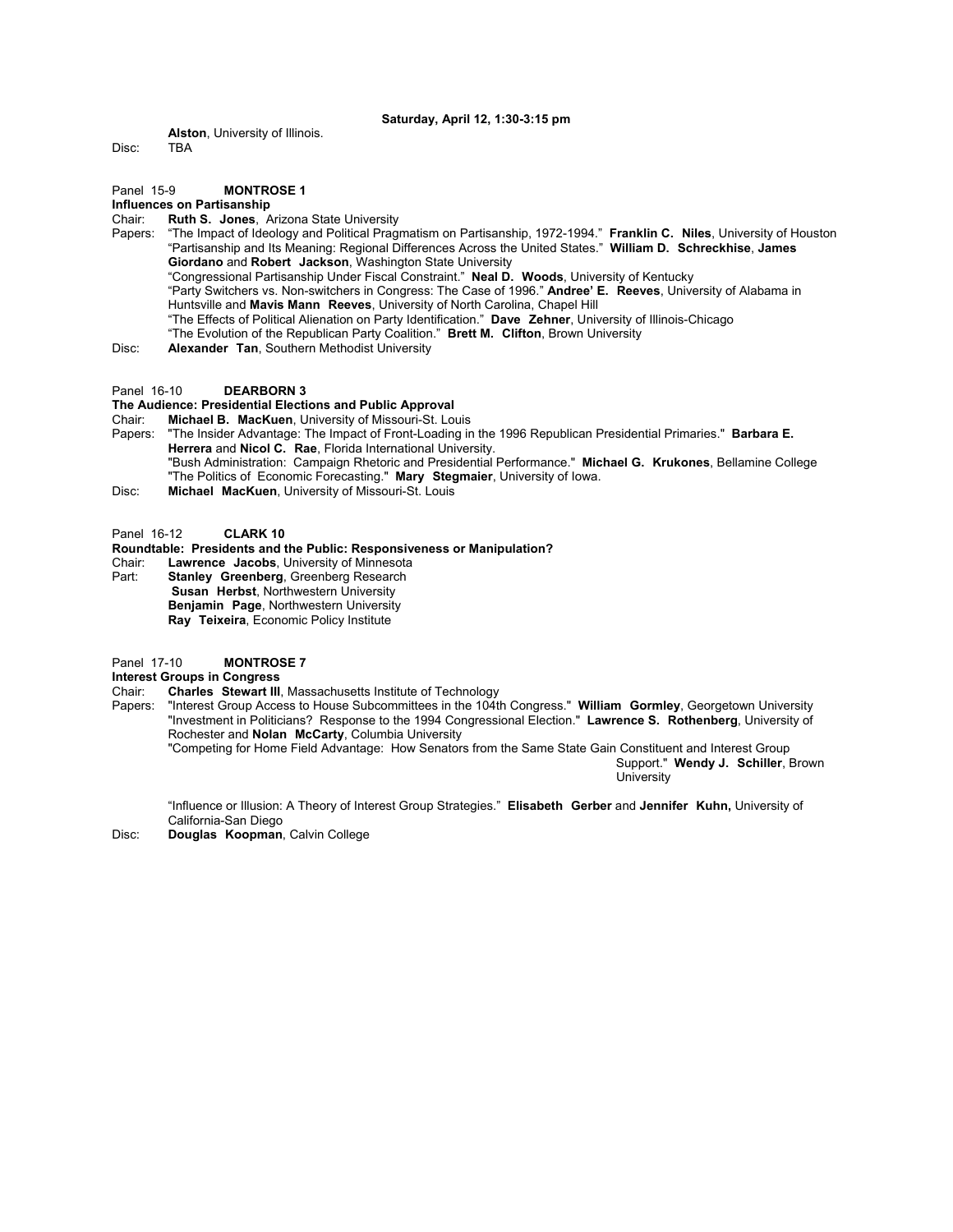#### **Saturday, April 12, 1:30-3:15 pm**

**Alston**, University of Illinois.

Disc:

#### Panel 15-9 **MONTROSE 1**

#### **Influences on Partisanship**

- Chair: **Ruth S. Jones**, Arizona State University
- Papers: "The Impact of Ideology and Political Pragmatism on Partisanship, 1972-1994." **Franklin C. Niles**, University of Houston "Partisanship and Its Meaning: Regional Differences Across the United States." **William D. Schreckhise**, **James Giordano** and **Robert Jackson**, Washington State University "Congressional Partisanship Under Fiscal Constraint." **Neal D. Woods**, University of Kentucky "Party Switchers vs. Non-switchers in Congress: The Case of 1996." **Andree' E. Reeves**, University of Alabama in Huntsville and **Mavis Mann Reeves**, University of North Carolina, Chapel Hill "The Effects of Political Alienation on Party Identification." **Dave Zehner**, University of Illinois-Chicago "The Evolution of the Republican Party Coalition." **Brett M. Clifton**, Brown University Disc: **Alexander Tan**, Southern Methodist University

#### Panel 16-10 **DEARBORN 3**

# **The Audience: Presidential Elections and Public Approval<br>Chair: Michael B. MacKuen University of Missouri-St Lore**

Michael B. MacKuen, University of Missouri-St. Louis

- Papers: "The Insider Advantage: The Impact of Front-Loading in the 1996 Republican Presidential Primaries." **Barbara E. Herrera** and **Nicol C. Rae**, Florida International University. "Bush Administration: Campaign Rhetoric and Presidential Performance." **Michael G. Krukones**, Bellamine College "The Politics of Economic Forecasting." **Mary Stegmaier**, University of Iowa.
- Disc: **Michael MacKuen**, University of Missouri-St. Louis

Panel 16-12 **CLARK 10**

### **Roundtable: Presidents and the Public: Responsiveness or Manipulation?**

Chair: **Lawrence Jacobs**, University of Minnesota

Stanley Greenberg, Greenberg Research **Susan Herbst**, Northwestern University **Benjamin Page**, Northwestern University **Ray Teixeira**, Economic Policy Institute

### Panel 17-10 **MONTROSE 7**

# **Interest Groups in Congress**

- **Charles Stewart III**, Massachusetts Institute of Technology
- Papers: "Interest Group Access to House Subcommittees in the 104th Congress." **William Gormley**, Georgetown University "Investment in Politicians? Response to the 1994 Congressional Election." **Lawrence S. Rothenberg**, University of Rochester and **Nolan McCarty**, Columbia University "Competing for Home Field Advantage: How Senators from the Same State Gain Constituent and Interest Group

Support." **Wendy J. Schiller**, Brown University

"Influence or Illusion: A Theory of Interest Group Strategies." **Elisabeth Gerber** and **Jennifer Kuhn,** University of California-San Diego

Disc: **Douglas Koopman**, Calvin College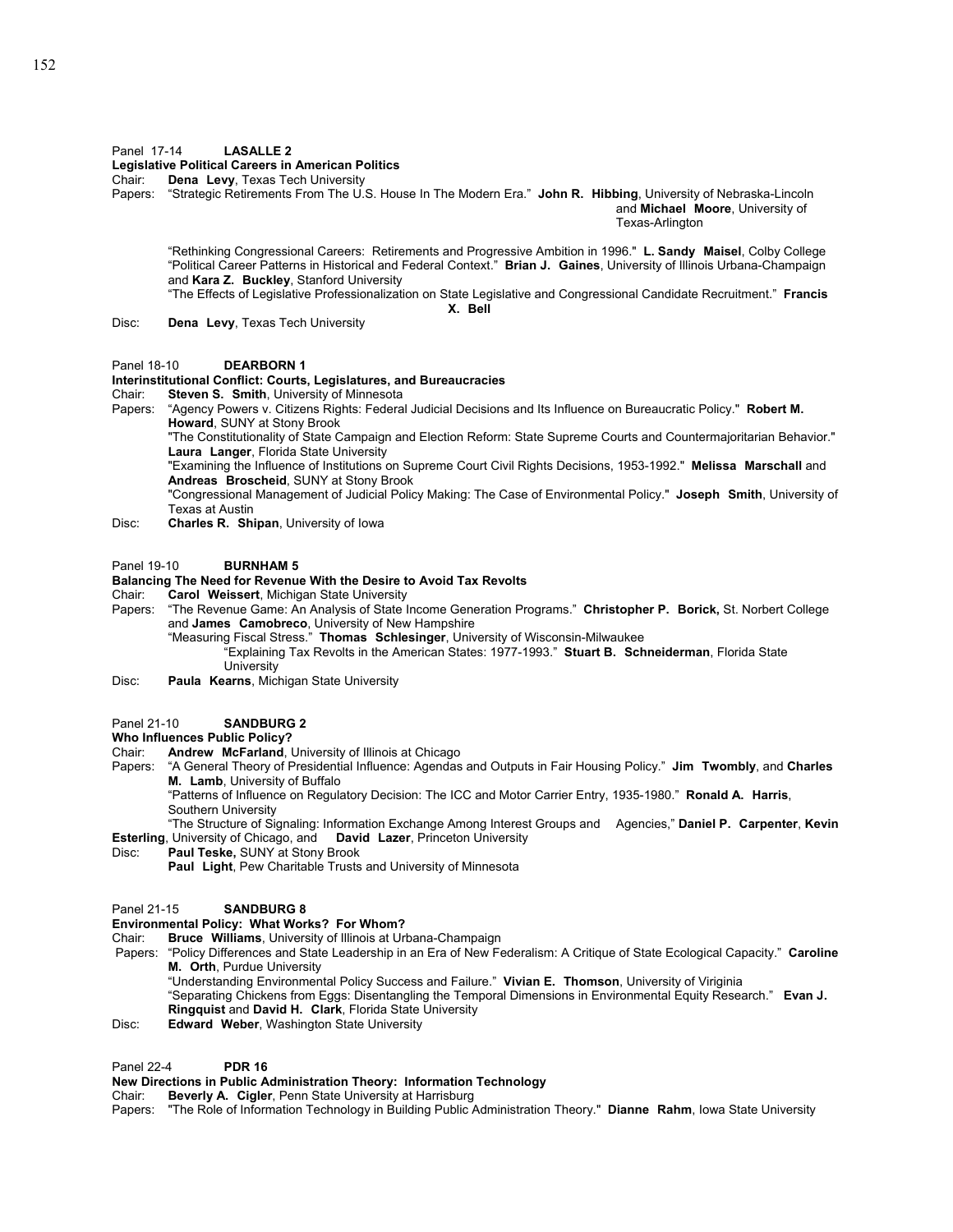### Panel 17-14 **LASALLE 2**

**Legislative Political Careers in American Politics**

Chair: **Dena Levy**, Texas Tech University

Papers: "Strategic Retirements From The U.S. House In The Modern Era." **John R. Hibbing**, University of Nebraska-Lincoln and **Michael Moore**, University of Texas-Arlington

"Rethinking Congressional Careers: Retirements and Progressive Ambition in 1996." **L. Sandy Maisel**, Colby College "Political Career Patterns in Historical and Federal Context." **Brian J. Gaines**, University of Illinois Urbana-Champaign and **Kara Z. Buckley**, Stanford University

"The Effects of Legislative Professionalization on State Legislative and Congressional Candidate Recruitment." **Francis** 

**X. Bell**

Disc: **Dena Levy**, Texas Tech University

#### Panel 18-10 **DEARBORN 1**

#### **Interinstitutional Conflict: Courts, Legislatures, and Bureaucracies**

Chair: **Steven S. Smith**, University of Minnesota

Papers: "Agency Powers v. Citizens Rights: Federal Judicial Decisions and Its Influence on Bureaucratic Policy." **Robert M. Howard**, SUNY at Stony Brook

"The Constitutionality of State Campaign and Election Reform: State Supreme Courts and Countermajoritarian Behavior." **Laura Langer**, Florida State University

"Examining the Influence of Institutions on Supreme Court Civil Rights Decisions, 1953-1992." **Melissa Marschall** and **Andreas Broscheid**, SUNY at Stony Brook

"Congressional Management of Judicial Policy Making: The Case of Environmental Policy." **Joseph Smith**, University of Texas at Austin

Disc: **Charles R. Shipan**, University of Iowa

#### Panel 19-10 **BURNHAM 5**

#### **Balancing The Need for Revenue With the Desire to Avoid Tax Revolts**

- Chair: **Carol Weissert**, Michigan State University
- Papers: "The Revenue Game: An Analysis of State Income Generation Programs." **Christopher P. Borick,** St. Norbert College and **James Camobreco**, University of New Hampshire

"Measuring Fiscal Stress." **Thomas Schlesinger**, University of Wisconsin-Milwaukee

"Explaining Tax Revolts in the American States: 1977-1993." **Stuart B. Schneiderman**, Florida State **University** 

Disc: **Paula Kearns**, Michigan State University

#### Panel 21-10 **SANDBURG 2**

### **Who Influences Public Policy?**

Chair: **Andrew McFarland**, University of Illinois at Chicago

Papers: "A General Theory of Presidential Influence: Agendas and Outputs in Fair Housing Policy." **Jim Twombly**, and **Charles M. Lamb**, University of Buffalo

"Patterns of Influence on Regulatory Decision: The ICC and Motor Carrier Entry, 1935-1980." **Ronald A. Harris**, Southern University

 "The Structure of Signaling: Information Exchange Among Interest Groups and Agencies," **Daniel P. Carpenter**, **Kevin Esterling**, University of Chicago, and **David Lazer**, Princeton University

Disc: **Paul Teske,** SUNY at Stony Brook

**Paul Light**, Pew Charitable Trusts and University of Minnesota

#### Panel 21-15 **SANDBURG 8**

#### **Environmental Policy: What Works? For Whom?**

Chair: **Bruce Williams**, University of Illinois at Urbana-Champaign

 Papers: "Policy Differences and State Leadership in an Era of New Federalism: A Critique of State Ecological Capacity." **Caroline M. Orth**, Purdue University

"Understanding Environmental Policy Success and Failure." **Vivian E. Thomson**, University of Viriginia

"Separating Chickens from Eggs: Disentangling the Temporal Dimensions in Environmental Equity Research." **Evan J. Ringquist** and **David H. Clark**, Florida State University

Disc: **Edward Weber**, Washington State University

Panel 22-4 **PDR 16**

#### **New Directions in Public Administration Theory: Information Technology**

Chair: **Beverly A. Cigler**, Penn State University at Harrisburg

Papers: "The Role of Information Technology in Building Public Administration Theory." **Dianne Rahm**, Iowa State University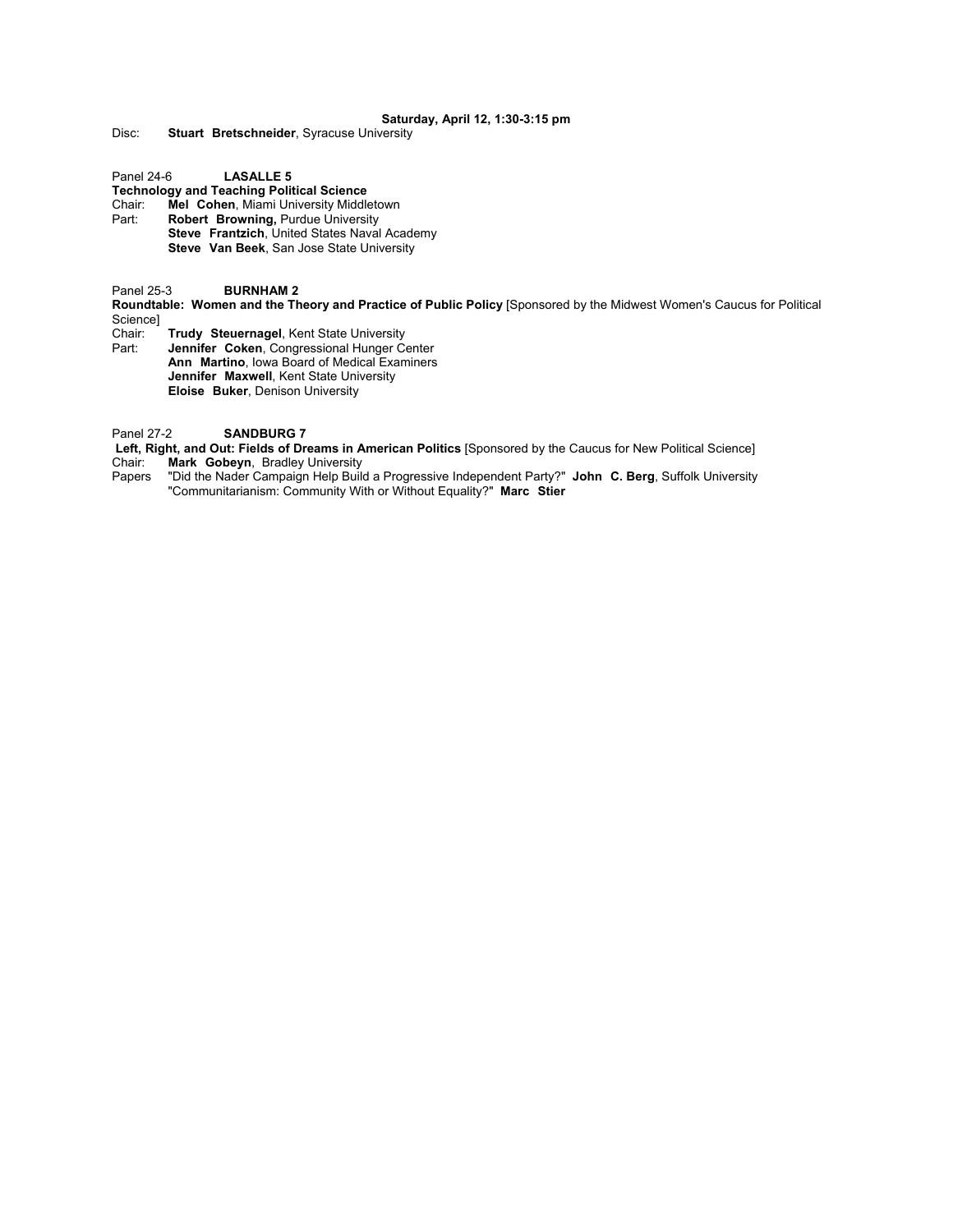#### **Saturday, April 12, 1:30-3:15 pm**

Disc: **Stuart Bretschneider**, Syracuse University

Panel 24-6 **LASALLE 5**

**Technology and Teaching Political Science**<br>Chair: **Mel Cohen**, Miami University Middle

**Mel Cohen, Miami University Middletown** 

Part: **Robert Browning,** Purdue University **Steve Frantzich**, United States Naval Academy **Steve Van Beek**, San Jose State University

Panel 25-3 **BURNHAM 2** 

**Roundtable: Women and the Theory and Practice of Public Policy** [Sponsored by the Midwest Women's Caucus for Political Science]<br>Chair:

Trudy Steuernagel, Kent State University

Part: **Jennifer Coken**, Congressional Hunger Center **Ann Martino**, Iowa Board of Medical Examiners **Jennifer Maxwell**, Kent State University **Eloise Buker**, Denison University

Panel 27-2 **SANDBURG 7**

 **Left, Right, and Out: Fields of Dreams in American Politics** [Sponsored by the Caucus for New Political Science] Chair: **Mark Gobeyn**, Bradley University

"Did the Nader Campaign Help Build a Progressive Independent Party?" John C. Berg, Suffolk University "Communitarianism: Community With or Without Equality?" **Marc Stier**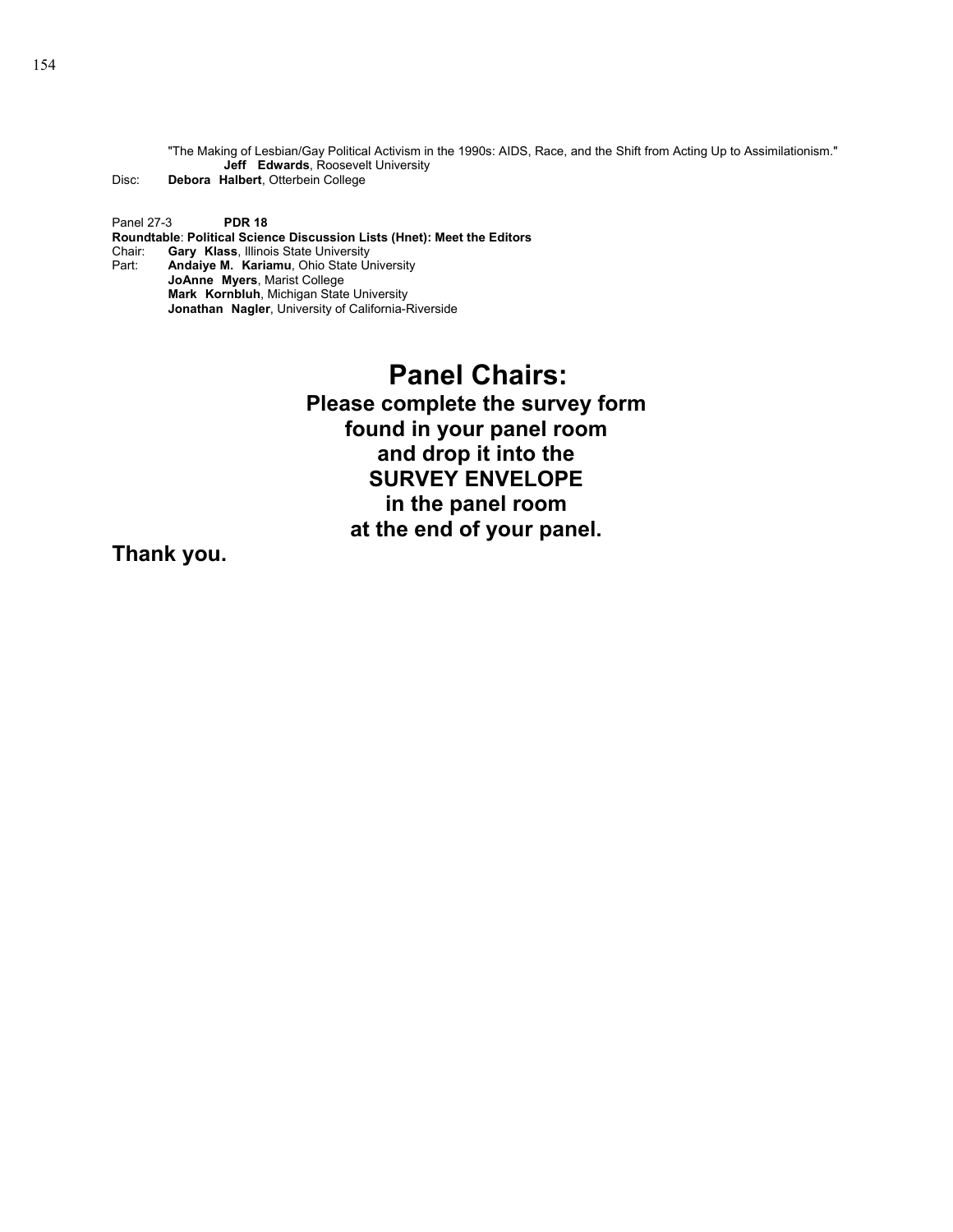"The Making of Lesbian/Gay Political Activism in the 1990s: AIDS, Race, and the Shift from Acting Up to Assimilationism." **Jeff Edwards**, Roosevelt University

Disc: **Debora Halbert**, Otterbein College

Panel 27-3 **PDR 18**

**Roundtable**: **Political Science Discussion Lists (Hnet): Meet the Editors**

Chair: **Gary Klass**, Illinois State University

Part: **Andaiye M. Kariamu**, Ohio State University **JoAnne Myers**, Marist College **Mark Kornbluh**, Michigan State University **Jonathan Nagler**, University of California-Riverside

# **Panel Chairs:**

**Please complete the survey form found in your panel room and drop it into the SURVEY ENVELOPE in the panel room at the end of your panel.** 

**Thank you.**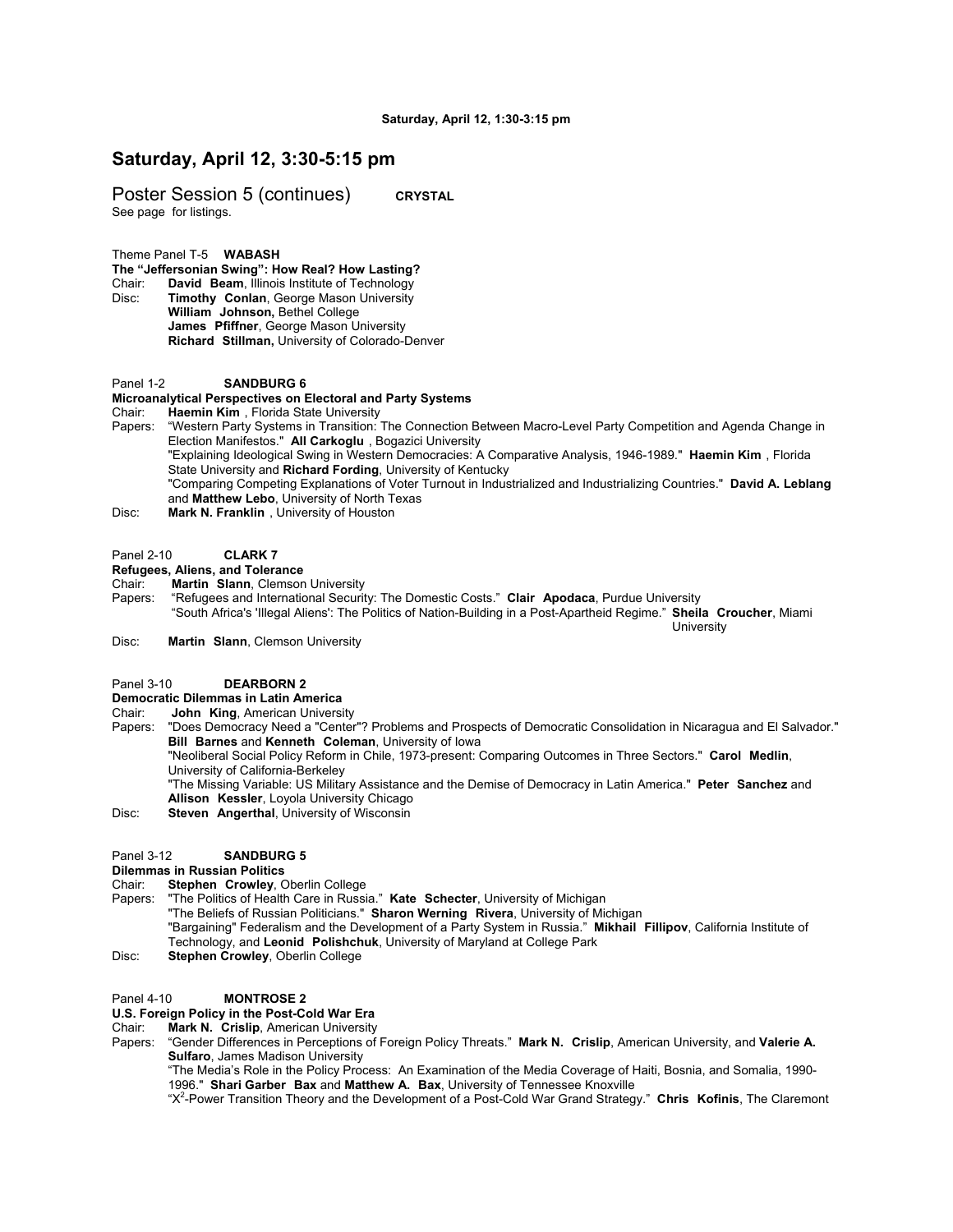Poster Session 5 (continues) **CRYSTAL** See page for listings.

Theme Panel T-5 **WABASH**

**The "Jeffersonian Swing": How Real? How Lasting?**

Chair: **David Beam**, Illinois Institute of Technology Disc: **Timothy Conlan**, George Mason University **William Johnson,** Bethel College **James Pfiffner**, George Mason University **Richard Stillman,** University of Colorado-Denver

#### Panel 1-2 **SANDBURG 6**

# **Microanalytical Perspectives on Electoral and Party Systems**

- Haemin Kim, Florida State University
- Papers: "Western Party Systems in Transition: The Connection Between Macro-Level Party Competition and Agenda Change in Election Manifestos." **All Carkoglu** , Bogazici University "Explaining Ideological Swing in Western Democracies: A Comparative Analysis, 1946-1989." **Haemin Kim** , Florida State University and **Richard Fording**, University of Kentucky "Comparing Competing Explanations of Voter Turnout in Industrialized and Industrializing Countries." **David A. Leblang** and **Matthew Lebo**, University of North Texas
- Disc: **Mark N. Franklin** , University of Houston
- Panel 2-10 **CLARK 7**

# **Refugees, Aliens, and Tolerance**

**Martin Slann, Clemson University** 

- Papers: "Refugees and International Security: The Domestic Costs." **Clair Apodaca**, Purdue University "South Africa's 'Illegal Aliens': The Politics of Nation-Building in a Post-Apartheid Regime." **Sheila Croucher**, Miami University
- Disc: **Martin Slann**, Clemson University
- Panel 3-10 **DEARBORN 2**

## **Democratic Dilemmas in Latin America**

Chair: **John King**, American University

- Papers: "Does Democracy Need a "Center"? Problems and Prospects of Democratic Consolidation in Nicaragua and El Salvador." **Bill Barnes** and **Kenneth Coleman**, University of Iowa "Neoliberal Social Policy Reform in Chile, 1973-present: Comparing Outcomes in Three Sectors." **Carol Medlin**,
	- University of California-Berkeley

"The Missing Variable: US Military Assistance and the Demise of Democracy in Latin America." **Peter Sanchez** and **Allison Kessler**, Loyola University Chicago

Disc: **Steven Angerthal**, University of Wisconsin

#### Panel 3-12 **SANDBURG 5**

**Dilemmas in Russian Politics** 

Chair: **Stephen Crowley**, Oberlin College

- "The Politics of Health Care in Russia." Kate Schecter, University of Michigan
	- "The Beliefs of Russian Politicians." **Sharon Werning Rivera**, University of Michigan
	- "Bargaining" Federalism and the Development of a Party System in Russia." **Mikhail Fillipov**, California Institute of Technology, and **Leonid Polishchuk**, University of Maryland at College Park
- Disc: **Stephen Crowley**, Oberlin College

### Panel 4-10 **MONTROSE 2**

## **U.S. Foreign Policy in the Post-Cold War Era**

Chair: **Mark N. Crislip**, American University

Papers: "Gender Differences in Perceptions of Foreign Policy Threats." **Mark N. Crislip**, American University, and **Valerie A. Sulfaro**, James Madison University

"The Media's Role in the Policy Process: An Examination of the Media Coverage of Haiti, Bosnia, and Somalia, 1990- 1996." **Shari Garber Bax** and **Matthew A. Bax**, University of Tennessee Knoxville

"X<sup>2</sup> -Power Transition Theory and the Development of a Post-Cold War Grand Strategy." **Chris Kofinis**, The Claremont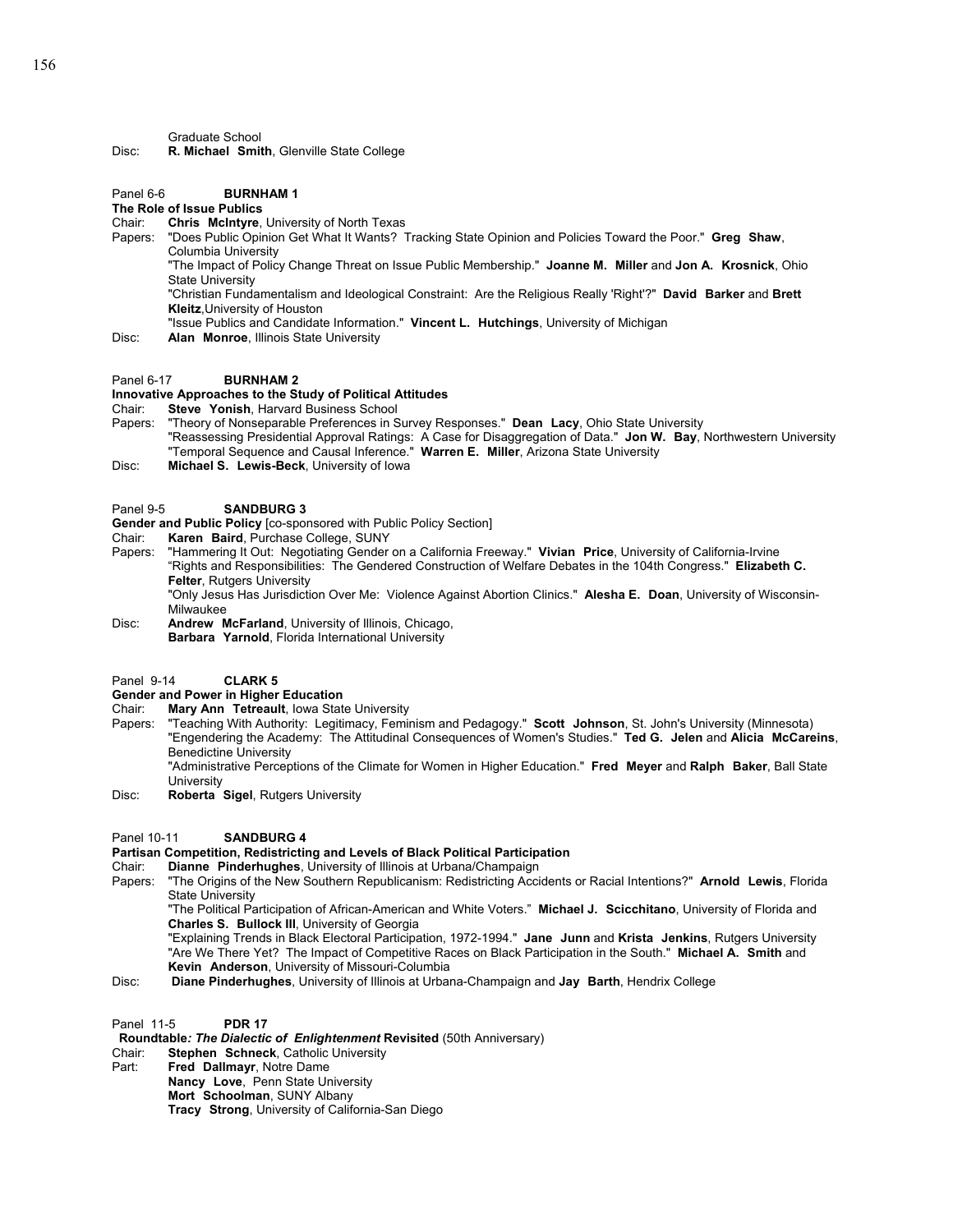Graduate School

Disc: **R. Michael Smith**, Glenville State College

|                           | Panel 6-6 | <b>BURNHAM1</b>                                                                                                 |
|---------------------------|-----------|-----------------------------------------------------------------------------------------------------------------|
| The Role of Issue Publics |           |                                                                                                                 |
|                           | Chair:    | <b>Chris McIntyre, University of North Texas</b>                                                                |
|                           | Papers:   | "Does Public Opinion Get What It Wants? Tracking State Opinion and Policies Toward the Poor." Greg Shaw.        |
|                           |           | Columbia University                                                                                             |
|                           |           | "The Impact of Policy Change Threat on Issue Public Membership." Joanne M. Miller and Jon A. Krosnick, Ohio     |
|                           |           | State University                                                                                                |
|                           |           | "Christian Fundamentalism and Ideological Constraint: Are the Religious Really 'Right'?" David Barker and Brett |
|                           |           | <b>Kleitz, University of Houston</b>                                                                            |
|                           |           | "Issue Publics and Candidate Information." Vincent L. Hutchings, University of Michigan                         |
|                           | Disc:     | Alan Monroe, Illinois State University                                                                          |
|                           |           |                                                                                                                 |

#### Panel 6-17 **BURNHAM 2**

## **Innovative Approaches to the Study of Political Attitudes**

Chair: **Steve Yonish**, Harvard Business School

- Papers: "Theory of Nonseparable Preferences in Survey Responses." **Dean Lacy**, Ohio State University "Reassessing Presidential Approval Ratings: A Case for Disaggregation of Data." **Jon W. Bay**, Northwestern University "Temporal Sequence and Causal Inference." **Warren E. Miller**, Arizona State University
- Disc: **Michael S. Lewis-Beck**, University of Iowa

#### Panel 9-5 **SANDBURG 3**

**Gender and Public Policy** [co-sponsored with Public Policy Section]

- Chair: **Karen Baird**, Purchase College, SUNY
- Papers: "Hammering It Out: Negotiating Gender on a California Freeway." **Vivian Price**, University of California-Irvine "Rights and Responsibilities: The Gendered Construction of Welfare Debates in the 104th Congress." **Elizabeth C. Felter**, Rutgers University

"Only Jesus Has Jurisdiction Over Me: Violence Against Abortion Clinics." **Alesha E. Doan**, University of Wisconsin-Milwaukee

- Disc: **Andrew McFarland**, University of Illinois, Chicago, **Barbara Yarnold**, Florida International University
- Panel 9-14 **CLARK 5**

### **Gender and Power in Higher Education**

- Chair: **Mary Ann Tetreault**, Iowa State University
- Papers: "Teaching With Authority: Legitimacy, Feminism and Pedagogy." **Scott Johnson**, St. John's University (Minnesota) "Engendering the Academy: The Attitudinal Consequences of Women's Studies." **Ted G. Jelen** and **Alicia McCareins**, Benedictine University

"Administrative Perceptions of the Climate for Women in Higher Education." **Fred Meyer** and **Ralph Baker**, Ball State **University** 

Disc: **Roberta Sigel, Rutgers University** 

#### Panel 10-11 **SANDBURG 4**

## **Partisan Competition, Redistricting and Levels of Black Political Participation**

Chair: **Dianne Pinderhughes**, University of Illinois at Urbana/Champaign

Papers: "The Origins of the New Southern Republicanism: Redistricting Accidents or Racial Intentions?" **Arnold Lewis**, Florida State University

"The Political Participation of African-American and White Voters." **Michael J. Scicchitano**, University of Florida and **Charles S. Bullock III**, University of Georgia

"Explaining Trends in Black Electoral Participation, 1972-1994." **Jane Junn** and **Krista Jenkins**, Rutgers University "Are We There Yet? The Impact of Competitive Races on Black Participation in the South." **Michael A. Smith** and **Kevin Anderson**, University of Missouri-Columbia

- Disc: **Diane Pinderhughes**, University of Illinois at Urbana-Champaign and **Jay Barth**, Hendrix College
- Panel 11-5 **PDR 17**

 **Roundtable: The Dialectic of Enlightenment Revisited** (50th Anniversary)<br>Chair: **Stephen Schneck**. Catholic University

- Chair: **Stephen Schneck**, Catholic University
	- Fred Dallmayr, Notre Dame **Nancy Love**, Penn State University **Mort Schoolman**, SUNY Albany **Tracy Strong**, University of California-San Diego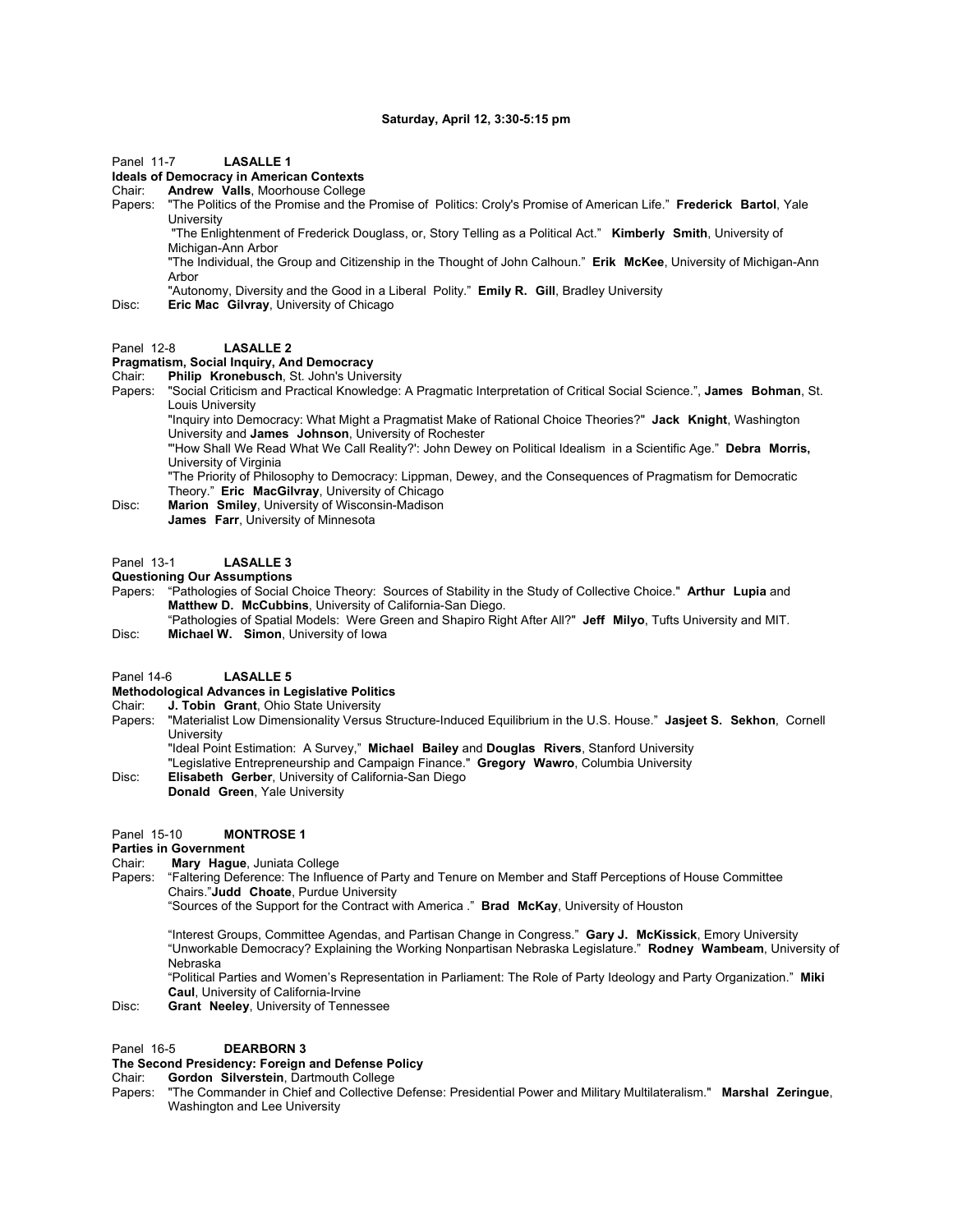## Panel 11-7 **LASALLE 1**

## **Ideals of Democracy in American Contexts**

Chair: **Andrew Valls**, Moorhouse College

"The Politics of the Promise and the Promise of Politics: Croly's Promise of American Life." **Frederick Bartol**, Yale **University** 

 "The Enlightenment of Frederick Douglass, or, Story Telling as a Political Act." **Kimberly Smith**, University of Michigan-Ann Arbor

"The Individual, the Group and Citizenship in the Thought of John Calhoun." **Erik McKee**, University of Michigan-Ann Arbor

- "Autonomy, Diversity and the Good in a Liberal Polity." **Emily R. Gill**, Bradley University
- Disc: **Eric Mac Gilvray**, University of Chicago

#### Panel 12-8 **LASALLE 2**

## **Pragmatism, Social Inquiry, And Democracy**

## Chair: **Philip Kronebusch**, St. John's University

Papers: "Social Criticism and Practical Knowledge: A Pragmatic Interpretation of Critical Social Science.", **James Bohman**, St. Louis University

"Inquiry into Democracy: What Might a Pragmatist Make of Rational Choice Theories?" **Jack Knight**, Washington University and **James Johnson**, University of Rochester

"'How Shall We Read What We Call Reality?': John Dewey on Political Idealism in a Scientific Age." **Debra Morris,** University of Virginia

"The Priority of Philosophy to Democracy: Lippman, Dewey, and the Consequences of Pragmatism for Democratic Theory." **Eric MacGilvray**, University of Chicago

- Disc: **Marion Smiley**, University of Wisconsin-Madison
- **James Farr**, University of Minnesota
- Panel 13-1 **LASALLE 3**

## **Questioning Our Assumptions**

Papers: "Pathologies of Social Choice Theory: Sources of Stability in the Study of Collective Choice." **Arthur Lupia** and **Matthew D. McCubbins**, University of California-San Diego.

- "Pathologies of Spatial Models: Were Green and Shapiro Right After All?" **Jeff Milyo**, Tufts University and MIT. Disc: **Michael W. Simon**, University of Iowa
- Panel 14-6 **LASALLE 5**

## **Methodological Advances in Legislative Politics**

Chair: **J. Tobin Grant**, Ohio State University

- Papers: "Materialist Low Dimensionality Versus Structure-Induced Equilibrium in the U.S. House." **Jasjeet S. Sekhon**, Cornell University
	- "Ideal Point Estimation: A Survey," **Michael Bailey** and **Douglas Rivers**, Stanford University
	- "Legislative Entrepreneurship and Campaign Finance." **Gregory Wawro**, Columbia University
- Disc: **Elisabeth Gerber**, University of California-San Diego **Donald Green**, Yale University
- Panel 15-10 **MONTROSE 1**

# **Parties in Government**<br>Chair: **Mary Haque**

- Mary Hague, Juniata College
- Papers: "Faltering Deference: The Influence of Party and Tenure on Member and Staff Perceptions of House Committee Chairs."**Judd Choate**, Purdue University

"Sources of the Support for the Contract with America ." **Brad McKay**, University of Houston

"Interest Groups, Committee Agendas, and Partisan Change in Congress." **Gary J. McKissick**, Emory University "Unworkable Democracy? Explaining the Working Nonpartisan Nebraska Legislature." **Rodney Wambeam**, University of Nebraska

"Political Parties and Women's Representation in Parliament: The Role of Party Ideology and Party Organization." **Miki Caul**, University of California-Irvine

Disc: **Grant Neeley**, University of Tennessee

#### Panel 16-5 **DEARBORN 3**

#### **The Second Presidency: Foreign and Defense Policy**

Chair: **Gordon Silverstein**, Dartmouth College

Papers: "The Commander in Chief and Collective Defense: Presidential Power and Military Multilateralism." **Marshal Zeringue**, Washington and Lee University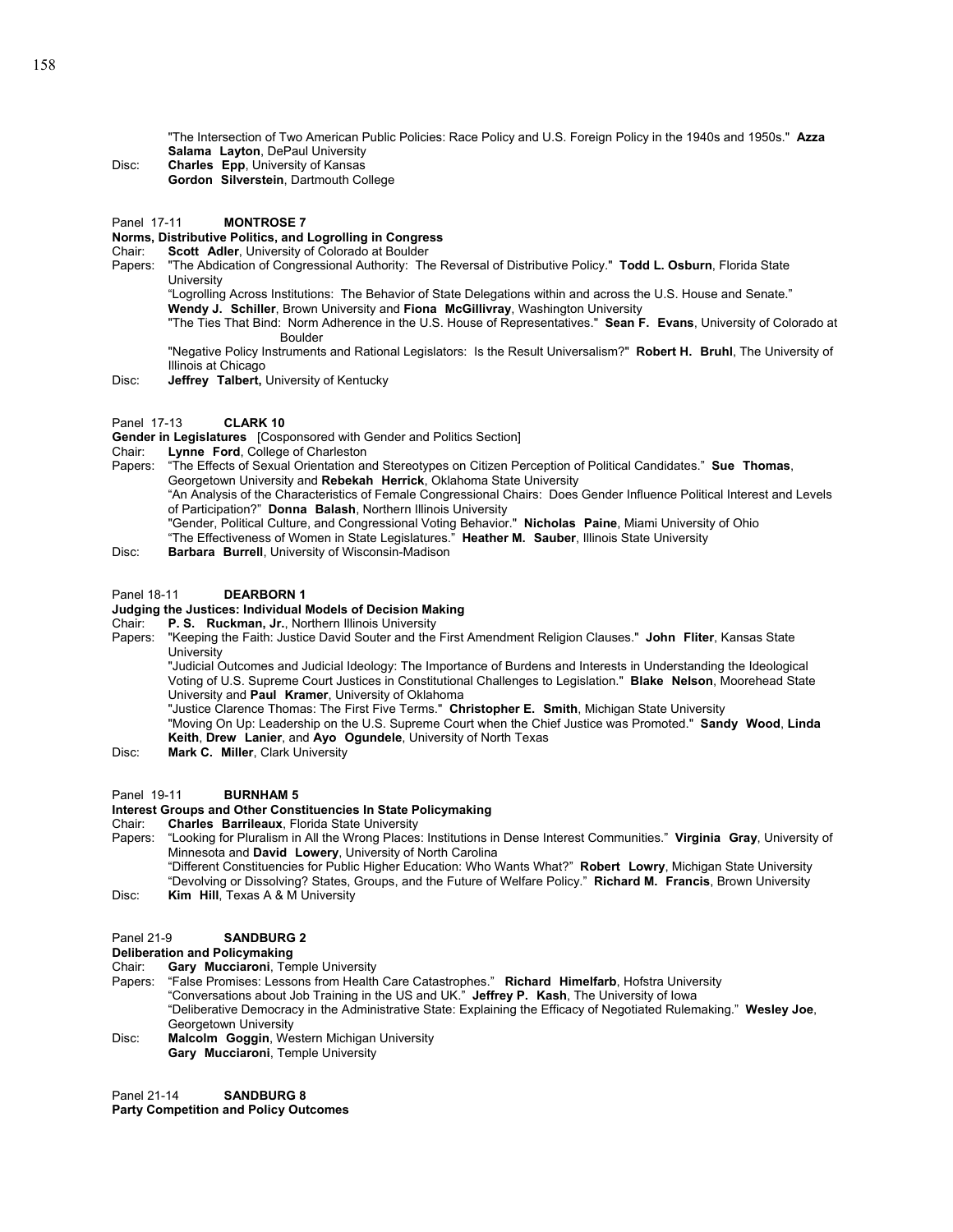"The Intersection of Two American Public Policies: Race Policy and U.S. Foreign Policy in the 1940s and 1950s." **Azza Salama Layton**, DePaul University

- Disc: **Charles Epp**, University of Kansas
	- **Gordon Silverstein**, Dartmouth College

## Panel 17-11 **MONTROSE 7**

## **Norms, Distributive Politics, and Logrolling in Congress**

- Chair: **Scott Adler**, University of Colorado at Boulder
- Papers: "The Abdication of Congressional Authority: The Reversal of Distributive Policy." **Todd L. Osburn**, Florida State University
	- "Logrolling Across Institutions: The Behavior of State Delegations within and across the U.S. House and Senate."
	- **Wendy J. Schiller**, Brown University and **Fiona McGillivray**, Washington University
	- "The Ties That Bind: Norm Adherence in the U.S. House of Representatives." **Sean F. Evans**, University of Colorado at Boulder

"Negative Policy Instruments and Rational Legislators: Is the Result Universalism?" **Robert H. Bruhl**, The University of Illinois at Chicago

Disc: **Jeffrey Talbert,** University of Kentucky

## Panel 17-13 **CLARK 10**

**Gender in Legislatures** [Cosponsored with Gender and Politics Section]

- Chair: **Lynne Ford**, College of Charleston
- Papers: "The Effects of Sexual Orientation and Stereotypes on Citizen Perception of Political Candidates." **Sue Thomas**, Georgetown University and **Rebekah Herrick**, Oklahoma State University "An Analysis of the Characteristics of Female Congressional Chairs: Does Gender Influence Political Interest and Levels of Participation?" **Donna Balash**, Northern Illinois University "Gender, Political Culture, and Congressional Voting Behavior." **Nicholas Paine**, Miami University of Ohio "The Effectiveness of Women in State Legislatures." **Heather M. Sauber**, Illinois State University Disc: **Barbara Burrell**, University of Wisconsin-Madison

## Panel 18-11 **DEARBORN 1**

## **Judging the Justices: Individual Models of Decision Making**

- Chair: **P. S. Ruckman, Jr.**, Northern Illinois University
- "Keeping the Faith: Justice David Souter and the First Amendment Religion Clauses." John Fliter, Kansas State **University**

"Judicial Outcomes and Judicial Ideology: The Importance of Burdens and Interests in Understanding the Ideological Voting of U.S. Supreme Court Justices in Constitutional Challenges to Legislation." **Blake Nelson**, Moorehead State University and **Paul Kramer**, University of Oklahoma

"Justice Clarence Thomas: The First Five Terms." **Christopher E. Smith**, Michigan State University "Moving On Up: Leadership on the U.S. Supreme Court when the Chief Justice was Promoted." **Sandy Wood**, **Linda Keith**, **Drew Lanier**, and **Ayo Ogundele**, University of North Texas

Disc: **Mark C. Miller**, Clark University

## Panel 19-11 **BURNHAM 5**

## **Interest Groups and Other Constituencies In State Policymaking**

Chair: **Charles Barrileaux**, Florida State University

- Papers: "Looking for Pluralism in All the Wrong Places: Institutions in Dense Interest Communities." **Virginia Gray**, University of Minnesota and **David Lowery**, University of North Carolina
- "Different Constituencies for Public Higher Education: Who Wants What?" **Robert Lowry**, Michigan State University "Devolving or Dissolving? States, Groups, and the Future of Welfare Policy." **Richard M. Francis**, Brown University Disc: **Kim Hill**, Texas A & M University

#### Panel 21-9 **SANDBURG 2**

## **Deliberation and Policymaking**

Chair: **Gary Mucciaroni**, Temple University

- Papers: "False Promises: Lessons from Health Care Catastrophes." **Richard Himelfarb**, Hofstra University "Conversations about Job Training in the US and UK." **Jeffrey P. Kash**, The University of Iowa "Deliberative Democracy in the Administrative State: Explaining the Efficacy of Negotiated Rulemaking." **Wesley Joe**, Georgetown University
- Disc: **Malcolm Goggin**, Western Michigan University **Gary Mucciaroni**, Temple University

Panel 21-14 **SANDBURG 8**

**Party Competition and Policy Outcomes**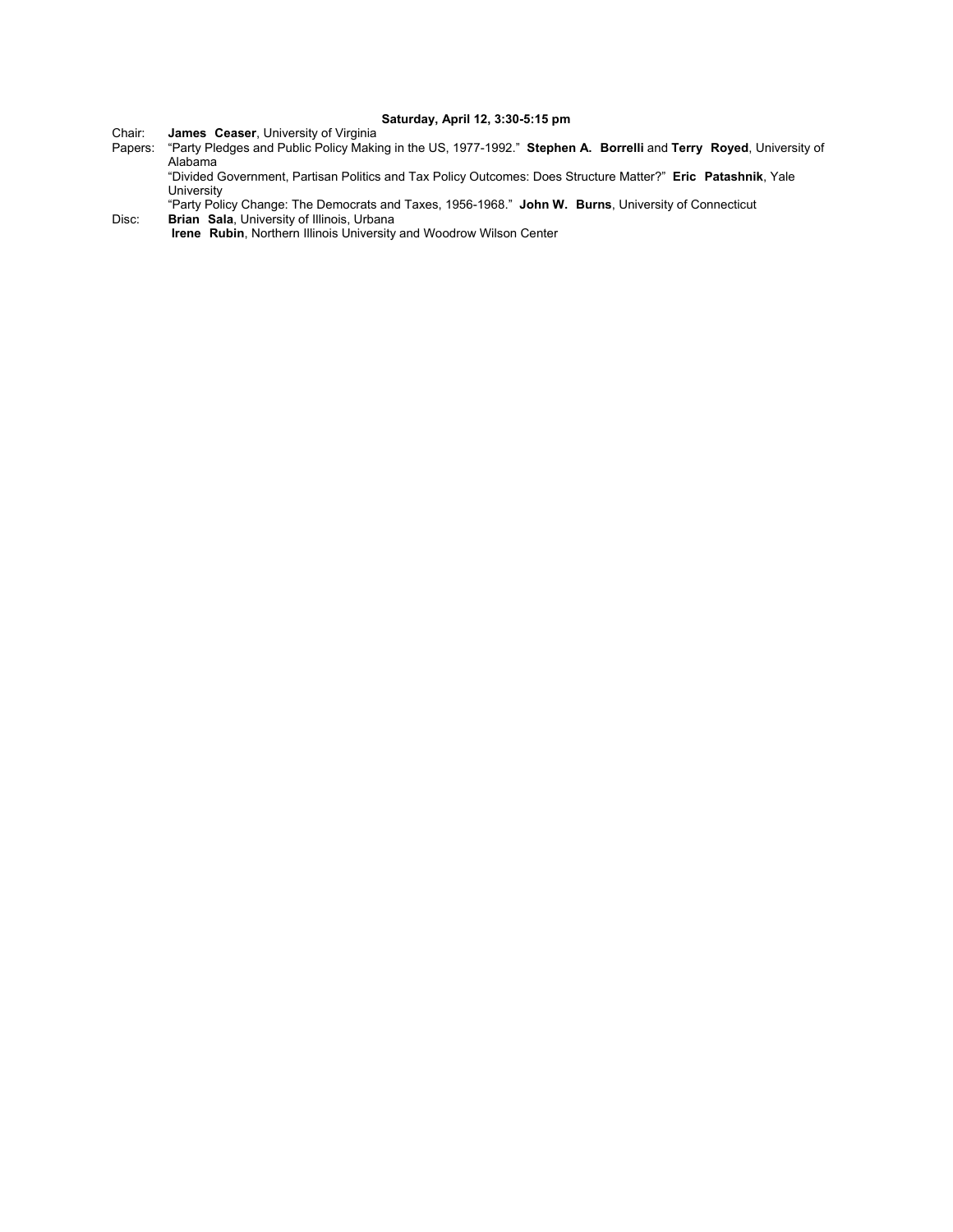Chair: **James Ceaser**, University of Virginia

Papers: "Party Pledges and Public Policy Making in the US, 1977-1992." **Stephen A. Borrelli** and **Terry Royed**, University of Alabama

"Divided Government, Partisan Politics and Tax Policy Outcomes: Does Structure Matter?" **Eric Patashnik**, Yale University

"Party Policy Change: The Democrats and Taxes, 1956-1968." **John W. Burns**, University of Connecticut Disc: **Brian Sala**, University of Illinois, Urbana

**Irene Rubin**, Northern Illinois University and Woodrow Wilson Center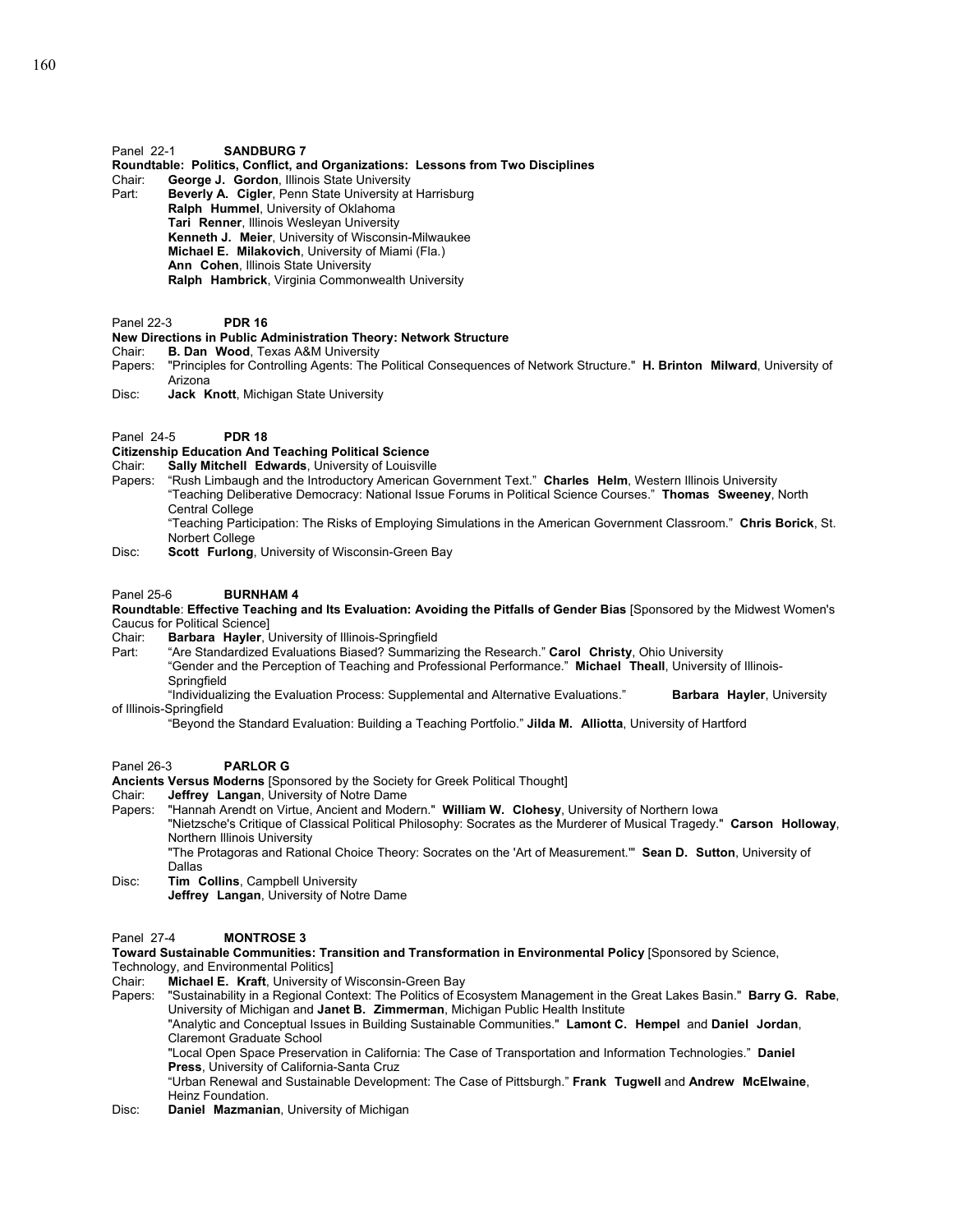### Panel 22-1 **SANDBURG 7**

## **Roundtable: Politics, Conflict, and Organizations: Lessons from Two Disciplines**

Chair: **George J. Gordon**, Illinois State University Beverly A. Cigler, Penn State University at Harrisburg **Ralph Hummel**, University of Oklahoma **Tari Renner**, Illinois Wesleyan University **Kenneth J. Meier**, University of Wisconsin-Milwaukee **Michael E. Milakovich**, University of Miami (Fla.) **Ann Cohen**, Illinois State University **Ralph Hambrick**, Virginia Commonwealth University

Panel 22-3 **PDR 16**

## **New Directions in Public Administration Theory: Network Structure**

- Chair: **B. Dan Wood**, Texas A&M University<br>Papers: "Principles for Controlling Agents: The
- Papers: "Principles for Controlling Agents: The Political Consequences of Network Structure." **H. Brinton Milward**, University of Arizona
- Disc: **Jack Knott**, Michigan State University
- Panel 24-5 **PDR 18**

## **Citizenship Education And Teaching Political Science**

- Chair: **Sally Mitchell Edwards**, University of Louisville
- Papers: "Rush Limbaugh and the Introductory American Government Text." **Charles Helm**, Western Illinois University "Teaching Deliberative Democracy: National Issue Forums in Political Science Courses." **Thomas Sweeney**, North Central College

"Teaching Participation: The Risks of Employing Simulations in the American Government Classroom." **Chris Borick**, St. Norbert College

Disc: **Scott Furlong**, University of Wisconsin-Green Bay

## Panel 25-6 **BURNHAM 4**

**Roundtable**: **Effective Teaching and Its Evaluation: Avoiding the Pitfalls of Gender Bias** [Sponsored by the Midwest Women's Caucus for Political Science]

- Chair: **Barbara Hayler**, University of Illinois-Springfield
- Part: "Are Standardized Evaluations Biased? Summarizing the Research." **Carol Christy**, Ohio University "Gender and the Perception of Teaching and Professional Performance." **Michael Theall**, University of Illinois-Springfield

 "Individualizing the Evaluation Process: Supplemental and Alternative Evaluations." **Barbara Hayler**, University of Illinois-Springfield

"Beyond the Standard Evaluation: Building a Teaching Portfolio." **Jilda M. Alliotta**, University of Hartford

Panel 26-3 **PARLOR G**

**Ancients Versus Moderns** [Sponsored by the Society for Greek Political Thought]

Chair: **Jeffrey Langan**, University of Notre Dame

Papers: "Hannah Arendt on Virtue, Ancient and Modern." **William W. Clohesy**, University of Northern Iowa "Nietzsche's Critique of Classical Political Philosophy: Socrates as the Murderer of Musical Tragedy." **Carson Holloway**, Northern Illinois University

"The Protagoras and Rational Choice Theory: Socrates on the 'Art of Measurement.'" **Sean D. Sutton**, University of Dallas

Disc: **Tim Collins**, Campbell University **Jeffrey Langan**, University of Notre Dame

## Panel 27-4 **MONTROSE 3**

**Toward Sustainable Communities: Transition and Transformation in Environmental Policy** [Sponsored by Science, Technology, and Environmental Politics]

Chair: **Michael E. Kraft**, University of Wisconsin-Green Bay

Papers: "Sustainability in a Regional Context: The Politics of Ecosystem Management in the Great Lakes Basin." **Barry G. Rabe**, University of Michigan and **Janet B. Zimmerman**, Michigan Public Health Institute

"Analytic and Conceptual Issues in Building Sustainable Communities." **Lamont C. Hempel** and **Daniel Jordan**, Claremont Graduate School

"Local Open Space Preservation in California: The Case of Transportation and Information Technologies." **Daniel Press**, University of California-Santa Cruz

"Urban Renewal and Sustainable Development: The Case of Pittsburgh." **Frank Tugwell** and **Andrew McElwaine**, Heinz Foundation.

Disc: **Daniel Mazmanian**, University of Michigan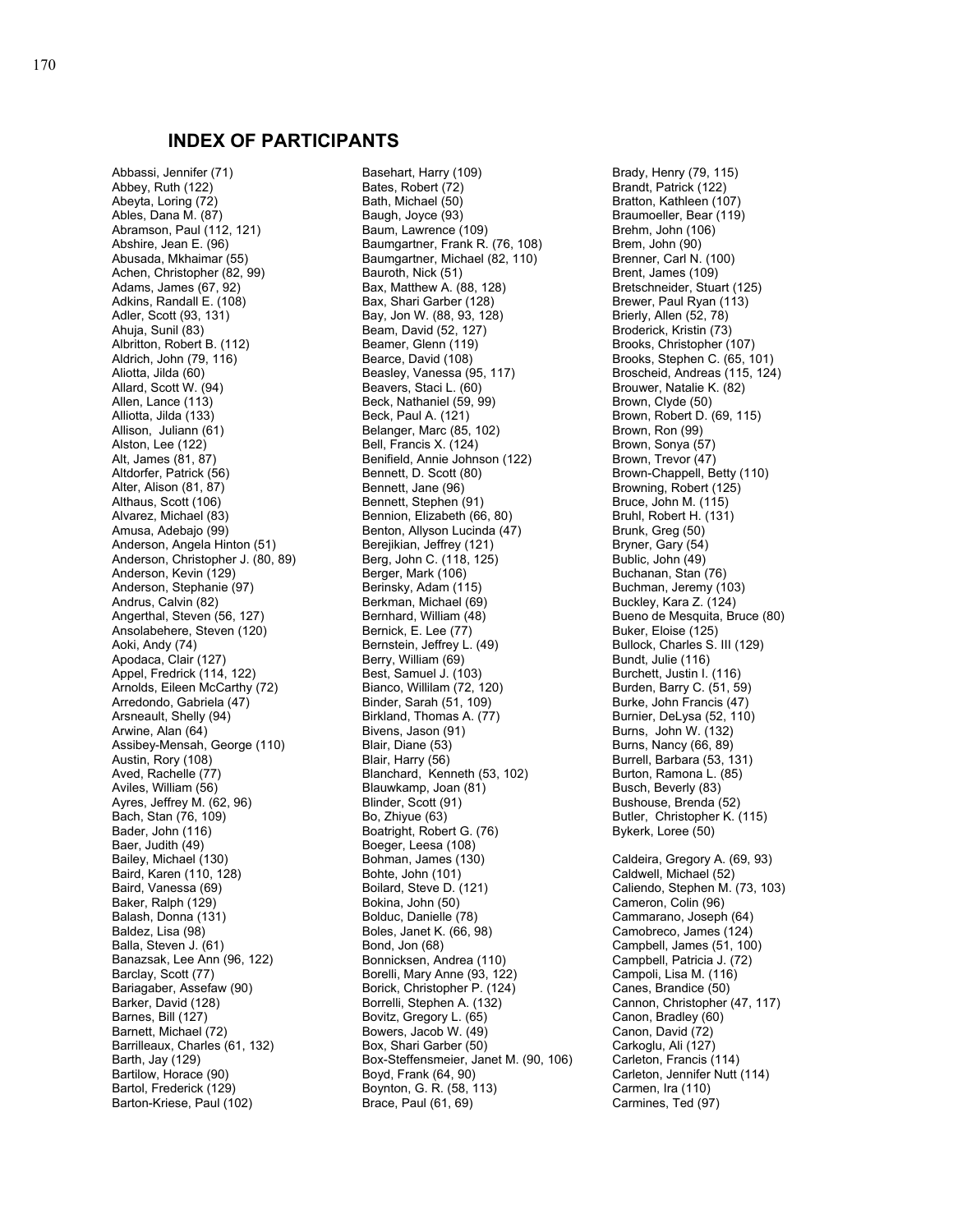# **INDEX OF PARTICIPANTS**

Abbassi, Jennifer (71) Abbey, Ruth (122) Abeyta, Loring (72) Ables, Dana M. (87) Abramson, Paul (112, 121) Abshire, Jean E. (96) Abusada, Mkhaimar (55) Achen, Christopher (82, 99) Adams, James (67, 92) Adkins, Randall E. (108) Adler, Scott (93, 131) Ahuja, Sunil (83) Albritton, Robert B. (112) Aldrich, John (79, 116) Aliotta, Jilda (60) Allard, Scott W. (94) Allen, Lance (113) Alliotta, Jilda (133) Allison, Juliann (61) Alston, Lee (122) Alt, James (81, 87) Altdorfer, Patrick (56) Alter, Alison (81, 87) Althaus, Scott (106) Alvarez, Michael (83) Amusa, Adebajo (99) Anderson, Angela Hinton (51) Anderson, Christopher J. (80, 89) Anderson, Kevin (129) Anderson, Stephanie (97) Andrus, Calvin (82) Angerthal, Steven (56, 127) Ansolabehere, Steven (120) Aoki, Andy (74) Apodaca, Clair (127) Appel, Fredrick (114, 122) Arnolds, Eileen McCarthy (72) Arredondo, Gabriela (47) Arsneault, Shelly (94) Arwine, Alan (64) Assibey-Mensah, George (110) Austin, Rory (108) Aved, Rachelle (77) Aviles, William (56) Ayres, Jeffrey M. (62, 96) Bach, Stan (76, 109) Bader, John (116) Baer, Judith (49) Bailey, Michael (130) Baird, Karen (110, 128) Baird, Vanessa (69) Baker, Ralph (129) Balash, Donna (131) Baldez, Lisa (98) Balla, Steven J. (61) Banazsak, Lee Ann (96, 122) Barclay, Scott (77) Bariagaber, Assefaw (90) Barker, David (128) Barnes, Bill (127) Barnett, Michael (72) Barrilleaux, Charles (61, 132) Barth, Jay (129) Bartilow, Horace (90) Bartol, Frederick (129) Barton-Kriese, Paul (102)

Basehart, Harry (109) Bates, Robert (72) Bath, Michael (50) Baugh, Joyce (93) Baum, Lawrence (109) Baumgartner, Frank R. (76, 108) Baumgartner, Michael (82, 110) Bauroth, Nick (51) Bax, Matthew A. (88, 128) Bax, Shari Garber (128) Bay, Jon W. (88, 93, 128) Beam, David (52, 127) Beamer, Glenn (119) Bearce, David (108) Beasley, Vanessa (95, 117) Beavers, Staci L. (60) Beck, Nathaniel (59, 99) Beck, Paul A. (121) Belanger, Marc (85, 102) Bell, Francis X. (124) Benifield, Annie Johnson (122) Bennett, D. Scott (80) Bennett, Jane (96) Bennett, Stephen (91) Bennion, Elizabeth (66, 80) Benton, Allyson Lucinda (47) Berejikian, Jeffrey (121) Berg, John C. (118, 125) Berger, Mark (106) Berinsky, Adam (115) Berkman, Michael (69) Bernhard, William (48) Bernick, E. Lee (77) Bernstein, Jeffrey L. (49) Berry, William (69) Best, Samuel J. (103) Bianco, Willilam (72, 120) Binder, Sarah (51, 109) Birkland, Thomas A. (77) Bivens, Jason (91) Blair, Diane (53) Blair, Harry (56) Blanchard, Kenneth (53, 102) Blauwkamp, Joan (81) Blinder, Scott (91) Bo, Zhiyue (63) Boatright, Robert G. (76) Boeger, Leesa (108) Bohman, James (130) Bohte, John (101) Boilard, Steve D. (121) Bokina, John (50) Bolduc, Danielle (78) Boles, Janet K. (66, 98) Bond, Jon (68) Bonnicksen, Andrea (110) Borelli, Mary Anne (93, 122) Borick, Christopher P. (124) Borrelli, Stephen A. (132) Bovitz, Gregory L. (65) Bowers, Jacob W. (49) Box, Shari Garber (50) Box-Steffensmeier, Janet M. (90, 106) Boyd, Frank (64, 90) Boynton, G. R. (58, 113) Brace, Paul (61, 69)

Brady, Henry (79, 115) Brandt, Patrick (122) Bratton, Kathleen (107) Braumoeller, Bear (119) Brehm, John (106) Brem, John (90) Brenner, Carl N. (100) Brent, James (109) Bretschneider, Stuart (125) Brewer, Paul Ryan (113) Brierly, Allen (52, 78) Broderick, Kristin (73) Brooks, Christopher (107) Brooks, Stephen C. (65, 101) Broscheid, Andreas (115, 124) Brouwer, Natalie K. (82) Brown, Clyde (50) Brown, Robert D. (69, 115) Brown, Ron (99) Brown, Sonya (57) Brown, Trevor (47) Brown-Chappell, Betty (110) Browning, Robert (125) Bruce, John M. (115) Bruhl, Robert H. (131) Brunk, Greg (50) Bryner, Gary (54) Bublic, John (49) Buchanan, Stan (76) Buchman, Jeremy (103) Buckley, Kara Z. (124) Bueno de Mesquita, Bruce (80) Buker, Eloise (125) Bullock, Charles S. III (129) Bundt, Julie (116) Burchett, Justin I. (116) Burden, Barry C. (51, 59) Burke, John Francis (47) Burnier, DeLysa (52, 110) Burns, John W. (132) Burns, Nancy (66, 89) Burrell, Barbara (53, 131) Burton, Ramona L. (85) Busch, Beverly (83) Bushouse, Brenda (52) Butler, Christopher K. (115) Bykerk, Loree (50) Caldeira, Gregory A. (69, 93) Caldwell, Michael (52) Caliendo, Stephen M. (73, 103) Cameron, Colin (96) Cammarano, Joseph (64) Camobreco, James (124) Campbell, James (51, 100) Campbell, Patricia J. (72) Campoli, Lisa M. (116) Canes, Brandice (50) Cannon, Christopher (47, 117) Canon, Bradley (60) Canon, David (72) Carkoglu, Ali (127) Carleton, Francis (114) Carleton, Jennifer Nutt (114) Carmen, Ira (110) Carmines, Ted (97)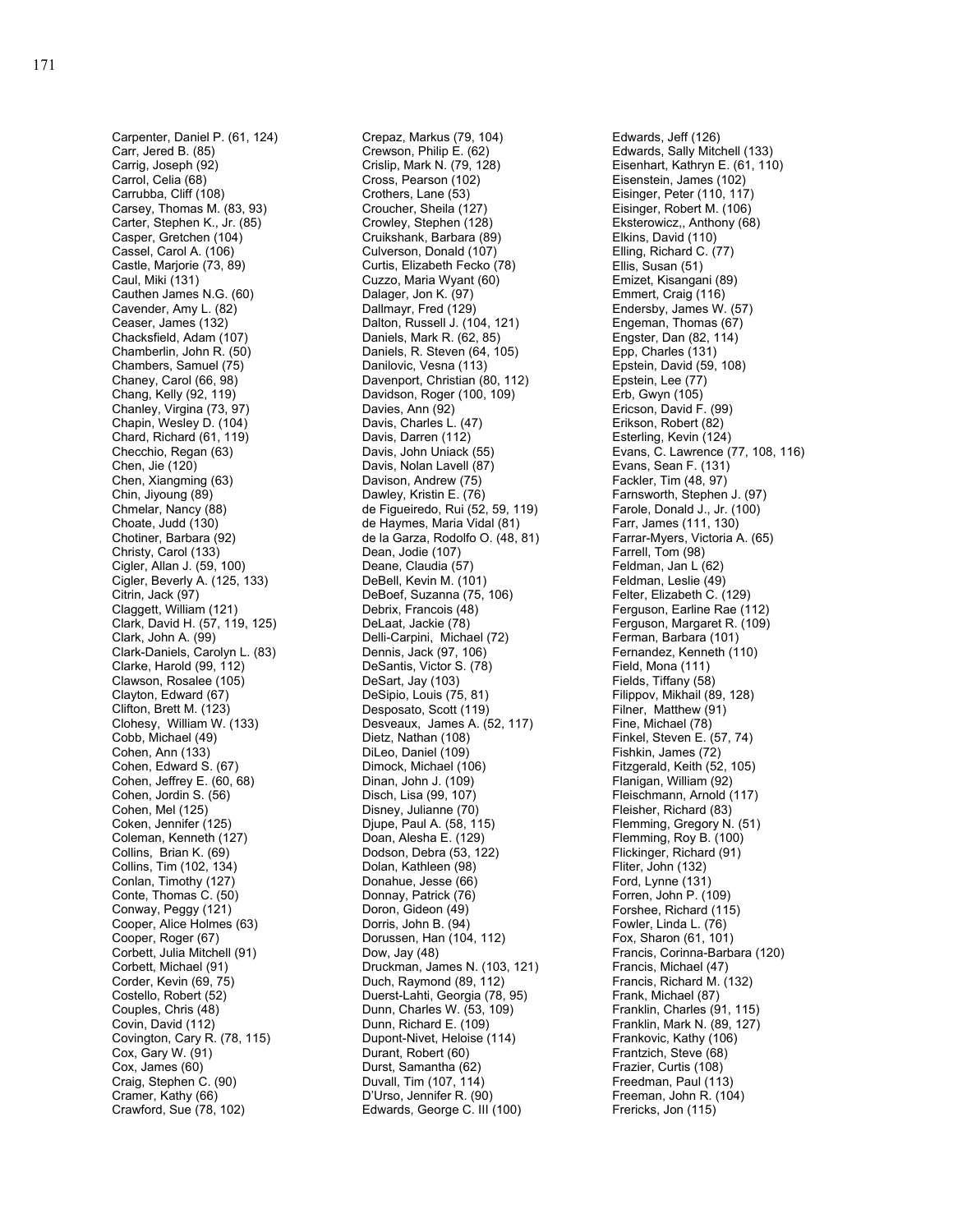Carpenter, Daniel P. (61, 124) Carr, Jered B. (85) Carrig, Joseph (92) Carrol, Celia (68) Carrubba, Cliff (108) Carsey, Thomas M. (83, 93) Carter, Stephen K., Jr. (85) Casper, Gretchen (104) Cassel, Carol A. (106) Castle, Marjorie (73, 89) Caul, Miki (131) Cauthen James N.G. (60) Cavender, Amy L. (82) Ceaser, James (132) Chacksfield, Adam (107) Chamberlin, John R. (50) Chambers, Samuel (75) Chaney, Carol (66, 98) Chang, Kelly (92, 119) Chanley, Virgina (73, 97) Chapin, Wesley D. (104) Chard, Richard (61, 119) Checchio, Regan (63) Chen, Jie (120) Chen, Xiangming (63) Chin, Jiyoung (89) Chmelar, Nancy (88) Choate, Judd (130) Chotiner, Barbara (92) Christy, Carol (133) Cigler, Allan J. (59, 100) Cigler, Beverly A. (125, 133) Citrin, Jack (97) Claggett, William (121) Clark, David H. (57, 119, 125) Clark, John A. (99) Clark-Daniels, Carolyn L. (83) Clarke, Harold (99, 112) Clawson, Rosalee (105) Clayton, Edward (67) Clifton, Brett M. (123) Clohesy, William W. (133) Cobb, Michael (49) Cohen, Ann (133) Cohen, Edward S. (67) Cohen, Jeffrey E. (60, 68) Cohen, Jordin S. (56) Cohen, Mel (125) Coken, Jennifer (125) Coleman, Kenneth (127) Collins, Brian K. (69) Collins, Tim (102, 134) Conlan, Timothy (127) Conte, Thomas C. (50) Conway, Peggy (121) Cooper, Alice Holmes (63) Cooper, Roger (67) Corbett, Julia Mitchell (91) Corbett, Michael (91) Corder, Kevin (69, 75) Costello, Robert (52) Couples, Chris (48) Covin, David (112) Covington, Cary R. (78, 115) Cox, Gary W. (91) Cox, James (60) Craig, Stephen C. (90) Cramer, Kathy (66) Crawford, Sue (78, 102)

Crepaz, Markus (79, 104) Crewson, Philip E. (62) Crislip, Mark N. (79, 128) Cross, Pearson (102) Crothers, Lane (53) Croucher, Sheila (127) Crowley, Stephen (128) Cruikshank, Barbara (89) Culverson, Donald (107) Curtis, Elizabeth Fecko (78) Cuzzo, Maria Wyant (60) Dalager, Jon K. (97) Dallmayr, Fred (129) Dalton, Russell J. (104, 121) Daniels, Mark R. (62, 85) Daniels, R. Steven (64, 105) Danilovic, Vesna (113) Davenport, Christian (80, 112) Davidson, Roger (100, 109) Davies, Ann (92) Davis, Charles L. (47) Davis, Darren (112) Davis, John Uniack (55) Davis, Nolan Lavell (87) Davison, Andrew (75) Dawley, Kristin E. (76) de Figueiredo, Rui (52, 59, 119) de Haymes, Maria Vidal (81) de la Garza, Rodolfo O. (48, 81) Dean, Jodie (107) Deane, Claudia (57) DeBell, Kevin M. (101) DeBoef, Suzanna (75, 106) Debrix, Francois (48) DeLaat, Jackie (78) Delli-Carpini, Michael (72) Dennis, Jack (97, 106) DeSantis, Victor S. (78) DeSart, Jay (103) DeSipio, Louis (75, 81) Desposato, Scott (119) Desveaux, James A. (52, 117) Dietz, Nathan (108) DiLeo, Daniel (109) Dimock, Michael (106) Dinan, John J. (109) Disch, Lisa (99, 107) Disney, Julianne (70) Djupe, Paul A. (58, 115) Doan, Alesha E. (129) Dodson, Debra (53, 122) Dolan, Kathleen (98) Donahue, Jesse (66) Donnay, Patrick (76) Doron, Gideon (49) Dorris, John B. (94) Dorussen, Han (104, 112) Dow, Jay (48) Druckman, James N. (103, 121) Duch, Raymond (89, 112) Duerst-Lahti, Georgia (78, 95) Dunn, Charles W. (53, 109) Dunn, Richard E. (109) Dupont-Nivet, Heloise (114) Durant, Robert (60) Durst, Samantha (62) Duvall, Tim (107, 114) D'Urso, Jennifer R. (90) Edwards, George C. III (100)

Edwards, Jeff (126) Edwards, Sally Mitchell (133) Eisenhart, Kathryn E. (61, 110) Eisenstein, James (102) Eisinger, Peter (110, 117) Eisinger, Robert M. (106) Eksterowicz,, Anthony (68) Elkins, David (110) Elling, Richard C. (77) Ellis, Susan (51) Emizet, Kisangani (89) Emmert, Craig (116) Endersby, James W. (57) Engeman, Thomas (67) Engster, Dan (82, 114) Epp, Charles (131) Epstein, David (59, 108) Epstein, Lee (77) Erb, Gwyn (105) Ericson, David F. (99) Erikson, Robert (82) Esterling, Kevin (124) Evans, C. Lawrence (77, 108, 116) Evans, Sean F. (131) Fackler, Tim (48, 97) Farnsworth, Stephen J. (97) Farole, Donald J., Jr. (100) Farr, James (111, 130) Farrar-Myers, Victoria A. (65) Farrell, Tom (98) Feldman, Jan L (62) Feldman, Leslie (49) Felter, Elizabeth C. (129) Ferguson, Earline Rae (112) Ferguson, Margaret R. (109) Ferman, Barbara (101) Fernandez, Kenneth (110) Field, Mona (111) Fields, Tiffany (58) Filippov, Mikhail (89, 128) Filner, Matthew (91) Fine, Michael (78) Finkel, Steven E. (57, 74) Fishkin, James (72) Fitzgerald, Keith (52, 105) Flanigan, William (92) Fleischmann, Arnold (117) Fleisher, Richard (83) Flemming, Gregory N. (51) Flemming, Roy B. (100) Flickinger, Richard (91) Fliter, John (132) Ford, Lynne (131) Forren, John P. (109) Forshee, Richard (115) Fowler, Linda L. (76) Fox, Sharon (61, 101) Francis, Corinna-Barbara (120) Francis, Michael (47) Francis, Richard M. (132) Frank, Michael (87) Franklin, Charles (91, 115) Franklin, Mark N. (89, 127) Frankovic, Kathy (106) Frantzich, Steve (68) Frazier, Curtis (108) Freedman, Paul (113) Freeman, John R. (104) Frericks, Jon (115)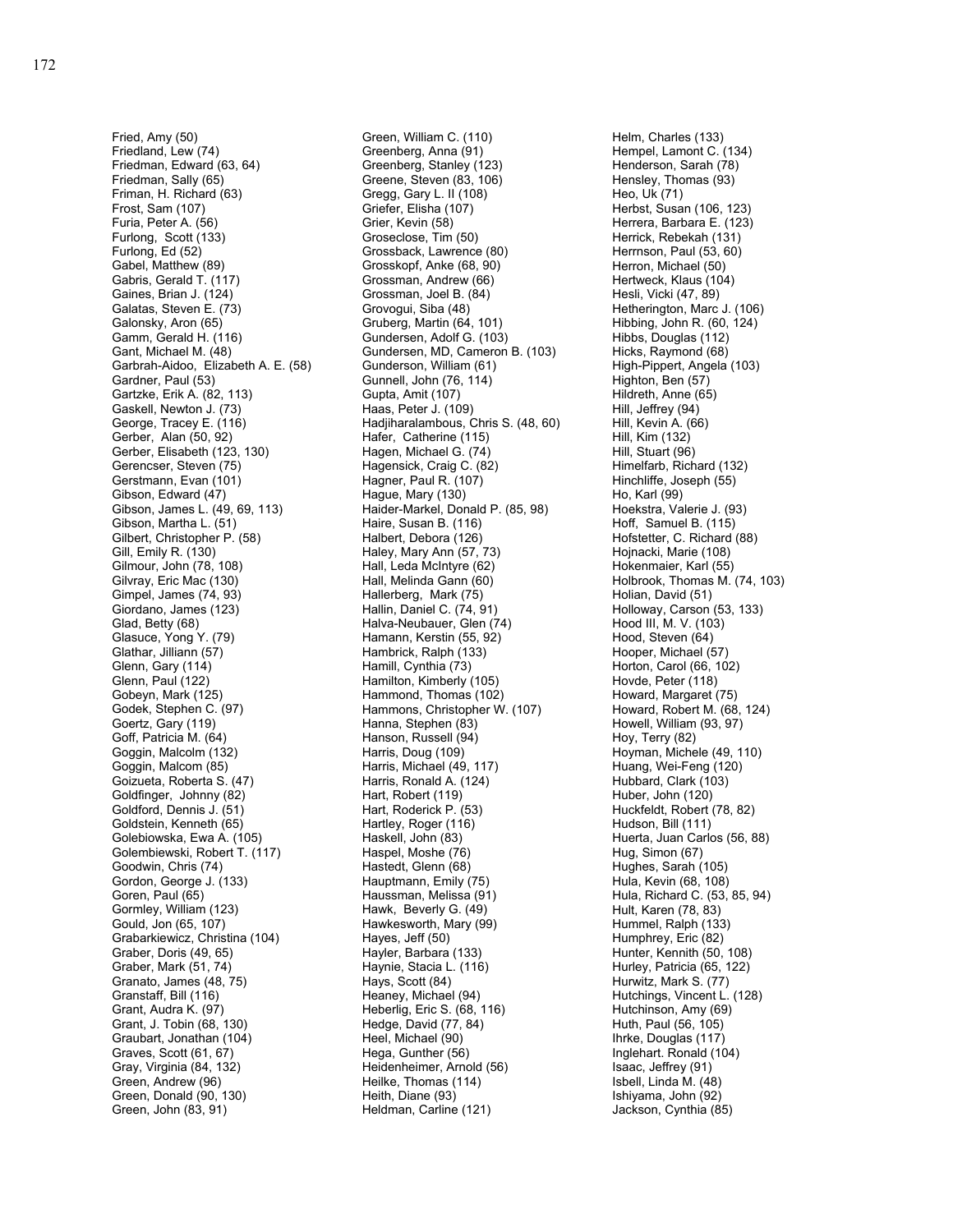Fried, Amy (50) Friedland, Lew (74) Friedman, Edward (63, 64) Friedman, Sally (65) Friman, H. Richard (63) Frost, Sam (107) Furia, Peter A. (56) Furlong, Scott (133) Furlong, Ed (52) Gabel, Matthew (89) Gabris, Gerald T. (117) Gaines, Brian J. (124) Galatas, Steven E. (73) Galonsky, Aron (65) Gamm, Gerald H. (116) Gant, Michael M. (48) Garbrah-Aidoo, Elizabeth A. E. (58) Gardner, Paul (53) Gartzke, Erik A. (82, 113) Gaskell, Newton J. (73) George, Tracey E. (116) Gerber, Alan (50, 92) Gerber, Elisabeth (123, 130) Gerencser, Steven (75) Gerstmann, Evan (101) Gibson, Edward (47) Gibson, James L. (49, 69, 113) Gibson, Martha L. (51) Gilbert, Christopher P. (58) Gill, Emily R. (130) Gilmour, John (78, 108) Gilvray, Eric Mac (130) Gimpel, James (74, 93) Giordano, James (123) Glad, Betty (68) Glasuce, Yong Y. (79) Glathar, Jilliann (57) Glenn, Gary (114) Glenn, Paul (122) Gobeyn, Mark (125) Godek, Stephen C. (97) Goertz, Gary (119) Goff, Patricia M. (64) Goggin, Malcolm (132) Goggin, Malcom (85) Goizueta, Roberta S. (47) Goldfinger, Johnny (82) Goldford, Dennis J. (51) Goldstein, Kenneth (65) Golebiowska, Ewa A. (105) Golembiewski, Robert T. (117) Goodwin, Chris (74) Gordon, George J. (133) Goren, Paul (65) Gormley, William (123) Gould, Jon (65, 107) Grabarkiewicz, Christina (104) Graber, Doris (49, 65) Graber, Mark (51, 74) Granato, James (48, 75) Granstaff, Bill (116) Grant, Audra K. (97) Grant, J. Tobin (68, 130) Graubart, Jonathan (104) Graves, Scott (61, 67) Gray, Virginia (84, 132) Green, Andrew (96) Green, Donald (90, 130) Green, John (83, 91)

Green, William C. (110) Greenberg, Anna (91) Greenberg, Stanley (123) Greene, Steven (83, 106) Gregg, Gary L. II (108) Griefer, Elisha (107) Grier, Kevin (58) Groseclose, Tim (50) Grossback, Lawrence (80) Grosskopf, Anke (68, 90) Grossman, Andrew (66) Grossman, Joel B. (84) Grovogui, Siba (48) Gruberg, Martin (64, 101) Gundersen, Adolf G. (103) Gundersen, MD, Cameron B. (103) Gunderson, William (61) Gunnell, John (76, 114) Gupta, Amit (107) Haas, Peter J. (109) Hadjiharalambous, Chris S. (48, 60) Hafer, Catherine (115) Hagen, Michael G. (74) Hagensick, Craig C. (82) Hagner, Paul R. (107) Hague, Mary (130) Haider-Markel, Donald P. (85, 98) Haire, Susan B. (116) Halbert, Debora (126) Haley, Mary Ann (57, 73) Hall, Leda McIntyre (62) Hall, Melinda Gann (60) Hallerberg, Mark (75) Hallin, Daniel C. (74, 91) Halva-Neubauer, Glen (74) Hamann, Kerstin (55, 92) Hambrick, Ralph (133) Hamill, Cynthia (73) Hamilton, Kimberly (105) Hammond, Thomas (102) Hammons, Christopher W. (107) Hanna, Stephen (83) Hanson, Russell (94) Harris, Doug (109) Harris, Michael (49, 117) Harris, Ronald A. (124) Hart, Robert (119) Hart, Roderick P. (53) Hartley, Roger (116) Haskell, John (83) Haspel, Moshe (76) Hastedt, Glenn (68) Hauptmann, Emily (75) Haussman, Melissa (91) Hawk, Beverly G. (49) Hawkesworth, Mary (99) Hayes, Jeff (50) Hayler, Barbara (133) Haynie, Stacia L. (116) Hays, Scott (84) Heaney, Michael (94) Heberlig, Eric S. (68, 116) Hedge, David (77, 84) Heel, Michael (90) Hega, Gunther (56) Heidenheimer, Arnold (56) Heilke, Thomas (114) Heith, Diane (93) Heldman, Carline (121)

Helm, Charles (133) Hempel, Lamont C. (134) Henderson, Sarah (78) Hensley, Thomas (93) Heo, Uk (71) Herbst, Susan (106, 123) Herrera, Barbara E. (123) Herrick, Rebekah (131) Herrnson, Paul (53, 60) Herron, Michael (50) Hertweck, Klaus (104) Hesli, Vicki (47, 89) Hetherington, Marc J. (106) Hibbing, John R. (60, 124) Hibbs, Douglas (112) Hicks, Raymond (68) High-Pippert, Angela (103) Highton, Ben (57) Hildreth, Anne (65) Hill, Jeffrey (94) Hill, Kevin A. (66) Hill, Kim (132) Hill, Stuart (96) Himelfarb, Richard (132) Hinchliffe, Joseph (55) Ho, Karl (99) Hoekstra, Valerie J. (93) Hoff, Samuel B. (115) Hofstetter, C. Richard (88) Hojnacki, Marie (108) Hokenmaier, Karl (55) Holbrook, Thomas M. (74, 103) Holian, David (51) Holloway, Carson (53, 133) Hood III, M. V. (103) Hood, Steven (64) Hooper, Michael (57) Horton, Carol (66, 102) Hovde, Peter (118) Howard, Margaret (75) Howard, Robert M. (68, 124) Howell, William (93, 97) Hoy, Terry (82) Hoyman, Michele (49, 110) Huang, Wei-Feng (120) Hubbard, Clark (103) Huber, John (120) Huckfeldt, Robert (78, 82) Hudson, Bill (111) Huerta, Juan Carlos (56, 88) Hug, Simon (67) Hughes, Sarah (105) Hula, Kevin (68, 108) Hula, Richard C. (53, 85, 94) Hult, Karen (78, 83) Hummel, Ralph (133) Humphrey, Eric (82) Hunter, Kennith (50, 108) Hurley, Patricia (65, 122) Hurwitz, Mark S. (77) Hutchings, Vincent L. (128) Hutchinson, Amy (69) Huth, Paul (56, 105) Ihrke, Douglas (117) Inglehart. Ronald (104) Isaac, Jeffrey (91) Isbell, Linda M. (48) Ishiyama, John (92) Jackson, Cynthia (85)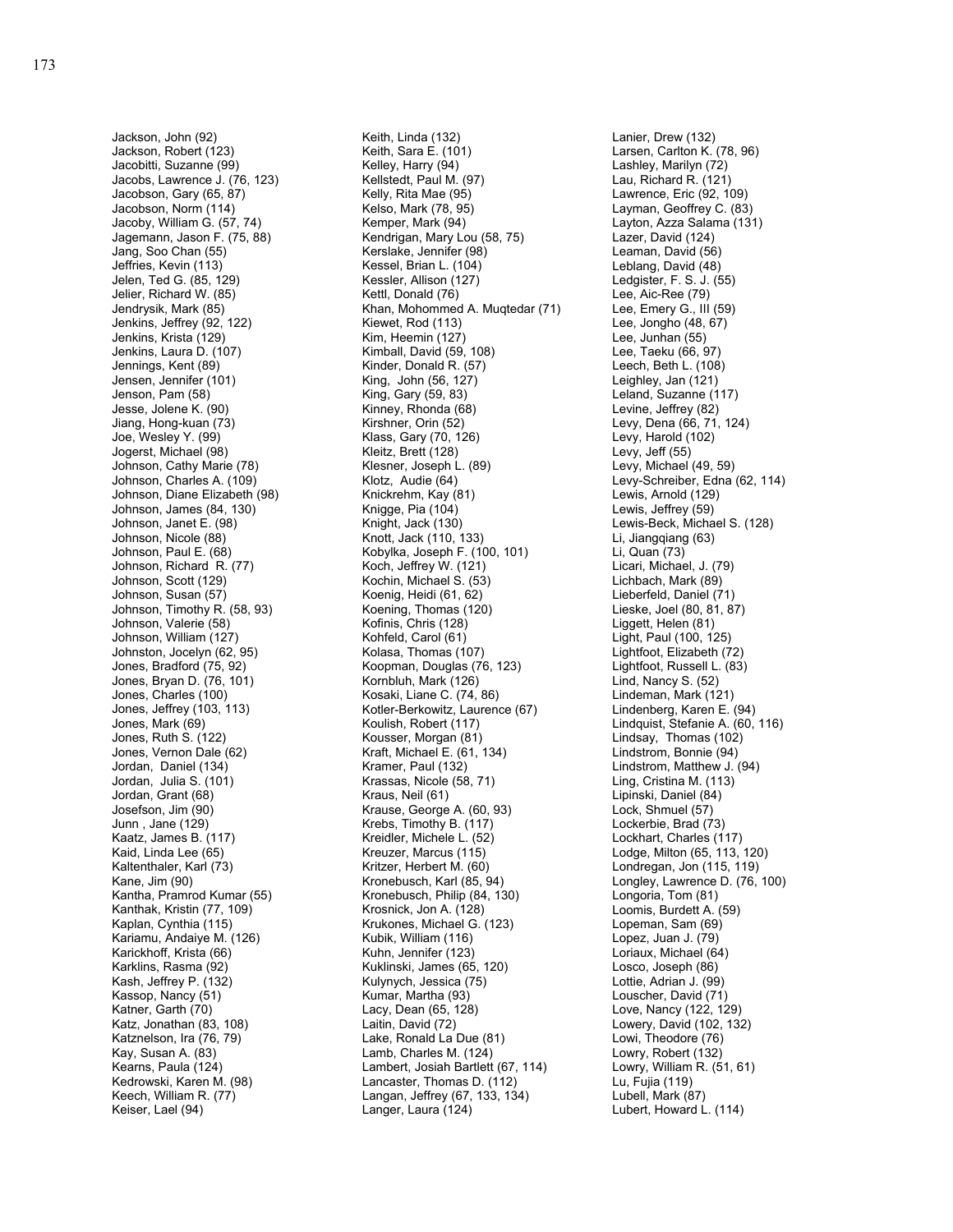Jackson, John (92) Jackson, Robert (123) Jacobitti, Suzanne (99) Jacobs, Lawrence J. (76, 123) Jacobson, Gary (65, 87) Jacobson, Norm (114) Jacoby, William G. (57, 74) Jagemann, Jason F. (75, 88) Jang, Soo Chan (55) Jeffries, Kevin (113) Jelen, Ted G. (85, 129) Jelier, Richard W. (85) Jendrysik, Mark (85) Jenkins, Jeffrey (92, 122) Jenkins, Krista (129) Jenkins, Laura D. (107) Jennings, Kent (89) Jensen, Jennifer (101) Jenson, Pam (58) Jesse, Jolene K. (90) Jiang, Hong-kuan (73) Joe, Wesley Y. (99) Jogerst, Michael (98) Johnson, Cathy Marie (78) Johnson, Charles A. (109) Johnson, Diane Elizabeth (98) Johnson, James (84, 130) Johnson, Janet E. (98) Johnson, Nicole (88) Johnson, Paul E. (68) Johnson, Richard R. (77) Johnson, Scott (129) Johnson, Susan (57) Johnson, Timothy R. (58, 93) Johnson, Valerie (58) Johnson, William (127) Johnston, Jocelyn (62, 95) Jones, Bradford (75, 92) Jones, Bryan D. (76, 101) Jones, Charles (100) Jones, Jeffrey (103, 113) Jones, Mark (69) Jones, Ruth S. (122) Jones, Vernon Dale (62) Jordan, Daniel (134) Jordan, Julia S. (101) Jordan, Grant (68) Josefson, Jim (90) Junn , Jane (129) Kaatz, James B. (117) Kaid, Linda Lee (65) Kaltenthaler, Karl (73) Kane, Jim (90) Kantha, Pramrod Kumar (55) Kanthak, Kristin (77, 109) Kaplan, Cynthia (115) Kariamu, Andaiye M. (126) Karickhoff, Krista (66) Karklins, Rasma (92) Kash, Jeffrey P. (132) Kassop, Nancy (51) Katner, Garth (70) Katz, Jonathan (83, 108) Katznelson, Ira (76, 79) Kay, Susan A. (83) Kearns, Paula (124) Kedrowski, Karen M. (98) Keech, William R. (77) Keiser, Lael (94)

Keith, Linda (132) Keith, Sara E. (101) Kelley, Harry (94) Kellstedt, Paul M. (97) Kelly, Rita Mae (95) Kelso, Mark (78, 95) Kemper, Mark (94) Kendrigan, Mary Lou (58, 75) Kerslake, Jennifer (98) Kessel, Brian L. (104) Kessler, Allison (127) Kettl, Donald (76) Khan, Mohommed A. Muqtedar (71) Kiewet, Rod (113) Kim, Heemin (127) Kimball, David (59, 108) Kinder, Donald R. (57) King, John (56, 127) King, Gary (59, 83) Kinney, Rhonda (68) Kirshner, Orin (52) Klass, Gary (70, 126) Kleitz, Brett (128) Klesner, Joseph L. (89) Klotz, Audie (64) Knickrehm, Kay (81) Knigge, Pia (104) Knight, Jack (130) Knott, Jack (110, 133) Kobylka, Joseph F. (100, 101) Koch, Jeffrey W. (121) Kochin, Michael S. (53) Koenig, Heidi (61, 62) Koening, Thomas (120) Kofinis, Chris (128) Kohfeld, Carol (61) Kolasa, Thomas (107) Koopman, Douglas (76, 123) Kornbluh, Mark (126) Kosaki, Liane C. (74, 86) Kotler-Berkowitz, Laurence (67) Koulish, Robert (117) Kousser, Morgan (81) Kraft, Michael E. (61, 134) Kramer, Paul (132) Krassas, Nicole (58, 71) Kraus, Neil (61) Krause, George A. (60, 93) Krebs, Timothy B. (117) Kreidler, Michele L. (52) Kreuzer, Marcus (115) Kritzer, Herbert M. (60) Kronebusch, Karl (85, 94) Kronebusch, Philip (84, 130) Krosnick, Jon A. (128) Krukones, Michael G. (123) Kubik, William (116) Kuhn, Jennifer (123) Kuklinski, James (65, 120) Kulynych, Jessica (75) Kumar, Martha (93) Lacy, Dean (65, 128) Laitin, David (72) Lake, Ronald La Due (81) Lamb, Charles M. (124) Lambert, Josiah Bartlett (67, 114) Lancaster, Thomas D. (112) Langan, Jeffrey (67, 133, 134) Langer, Laura (124)

Lanier, Drew (132) Larsen, Carlton K. (78, 96) Lashley, Marilyn (72) Lau, Richard R. (121) Lawrence, Eric (92, 109) Layman, Geoffrey C. (83) Layton, Azza Salama (131) Lazer, David (124) Leaman, David (56) Leblang, David (48) Ledgister, F. S. J. (55) Lee, Aic-Ree (79) Lee, Emery G., III (59) Lee, Jongho (48, 67) Lee, Junhan (55) Lee, Taeku (66, 97) Leech, Beth L. (108) Leighley, Jan (121) Leland, Suzanne (117) Levine, Jeffrey (82) Levy, Dena (66, 71, 124) Levy, Harold (102) Levy, Jeff (55) Levy, Michael (49, 59) Levy-Schreiber, Edna (62, 114) Lewis, Arnold (129) Lewis, Jeffrey (59) Lewis-Beck, Michael S. (128) Li, Jiangqiang (63) Li, Quan (73) Licari, Michael, J. (79) Lichbach, Mark (89) Lieberfeld, Daniel (71) Lieske, Joel (80, 81, 87) Liggett, Helen (81) Light, Paul (100, 125) Lightfoot, Elizabeth (72) Lightfoot, Russell L. (83) Lind, Nancy S. (52) Lindeman, Mark (121) Lindenberg, Karen E. (94) Lindquist, Stefanie A. (60, 116) Lindsay, Thomas (102) Lindstrom, Bonnie (94) Lindstrom, Matthew J. (94) Ling, Cristina M. (113) Lipinski, Daniel (84) Lock, Shmuel (57) Lockerbie, Brad (73) Lockhart, Charles (117) Lodge, Milton (65, 113, 120) Londregan, Jon (115, 119) Longley, Lawrence D. (76, 100) Longoria, Tom (81) Loomis, Burdett A. (59) Lopeman, Sam (69) Lopez, Juan J. (79) Loriaux, Michael (64) Losco, Joseph (86) Lottie, Adrian J. (99) Louscher, David (71) Love, Nancy (122, 129) Lowery, David (102, 132) Lowi, Theodore (76) Lowry, Robert (132) Lowry, William R. (51, 61) Lu, Fujia (119) Lubell, Mark (87) Lubert, Howard L. (114)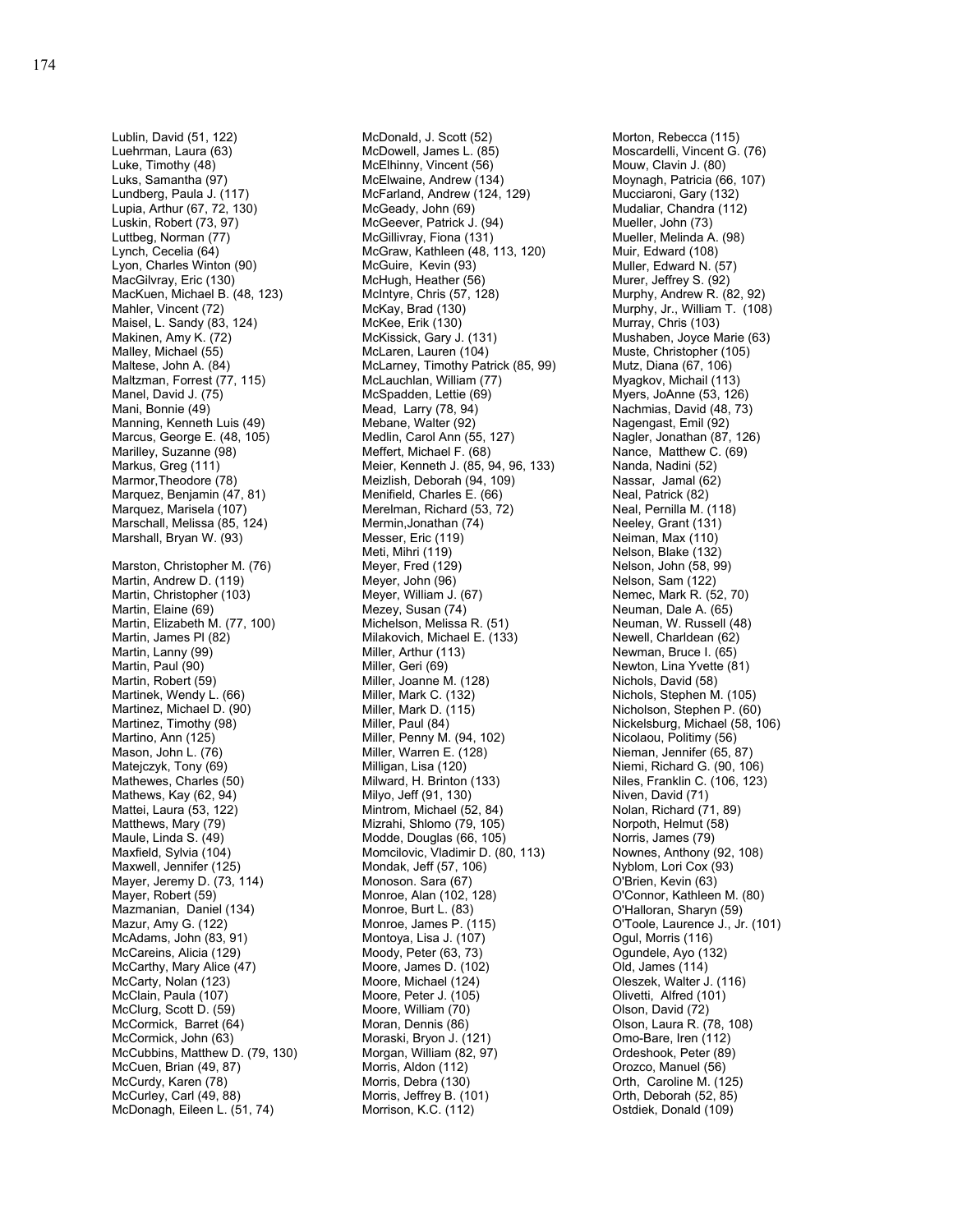Lublin, David (51, 122) Luehrman, Laura (63) Luke, Timothy (48) Luks, Samantha (97) Lundberg, Paula J. (117) Lupia, Arthur (67, 72, 130) Luskin, Robert (73, 97) Luttbeg, Norman (77) Lynch, Cecelia (64) Lyon, Charles Winton (90) MacGilvray, Eric (130) MacKuen, Michael B. (48, 123) Mahler, Vincent (72) Maisel, L. Sandy (83, 124) Makinen, Amy K. (72) Malley, Michael (55) Maltese, John A. (84) Maltzman, Forrest (77, 115) Manel, David J. (75) Mani, Bonnie (49) Manning, Kenneth Luis (49) Marcus, George E. (48, 105) Marilley, Suzanne (98) Markus, Greg (111) Marmor,Theodore (78) Marquez, Benjamin (47, 81) Marquez, Marisela (107) Marschall, Melissa (85, 124) Marshall, Bryan W. (93) Marston, Christopher M. (76) Martin, Andrew D. (119) Martin, Christopher (103) Martin, Elaine (69) Martin, Elizabeth M. (77, 100) Martin, James Pl (82) Martin, Lanny (99) Martin, Paul (90) Martin, Robert (59) Martinek, Wendy L. (66) Martinez, Michael D. (90) Martinez, Timothy (98) Martino, Ann (125) Mason, John L. (76) Matejczyk, Tony (69) Mathewes, Charles (50) Mathews, Kay (62, 94) Mattei, Laura (53, 122) Matthews, Mary (79) Maule, Linda S. (49) Maxfield, Sylvia (104) Maxwell, Jennifer (125) Mayer, Jeremy D. (73, 114) Mayer, Robert (59) Mazmanian, Daniel (134) Mazur, Amy G. (122) McAdams, John (83, 91) McCareins, Alicia (129) McCarthy, Mary Alice (47) McCarty, Nolan (123) McClain, Paula (107) McClurg, Scott D. (59) McCormick, Barret (64) McCormick, John (63) McCubbins, Matthew D. (79, 130) McCuen, Brian (49, 87) McCurdy, Karen (78) McCurley, Carl (49, 88) McDonagh, Eileen L. (51, 74)

McDonald, J. Scott (52) McDowell, James L. (85) McElhinny, Vincent (56) McElwaine, Andrew (134) McFarland, Andrew (124, 129) McGeady, John (69) McGeever, Patrick J. (94) McGillivray, Fiona (131) McGraw, Kathleen (48, 113, 120) McGuire, Kevin (93) McHugh, Heather (56) McIntyre, Chris (57, 128) McKay, Brad (130) McKee, Erik (130) McKissick, Gary J. (131) McLaren, Lauren (104) McLarney, Timothy Patrick (85, 99) McLauchlan, William (77) McSpadden, Lettie (69) Mead, Larry (78, 94) Mebane, Walter (92) Medlin, Carol Ann (55, 127) Meffert, Michael F. (68) Meier, Kenneth J. (85, 94, 96, 133) Meizlish, Deborah (94, 109) Menifield, Charles E. (66) Merelman, Richard (53, 72) Mermin,Jonathan (74) Messer, Eric (119) Meti, Mihri (119) Meyer, Fred (129) Meyer, John (96) Meyer, William J. (67) Mezey, Susan (74) Michelson, Melissa R. (51) Milakovich, Michael E. (133) Miller, Arthur (113) Miller, Geri (69) Miller, Joanne M. (128) Miller, Mark C. (132) Miller, Mark D. (115) Miller, Paul (84) Miller, Penny M. (94, 102) Miller, Warren E. (128) Milligan, Lisa (120) Milward, H. Brinton (133) Milyo, Jeff (91, 130) Mintrom, Michael (52, 84) Mizrahi, Shlomo (79, 105) Modde, Douglas (66, 105) Momcilovic, Vladimir D. (80, 113) Mondak, Jeff (57, 106) Monoson. Sara (67) Monroe, Alan (102, 128) Monroe, Burt L. (83) Monroe, James P. (115) Montoya, Lisa J. (107) Moody, Peter (63, 73) Moore, James D. (102) Moore, Michael (124) Moore, Peter J. (105) Moore, William (70) Moran, Dennis (86) Moraski, Bryon J. (121) Morgan, William (82, 97) Morris, Aldon (112) Morris, Debra (130) Morris, Jeffrey B. (101) Morrison, K.C. (112)

Morton, Rebecca (115) Moscardelli, Vincent G. (76) Mouw, Clavin J. (80) Moynagh, Patricia (66, 107) Mucciaroni, Gary (132) Mudaliar, Chandra (112) Mueller, John (73) Mueller, Melinda A. (98) Muir, Edward (108) Muller, Edward N. (57) Murer, Jeffrey S. (92) Murphy, Andrew R. (82, 92) Murphy, Jr., William T. (108) Murray, Chris (103) Mushaben, Joyce Marie (63) Muste, Christopher (105) Mutz, Diana (67, 106) Myagkov, Michail (113) Myers, JoAnne (53, 126) Nachmias, David (48, 73) Nagengast, Emil (92) Nagler, Jonathan (87, 126) Nance, Matthew C. (69) Nanda, Nadini (52) Nassar, Jamal (62) Neal, Patrick (82) Neal, Pernilla M. (118) Neeley, Grant (131) Neiman, Max (110) Nelson, Blake (132) Nelson, John (58, 99) Nelson, Sam (122) Nemec, Mark R. (52, 70) Neuman, Dale A. (65) Neuman, W. Russell (48) Newell, Charldean (62) Newman, Bruce I. (65) Newton, Lina Yvette (81) Nichols, David (58) Nichols, Stephen M. (105) Nicholson, Stephen P. (60) Nickelsburg, Michael (58, 106) Nicolaou, Politimy (56) Nieman, Jennifer (65, 87) Niemi, Richard G. (90, 106) Niles, Franklin C. (106, 123) Niven, David (71) Nolan, Richard (71, 89) Norpoth, Helmut (58) Norris, James (79) Nownes, Anthony (92, 108) Nyblom, Lori Cox (93) O'Brien, Kevin (63) O'Connor, Kathleen M. (80) O'Halloran, Sharyn (59) O'Toole, Laurence J., Jr. (101) Ogul, Morris (116) Ogundele, Ayo (132) Old, James (114) Oleszek, Walter J. (116) Olivetti, Alfred (101) Olson, David (72) Olson, Laura R. (78, 108) Omo-Bare, Iren (112) Ordeshook, Peter (89) Orozco, Manuel (56) Orth, Caroline M. (125) Orth, Deborah (52, 85) Ostdiek, Donald (109)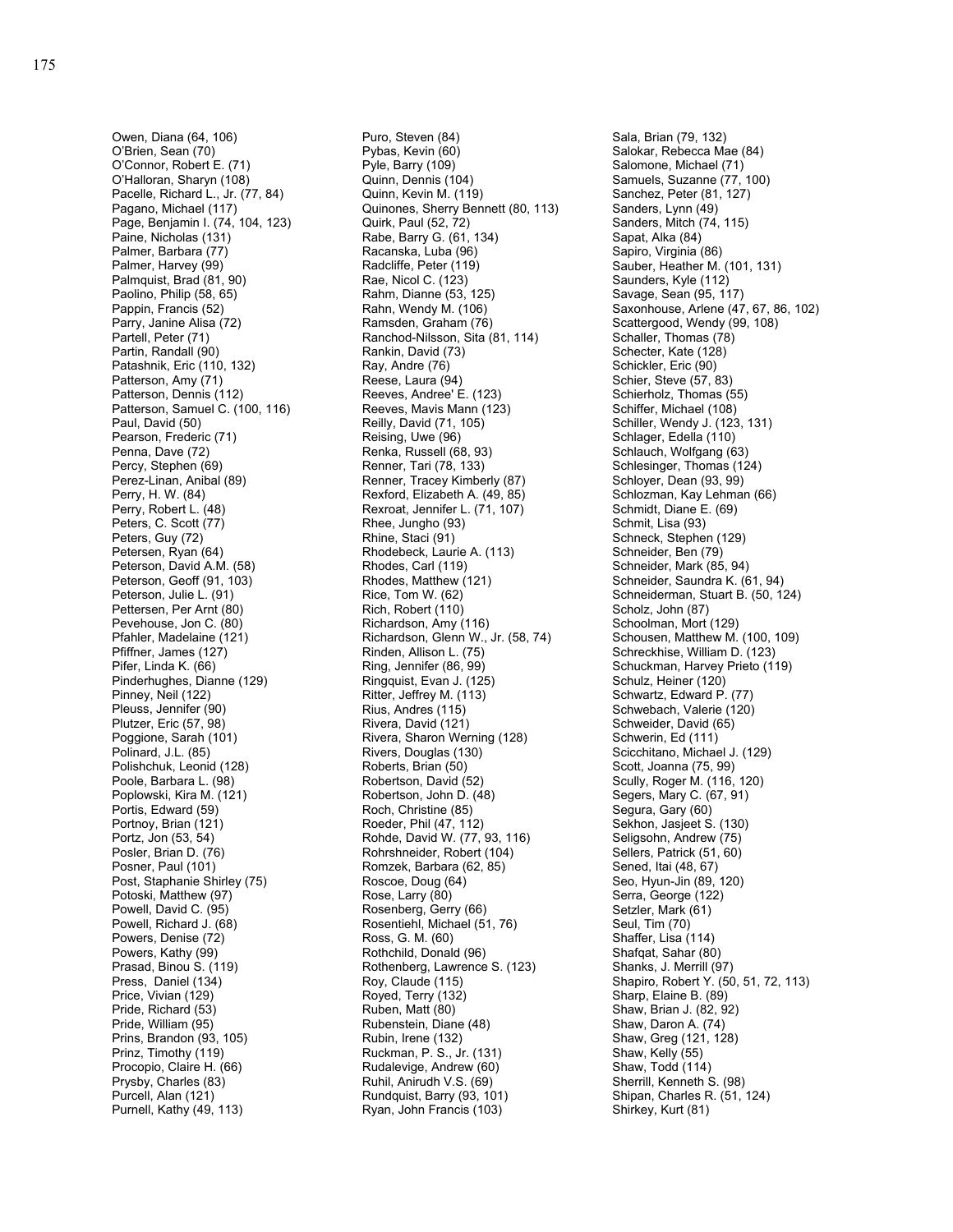Owen, Diana (64, 106) O'Brien, Sean (70) O'Connor, Robert E. (71) O'Halloran, Sharyn (108) Pacelle, Richard L., Jr. (77, 84) Pagano, Michael (117) Page, Benjamin I. (74, 104, 123) Paine, Nicholas (131) Palmer, Barbara (77) Palmer, Harvey (99) Palmquist, Brad (81, 90) Paolino, Philip (58, 65) Pappin, Francis (52) Parry, Janine Alisa (72) Partell, Peter (71) Partin, Randall (90) Patashnik, Eric (110, 132) Patterson, Amy (71) Patterson, Dennis (112) Patterson, Samuel C. (100, 116) Paul, David (50) Pearson, Frederic (71) Penna, Dave (72) Percy, Stephen (69) Perez-Linan, Anibal (89) Perry, H. W. (84) Perry, Robert L. (48) Peters, C. Scott (77) Peters, Guy (72) Petersen, Ryan (64) Peterson, David A.M. (58) Peterson, Geoff (91, 103) Peterson, Julie L. (91) Pettersen, Per Arnt (80) Pevehouse, Jon C. (80) Pfahler, Madelaine (121) Pfiffner, James (127) Pifer, Linda K. (66) Pinderhughes, Dianne (129) Pinney, Neil (122) Pleuss, Jennifer (90) Plutzer, Eric (57, 98) Poggione, Sarah (101) Polinard, J.L. (85) Polishchuk, Leonid (128) Poole, Barbara L. (98) Poplowski, Kira M. (121) Portis, Edward (59) Portnoy, Brian (121) Portz, Jon (53, 54) Posler, Brian D. (76) Posner, Paul (101) Post, Staphanie Shirley (75) Potoski, Matthew (97) Powell, David C. (95) Powell, Richard J. (68) Powers, Denise (72) Powers, Kathy (99) Prasad, Binou S. (119) Press, Daniel (134) Price, Vivian (129) Pride, Richard (53) Pride, William (95) Prins, Brandon (93, 105) Prinz, Timothy (119) Procopio, Claire H. (66) Prysby, Charles (83) Purcell, Alan (121) Purnell, Kathy (49, 113)

Puro, Steven (84) Pybas, Kevin (60) Pyle, Barry (109) Quinn, Dennis (104) Quinn, Kevin M. (119) Quinones, Sherry Bennett (80, 113) Quirk, Paul (52, 72) Rabe, Barry G. (61, 134) Racanska, Luba (96) Radcliffe, Peter (119) Rae, Nicol C. (123) Rahm, Dianne (53, 125) Rahn, Wendy M. (106) Ramsden, Graham (76) Ranchod-Nilsson, Sita (81, 114) Rankin, David (73) Ray, Andre (76) Reese, Laura (94) Reeves, Andree' E. (123) Reeves, Mavis Mann (123) Reilly, David (71, 105) Reising, Uwe (96) Renka, Russell (68, 93) Renner, Tari (78, 133) Renner, Tracey Kimberly (87) Rexford, Elizabeth A. (49, 85) Rexroat, Jennifer L. (71, 107) Rhee, Jungho (93) Rhine, Staci (91) Rhodebeck, Laurie A. (113) Rhodes, Carl (119) Rhodes, Matthew (121) Rice, Tom W. (62) Rich, Robert (110) Richardson, Amy (116) Richardson, Glenn W., Jr. (58, 74) Rinden, Allison L. (75) Ring, Jennifer (86, 99) Ringquist, Evan J. (125) Ritter, Jeffrey M. (113) Rius, Andres (115) Rivera, David (121) Rivera, Sharon Werning (128) Rivers, Douglas (130) Roberts, Brian (50) Robertson, David (52) Robertson, John D. (48) Roch, Christine (85) Roeder, Phil (47, 112) Rohde, David W. (77, 93, 116) Rohrshneider, Robert (104) Romzek, Barbara (62, 85) Roscoe, Doug (64) Rose, Larry (80) Rosenberg, Gerry (66) Rosentiehl, Michael (51, 76) Ross, G. M. (60) Rothchild, Donald (96) Rothenberg, Lawrence S. (123) Roy, Claude (115) Royed, Terry (132) Ruben, Matt (80) Rubenstein, Diane (48) Rubin, Irene (132) Ruckman, P. S., Jr. (131) Rudalevige, Andrew (60) Ruhil, Anirudh V.S. (69) Rundquist, Barry (93, 101) Ryan, John Francis (103)

Sala, Brian (79, 132) Salokar, Rebecca Mae (84) Salomone, Michael (71) Samuels, Suzanne (77, 100) Sanchez, Peter (81, 127) Sanders, Lynn (49) Sanders, Mitch (74, 115) Sapat, Alka (84) Sapiro, Virginia (86) Sauber, Heather M. (101, 131) Saunders, Kyle (112) Savage, Sean (95, 117) Saxonhouse, Arlene (47, 67, 86, 102) Scattergood, Wendy (99, 108) Schaller, Thomas (78) Schecter, Kate (128) Schickler, Eric (90) Schier, Steve (57, 83) Schierholz, Thomas (55) Schiffer, Michael (108) Schiller, Wendy J. (123, 131) Schlager, Edella (110) Schlauch, Wolfgang (63) Schlesinger, Thomas (124) Schloyer, Dean (93, 99) Schlozman, Kay Lehman (66) Schmidt, Diane E. (69) Schmit, Lisa (93) Schneck, Stephen (129) Schneider, Ben (79) Schneider, Mark (85, 94) Schneider, Saundra K. (61, 94) Schneiderman, Stuart B. (50, 124) Scholz, John (87) Schoolman, Mort (129) Schousen, Matthew M. (100, 109) Schreckhise, William D. (123) Schuckman, Harvey Prieto (119) Schulz, Heiner (120) Schwartz, Edward P. (77) Schwebach, Valerie (120) Schweider, David (65) Schwerin, Ed (111) Scicchitano, Michael J. (129) Scott, Joanna (75, 99) Scully, Roger M. (116, 120) Segers, Mary C. (67, 91) Segura, Gary (60) Sekhon, Jasjeet S. (130) Seligsohn, Andrew (75) Sellers, Patrick (51, 60) Sened, Itai (48, 67) Seo, Hyun-Jin (89, 120) Serra, George (122) Setzler, Mark (61) Seul, Tim (70) Shaffer, Lisa (114) Shafqat, Sahar (80) Shanks, J. Merrill (97) Shapiro, Robert Y. (50, 51, 72, 113) Sharp, Elaine B. (89) Shaw, Brian J. (82, 92) Shaw, Daron A. (74) Shaw, Greg (121, 128) Shaw, Kelly (55) Shaw, Todd (114) Sherrill, Kenneth S. (98) Shipan, Charles R. (51, 124) Shirkey, Kurt (81)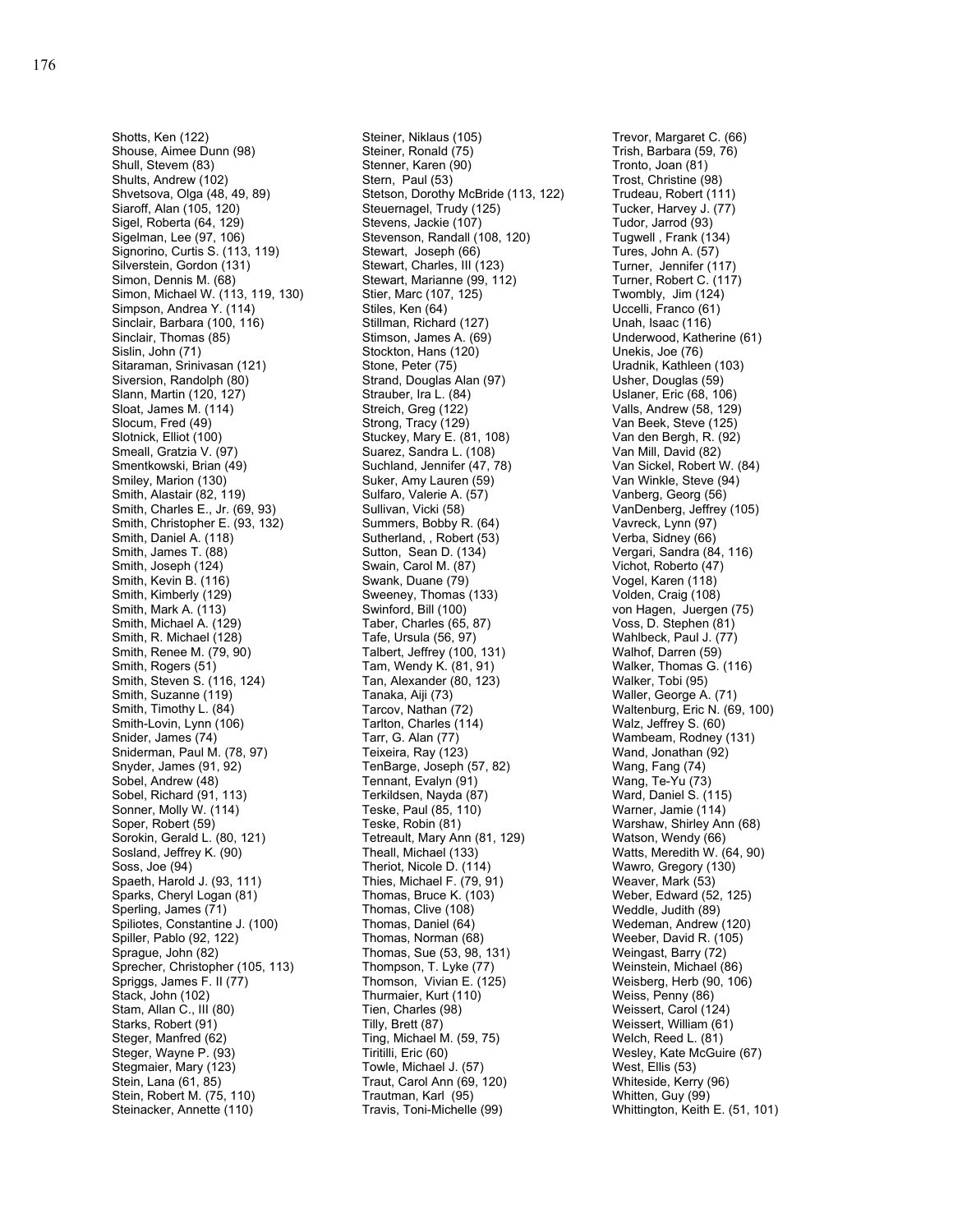Shotts, Ken (122) Shouse, Aimee Dunn (98) Shull, Stevem (83) Shults, Andrew (102) Shvetsova, Olga (48, 49, 89) Siaroff, Alan (105, 120) Sigel, Roberta (64, 129) Sigelman, Lee (97, 106) Signorino, Curtis S. (113, 119) Silverstein, Gordon (131) Simon, Dennis M. (68) Simon, Michael W. (113, 119, 130) Simpson, Andrea Y. (114) Sinclair, Barbara (100, 116) Sinclair, Thomas (85) Sislin, John (71) Sitaraman, Srinivasan (121) Siversion, Randolph (80) Slann, Martin (120, 127) Sloat, James M. (114) Slocum, Fred (49) Slotnick, Elliot (100) Smeall, Gratzia V. (97) Smentkowski, Brian (49) Smiley, Marion (130) Smith, Alastair (82, 119) Smith, Charles E., Jr. (69, 93) Smith, Christopher E. (93, 132) Smith, Daniel A. (118) Smith, James T. (88) Smith, Joseph (124) Smith, Kevin B. (116) Smith, Kimberly (129) Smith, Mark A. (113) Smith, Michael A. (129) Smith, R. Michael (128) Smith, Renee M. (79, 90) Smith, Rogers (51) Smith, Steven S. (116, 124) Smith, Suzanne (119) Smith, Timothy L. (84) Smith-Lovin, Lynn (106) Snider, James (74) Sniderman, Paul M. (78, 97) Snyder, James (91, 92) Sobel, Andrew (48) Sobel, Richard (91, 113) Sonner, Molly W. (114) Soper, Robert (59) Sorokin, Gerald L. (80, 121) Sosland, Jeffrey K. (90) Soss, Joe (94) Spaeth, Harold J. (93, 111) Sparks, Cheryl Logan (81) Sperling, James (71) Spiliotes, Constantine J. (100) Spiller, Pablo (92, 122) Sprague, John (82) Sprecher, Christopher (105, 113) Spriggs, James F. II (77) Stack, John (102) Stam, Allan C., III (80) Starks, Robert (91) Steger, Manfred (62) Steger, Wayne P. (93) Stegmaier, Mary (123) Stein, Lana (61, 85) Stein, Robert M. (75, 110) Steinacker, Annette (110)

Steiner, Niklaus (105) Steiner, Ronald (75) Stenner, Karen (90) Stern, Paul (53) Stetson, Dorothy McBride (113, 122) Steuernagel, Trudy (125) Stevens, Jackie (107) Stevenson, Randall (108, 120) Stewart, Joseph (66) Stewart, Charles, III (123) Stewart, Marianne (99, 112) Stier, Marc (107, 125) Stiles, Ken (64) Stillman, Richard (127) Stimson, James A. (69) Stockton, Hans (120) Stone, Peter (75) Strand, Douglas Alan (97) Strauber, Ira L. (84) Streich, Greg (122) Strong, Tracy (129) Stuckey, Mary E. (81, 108) Suarez, Sandra L. (108) Suchland, Jennifer (47, 78) Suker, Amy Lauren (59) Sulfaro, Valerie A. (57) Sullivan, Vicki (58) Summers, Bobby R. (64) Sutherland, , Robert (53) Sutton, Sean D. (134) Swain, Carol M. (87) Swank, Duane (79) Sweeney, Thomas (133) Swinford, Bill (100) Taber, Charles (65, 87) Tafe, Ursula (56, 97) Talbert, Jeffrey (100, 131) Tam, Wendy K. (81, 91) Tan, Alexander (80, 123) Tanaka, Aiji (73) Tarcov, Nathan (72) Tarlton, Charles (114) Tarr, G. Alan (77) Teixeira, Ray (123) TenBarge, Joseph (57, 82) Tennant, Evalyn (91) Terkildsen, Nayda (87) Teske, Paul (85, 110) Teske, Robin (81) Tetreault, Mary Ann (81, 129) Theall, Michael (133) Theriot, Nicole D. (114) Thies, Michael F. (79, 91) Thomas, Bruce K. (103) Thomas, Clive (108) Thomas, Daniel (64) Thomas, Norman (68) Thomas, Sue (53, 98, 131) Thompson, T. Lyke (77) Thomson, Vivian E. (125) Thurmaier, Kurt (110) Tien, Charles (98) Tilly, Brett (87) Ting, Michael M. (59, 75) Tiritilli, Eric (60) Towle, Michael J. (57) Traut, Carol Ann (69, 120) Trautman, Karl (95) Travis, Toni-Michelle (99)

Trevor, Margaret C. (66) Trish, Barbara (59, 76) Tronto, Joan (81) Trost, Christine (98) Trudeau, Robert (111) Tucker, Harvey J. (77) Tudor, Jarrod (93) Tugwell , Frank (134) Tures, John A. (57) Turner, Jennifer (117) Turner, Robert C. (117) Twombly, Jim (124) Uccelli, Franco (61) Unah, Isaac (116) Underwood, Katherine (61) Unekis, Joe (76) Uradnik, Kathleen (103) Usher, Douglas (59) Uslaner, Eric (68, 106) Valls, Andrew (58, 129) Van Beek, Steve (125) Van den Bergh, R. (92) Van Mill, David (82) Van Sickel, Robert W. (84) Van Winkle, Steve (94) Vanberg, Georg (56) VanDenberg, Jeffrey (105) Vavreck, Lynn (97) Verba, Sidney (66) Vergari, Sandra (84, 116) Vichot, Roberto (47) Vogel, Karen (118) Volden, Craig (108) von Hagen, Juergen (75) Voss, D. Stephen (81) Wahlbeck, Paul J. (77) Walhof, Darren (59) Walker, Thomas G. (116) Walker, Tobi (95) Waller, George A. (71) Waltenburg, Eric N. (69, 100) Walz, Jeffrey S. (60) Wambeam, Rodney (131) Wand, Jonathan (92) Wang, Fang (74) Wang, Te-Yu (73) Ward, Daniel S. (115) Warner, Jamie (114) Warshaw, Shirley Ann (68) Watson, Wendy (66) Watts, Meredith W. (64, 90) Wawro, Gregory (130) Weaver, Mark (53) Weber, Edward (52, 125) Weddle, Judith (89) Wedeman, Andrew (120) Weeber, David R. (105) Weingast, Barry (72) Weinstein, Michael (86) Weisberg, Herb (90, 106) Weiss, Penny (86) Weissert, Carol (124) Weissert, William (61) Welch, Reed L. (81) Wesley, Kate McGuire (67) West, Ellis (53) Whiteside, Kerry (96) Whitten, Guy (99) Whittington, Keith E. (51, 101)